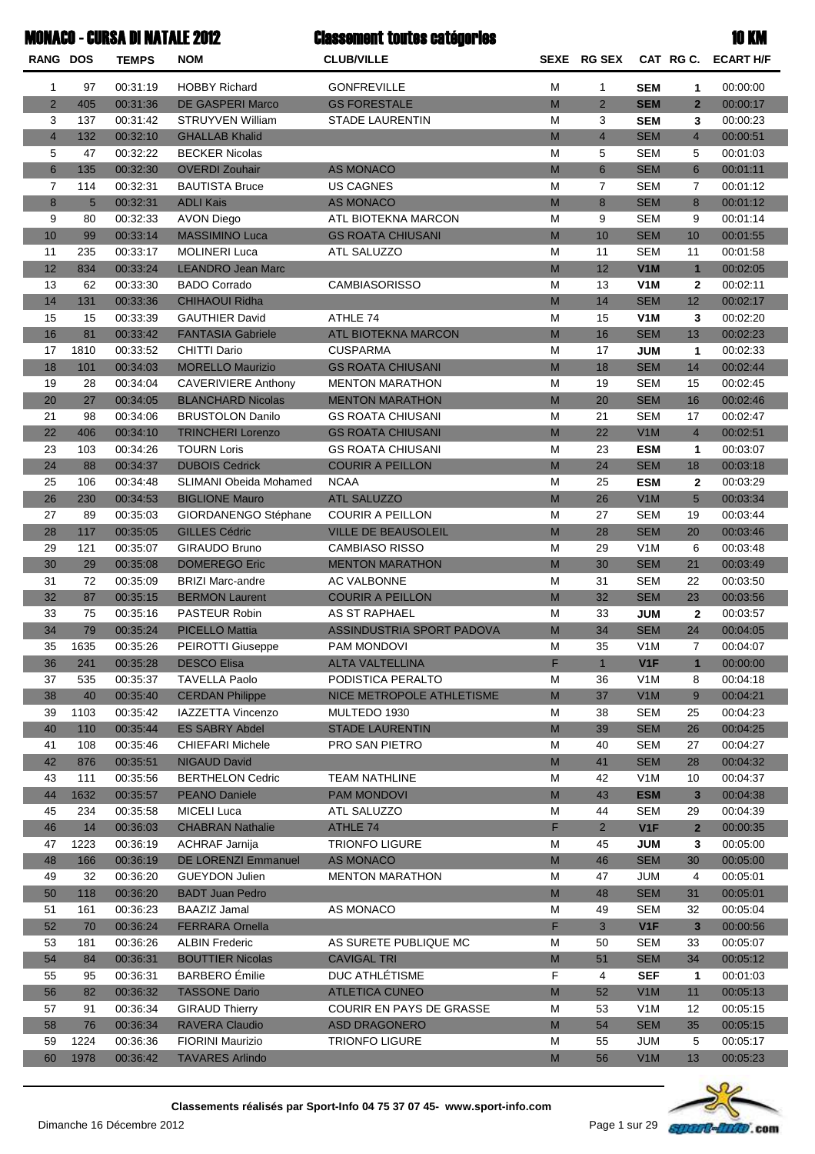|                 |      | <b>MONACO - CURSA DI NATALE 2012</b> |                               | <b>Classement toutes catégories</b> |   |                |                  |                 | <b>10 KM</b>     |
|-----------------|------|--------------------------------------|-------------------------------|-------------------------------------|---|----------------|------------------|-----------------|------------------|
| <b>RANG DOS</b> |      | <b>TEMPS</b>                         | <b>NOM</b>                    | <b>CLUB/VILLE</b>                   |   | SEXE RG SEX    |                  | CAT RG C.       | <b>ECART H/F</b> |
| 1               | 97   | 00:31:19                             | <b>HOBBY Richard</b>          | <b>GONFREVILLE</b>                  | М | $\mathbf{1}$   | <b>SEM</b>       | 1               | 00:00:00         |
| $\overline{2}$  | 405  | 00:31:36                             | <b>DE GASPERI Marco</b>       | <b>GS FORESTALE</b>                 | M | $\overline{2}$ | <b>SEM</b>       | $\overline{2}$  | 00:00:17         |
| 3               | 137  | 00:31:42                             | <b>STRUYVEN William</b>       | <b>STADE LAURENTIN</b>              | M | 3              | <b>SEM</b>       | 3               | 00:00:23         |
| $\overline{4}$  | 132  | 00:32:10                             | <b>GHALLAB Khalid</b>         |                                     | M | $\overline{4}$ | <b>SEM</b>       | $\overline{4}$  | 00:00:51         |
| 5               | 47   | 00:32:22                             | <b>BECKER Nicolas</b>         |                                     | M | 5              | <b>SEM</b>       | 5               | 00:01:03         |
| $6\phantom{1}$  | 135  | 00:32:30                             | <b>OVERDI Zouhair</b>         | <b>AS MONACO</b>                    | M | 6              | <b>SEM</b>       | 6               | 00:01:11         |
| $\overline{7}$  | 114  | 00:32:31                             | <b>BAUTISTA Bruce</b>         | <b>US CAGNES</b>                    | M | $\overline{7}$ | <b>SEM</b>       | $\overline{7}$  | 00:01:12         |
| 8               | 5    | 00:32:31                             | <b>ADLI Kais</b>              | <b>AS MONACO</b>                    | M | 8              | <b>SEM</b>       | 8               | 00:01:12         |
| 9               | 80   | 00:32:33                             | <b>AVON Diego</b>             | ATL BIOTEKNA MARCON                 | M | 9              | <b>SEM</b>       | 9               | 00:01:14         |
| 10              | 99   | 00:33:14                             | <b>MASSIMINO Luca</b>         | <b>GS ROATA CHIUSANI</b>            | M | 10             | <b>SEM</b>       | 10              | 00:01:55         |
| 11              | 235  | 00:33:17                             | <b>MOLINERI Luca</b>          | ATL SALUZZO                         | M | 11             | <b>SEM</b>       | 11              | 00:01:58         |
| 12              | 834  | 00:33:24                             | <b>LEANDRO Jean Marc</b>      |                                     | M | 12             | V1M              | $\mathbf{1}$    | 00:02:05         |
| 13              | 62   | 00:33:30                             | <b>BADO Corrado</b>           | <b>CAMBIASORISSO</b>                | M | 13             | V <sub>1</sub> M | 2               | 00:02:11         |
| 14              | 131  | 00:33:36                             | <b>CHIHAOUI Ridha</b>         |                                     | M | 14             | <b>SEM</b>       | 12              | 00:02:17         |
| 15              | 15   | 00:33:39                             | <b>GAUTHIER David</b>         | ATHLE 74                            | M | 15             | V <sub>1</sub> M | 3               | 00:02:20         |
| 16              | 81   | 00:33:42                             | <b>FANTASIA Gabriele</b>      | <b>ATL BIOTEKNA MARCON</b>          | M | 16             | <b>SEM</b>       | 13              | 00:02:23         |
| 17              | 1810 | 00:33:52                             | <b>CHITTI Dario</b>           | <b>CUSPARMA</b>                     | M | 17             | <b>JUM</b>       | 1               | 00:02:33         |
| 18              | 101  | 00:34:03                             | <b>MORELLO Maurizio</b>       | <b>GS ROATA CHIUSANI</b>            | M | 18             | <b>SEM</b>       | 14              | 00:02:44         |
| 19              | 28   | 00:34:04                             | <b>CAVERIVIERE Anthony</b>    | <b>MENTON MARATHON</b>              | M | 19             | <b>SEM</b>       | 15              | 00:02:45         |
| 20              | 27   | 00:34:05                             | <b>BLANCHARD Nicolas</b>      | <b>MENTON MARATHON</b>              | M | 20             | <b>SEM</b>       | 16              | 00:02:46         |
| 21              | 98   | 00:34:06                             | <b>BRUSTOLON Danilo</b>       | <b>GS ROATA CHIUSANI</b>            | M | 21             | <b>SEM</b>       | 17              | 00:02:47         |
| 22              | 406  | 00:34:10                             | <b>TRINCHERI Lorenzo</b>      | <b>GS ROATA CHIUSANI</b>            | M | 22             | V1M              | $\overline{4}$  | 00:02:51         |
| 23              | 103  | 00:34:26                             | <b>TOURN Loris</b>            | <b>GS ROATA CHIUSANI</b>            | M | 23             | <b>ESM</b>       | 1               | 00:03:07         |
| 24              | 88   | 00:34:37                             | <b>DUBOIS Cedrick</b>         | <b>COURIR A PEILLON</b>             | M | 24             | <b>SEM</b>       | 18              | 00:03:18         |
| 25              | 106  | 00:34:48                             | <b>SLIMANI Obeida Mohamed</b> | <b>NCAA</b>                         | M | 25             | <b>ESM</b>       | 2               | 00:03:29         |
| 26              | 230  | 00:34:53                             | <b>BIGLIONE Mauro</b>         | <b>ATL SALUZZO</b>                  | M | 26             | V1M              | $5\overline{)}$ | 00:03:34         |
| 27              | 89   | 00:35:03                             | GIORDANENGO Stéphane          | <b>COURIR A PEILLON</b>             | M | 27             | <b>SEM</b>       | 19              | 00:03:44         |
| 28              | 117  | 00:35:05                             | <b>GILLES Cédric</b>          | <b>VILLE DE BEAUSOLEIL</b>          | M | 28             | <b>SEM</b>       | 20              | 00:03:46         |
| 29              | 121  | 00:35:07                             | GIRAUDO Bruno                 | <b>CAMBIASO RISSO</b>               | М | 29             | V <sub>1</sub> M | 6               | 00:03:48         |
| 30              | 29   | 00:35:08                             | <b>DOMEREGO Eric</b>          | <b>MENTON MARATHON</b>              | M | 30             | <b>SEM</b>       | 21              | 00:03:49         |
| 31              | 72   | 00:35:09                             | <b>BRIZI Marc-andre</b>       | AC VALBONNE                         | М | 31             | <b>SEM</b>       | 22              | 00:03:50         |
| 32              | 87   | 00:35:15                             | <b>BERMON Laurent</b>         | <b>COURIR A PEILLON</b>             | M | 32             | <b>SEM</b>       | 23              | 00:03:56         |
| 33              | 75   | 00:35:16                             | <b>PASTEUR Robin</b>          | AS ST RAPHAEL                       | М | 33             | <b>JUM</b>       | $\mathbf{2}$    | 00:03:57         |
| 34              | 79   | 00:35:24                             | <b>PICELLO Mattia</b>         | ASSINDUSTRIA SPORT PADOVA           | M | 34             | <b>SEM</b>       | 24              | 00:04:05         |
| 35              | 1635 | 00:35:26                             | PEIROTTI Giuseppe             | <b>PAM MONDOVI</b>                  | M | 35             | V <sub>1</sub> M | 7               | 00:04:07         |
| 36              | 241  | 00:35:28                             | <b>DESCO Elisa</b>            | <b>ALTA VALTELLINA</b>              | F | $\mathbf{1}$   | V <sub>1F</sub>  | $\mathbf{1}$    | 00:00:00         |
| 37              | 535  | 00:35:37                             | <b>TAVELLA Paolo</b>          | PODISTICA PERALTO                   | M | 36             | V <sub>1</sub> M | 8               | 00:04:18         |
| 38              | 40   | 00:35:40                             | <b>CERDAN Philippe</b>        | NICE METROPOLE ATHLETISME           | M | 37             | V1M              | 9               | 00:04:21         |
| 39              | 1103 | 00:35:42                             | IAZZETTA Vincenzo             | MULTEDO 1930                        | M | 38             | <b>SEM</b>       | 25              | 00:04:23         |
| 40              | 110  | 00:35:44                             | <b>ES SABRY Abdel</b>         | <b>STADE LAURENTIN</b>              | M | 39             | <b>SEM</b>       | 26              | 00:04:25         |
| 41              | 108  | 00:35:46                             | <b>CHIEFARI Michele</b>       | PRO SAN PIETRO                      | М | 40             | <b>SEM</b>       | 27              | 00:04:27         |
| 42              | 876  | 00:35:51                             | <b>NIGAUD David</b>           |                                     | M | 41             | <b>SEM</b>       | 28              | 00:04:32         |
| 43              | 111  | 00:35:56                             | <b>BERTHELON Cedric</b>       | <b>TEAM NATHLINE</b>                | M | 42             | V <sub>1</sub> M | 10              | 00:04:37         |
| 44              | 1632 | 00:35:57                             | <b>PEANO Daniele</b>          | <b>PAM MONDOVI</b>                  | M | 43             | <b>ESM</b>       | $\mathbf{3}$    | 00:04:38         |
| 45              | 234  | 00:35:58                             | <b>MICELI Luca</b>            | ATL SALUZZO                         | М | 44             | <b>SEM</b>       | 29              | 00:04:39         |
| 46              | 14   | 00:36:03                             | <b>CHABRAN Nathalie</b>       | ATHLE 74                            | F | $\overline{2}$ | V1F              | $\overline{2}$  | 00:00:35         |
| 47              | 1223 | 00:36:19                             | ACHRAF Jarnija                | <b>TRIONFO LIGURE</b>               | M | 45             | <b>JUM</b>       | 3               | 00:05:00         |
| 48              | 166  | 00:36:19                             | <b>DE LORENZI Emmanuel</b>    | <b>AS MONACO</b>                    | M | 46             | <b>SEM</b>       | 30              | 00:05:00         |
| 49              | 32   | 00:36:20                             | <b>GUEYDON Julien</b>         | <b>MENTON MARATHON</b>              | M | 47             | JUM              | 4               | 00:05:01         |
| 50              | 118  | 00:36:20                             | <b>BADT Juan Pedro</b>        |                                     | M | 48             | <b>SEM</b>       | 31              | 00:05:01         |
| 51              | 161  | 00:36:23                             | <b>BAAZIZ Jamal</b>           | AS MONACO                           | M | 49             | <b>SEM</b>       | 32              | 00:05:04         |
| 52              | 70   | 00:36:24                             | <b>FERRARA Ornella</b>        |                                     | F | 3              | V1F              | $\mathbf{3}$    | 00:00:56         |
| 53              | 181  | 00:36:26                             | <b>ALBIN Frederic</b>         | AS SURETE PUBLIQUE MC               | M | 50             | <b>SEM</b>       | 33              | 00:05:07         |
| 54              | 84   | 00:36:31                             | <b>BOUTTIER Nicolas</b>       | <b>CAVIGAL TRI</b>                  | M | 51             | <b>SEM</b>       | 34              | 00:05:12         |
| 55              | 95   | 00:36:31                             | <b>BARBERO</b> Émilie         | DUC ATHLÉTISME                      | F | 4              | <b>SEF</b>       | 1               | 00:01:03         |
| 56              | 82   | 00:36:32                             | <b>TASSONE Dario</b>          | <b>ATLETICA CUNEO</b>               | M | 52             | V1M              | 11              | 00:05:13         |
| 57              | 91   | 00:36:34                             | <b>GIRAUD Thierry</b>         | <b>COURIR EN PAYS DE GRASSE</b>     | М | 53             | V <sub>1</sub> M | 12              | 00:05:15         |
| 58              | 76   | 00:36:34                             | <b>RAVERA Claudio</b>         | <b>ASD DRAGONERO</b>                | M | 54             | <b>SEM</b>       | 35              | 00:05:15         |
| 59              | 1224 | 00:36:36                             | <b>FIORINI Maurizio</b>       | <b>TRIONFO LIGURE</b>               | м | 55             | JUM              | 5               | 00:05:17         |
| 60              | 1978 | 00:36:42                             | <b>TAVARES Arlindo</b>        |                                     | M | 56             | V1M              | 13              | 00:05:23         |



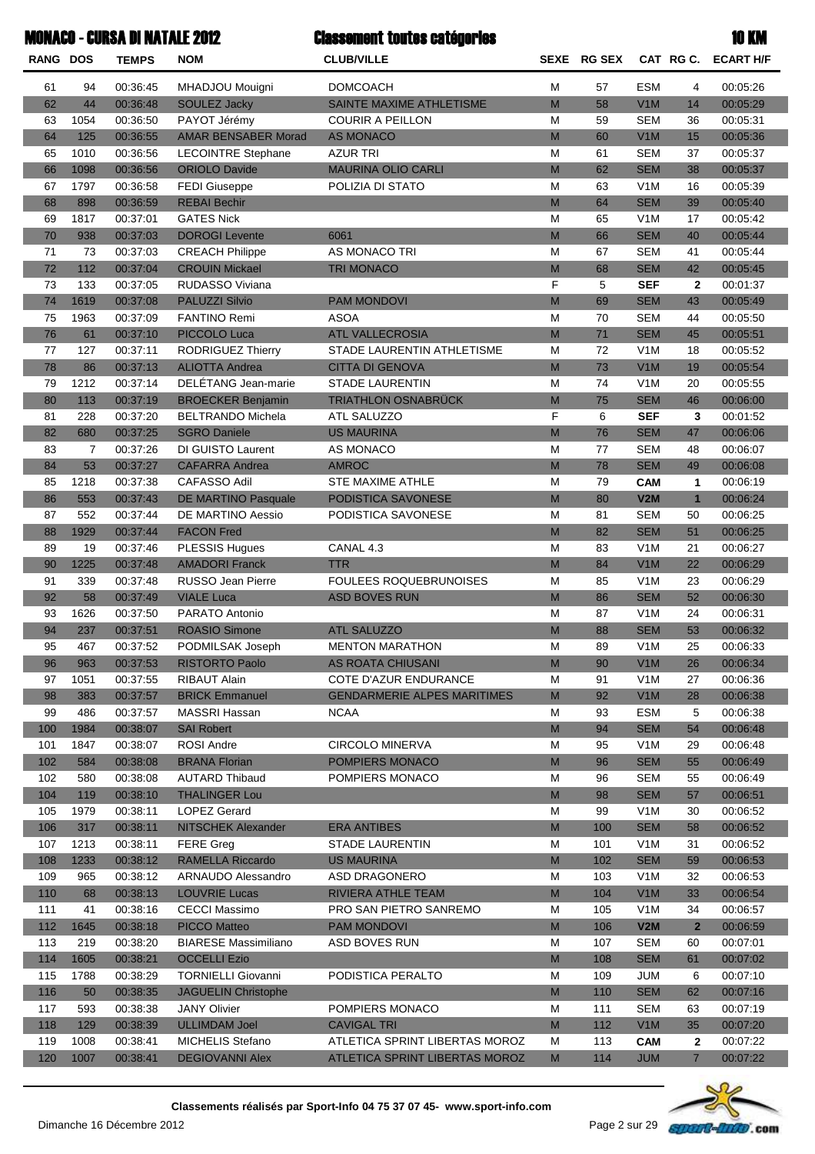|          |                | <b>MONACO - CURSA DI NATALE 2012</b> |                             | <b>Classement toutes catégories</b> |   |             |                  |                | <b>10 KM</b>     |
|----------|----------------|--------------------------------------|-----------------------------|-------------------------------------|---|-------------|------------------|----------------|------------------|
| RANG DOS |                | <b>TEMPS</b>                         | <b>NOM</b>                  | <b>CLUB/VILLE</b>                   |   | SEXE RG SEX |                  | CAT RG C.      | <b>ECART H/F</b> |
| 61       | 94             | 00:36:45                             | MHADJOU Mouigni             | <b>DOMCOACH</b>                     | М | 57          | <b>ESM</b>       | 4              | 00:05:26         |
| 62       | 44             | 00:36:48                             | <b>SOULEZ Jacky</b>         | SAINTE MAXIME ATHLETISME            | M | 58          | V1M              | 14             | 00:05:29         |
| 63       | 1054           | 00:36:50                             | PAYOT Jérémy                | <b>COURIR A PEILLON</b>             | M | 59          | <b>SEM</b>       | 36             | 00:05:31         |
| 64       | 125            | 00:36:55                             | <b>AMAR BENSABER Morad</b>  | <b>AS MONACO</b>                    | M | 60          | V1M              | 15             | 00:05:36         |
| 65       | 1010           | 00:36:56                             | <b>LECOINTRE Stephane</b>   | <b>AZUR TRI</b>                     | M | 61          | <b>SEM</b>       | 37             | 00:05:37         |
| 66       | 1098           | 00:36:56                             | <b>ORIOLO Davide</b>        | <b>MAURINA OLIO CARLI</b>           | M | 62          | <b>SEM</b>       | 38             | 00:05:37         |
| 67       | 1797           | 00:36:58                             | <b>FEDI Giuseppe</b>        | POLIZIA DI STATO                    | M | 63          | V <sub>1</sub> M | 16             | 00:05:39         |
| 68       | 898            | 00:36:59                             | <b>REBAI Bechir</b>         |                                     | M | 64          | <b>SEM</b>       | 39             | 00:05:40         |
| 69       | 1817           | 00:37:01                             | <b>GATES Nick</b>           |                                     | M | 65          | V <sub>1</sub> M | 17             | 00:05:42         |
| 70       | 938            | 00:37:03                             | <b>DOROGI</b> Levente       | 6061                                | M | 66          | <b>SEM</b>       | 40             | 00:05:44         |
| 71       | 73             | 00:37:03                             | <b>CREACH Philippe</b>      | AS MONACO TRI                       | M | 67          | <b>SEM</b>       | 41             | 00:05:44         |
| 72       | 112            | 00:37:04                             | <b>CROUIN Mickael</b>       | <b>TRI MONACO</b>                   | M | 68          | <b>SEM</b>       | 42             | 00:05:45         |
| 73       | 133            | 00:37:05                             | RUDASSO Viviana             |                                     | F | 5           | <b>SEF</b>       | $\mathbf{2}$   | 00:01:37         |
| 74       | 1619           | 00:37:08                             | <b>PALUZZI Silvio</b>       | <b>PAM MONDOVI</b>                  | M | 69          | <b>SEM</b>       | 43             | 00:05:49         |
| 75       | 1963           | 00:37:09                             | <b>FANTINO Remi</b>         | <b>ASOA</b>                         | M | 70          | <b>SEM</b>       | 44             | 00:05:50         |
| 76       | 61             | 00:37:10                             | PICCOLO Luca                | <b>ATL VALLECROSIA</b>              | M | 71          | <b>SEM</b>       | 45             | 00:05:51         |
| 77       | 127            | 00:37:11                             | <b>RODRIGUEZ Thierry</b>    | STADE LAURENTIN ATHLETISME          | M | 72          | V <sub>1</sub> M | 18             | 00:05:52         |
| 78       | 86             | 00:37:13                             | <b>ALIOTTA Andrea</b>       | <b>CITTA DI GENOVA</b>              | M | 73          | V1M              | 19             | 00:05:54         |
| 79       | 1212           | 00:37:14                             | DELÉTANG Jean-marie         | <b>STADE LAURENTIN</b>              | M | 74          | V <sub>1</sub> M | 20             | 00:05:55         |
| 80       | 113            | 00:37:19                             | <b>BROECKER Benjamin</b>    | TRIATHLON OSNABRÜCK                 | M | 75          | <b>SEM</b>       | 46             | 00:06:00         |
| 81       | 228            | 00:37:20                             | <b>BELTRANDO Michela</b>    | <b>ATL SALUZZO</b>                  | F | 6           | <b>SEF</b>       | 3              | 00:01:52         |
| 82       | 680            | 00:37:25                             | <b>SGRO Daniele</b>         | <b>US MAURINA</b>                   | M | 76          | <b>SEM</b>       | 47             | 00:06:06         |
| 83       | $\overline{7}$ | 00:37:26                             | DI GUISTO Laurent           | AS MONACO                           | M | 77          | <b>SEM</b>       | 48             | 00:06:07         |
| 84       | 53             | 00:37:27                             | <b>CAFARRA Andrea</b>       | <b>AMROC</b>                        | M | 78          | <b>SEM</b>       | 49             | 00:06:08         |
| 85       | 1218           | 00:37:38                             | CAFASSO Adil                | <b>STE MAXIME ATHLE</b>             | M | 79          | <b>CAM</b>       | 1              | 00:06:19         |
| 86       | 553            | 00:37:43                             | <b>DE MARTINO Pasquale</b>  | PODISTICA SAVONESE                  | M | 80          | V2M              | $\mathbf{1}$   | 00:06:24         |
| 87       | 552            | 00:37:44                             | DE MARTINO Aessio           | PODISTICA SAVONESE                  | M | 81          | <b>SEM</b>       | 50             | 00:06:25         |
| 88       | 1929           | 00:37:44                             | <b>FACON Fred</b>           |                                     | M | 82          | <b>SEM</b>       | 51             | 00:06:25         |
| 89       | 19             | 00:37:46                             | <b>PLESSIS Hugues</b>       | CANAL 4.3                           | M | 83          | V1M              | 21             | 00:06:27         |
| 90       | 1225           | 00:37:48                             | <b>AMADORI Franck</b>       | TTR                                 | M | 84          | V1M              | 22             | 00:06:29         |
| 91       | 339            | 00:37:48                             | <b>RUSSO Jean Pierre</b>    | <b>FOULEES ROQUEBRUNOISES</b>       | M | 85          | V <sub>1</sub> M | 23             | 00:06:29         |
| 92       | 58             | 00:37:49                             | <b>VIALE Luca</b>           | <b>ASD BOVES RUN</b>                | M | 86          | <b>SEM</b>       | 52             | 00:06:30         |
| 93       | 1626           | 00:37:50                             | PARATO Antonio              |                                     | M | 87          | V <sub>1</sub> M | 24             | 00:06:31         |
| 94       | 237            | 00:37:51                             | <b>ROASIO Simone</b>        | <b>ATL SALUZZO</b>                  | M | 88          | <b>SEM</b>       | 53             | 00:06:32         |
| 95       | 467            | 00:37:52                             | PODMILSAK Joseph            | <b>MENTON MARATHON</b>              | M | 89          | V <sub>1</sub> M | 25             | 00:06:33         |
| 96       | 963            | 00:37:53                             | <b>RISTORTO Paolo</b>       | AS ROATA CHIUSANI                   | M | 90          | V1M              | 26             | 00:06:34         |
| 97       | 1051           | 00:37:55                             | RIBAUT Alain                | COTE D'AZUR ENDURANCE               | М | 91          | V <sub>1</sub> M | 27             | 00:06:36         |
| 98       | 383            | 00:37:57                             | <b>BRICK Emmanuel</b>       | <b>GENDARMERIE ALPES MARITIMES</b>  | M | 92          | V1M              | 28             | 00:06:38         |
| 99       | 486            | 00:37:57                             | <b>MASSRI Hassan</b>        | <b>NCAA</b>                         | м | 93          | <b>ESM</b>       | 5              | 00:06:38         |
| 100      | 1984           | 00:38:07                             | <b>SAI Robert</b>           |                                     | M | 94          | <b>SEM</b>       | 54             | 00:06:48         |
| 101      | 1847           | 00:38:07                             | <b>ROSI Andre</b>           | <b>CIRCOLO MINERVA</b>              | м | 95          | V <sub>1</sub> M | 29             | 00:06:48         |
| 102      | 584            | 00:38:08                             | <b>BRANA Florian</b>        | POMPIERS MONACO                     | M | 96          | <b>SEM</b>       | 55             | 00:06:49         |
| 102      | 580            | 00:38:08                             | <b>AUTARD Thibaud</b>       | POMPIERS MONACO                     | м | 96          | <b>SEM</b>       | 55             | 00:06:49         |
| 104      | 119            | 00:38:10                             | <b>THALINGER Lou</b>        |                                     | M | 98          | <b>SEM</b>       | 57             | 00:06:51         |
| 105      | 1979           | 00:38:11                             | <b>LOPEZ Gerard</b>         |                                     | M | 99          | V <sub>1</sub> M | 30             | 00:06:52         |
| 106      | 317            | 00:38:11                             | <b>NITSCHEK Alexander</b>   | <b>ERA ANTIBES</b>                  | M | 100         | <b>SEM</b>       | 58             | 00:06:52         |
| 107      | 1213           | 00:38:11                             | <b>FERE Greg</b>            | <b>STADE LAURENTIN</b>              | М | 101         | V <sub>1</sub> M | 31             | 00:06:52         |
| 108      | 1233           | 00:38:12                             | <b>RAMELLA Riccardo</b>     | <b>US MAURINA</b>                   | M | 102         | <b>SEM</b>       | 59             | 00:06:53         |
| 109      | 965            | 00:38:12                             | ARNAUDO Alessandro          | ASD DRAGONERO                       | М | 103         | V <sub>1</sub> M | 32             | 00:06:53         |
| 110      | 68             | 00:38:13                             | <b>LOUVRIE Lucas</b>        | <b>RIVIERA ATHLE TEAM</b>           | M | 104         | V1M              | 33             | 00:06:54         |
| 111      | 41             | 00:38:16                             | <b>CECCI Massimo</b>        | PRO SAN PIETRO SANREMO              | М | 105         | V <sub>1</sub> M | 34             | 00:06:57         |
| 112      | 1645           | 00:38:18                             | <b>PICCO Matteo</b>         | <b>PAM MONDOVI</b>                  | M | 106         | V2M              | $\overline{2}$ | 00:06:59         |
| 113      | 219            | 00:38:20                             | <b>BIARESE Massimiliano</b> | ASD BOVES RUN                       | М | 107         | <b>SEM</b>       | 60             | 00:07:01         |
| 114      | 1605           | 00:38:21                             | <b>OCCELLI Ezio</b>         |                                     | M | 108         | <b>SEM</b>       | 61             | 00:07:02         |
| 115      | 1788           | 00:38:29                             | <b>TORNIELLI Giovanni</b>   | PODISTICA PERALTO                   | М | 109         | JUM              | 6              | 00:07:10         |
| 116      | 50             | 00:38:35                             | <b>JAGUELIN Christophe</b>  |                                     | M | 110         | <b>SEM</b>       | 62             | 00:07:16         |
| 117      | 593            | 00:38:38                             | <b>JANY Olivier</b>         | POMPIERS MONACO                     | м | 111         | <b>SEM</b>       | 63             | 00:07:19         |
| 118      | 129            | 00:38:39                             | <b>ULLIMDAM Joel</b>        | <b>CAVIGAL TRI</b>                  | M | 112         | V1M              | 35             | 00:07:20         |
| 119      | 1008           | 00:38:41                             | <b>MICHELIS Stefano</b>     | ATLETICA SPRINT LIBERTAS MOROZ      | м | 113         | <b>CAM</b>       | 2              | 00:07:22         |
| 120      | 1007           | 00:38:41                             | <b>DEGIOVANNI Alex</b>      | ATLETICA SPRINT LIBERTAS MOROZ      | M | 114         | <b>JUM</b>       | $\overline{7}$ | 00:07:22         |



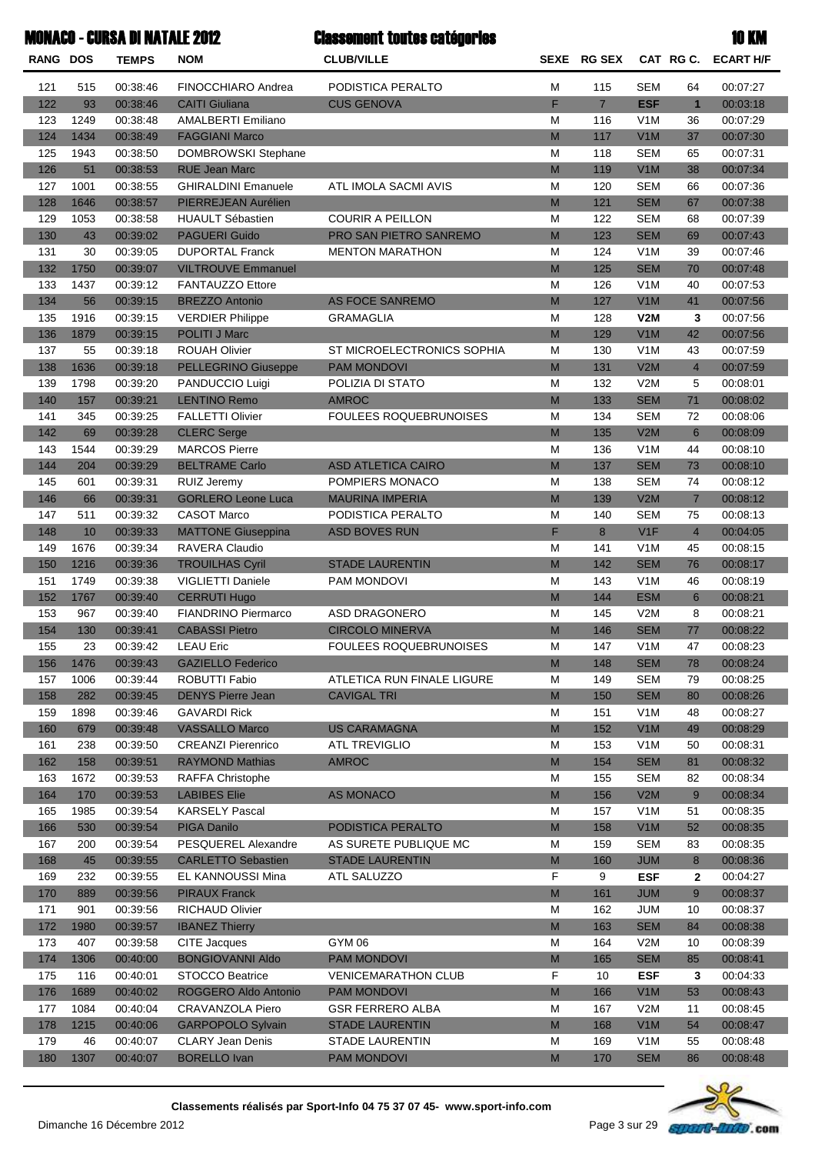| <b>Monaco - Cursa di Natale 2012</b> |  |  |
|--------------------------------------|--|--|
|                                      |  |  |

|          |      | <b>MONACO - CURSA DI NATALE 2012</b> |                            | <b>Classement toutes catégories</b> |                                   |                |                  |                | <b>10 KM</b>        |
|----------|------|--------------------------------------|----------------------------|-------------------------------------|-----------------------------------|----------------|------------------|----------------|---------------------|
| RANG DOS |      | <b>TEMPS</b>                         | <b>NOM</b>                 | <b>CLUB/VILLE</b>                   |                                   | SEXE RG SEX    |                  |                | CAT RG C. ECART H/F |
| 121      | 515  | 00:38:46                             | <b>FINOCCHIARO Andrea</b>  | PODISTICA PERALTO                   | М                                 | 115            | <b>SEM</b>       | 64             | 00:07:27            |
| 122      | 93   | 00:38:46                             | <b>CAITI Giuliana</b>      | <b>CUS GENOVA</b>                   | F                                 | $\overline{7}$ | <b>ESF</b>       | $\mathbf{1}$   | 00:03:18            |
| 123      | 1249 | 00:38:48                             | <b>AMALBERTI Emiliano</b>  |                                     | M                                 | 116            | V <sub>1</sub> M | 36             | 00:07:29            |
| 124      | 1434 | 00:38:49                             | <b>FAGGIANI Marco</b>      |                                     | $\mathsf{M}% _{H}=\mathsf{M}_{H}$ | 117            | V1M              | 37             | 00:07:30            |
| 125      | 1943 | 00:38:50                             | <b>DOMBROWSKI Stephane</b> |                                     | M                                 | 118            | <b>SEM</b>       | 65             | 00:07:31            |
| 126      | 51   | 00:38:53                             | <b>RUE Jean Marc</b>       |                                     | M                                 | 119            | V1M              | 38             | 00:07:34            |
| 127      | 1001 | 00:38:55                             | <b>GHIRALDINI Emanuele</b> | ATL IMOLA SACMI AVIS                | M                                 | 120            | <b>SEM</b>       | 66             | 00:07:36            |
| 128      | 1646 | 00:38:57                             | PIERREJEAN Aurélien        |                                     | $\mathsf{M}% _{H}=\mathsf{M}_{H}$ | 121            | <b>SEM</b>       | 67             | 00:07:38            |
| 129      | 1053 | 00:38:58                             | <b>HUAULT Sébastien</b>    | <b>COURIR A PEILLON</b>             | M                                 | 122            | <b>SEM</b>       | 68             | 00:07:39            |
| 130      | 43   | 00:39:02                             | <b>PAGUERI Guido</b>       | PRO SAN PIETRO SANREMO              | $\mathsf{M}% _{H}=\mathsf{M}_{H}$ | 123            | <b>SEM</b>       | 69             | 00:07:43            |
| 131      | 30   | 00:39:05                             | <b>DUPORTAL Franck</b>     | <b>MENTON MARATHON</b>              | M                                 | 124            | V1M              | 39             | 00:07:46            |
| 132      | 1750 | 00:39:07                             | <b>VILTROUVE Emmanuel</b>  |                                     | $\mathsf{M}% _{H}=\mathsf{M}_{H}$ | 125            | <b>SEM</b>       | 70             | 00:07:48            |
| 133      | 1437 | 00:39:12                             | <b>FANTAUZZO Ettore</b>    |                                     | M                                 | 126            | V1M              | 40             | 00:07:53            |
| 134      | 56   | 00:39:15                             | <b>BREZZO Antonio</b>      | <b>AS FOCE SANREMO</b>              | $\mathsf{M}% _{H}=\mathsf{M}_{H}$ | 127            | V1M              | 41             | 00:07:56            |
| 135      | 1916 | 00:39:15                             | <b>VERDIER Philippe</b>    | <b>GRAMAGLIA</b>                    | M                                 | 128            | V2M              | 3              | 00:07:56            |
| 136      | 1879 | 00:39:15                             | <b>POLITI J Marc</b>       |                                     | $\mathsf{M}% _{H}=\mathsf{M}_{H}$ | 129            | V1M              | 42             | 00:07:56            |
| 137      | 55   | 00:39:18                             | <b>ROUAH Olivier</b>       | ST MICROELECTRONICS SOPHIA          | M                                 | 130            | V <sub>1</sub> M | 43             | 00:07:59            |
| 138      | 1636 | 00:39:18                             | <b>PELLEGRINO Giuseppe</b> | <b>PAM MONDOVI</b>                  | $\mathsf{M}% _{H}=\mathsf{M}_{H}$ | 131            | V2M              | $\overline{4}$ | 00:07:59            |
| 139      | 1798 | 00:39:20                             | PANDUCCIO Luigi            | POLIZIA DI STATO                    | M                                 | 132            | V <sub>2</sub> M | 5              | 00:08:01            |
| 140      | 157  | 00:39:21                             | <b>LENTINO Remo</b>        | <b>AMROC</b>                        | $\mathsf{M}% _{H}=\mathsf{M}_{H}$ | 133            | <b>SEM</b>       | 71             | 00:08:02            |
| 141      | 345  | 00:39:25                             | <b>FALLETTI Olivier</b>    | <b>FOULEES ROQUEBRUNOISES</b>       | M                                 | 134            | <b>SEM</b>       | 72             | 00:08:06            |
| 142      | 69   | 00:39:28                             | <b>CLERC</b> Serge         |                                     | $\mathsf{M}% _{H}=\mathsf{M}_{H}$ | 135            | V2M              | 6              | 00:08:09            |
| 143      | 1544 | 00:39:29                             | <b>MARCOS Pierre</b>       |                                     | M                                 | 136            | V1M              | 44             | 00:08:10            |
| 144      | 204  | 00:39:29                             | <b>BELTRAME Carlo</b>      | <b>ASD ATLETICA CAIRO</b>           | $\mathsf{M}% _{H}=\mathsf{M}_{H}$ | 137            | <b>SEM</b>       | 73             | 00:08:10            |
| 145      | 601  | 00:39:31                             | RUIZ Jeremy                | POMPIERS MONACO                     | M                                 | 138            | <b>SEM</b>       | 74             | 00:08:12            |
| 146      | 66   | 00:39:31                             | <b>GORLERO Leone Luca</b>  | <b>MAURINA IMPERIA</b>              | $\mathsf{M}% _{H}=\mathsf{M}_{H}$ | 139            | V2M              | $\overline{7}$ | 00:08:12            |
| 147      | 511  | 00:39:32                             | <b>CASOT Marco</b>         | PODISTICA PERALTO                   | M                                 | 140            | <b>SEM</b>       | 75             | 00:08:13            |
| 148      | 10   | 00:39:33                             | <b>MATTONE Giuseppina</b>  | <b>ASD BOVES RUN</b>                | F                                 | 8              | V1F              | $\overline{4}$ | 00:04:05            |
| 149      | 1676 | 00:39:34                             | RAVERA Claudio             |                                     | М                                 | 141            | V1M              | 45             | 00:08:15            |
| 150      | 1216 | 00:39:36                             | <b>TROUILHAS Cyril</b>     | <b>STADE LAURENTIN</b>              | M                                 | 142            | <b>SEM</b>       | 76             | 00:08:17            |
| 151      | 1749 | 00:39:38                             | VIGLIETTI Daniele          | PAM MONDOVI                         | м                                 | 143            | V1M              | 46             | 00:08:19            |
| 152      | 1767 | 00:39:40                             | <b>CERRUTI Hugo</b>        |                                     | M                                 | 144            | <b>ESM</b>       | 6              | 00:08:21            |
| 153      | 967  | 00:39:40                             | <b>FIANDRINO Piermarco</b> | ASD DRAGONERO                       | м                                 | 145            | V2M              | 8              | 00:08:21            |
| 154      | 130  | 00:39:41                             | <b>CABASSI Pietro</b>      | <b>CIRCOLO MINERVA</b>              | M                                 | 146            | <b>SEM</b>       | 77             | 00:08:22            |
| 155      | 23   | 00:39:42                             | LEAU Eric                  | <b>FOULEES ROQUEBRUNOISES</b>       | м                                 | 147            | V <sub>1</sub> M | 47             | 00:08:23            |
| 156      | 1476 | 00:39:43                             | GAZIELLO Federico          |                                     | M                                 | 148            | <b>SEM</b>       | 78             | 00:08:24            |
| 157      | 1006 | 00:39:44                             | ROBUTTI Fabio              | ATLETICA RUN FINALE LIGURE          | м                                 | 149            | <b>SEM</b>       | 79             | 00:08:25            |
| 158      | 282  | 00:39:45                             | <b>DENYS Pierre Jean</b>   | <b>CAVIGAL TRI</b>                  | M                                 | 150            | <b>SEM</b>       | 80             | 00:08:26            |
| 159      | 1898 | 00:39:46                             | <b>GAVARDI Rick</b>        |                                     | М                                 | 151            | V1M              | 48             | 00:08:27            |
| 160      | 679  | 00:39:48                             | <b>VASSALLO Marco</b>      | <b>US CARAMAGNA</b>                 | M                                 | 152            | V1M              | 49             | 00:08:29            |
| 161      | 238  | 00:39:50                             | <b>CREANZI Pierenrico</b>  | <b>ATL TREVIGLIO</b>                | м                                 | 153            | V <sub>1</sub> M | 50             | 00:08:31            |
| 162      | 158  | 00:39:51                             | <b>RAYMOND Mathias</b>     | <b>AMROC</b>                        | M                                 | 154            | <b>SEM</b>       | 81             | 00:08:32            |
| 163      | 1672 | 00:39:53                             | <b>RAFFA Christophe</b>    |                                     | М                                 | 155            | <b>SEM</b>       | 82             | 00:08:34            |
| 164      | 170  | 00:39:53                             | <b>LABIBES Elie</b>        | <b>AS MONACO</b>                    | M                                 | 156            | V2M              | 9              | 00:08:34            |
| 165      | 1985 | 00:39:54                             | <b>KARSELY Pascal</b>      |                                     | м                                 | 157            | V <sub>1</sub> M | 51             | 00:08:35            |
| 166      | 530  | 00:39:54                             | <b>PIGA Danilo</b>         | PODISTICA PERALTO                   | M                                 | 158            | V1M              | 52             | 00:08:35            |
| 167      | 200  | 00:39:54                             | PESQUEREL Alexandre        | AS SURETE PUBLIQUE MC               | М                                 | 159            | <b>SEM</b>       | 83             | 00:08:35            |
| 168      | 45   | 00:39:55                             | <b>CARLETTO Sebastien</b>  | <b>STADE LAURENTIN</b>              | M                                 | 160            | <b>JUM</b>       | 8              | 00:08:36            |
| 169      | 232  | 00:39:55                             | EL KANNOUSSI Mina          | ATL SALUZZO                         | F                                 | 9              | <b>ESF</b>       | 2              | 00:04:27            |
| 170      | 889  | 00:39:56                             | <b>PIRAUX Franck</b>       |                                     | ${\sf M}$                         | 161            | <b>JUM</b>       | 9              | 00:08:37            |
| 171      | 901  | 00:39:56                             | <b>RICHAUD Olivier</b>     |                                     | М                                 | 162            | JUM              | 10             | 00:08:37            |
| 172      | 1980 | 00:39:57                             | <b>IBANEZ Thierry</b>      |                                     | M                                 | 163            | <b>SEM</b>       | 84             | 00:08:38            |
| 173      | 407  | 00:39:58                             | <b>CITE Jacques</b>        | GYM 06                              | м                                 | 164            | V2M              | 10             | 00:08:39            |
| 174      | 1306 | 00:40:00                             | <b>BONGIOVANNI Aldo</b>    | <b>PAM MONDOVI</b>                  | M                                 | 165            | <b>SEM</b>       | 85             | 00:08:41            |
| 175      | 116  | 00:40:01                             | <b>STOCCO Beatrice</b>     | <b>VENICEMARATHON CLUB</b>          | F                                 | 10             | <b>ESF</b>       | 3              | 00:04:33            |
| 176      | 1689 | 00:40:02                             | ROGGERO Aldo Antonio       | <b>PAM MONDOVI</b>                  | ${\sf M}$                         | 166            | V1M              | 53             | 00:08:43            |
| 177      | 1084 | 00:40:04                             | <b>CRAVANZOLA Piero</b>    | <b>GSR FERRERO ALBA</b>             | м                                 | 167            | V2M              | 11             | 00:08:45            |
| 178      | 1215 | 00:40:06                             | <b>GARPOPOLO Sylvain</b>   | <b>STADE LAURENTIN</b>              | M                                 | 168            | V1M              | 54             | 00:08:47            |
| 179      | 46   | 00:40:07                             | <b>CLARY Jean Denis</b>    | <b>STADE LAURENTIN</b>              | м                                 | 169            | V <sub>1</sub> M | 55             | 00:08:48            |
| 180      | 1307 | 00:40:07                             | <b>BORELLO Ivan</b>        | <b>PAM MONDOVI</b>                  | M                                 | 170            | <b>SEM</b>       | 86             | 00:08:48            |

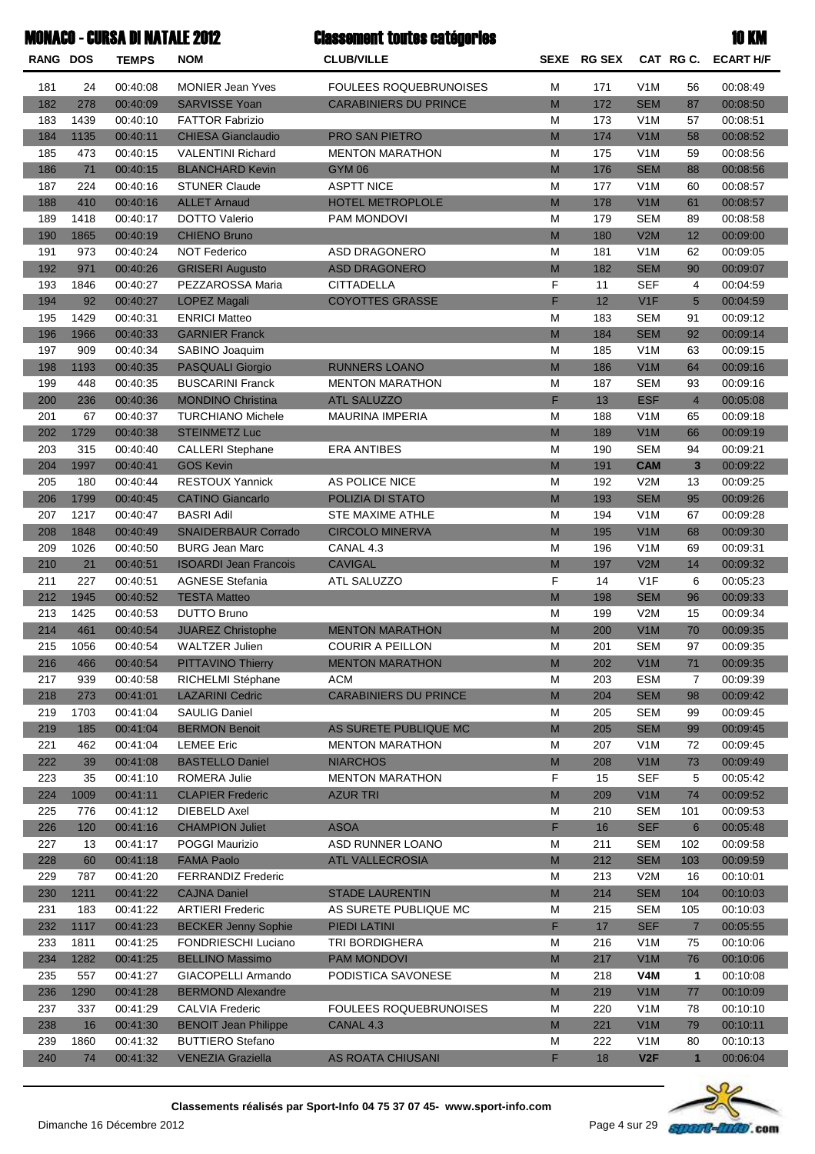|                 |      | <b>MONACO - CURSA DI NATALE 2012</b> |                              | <b>Classement toutes catégories</b> |                                                                                                            |             |                  |                         | <b>10 KM</b>     |
|-----------------|------|--------------------------------------|------------------------------|-------------------------------------|------------------------------------------------------------------------------------------------------------|-------------|------------------|-------------------------|------------------|
| <b>RANG DOS</b> |      | <b>TEMPS</b>                         | <b>NOM</b>                   | <b>CLUB/VILLE</b>                   |                                                                                                            | SEXE RG SEX |                  | CAT RGC.                | <b>ECART H/F</b> |
| 181             | 24   | 00:40:08                             | <b>MONIER Jean Yves</b>      | <b>FOULEES ROQUEBRUNOISES</b>       | М                                                                                                          | 171         | V <sub>1</sub> M | 56                      | 00:08:49         |
| 182             | 278  | 00:40:09                             | <b>SARVISSE Yoan</b>         | <b>CARABINIERS DU PRINCE</b>        | $\mathsf{M}% _{H}=\mathsf{M}_{H}$                                                                          | 172         | <b>SEM</b>       | 87                      | 00:08:50         |
| 183             | 1439 | 00:40:10                             | <b>FATTOR Fabrizio</b>       |                                     | M                                                                                                          | 173         | V <sub>1</sub> M | 57                      | 00:08:51         |
| 184             | 1135 | 00:40:11                             | <b>CHIESA Gianclaudio</b>    | <b>PRO SAN PIETRO</b>               | $\mathsf{M}% _{H}=\mathsf{M}_{H}$                                                                          | 174         | V1M              | 58                      | 00:08:52         |
| 185             | 473  | 00:40:15                             | <b>VALENTINI Richard</b>     | <b>MENTON MARATHON</b>              | M                                                                                                          | 175         | V <sub>1</sub> M | 59                      | 00:08:56         |
| 186             | 71   | 00:40:15                             | <b>BLANCHARD Kevin</b>       | <b>GYM 06</b>                       | $\mathsf{M}% _{H}=\mathsf{M}_{H}$                                                                          | 176         | <b>SEM</b>       | 88                      | 00:08:56         |
| 187             | 224  | 00:40:16                             | <b>STUNER Claude</b>         | <b>ASPTT NICE</b>                   | M                                                                                                          | 177         | V <sub>1</sub> M | 60                      | 00:08:57         |
| 188             | 410  | 00:40:16                             | <b>ALLET Arnaud</b>          | HOTEL METROPLOLE                    | $\mathsf{M}% _{H}=\mathsf{M}_{H}$                                                                          | 178         | V1M              | 61                      | 00:08:57         |
| 189             | 1418 | 00:40:17                             | <b>DOTTO Valerio</b>         | PAM MONDOVI                         | M                                                                                                          | 179         | <b>SEM</b>       | 89                      | 00:08:58         |
| 190             | 1865 | 00:40:19                             | <b>CHIENO Bruno</b>          |                                     | $\mathsf{M}% _{H}=\mathsf{M}_{H}$                                                                          | 180         | V2M              | 12                      | 00:09:00         |
| 191             | 973  | 00:40:24                             | <b>NOT Federico</b>          | ASD DRAGONERO                       | M                                                                                                          | 181         | V <sub>1</sub> M | 62                      | 00:09:05         |
| 192             | 971  | 00:40:26                             | <b>GRISERI Augusto</b>       | <b>ASD DRAGONERO</b>                | $\mathsf{M}% _{H}=\mathsf{M}_{H}$                                                                          | 182         | <b>SEM</b>       | 90                      | 00:09:07         |
| 193             | 1846 | 00:40:27                             | PEZZAROSSA Maria             | <b>CITTADELLA</b>                   | F                                                                                                          | 11          | <b>SEF</b>       | 4                       | 00:04:59         |
| 194             | 92   | 00:40:27                             | <b>LOPEZ Magali</b>          | <b>COYOTTES GRASSE</b>              | F                                                                                                          | 12          | V1F              | $5\overline{)}$         | 00:04:59         |
| 195             | 1429 | 00:40:31                             | <b>ENRICI Matteo</b>         |                                     | M                                                                                                          | 183         | <b>SEM</b>       | 91                      | 00:09:12         |
| 196             | 1966 | 00:40:33                             | <b>GARNIER Franck</b>        |                                     | $\mathsf{M}% _{H}=\mathsf{M}_{H}$                                                                          | 184         | <b>SEM</b>       | 92                      | 00:09:14         |
| 197             | 909  | 00:40:34                             | SABINO Joaquim               |                                     | M                                                                                                          | 185         | V <sub>1</sub> M | 63                      | 00:09:15         |
| 198             | 1193 | 00:40:35                             | <b>PASQUALI Giorgio</b>      | <b>RUNNERS LOANO</b>                | $\mathsf{M}% _{H}=\mathsf{M}_{H}$                                                                          | 186         | V1M              | 64                      | 00:09:16         |
| 199             | 448  | 00:40:35                             | <b>BUSCARINI Franck</b>      | <b>MENTON MARATHON</b>              | M                                                                                                          | 187         | <b>SEM</b>       | 93                      | 00:09:16         |
| 200             | 236  | 00:40:36                             | <b>MONDINO Christina</b>     | <b>ATL SALUZZO</b>                  | F                                                                                                          | 13          | <b>ESF</b>       | $\overline{4}$          | 00:05:08         |
| 201             | 67   | 00:40:37                             | <b>TURCHIANO Michele</b>     | <b>MAURINA IMPERIA</b>              | M                                                                                                          | 188         | V <sub>1</sub> M | 65                      | 00:09:18         |
| 202             | 1729 | 00:40:38                             | <b>STEINMETZ Luc</b>         |                                     | $\mathsf{M}% _{H}=\mathsf{M}_{H}$                                                                          | 189         | V1M              | 66                      | 00:09:19         |
| 203             | 315  | 00:40:40                             | <b>CALLERI</b> Stephane      | <b>ERA ANTIBES</b>                  | M                                                                                                          | 190         | <b>SEM</b>       | 94                      | 00:09:21         |
| 204             | 1997 | 00:40:41                             | <b>GOS Kevin</b>             |                                     | $\mathsf{M}% _{H}=\mathsf{M}_{H}$                                                                          | 191         | <b>CAM</b>       | $\overline{\mathbf{3}}$ | 00:09:22         |
| 205             | 180  | 00:40:44                             | <b>RESTOUX Yannick</b>       | AS POLICE NICE                      | M                                                                                                          | 192         | V2M              | 13                      | 00:09:25         |
| 206             | 1799 | 00:40:45                             | <b>CATINO Giancarlo</b>      | POLIZIA DI STATO                    | $\mathsf{M}% _{H}=\mathsf{M}_{H}$                                                                          | 193         | <b>SEM</b>       | 95                      | 00:09:26         |
| 207             | 1217 | 00:40:47                             | <b>BASRI Adil</b>            | STE MAXIME ATHLE                    | M                                                                                                          | 194         | V1M              | 67                      | 00:09:28         |
| 208             | 1848 | 00:40:49                             | <b>SNAIDERBAUR Corrado</b>   | <b>CIRCOLO MINERVA</b>              | M                                                                                                          | 195         | V1M              | 68                      | 00:09:30         |
| 209             | 1026 | 00:40:50                             | <b>BURG Jean Marc</b>        | CANAL 4.3                           | M                                                                                                          | 196         | V <sub>1</sub> M | 69                      | 00:09:31         |
| 210             | 21   | 00:40:51                             | <b>ISOARDI Jean Francois</b> | <b>CAVIGAL</b>                      | M                                                                                                          | 197         | V2M              | 14                      | 00:09:32         |
| 211             | 227  | 00:40:51                             | <b>AGNESE Stefania</b>       | ATL SALUZZO                         | F                                                                                                          | 14          | V <sub>1F</sub>  | 6                       | 00:05:23         |
| 212             | 1945 | 00:40:52                             | <b>TESTA Matteo</b>          |                                     | $\mathsf{M}% _{T}=\mathsf{M}_{T}\!\left( a,b\right) ,\ \mathsf{M}_{T}=\mathsf{M}_{T}\!\left( a,b\right) ,$ | 198         | <b>SEM</b>       | 96                      | 00:09:33         |
| 213             | 1425 | 00:40:53                             | <b>DUTTO Bruno</b>           |                                     | M                                                                                                          | 199         | V2M              | 15                      | 00:09:34         |
| 214             | 461  | 00:40:54                             | <b>JUAREZ Christophe</b>     | <b>MENTON MARATHON</b>              | M                                                                                                          | 200         | V1M              | 70                      | 00:09:35         |
| 215             | 1056 | 00:40:54                             | WALTZER Julien               | COURIR A PEILLON                    | М                                                                                                          | 201         | SEM              | 97                      | 00:09:35         |
| 216             | 466  | 00:40:54                             | <b>PITTAVINO Thierry</b>     | <b>MENTON MARATHON</b>              | M                                                                                                          | 202         | V1M              | 71                      | 00:09:35         |
| 217             | 939  | 00:40:58                             | RICHELMI Stéphane            | <b>ACM</b>                          | M                                                                                                          | 203         | <b>ESM</b>       | $\overline{7}$          | 00:09:39         |
| 218             | 273  | 00:41:01                             | <b>LAZARINI Cedric</b>       | <b>CARABINIERS DU PRINCE</b>        | ${\sf M}$                                                                                                  | 204         | <b>SEM</b>       | 98                      | 00:09:42         |
| 219             | 1703 | 00:41:04                             | <b>SAULIG Daniel</b>         |                                     | M                                                                                                          | 205         | <b>SEM</b>       | 99                      | 00:09:45         |
| 219             | 185  | 00:41:04                             | <b>BERMON Benoit</b>         | AS SURETE PUBLIQUE MC               | ${\sf M}$                                                                                                  | 205         | <b>SEM</b>       | 99                      | 00:09:45         |
| 221             | 462  | 00:41:04                             | <b>LEMEE Eric</b>            | <b>MENTON MARATHON</b>              | М                                                                                                          | 207         | V <sub>1</sub> M | 72                      | 00:09:45         |
| 222             | 39   | 00:41:08                             | <b>BASTELLO Daniel</b>       | <b>NIARCHOS</b>                     | ${\sf M}$                                                                                                  | 208         | V1M              | 73                      | 00:09:49         |
| 223             | 35   | 00:41:10                             | <b>ROMERA Julie</b>          | <b>MENTON MARATHON</b>              | F                                                                                                          | 15          | <b>SEF</b>       | 5                       | 00:05:42         |
| 224             | 1009 | 00:41:11                             | <b>CLAPIER Frederic</b>      | <b>AZUR TRI</b>                     | ${\sf M}$                                                                                                  | 209         | V1M              | 74                      | 00:09:52         |
| 225             | 776  | 00:41:12                             | <b>DIEBELD Axel</b>          |                                     | М                                                                                                          | 210         | <b>SEM</b>       | 101                     | 00:09:53         |
| 226             | 120  | 00:41:16                             | <b>CHAMPION Juliet</b>       | <b>ASOA</b>                         | F                                                                                                          | 16          | <b>SEF</b>       | $6\phantom{1}$          | 00:05:48         |
| 227             | 13   | 00:41:17                             | <b>POGGI Maurizio</b>        | ASD RUNNER LOANO                    | M                                                                                                          | 211         | <b>SEM</b>       | 102                     | 00:09:58         |
| 228             | 60   | 00:41:18                             | <b>FAMA Paolo</b>            | <b>ATL VALLECROSIA</b>              | ${\sf M}$                                                                                                  | 212         | <b>SEM</b>       | 103                     | 00:09:59         |
| 229             | 787  | 00:41:20                             | <b>FERRANDIZ Frederic</b>    |                                     | M                                                                                                          | 213         | V2M              | 16                      | 00:10:01         |
| 230             | 1211 | 00:41:22                             | <b>CAJNA Daniel</b>          | <b>STADE LAURENTIN</b>              | ${\sf M}$                                                                                                  | 214         | <b>SEM</b>       | 104                     | 00:10:03         |
| 231             | 183  | 00:41:22                             | <b>ARTIERI Frederic</b>      | AS SURETE PUBLIQUE MC               | М                                                                                                          | 215         | <b>SEM</b>       | 105                     | 00:10:03         |
| 232             | 1117 | 00:41:23                             | <b>BECKER Jenny Sophie</b>   | PIEDI LATINI                        | F                                                                                                          | 17          | <b>SEF</b>       | $\overline{7}$          | 00:05:55         |
| 233             | 1811 | 00:41:25                             | FONDRIESCHI Luciano          | TRI BORDIGHERA                      | М                                                                                                          | 216         | V <sub>1</sub> M | 75                      | 00:10:06         |
| 234             | 1282 | 00:41:25                             | <b>BELLINO Massimo</b>       | <b>PAM MONDOVI</b>                  | ${\sf M}$                                                                                                  | 217         | V1M              | 76                      | 00:10:06         |
| 235             | 557  | 00:41:27                             | GIACOPELLI Armando           | PODISTICA SAVONESE                  | М                                                                                                          | 218         | V4M              | 1                       | 00:10:08         |
| 236             | 1290 | 00:41:28                             | <b>BERMOND Alexandre</b>     |                                     | M                                                                                                          | 219         | V1M              | 77                      | 00:10:09         |
| 237             | 337  | 00:41:29                             | <b>CALVIA Frederic</b>       | <b>FOULEES ROQUEBRUNOISES</b>       | м                                                                                                          | 220         | V <sub>1</sub> M | 78                      | 00:10:10         |
| 238             | 16   | 00:41:30                             | <b>BENOIT Jean Philippe</b>  | CANAL 4.3                           | $\mathsf{M}% _{T}=\mathsf{M}_{T}\!\left( a,b\right) ,\ \mathsf{M}_{T}=\mathsf{M}_{T}\!\left( a,b\right) ,$ | 221         | V1M              | 79                      | 00:10:11         |
| 239             | 1860 | 00:41:32                             | <b>BUTTIERO Stefano</b>      |                                     | М                                                                                                          | 222         | V <sub>1</sub> M | 80                      | 00:10:13         |
| 240             | 74   | 00:41:32                             | <b>VENEZIA Graziella</b>     | AS ROATA CHIUSANI                   | F                                                                                                          | 18          | V2F              | $\mathbf{1}$            | 00:06:04         |



Ó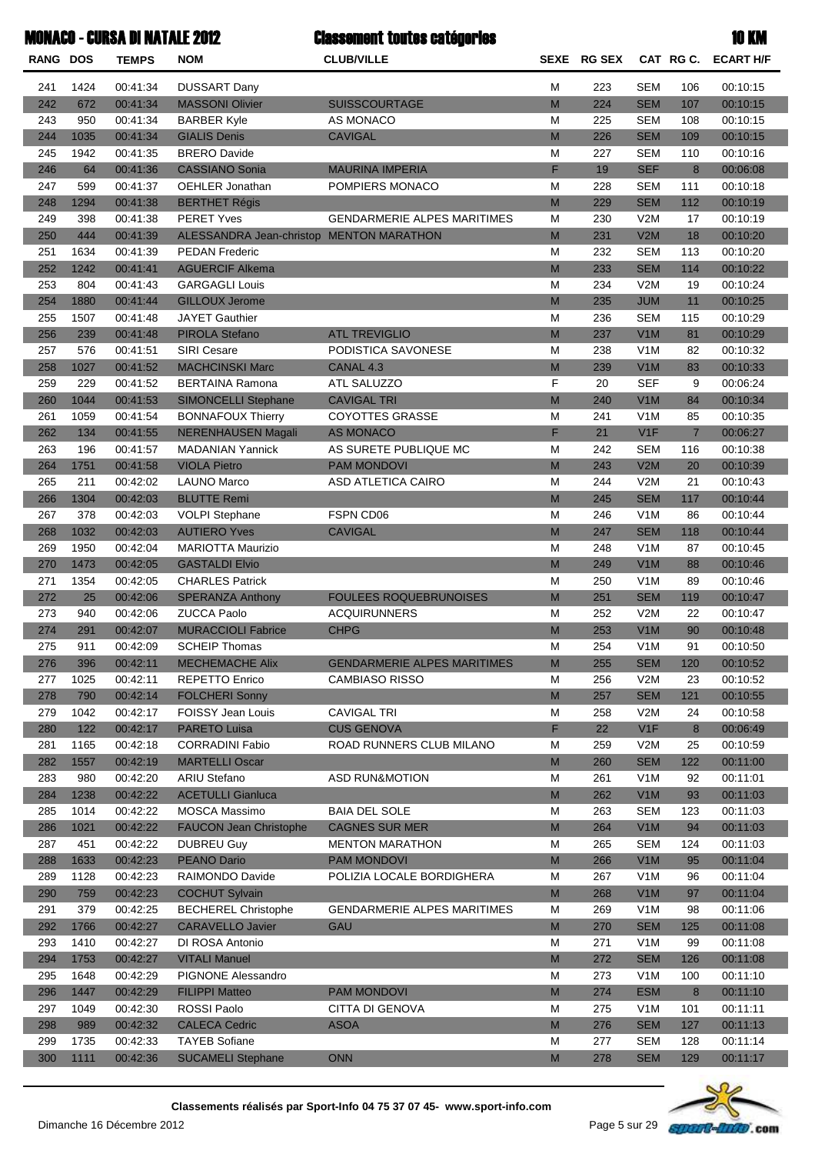|                 |              | <b>MONACO - CURSA DI NATALE 2012</b> |                                          | <b>Classement toutes catégories</b>             |                                                                                                                 |             |                   |                | <b>10 KM</b>         |
|-----------------|--------------|--------------------------------------|------------------------------------------|-------------------------------------------------|-----------------------------------------------------------------------------------------------------------------|-------------|-------------------|----------------|----------------------|
| <b>RANG DOS</b> |              | <b>TEMPS</b>                         | <b>NOM</b>                               | <b>CLUB/VILLE</b>                               |                                                                                                                 | SEXE RG SEX |                   | CAT RGC.       | <b>ECART H/F</b>     |
| 241             | 1424         | 00:41:34                             | <b>DUSSART Dany</b>                      |                                                 | М                                                                                                               | 223         | <b>SEM</b>        | 106            | 00:10:15             |
| 242             | 672          | 00:41:34                             | <b>MASSONI Olivier</b>                   | <b>SUISSCOURTAGE</b>                            | M                                                                                                               | 224         | <b>SEM</b>        | 107            | 00:10:15             |
| 243             | 950          | 00:41:34                             | <b>BARBER Kyle</b>                       | AS MONACO                                       | M                                                                                                               | 225         | <b>SEM</b>        | 108            | 00:10:15             |
| 244             | 1035         | 00:41:34                             | <b>GIALIS Denis</b>                      | <b>CAVIGAL</b>                                  | M                                                                                                               | 226         | <b>SEM</b>        | 109            | 00:10:15             |
| 245             | 1942         | 00:41:35                             | <b>BRERO Davide</b>                      |                                                 | М                                                                                                               | 227         | <b>SEM</b>        | 110            | 00:10:16             |
| 246             | 64           | 00:41:36                             | <b>CASSIANO Sonia</b>                    | <b>MAURINA IMPERIA</b>                          | F.                                                                                                              | 19          | <b>SEF</b>        | 8              | 00:06:08             |
| 247             | 599          | 00:41:37                             | OEHLER Jonathan                          | POMPIERS MONACO                                 | M                                                                                                               | 228         | <b>SEM</b>        | 111            | 00:10:18             |
| 248             | 1294         | 00:41:38                             | <b>BERTHET Régis</b>                     |                                                 | M                                                                                                               | 229         | <b>SEM</b>        | 112            | 00:10:19             |
| 249             | 398          | 00:41:38                             | <b>PERET Yves</b>                        | <b>GENDARMERIE ALPES MARITIMES</b>              | M                                                                                                               | 230         | V2M               | 17             | 00:10:19             |
| 250             | 444          | 00:41:39                             | ALESSANDRA Jean-christop MENTON MARATHON |                                                 | M                                                                                                               | 231         | V2M               | 18             | 00:10:20             |
| 251             | 1634         | 00:41:39                             | <b>PEDAN Frederic</b>                    |                                                 | M                                                                                                               | 232         | <b>SEM</b>        | 113            | 00:10:20             |
| 252             | 1242         | 00:41:41                             | <b>AGUERCIF Alkema</b>                   |                                                 | M                                                                                                               | 233         | <b>SEM</b>        | 114            | 00:10:22             |
| 253             | 804          | 00:41:43                             | <b>GARGAGLI Louis</b>                    |                                                 | М                                                                                                               | 234         | V2M               | 19             | 00:10:24             |
| 254             | 1880         | 00:41:44                             | <b>GILLOUX Jerome</b>                    |                                                 | M                                                                                                               | 235         | <b>JUM</b>        | 11             | 00:10:25             |
| 255             | 1507         | 00:41:48                             | <b>JAYET Gauthier</b>                    |                                                 | M                                                                                                               | 236         | <b>SEM</b>        | 115            | 00:10:29             |
| 256             | 239          | 00:41:48                             | <b>PIROLA Stefano</b>                    | <b>ATL TREVIGLIO</b>                            | M                                                                                                               | 237         | V1M               | 81             | 00:10:29             |
| 257             | 576          | 00:41:51                             | <b>SIRI Cesare</b>                       | PODISTICA SAVONESE                              | М                                                                                                               | 238         | V1M               | 82             | 00:10:32             |
| 258             | 1027         | 00:41:52                             | <b>MACHCINSKI Marc</b>                   | CANAL 4.3                                       | M                                                                                                               | 239         | V1M               | 83             | 00:10:33             |
| 259             | 229          | 00:41:52                             | <b>BERTAINA Ramona</b>                   | ATL SALUZZO                                     | F                                                                                                               | 20          | <b>SEF</b>        | 9              | 00:06:24             |
| 260             | 1044         | 00:41:53                             | <b>SIMONCELLI Stephane</b>               | <b>CAVIGAL TRI</b>                              | M                                                                                                               | 240         | V1M               | 84             | 00:10:34             |
| 261             | 1059         | 00:41:54                             | <b>BONNAFOUX Thierry</b>                 | <b>COYOTTES GRASSE</b>                          | М                                                                                                               | 241         | V1M               | 85             | 00:10:35             |
| 262             | 134          | 00:41:55                             | <b>NERENHAUSEN Magali</b>                | <b>AS MONACO</b>                                | F                                                                                                               | 21          | V1F               | $\overline{7}$ | 00:06:27             |
| 263             | 196          | 00:41:57                             | <b>MADANIAN Yannick</b>                  | AS SURETE PUBLIQUE MC                           | М                                                                                                               | 242         | <b>SEM</b>        | 116            | 00:10:38             |
| 264             | 1751         | 00:41:58                             | <b>VIOLA Pietro</b>                      | <b>PAM MONDOVI</b>                              | M                                                                                                               | 243         | V2M               | 20             | 00:10:39             |
| 265             | 211          | 00:42:02                             | <b>LAUNO Marco</b>                       | ASD ATLETICA CAIRO                              | м                                                                                                               | 244         | V2M               | 21             | 00:10:43             |
| 266             | 1304         | 00:42:03                             | <b>BLUTTE Remi</b>                       |                                                 | M                                                                                                               | 245         | <b>SEM</b>        | 117            | 00:10:44             |
| 267             | 378          | 00:42:03                             | <b>VOLPI Stephane</b>                    | FSPN CD06                                       | М                                                                                                               | 246         | V1M               | 86             | 00:10:44             |
| 268             | 1032         | 00:42:03                             | <b>AUTIERO Yves</b>                      | <b>CAVIGAL</b>                                  | M                                                                                                               | 247         | <b>SEM</b>        | 118            | 00:10:44             |
| 269             | 1950         | 00:42:04                             | <b>MARIOTTA Maurizio</b>                 |                                                 | M                                                                                                               | 248         | V1M               | 87             | 00:10:45             |
| 270             | 1473         | 00:42:05                             | <b>GASTALDI Elvio</b>                    |                                                 | M                                                                                                               | 249         | V1M               | 88             | 00:10:46             |
| 271             | 1354         | 00:42:05                             | <b>CHARLES Patrick</b>                   |                                                 | M                                                                                                               | 250         | V1M               | 89             | 00:10:46             |
| 272             | 25           | 00:42:06                             | <b>SPERANZA Anthony</b>                  | <b>FOULEES ROQUEBRUNOISES</b>                   | M                                                                                                               | 251         | <b>SEM</b>        | 119            | 00:10:47             |
| 273             | 940          | 00:42:06                             | <b>ZUCCA Paolo</b>                       | <b>ACQUIRUNNERS</b>                             | M                                                                                                               | 252         | V2M               | 22             | 00:10:47             |
| 274             | 291          | 00:42:07                             | <b>MURACCIOLI Fabrice</b>                | <b>CHPG</b>                                     | M                                                                                                               | 253         | V1M               | 90             | 00:10:48             |
| 275             | 911          | 00:42:09                             | <b>SCHEIP Thomas</b>                     |                                                 | M                                                                                                               | 254         | V <sub>1</sub> M  | 91             | 00:10:50             |
| 276             | 396          | 00:42:11                             | <b>MECHEMACHE Alix</b>                   | <b>GENDARMERIE ALPES MARITIMES</b>              | $\mathsf{M}% _{T}=\mathsf{M}_{T}\!\left( a,b\right) ,\ \mathsf{M}_{T}=\mathsf{M}_{T}\!\left( a,b\right) ,$      | 255         | <b>SEM</b>        | 120            | 00:10:52             |
| 277             | 1025         | 00:42:11                             | <b>REPETTO Enrico</b>                    | <b>CAMBIASO RISSO</b>                           | M                                                                                                               | 256         | V2M               | 23             | 00:10:52             |
| 278             | 790          | 00:42:14                             | <b>FOLCHERI Sonny</b>                    |                                                 | $\mathsf{M}% _{T}=\mathsf{M}_{T}\!\left( a,b\right) ,\ \mathsf{M}_{T}=\mathsf{M}_{T}\!\left( a,b\right) ,$      | 257         | <b>SEM</b>        | 121            | 00:10:55             |
| 279             | 1042         | 00:42:17                             | FOISSY Jean Louis                        | <b>CAVIGAL TRI</b>                              | M                                                                                                               | 258         | V2M               | 24             | 00:10:58             |
| 280             | 122          | 00:42:17                             | <b>PARETO Luisa</b>                      | <b>CUS GENOVA</b>                               | F                                                                                                               | 22          | V1F               | 8              | 00:06:49             |
| 281             | 1165         | 00:42:18                             | <b>CORRADINI Fabio</b>                   | ROAD RUNNERS CLUB MILANO                        | М                                                                                                               | 259         | V2M               | 25             | 00:10:59             |
| 282             | 1557         | 00:42:19                             | <b>MARTELLI Oscar</b>                    |                                                 | $\mathsf{M}% _{T}=\mathsf{M}_{T}\!\left( a,b\right) ,\ \mathsf{M}_{T}=\mathsf{M}_{T}\!\left( a,b\right) ,$      | 260         | <b>SEM</b>        | 122            | 00:11:00             |
| 283             | 980          | 00:42:20                             | <b>ARIU Stefano</b>                      | <b>ASD RUN&amp;MOTION</b>                       | М                                                                                                               | 261         | V1M               | 92             | 00:11:01             |
| 284             | 1238         | 00:42:22                             | <b>ACETULLI Gianluca</b>                 |                                                 | $\mathsf{M}% _{T}=\mathsf{M}_{T}\!\left( a,b\right) ,\ \mathsf{M}_{T}=\mathsf{M}_{T}\!\left( a,b\right) ,$      | 262         | V1M               | 93             | 00:11:03             |
| 285             | 1014         | 00:42:22                             | <b>MOSCA Massimo</b>                     | <b>BAIA DEL SOLE</b>                            | M                                                                                                               | 263         | <b>SEM</b>        | 123            | 00:11:03             |
| 286             | 1021<br>451  | 00:42:22                             | <b>FAUCON Jean Christophe</b>            | <b>CAGNES SUR MER</b>                           | $\mathsf{M}% _{T}=\mathsf{M}_{T}\!\left( a,b\right) ,\ \mathsf{M}_{T}=\mathsf{M}_{T}\!\left( a,b\right) ,$      | 264         | V1M<br><b>SEM</b> | 94             | 00:11:03<br>00:11:03 |
| 287             |              | 00:42:22                             | <b>DUBREU Guy</b><br><b>PEANO Dario</b>  | <b>MENTON MARATHON</b>                          | M                                                                                                               | 265         |                   | 124            |                      |
| 288<br>289      | 1633<br>1128 | 00:42:23<br>00:42:23                 | RAIMONDO Davide                          | <b>PAM MONDOVI</b><br>POLIZIA LOCALE BORDIGHERA | $\mathsf{M}% _{T}=\mathsf{M}_{T}\!\left( a,b\right) ,\ \mathsf{M}_{T}=\mathsf{M}_{T}\!\left( a,b\right) ,$<br>M | 266<br>267  | V1M<br>V1M        | 95<br>96       | 00:11:04<br>00:11:04 |
| 290             | 759          | 00:42:23                             | <b>COCHUT Sylvain</b>                    |                                                 | $\mathsf{M}% _{T}=\mathsf{M}_{T}\!\left( a,b\right) ,\ \mathsf{M}_{T}=\mathsf{M}_{T}\!\left( a,b\right) ,$      | 268         | V1M               | 97             | 00:11:04             |
| 291             | 379          | 00:42:25                             | <b>BECHEREL Christophe</b>               | <b>GENDARMERIE ALPES MARITIMES</b>              | M                                                                                                               | 269         | V1M               | 98             | 00:11:06             |
| 292             | 1766         | 00:42:27                             | <b>CARAVELLO Javier</b>                  | <b>GAU</b>                                      | $\mathsf{M}% _{T}=\mathsf{M}_{T}\!\left( a,b\right) ,\ \mathsf{M}_{T}=\mathsf{M}_{T}\!\left( a,b\right) ,$      | 270         | <b>SEM</b>        | 125            | 00:11:08             |
| 293             | 1410         | 00:42:27                             | DI ROSA Antonio                          |                                                 | M                                                                                                               | 271         | V1M               | 99             | 00:11:08             |
| 294             | 1753         | 00:42:27                             | <b>VITALI Manuel</b>                     |                                                 | $\mathsf{M}% _{T}=\mathsf{M}_{T}\!\left( a,b\right) ,\ \mathsf{M}_{T}=\mathsf{M}_{T}\!\left( a,b\right) ,$      | 272         | <b>SEM</b>        | 126            | 00:11:08             |
| 295             | 1648         | 00:42:29                             | PIGNONE Alessandro                       |                                                 | M                                                                                                               | 273         | V1M               | 100            | 00:11:10             |
| 296             | 1447         | 00:42:29                             | <b>FILIPPI Matteo</b>                    | <b>PAM MONDOVI</b>                              | $\mathsf{M}% _{T}=\mathsf{M}_{T}\!\left( a,b\right) ,\ \mathsf{M}_{T}=\mathsf{M}_{T}\!\left( a,b\right) ,$      | 274         | <b>ESM</b>        | 8              | 00:11:10             |
| 297             | 1049         | 00:42:30                             | <b>ROSSI Paolo</b>                       | CITTA DI GENOVA                                 | M                                                                                                               | 275         | V1M               | 101            | 00:11:11             |
| 298             | 989          | 00:42:32                             | <b>CALECA Cedric</b>                     | <b>ASOA</b>                                     | M                                                                                                               | 276         | <b>SEM</b>        | 127            | 00:11:13             |
| 299             | 1735         | 00:42:33                             | <b>TAYEB Sofiane</b>                     |                                                 | M                                                                                                               | 277         | <b>SEM</b>        | 128            | 00:11:14             |
| 300             | 1111         | 00:42:36                             | <b>SUCAMELI Stephane</b>                 | <b>ONN</b>                                      | $\mathsf{M}% _{T}=\mathsf{M}_{T}\!\left( a,b\right) ,\ \mathsf{M}_{T}=\mathsf{M}_{T}\!\left( a,b\right) ,$      | 278         | <b>SEM</b>        | 129            | 00:11:17             |



**Classements réalisés par Sport-Info 04 75 37 07 45- www.sport-info.com**

Dimanche 16 Décembre 2012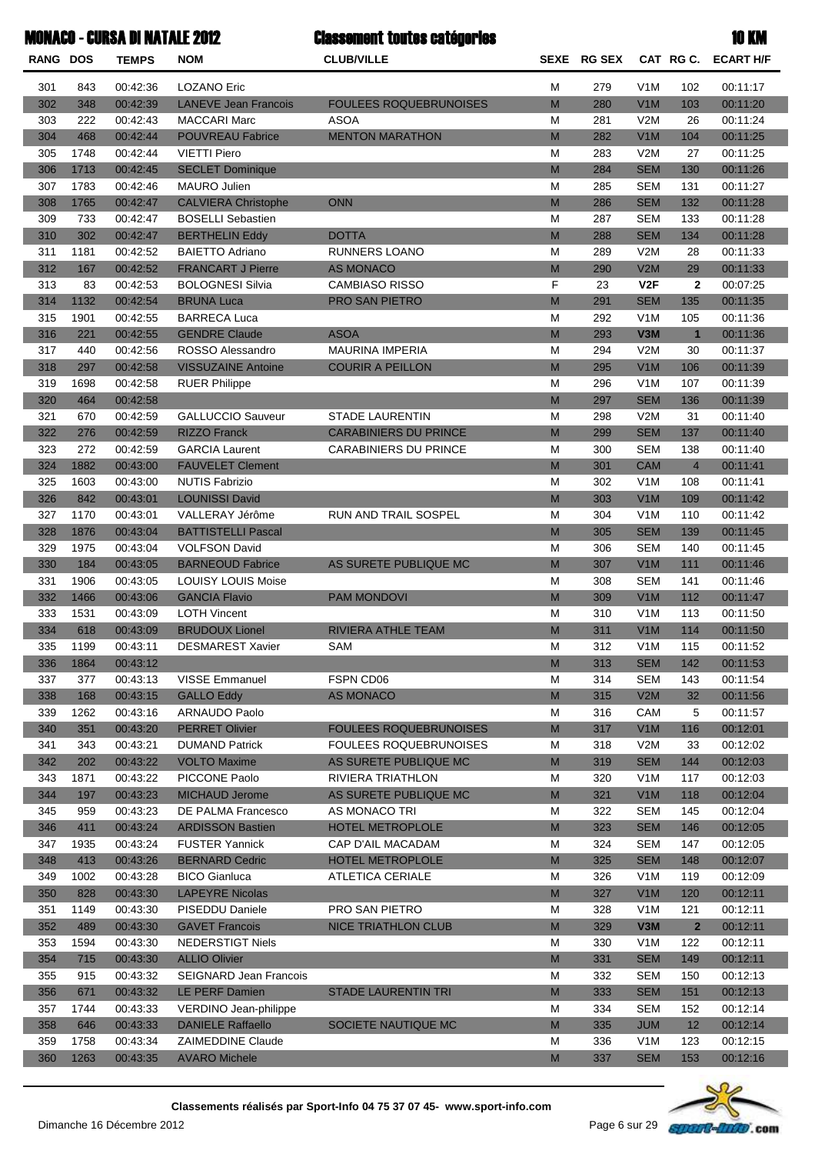#### 10 KMMONACO - CURSA DI NATALE 2012 - Clocoomont toutes esténories - Cursa de la Constantino de la Constantino<br>De la constantino de la constantino de la constantino de la constantino de la constantino de la constantino de

Classement toutes catégories

|                 |             | <u> MUNAVU - VUROA VI NATALE ZUIZ</u> |                               | eig990ilielit_tuuto3 Gateyoi 109 |                                                                                                            |               |                  |                | IV MVI           |
|-----------------|-------------|---------------------------------------|-------------------------------|----------------------------------|------------------------------------------------------------------------------------------------------------|---------------|------------------|----------------|------------------|
| <b>RANG DOS</b> |             | <b>TEMPS</b>                          | <b>NOM</b>                    | <b>CLUB/VILLE</b>                | <b>SEXE</b>                                                                                                | <b>RG SEX</b> |                  | CAT RG C.      | <b>ECART H/F</b> |
| 301             | 843         | 00:42:36                              | <b>LOZANO Eric</b>            |                                  | М                                                                                                          | 279           | V <sub>1</sub> M | 102            | 00:11:17         |
| 302             | 348         | 00:42:39                              | <b>LANEVE Jean Francois</b>   | <b>FOULEES ROQUEBRUNOISES</b>    | $\mathsf{M}% _{T}=\mathsf{M}_{T}\!\left( a,b\right) ,\ \mathsf{M}_{T}=\mathsf{M}_{T}\!\left( a,b\right) ,$ | 280           | V1M              | 103            | 00:11:20         |
| 303             | 222         | 00:42:43                              | <b>MACCARI Marc</b>           | <b>ASOA</b>                      | M                                                                                                          | 281           | V2M              | 26             | 00:11:24         |
| 304             | 468         | 00:42:44                              | <b>POUVREAU Fabrice</b>       | <b>MENTON MARATHON</b>           | M                                                                                                          | 282           | V1M              | 104            | 00:11:25         |
| 305             | 1748        | 00:42:44                              | <b>VIETTI Piero</b>           |                                  | M                                                                                                          | 283           | V2M              | 27             | 00:11:25         |
| 306             | 1713        | 00:42:45                              | <b>SECLET Dominique</b>       |                                  | M                                                                                                          | 284           | <b>SEM</b>       | 130            | 00:11:26         |
| 307             | 1783        | 00:42:46                              | <b>MAURO Julien</b>           |                                  | M                                                                                                          | 285           | <b>SEM</b>       | 131            | 00:11:27         |
| 308             | 1765        | 00:42:47                              | <b>CALVIERA Christophe</b>    | <b>ONN</b>                       | M                                                                                                          | 286           | <b>SEM</b>       | 132            | 00:11:28         |
| 309             | 733         | 00:42:47                              | <b>BOSELLI Sebastien</b>      |                                  | M                                                                                                          | 287           | <b>SEM</b>       | 133            | 00:11:28         |
| 310             | 302         | 00:42:47                              | <b>BERTHELIN Eddy</b>         | <b>DOTTA</b>                     | M                                                                                                          | 288           | <b>SEM</b>       | 134            | 00:11:28         |
| 311             | 1181        | 00:42:52                              | <b>BAIETTO Adriano</b>        | <b>RUNNERS LOANO</b>             | M                                                                                                          | 289           | V2M              | 28             | 00:11:33         |
| 312             | 167         | 00:42:52                              | <b>FRANCART J Pierre</b>      | <b>AS MONACO</b>                 | M                                                                                                          | 290           | V2M              | 29             | 00:11:33         |
| 313             | 83          | 00:42:53                              | <b>BOLOGNESI Silvia</b>       | <b>CAMBIASO RISSO</b>            | F                                                                                                          | 23            | V2F              | $\mathbf{2}$   | 00:07:25         |
| 314             | 1132        | 00:42:54                              | <b>BRUNA Luca</b>             | PRO SAN PIETRO                   | M                                                                                                          | 291           | <b>SEM</b>       | 135            | 00:11:35         |
| 315             | 1901        | 00:42:55                              | <b>BARRECA Luca</b>           |                                  | M                                                                                                          | 292           | V <sub>1</sub> M | 105            | 00:11:36         |
| 316             | 221         | 00:42:55                              | <b>GENDRE Claude</b>          | <b>ASOA</b>                      | M                                                                                                          | 293           | V3M              | $\mathbf{1}$   | 00:11:36         |
| 317             | 440         | 00:42:56                              | ROSSO Alessandro              | <b>MAURINA IMPERIA</b>           | M                                                                                                          | 294           | V2M              | 30             | 00:11:37         |
|                 |             |                                       |                               |                                  | M                                                                                                          |               | V1M              |                |                  |
| 318<br>319      | 297<br>1698 | 00:42:58                              | <b>VISSUZAINE Antoine</b>     | <b>COURIR A PEILLON</b>          | M                                                                                                          | 295           | V <sub>1</sub> M | 106<br>107     | 00:11:39         |
|                 |             | 00:42:58                              | <b>RUER Philippe</b>          |                                  |                                                                                                            | 296           |                  |                | 00:11:39         |
| 320             | 464         | 00:42:58                              |                               |                                  | M                                                                                                          | 297           | <b>SEM</b>       | 136            | 00:11:39         |
| 321             | 670         | 00:42:59                              | <b>GALLUCCIO Sauveur</b>      | <b>STADE LAURENTIN</b>           | M                                                                                                          | 298           | V2M              | 31             | 00:11:40         |
| 322             | 276         | 00:42:59                              | <b>RIZZO Franck</b>           | <b>CARABINIERS DU PRINCE</b>     | M                                                                                                          | 299           | <b>SEM</b>       | 137            | 00:11:40         |
| 323             | 272         | 00:42:59                              | <b>GARCIA Laurent</b>         | <b>CARABINIERS DU PRINCE</b>     | M                                                                                                          | 300           | <b>SEM</b>       | 138            | 00:11:40         |
| 324             | 1882        | 00:43:00                              | <b>FAUVELET Clement</b>       |                                  | M                                                                                                          | 301           | <b>CAM</b>       | $\overline{4}$ | 00:11:41         |
| 325             | 1603        | 00:43:00                              | <b>NUTIS Fabrizio</b>         |                                  | M                                                                                                          | 302           | V <sub>1</sub> M | 108            | 00:11:41         |
| 326             | 842         | 00:43:01                              | <b>LOUNISSI David</b>         |                                  | M                                                                                                          | 303           | V1M              | 109            | 00:11:42         |
| 327             | 1170        | 00:43:01                              | VALLERAY Jérôme               | RUN AND TRAIL SOSPEL             | M                                                                                                          | 304           | V <sub>1</sub> M | 110            | 00:11:42         |
| 328             | 1876        | 00:43:04                              | <b>BATTISTELLI Pascal</b>     |                                  | M                                                                                                          | 305           | <b>SEM</b>       | 139            | 00:11:45         |
| 329             | 1975        | 00:43:04                              | <b>VOLFSON David</b>          |                                  | М                                                                                                          | 306           | <b>SEM</b>       | 140            | 00:11:45         |
| 330             | 184         | 00:43:05                              | <b>BARNEOUD Fabrice</b>       | AS SURETE PUBLIQUE MC            | M                                                                                                          | 307           | V1M              | 111            | 00:11:46         |
| 331             | 1906        | 00:43:05                              | <b>LOUISY LOUIS Moise</b>     |                                  | M                                                                                                          | 308           | <b>SEM</b>       | 141            | 00:11:46         |
| 332             | 1466        | 00:43:06                              | <b>GANCIA Flavio</b>          | <b>PAM MONDOVI</b>               | M                                                                                                          | 309           | V1M              | 112            | 00:11:47         |
| 333             | 1531        | 00:43:09                              | <b>LOTH Vincent</b>           |                                  | М                                                                                                          | 310           | V <sub>1</sub> M | 113            | 00:11:50         |
| 334             | 618         | 00:43:09                              | <b>BRUDOUX Lionel</b>         | RIVIERA ATHLE TEAM               | M                                                                                                          | 311           | V1M              | 114            | 00:11:50         |
| 335             | 1199        | 00:43:11                              | <b>DESMAREST Xavier</b>       | <b>SAM</b>                       | М                                                                                                          | 312           | V <sub>1</sub> M | 115            | 00:11:52         |
| 336             | 1864        | 00:43:12                              |                               |                                  | M                                                                                                          | 313           | <b>SEM</b>       | 142            | 00:11:53         |
| 337             | 377         | 00:43:13                              | <b>VISSE Emmanuel</b>         | FSPN CD06                        | M                                                                                                          | 314           | <b>SEM</b>       | 143            | 00:11:54         |
| 338             | 168         | 00:43:15                              | <b>GALLO Eddy</b>             | <b>AS MONACO</b>                 | $\mathsf{M}% _{T}=\mathsf{M}_{T}\!\left( a,b\right) ,\ \mathsf{M}_{T}=\mathsf{M}_{T}\!\left( a,b\right) ,$ | 315           | V2M              | 32             | 00:11:56         |
| 339             | 1262        | 00:43:16                              | ARNAUDO Paolo                 |                                  | M                                                                                                          | 316           | CAM              | 5              | 00:11:57         |
| 340             | 351         | 00:43:20                              | <b>PERRET Olivier</b>         | <b>FOULEES ROQUEBRUNOISES</b>    | $\mathsf{M}% _{T}=\mathsf{M}_{T}\!\left( a,b\right) ,\ \mathsf{M}_{T}=\mathsf{M}_{T}\!\left( a,b\right) ,$ | 317           | V1M              | 116            | 00:12:01         |
| 341             | 343         | 00:43:21                              | <b>DUMAND Patrick</b>         | <b>FOULEES ROQUEBRUNOISES</b>    | M                                                                                                          | 318           | V2M              | 33             | 00:12:02         |
| 342             | 202         | 00:43:22                              | <b>VOLTO Maxime</b>           | AS SURETE PUBLIQUE MC            | M                                                                                                          | 319           | <b>SEM</b>       | 144            | 00:12:03         |
| 343             | 1871        | 00:43:22                              | PICCONE Paolo                 | RIVIERA TRIATHLON                | M                                                                                                          | 320           | V <sub>1</sub> M | 117            | 00:12:03         |
| 344             | 197         | 00:43:23                              | <b>MICHAUD Jerome</b>         | AS SURETE PUBLIQUE MC            | ${\sf M}$                                                                                                  | 321           | V1M              | 118            | 00:12:04         |
| 345             | 959         | 00:43:23                              | DE PALMA Francesco            | AS MONACO TRI                    | M                                                                                                          | 322           | <b>SEM</b>       | 145            | 00:12:04         |
| 346             | 411         | 00:43:24                              | <b>ARDISSON Bastien</b>       | HOTEL METROPLOLE                 | M                                                                                                          | 323           | <b>SEM</b>       | 146            | 00:12:05         |
| 347             | 1935        | 00:43:24                              | <b>FUSTER Yannick</b>         | CAP D'AIL MACADAM                | M                                                                                                          | 324           | <b>SEM</b>       | 147            | 00:12:05         |
| 348             | 413         | 00:43:26                              | <b>BERNARD Cedric</b>         | HOTEL METROPLOLE                 | $\mathsf{M}% _{T}=\mathsf{M}_{T}\!\left( a,b\right) ,\ \mathsf{M}_{T}=\mathsf{M}_{T}\!\left( a,b\right) ,$ | 325           | <b>SEM</b>       | 148            | 00:12:07         |
| 349             | 1002        | 00:43:28                              | <b>BICO Gianluca</b>          | <b>ATLETICA CERIALE</b>          | M                                                                                                          | 326           | V <sub>1</sub> M | 119            | 00:12:09         |
| 350             | 828         | 00:43:30                              | <b>LAPEYRE Nicolas</b>        |                                  | ${\sf M}$                                                                                                  | 327           | V1M              | 120            | 00:12:11         |
| 351             | 1149        | 00:43:30                              | PISEDDU Daniele               | PRO SAN PIETRO                   | M                                                                                                          | 328           | V <sub>1</sub> M | 121            | 00:12:11         |
| 352             | 489         | 00:43:30                              | <b>GAVET Francois</b>         | <b>NICE TRIATHLON CLUB</b>       | M                                                                                                          | 329           | V3M              | $\overline{2}$ | 00:12:11         |
| 353             | 1594        | 00:43:30                              | <b>NEDERSTIGT Niels</b>       |                                  | M                                                                                                          | 330           | V <sub>1</sub> M | 122            | 00:12:11         |
| 354             | 715         | 00:43:30                              | <b>ALLIO Olivier</b>          |                                  | ${\sf M}$                                                                                                  | 331           | <b>SEM</b>       | 149            | 00:12:11         |
| 355             | 915         | 00:43:32                              | <b>SEIGNARD Jean Francois</b> |                                  | M                                                                                                          | 332           | <b>SEM</b>       | 150            | 00:12:13         |
| 356             | 671         | 00:43:32                              | LE PERF Damien                | <b>STADE LAURENTIN TRI</b>       | $\mathsf{M}% _{T}=\mathsf{M}_{T}\!\left( a,b\right) ,\ \mathsf{M}_{T}=\mathsf{M}_{T}\!\left( a,b\right) ,$ | 333           | <b>SEM</b>       | 151            | 00:12:13         |
| 357             | 1744        | 00:43:33                              | VERDINO Jean-philippe         |                                  | M                                                                                                          | 334           | <b>SEM</b>       | 152            | 00:12:14         |
| 358             | 646         | 00:43:33                              | <b>DANIELE Raffaello</b>      | SOCIETE NAUTIQUE MC              | M                                                                                                          | 335           | <b>JUM</b>       | 12             | 00:12:14         |
| 359             | 1758        | 00:43:34                              | <b>ZAIMEDDINE Claude</b>      |                                  | M                                                                                                          | 336           | V <sub>1</sub> M | 123            | 00:12:15         |
| 360             | 1263        | 00:43:35                              | <b>AVARO Michele</b>          |                                  | ${\sf M}$                                                                                                  | 337           | <b>SEM</b>       | 153            | 00:12:16         |
|                 |             |                                       |                               |                                  |                                                                                                            |               |                  |                |                  |

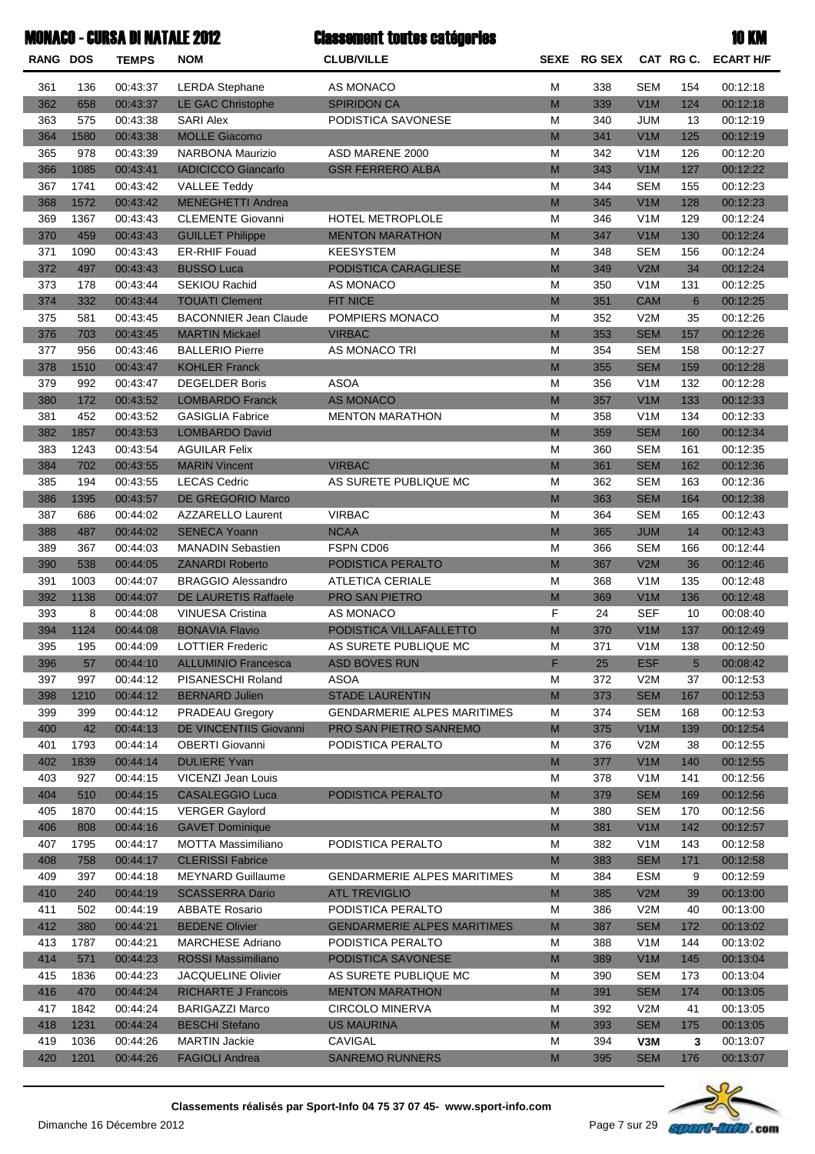|                 |              | <b>MONACO - CURSA DI NATALE 2012</b> |                                                 | <b>Classement toutes catégories</b> |                                                                                                            |             |                          |                 | <b>10 KM</b>         |
|-----------------|--------------|--------------------------------------|-------------------------------------------------|-------------------------------------|------------------------------------------------------------------------------------------------------------|-------------|--------------------------|-----------------|----------------------|
| <b>RANG DOS</b> |              | <b>TEMPS</b>                         | <b>NOM</b>                                      | <b>CLUB/VILLE</b>                   |                                                                                                            | SEXE RG SEX |                          |                 | CAT RG C. ECART H/F  |
| 361             | 136          | 00:43:37                             | <b>LERDA Stephane</b>                           | AS MONACO                           | М                                                                                                          | 338         | <b>SEM</b>               | 154             | 00:12:18             |
| 362             | 658          | 00:43:37                             | <b>LE GAC Christophe</b>                        | <b>SPIRIDON CA</b>                  | M                                                                                                          | 339         | V1M                      | 124             | 00:12:18             |
| 363             | 575          | 00:43:38                             | <b>SARI Alex</b>                                | PODISTICA SAVONESE                  | M                                                                                                          | 340         | <b>JUM</b>               | 13              | 00:12:19             |
| 364             | 1580         | 00:43:38                             | <b>MOLLE Giacomo</b>                            |                                     | $\mathsf{M}% _{T}=\mathsf{M}_{T}\!\left( a,b\right) ,\ \mathsf{M}_{T}=\mathsf{M}_{T}\!\left( a,b\right) ,$ | 341         | V1M                      | 125             | 00:12:19             |
| 365             | 978          | 00:43:39                             | <b>NARBONA Maurizio</b>                         | ASD MARENE 2000                     | M                                                                                                          | 342         | V <sub>1</sub> M         | 126             | 00:12:20             |
| 366             | 1085         | 00:43:41                             | <b>IADICICCO Giancarlo</b>                      | <b>GSR FERRERO ALBA</b>             | $\mathsf{M}% _{T}=\mathsf{M}_{T}\!\left( a,b\right) ,\ \mathsf{M}_{T}=\mathsf{M}_{T}\!\left( a,b\right) ,$ | 343         | V1M                      | 127             | 00:12:22             |
| 367             | 1741         | 00:43:42                             | <b>VALLEE Teddy</b>                             |                                     | M                                                                                                          | 344         | <b>SEM</b>               | 155             | 00:12:23             |
| 368             | 1572         | 00:43:42                             | <b>MENEGHETTI Andrea</b>                        |                                     | $\mathsf{M}% _{T}=\mathsf{M}_{T}\!\left( a,b\right) ,\ \mathsf{M}_{T}=\mathsf{M}_{T}\!\left( a,b\right) ,$ | 345         | V1M                      | 128             | 00:12:23             |
| 369             | 1367         | 00:43:43                             | <b>CLEMENTE Giovanni</b>                        | HOTEL METROPLOLE                    | M                                                                                                          | 346         | V <sub>1</sub> M         | 129             | 00:12:24             |
| 370             | 459          | 00:43:43                             | <b>GUILLET Philippe</b>                         | <b>MENTON MARATHON</b>              | $\mathsf{M}% _{T}=\mathsf{M}_{T}\!\left( a,b\right) ,\ \mathsf{M}_{T}=\mathsf{M}_{T}\!\left( a,b\right) ,$ | 347         | V1M                      | 130             | 00:12:24             |
| 371             | 1090         | 00:43:43                             | <b>ER-RHIF Fouad</b>                            | <b>KEESYSTEM</b>                    | M                                                                                                          | 348         | <b>SEM</b>               | 156             | 00:12:24             |
| 372             | 497          | 00:43:43                             | <b>BUSSO Luca</b>                               | PODISTICA CARAGLIESE                | $\mathsf{M}% _{T}=\mathsf{M}_{T}\!\left( a,b\right) ,\ \mathsf{M}_{T}=\mathsf{M}_{T}\!\left( a,b\right) ,$ | 349         | V2M                      | 34              | 00:12:24             |
| 373             | 178          | 00:43:44                             | <b>SEKIOU Rachid</b>                            | AS MONACO                           | M                                                                                                          | 350         | V <sub>1</sub> M         | 131             | 00:12:25             |
| 374             | 332          | 00:43:44                             | <b>TOUATI Clement</b>                           | FIT NICE                            | $\mathsf{M}% _{T}=\mathsf{M}_{T}\!\left( a,b\right) ,\ \mathsf{M}_{T}=\mathsf{M}_{T}\!\left( a,b\right) ,$ | 351         | <b>CAM</b>               | 6               | 00:12:25             |
| 375             | 581          | 00:43:45                             | <b>BACONNIER Jean Claude</b>                    | POMPIERS MONACO                     | M                                                                                                          | 352         | V2M                      | 35              | 00:12:26             |
| 376             | 703          | 00:43:45                             | <b>MARTIN Mickael</b>                           | <b>VIRBAC</b>                       | $\mathsf{M}% _{T}=\mathsf{M}_{T}\!\left( a,b\right) ,\ \mathsf{M}_{T}=\mathsf{M}_{T}\!\left( a,b\right) ,$ | 353         | <b>SEM</b>               | 157             | 00:12:26             |
| 377             | 956          | 00:43:46                             | <b>BALLERIO Pierre</b>                          | AS MONACO TRI                       | M                                                                                                          | 354         | <b>SEM</b>               | 158             | 00:12:27             |
| 378             | 1510         | 00:43:47                             | <b>KOHLER Franck</b>                            |                                     | $\mathsf{M}% _{T}=\mathsf{M}_{T}\!\left( a,b\right) ,\ \mathsf{M}_{T}=\mathsf{M}_{T}\!\left( a,b\right) ,$ | 355         | <b>SEM</b>               | 159             | 00:12:28             |
| 379             | 992          | 00:43:47                             | <b>DEGELDER Boris</b>                           | <b>ASOA</b>                         | M                                                                                                          | 356         | V <sub>1</sub> M         | 132             | 00:12:28             |
| 380             | 172          | 00:43:52                             | <b>LOMBARDO Franck</b>                          | <b>AS MONACO</b>                    | $\mathsf{M}% _{T}=\mathsf{M}_{T}\!\left( a,b\right) ,\ \mathsf{M}_{T}=\mathsf{M}_{T}\!\left( a,b\right) ,$ | 357         | V1M                      | 133             | 00:12:33             |
| 381             | 452          | 00:43:52                             | <b>GASIGLIA Fabrice</b>                         | <b>MENTON MARATHON</b>              | M                                                                                                          | 358         | V <sub>1</sub> M         | 134             | 00:12:33             |
| 382             | 1857         | 00:43:53                             | <b>LOMBARDO David</b>                           |                                     | $\mathsf{M}% _{T}=\mathsf{M}_{T}\!\left( a,b\right) ,\ \mathsf{M}_{T}=\mathsf{M}_{T}\!\left( a,b\right) ,$ | 359         | <b>SEM</b>               | 160             | 00:12:34             |
| 383             | 1243         | 00:43:54                             | <b>AGUILAR Felix</b>                            |                                     | M                                                                                                          | 360         | <b>SEM</b>               | 161             | 00:12:35             |
| 384             | 702          | 00:43:55                             | <b>MARIN Vincent</b>                            | <b>VIRBAC</b>                       | $\mathsf{M}% _{T}=\mathsf{M}_{T}\!\left( a,b\right) ,\ \mathsf{M}_{T}=\mathsf{M}_{T}\!\left( a,b\right) ,$ | 361         | <b>SEM</b>               | 162             | 00:12:36             |
| 385             | 194          | 00:43:55                             | <b>LECAS Cedric</b>                             | AS SURETE PUBLIQUE MC               | M                                                                                                          | 362         | <b>SEM</b>               | 163             | 00:12:36             |
| 386             | 1395         | 00:43:57                             | <b>DE GREGORIO Marco</b>                        |                                     | M<br>M                                                                                                     | 363         | <b>SEM</b><br><b>SEM</b> | 164             | 00:12:38             |
| 387<br>388      | 686<br>487   | 00:44:02<br>00:44:02                 | <b>AZZARELLO Laurent</b><br><b>SENECA Yoann</b> | <b>VIRBAC</b><br><b>NCAA</b>        | M                                                                                                          | 364<br>365  | <b>JUM</b>               | 165<br>14       | 00:12:43<br>00:12:43 |
| 389             | 367          | 00:44:03                             | <b>MANADIN Sebastien</b>                        | FSPN CD06                           | M                                                                                                          | 366         | <b>SEM</b>               | 166             | 00:12:44             |
| 390             | 538          | 00:44:05                             | <b>ZANARDI Roberto</b>                          | PODISTICA PERALTO                   | M                                                                                                          | 367         | V2M                      | 36              | 00:12:46             |
| 391             | 1003         | 00:44:07                             | <b>BRAGGIO Alessandro</b>                       | <b>ATLETICA CERIALE</b>             | M                                                                                                          | 368         | V <sub>1</sub> M         | 135             | 00:12:48             |
| 392             | 1138         | 00:44:07                             | <b>DE LAURETIS Raffaele</b>                     | PRO SAN PIETRO                      | M                                                                                                          | 369         | V1M                      | 136             | 00:12:48             |
| 393             | 8            | 00:44:08                             | <b>VINUESA Cristina</b>                         | AS MONACO                           | F                                                                                                          | 24          | <b>SEF</b>               | 10              | 00:08:40             |
| 394             | 1124         | 00:44:08                             | <b>BONAVIA Flavio</b>                           | PODISTICA VILLAFALLETTO             | M                                                                                                          | 370         | V1M                      | 137             | 00:12:49             |
| 395             | 195          | 00:44:09                             | <b>LOTTIER Frederic</b>                         | AS SURETE PUBLIQUE MC               | M                                                                                                          | 371         | V <sub>1</sub> M         | 138             | 00:12:50             |
| 396             | 57           | 00:44:10                             | <b>ALLUMINIO Francesca</b>                      | <b>ASD BOVES RUN</b>                | F                                                                                                          | 25          | <b>ESF</b>               | $5\overline{)}$ | 00:08:42             |
| 397             | 997          | 00:44:12                             | PISANESCHI Roland                               | ASOA                                | M                                                                                                          | 372         | V2M                      | 37              | 00:12:53             |
| 398             | 1210         | 00:44:12                             | <b>BERNARD Julien</b>                           | <b>STADE LAURENTIN</b>              | M                                                                                                          | 373         | <b>SEM</b>               | 167             | 00:12:53             |
| 399             | 399          | 00:44:12                             | <b>PRADEAU Gregory</b>                          | <b>GENDARMERIE ALPES MARITIMES</b>  | M                                                                                                          | 374         | <b>SEM</b>               | 168             | 00:12:53             |
| 400             | 42           | 00:44:13                             | <b>DE VINCENTIIS Giovanni</b>                   | <b>PRO SAN PIETRO SANREMO</b>       | M                                                                                                          | 375         | V1M                      | 139             | 00:12:54             |
| 401             | 1793         | 00:44:14                             | <b>OBERTI Giovanni</b>                          | PODISTICA PERALTO                   | M                                                                                                          | 376         | V2M                      | 38              | 00:12:55             |
| 402             | 1839         | 00:44:14                             | <b>DULIERE Yvan</b>                             |                                     | M                                                                                                          | 377         | V1M                      | 140             | 00:12:55             |
| 403             | 927          | 00:44:15                             | VICENZI Jean Louis                              |                                     | М                                                                                                          | 378         | V <sub>1</sub> M         | 141             | 00:12:56             |
| 404             | 510          | 00:44:15                             | <b>CASALEGGIO Luca</b>                          | PODISTICA PERALTO                   | M                                                                                                          | 379         | <b>SEM</b>               | 169             | 00:12:56             |
| 405             | 1870         | 00:44:15                             | <b>VERGER Gaylord</b>                           |                                     | М                                                                                                          | 380         | <b>SEM</b>               | 170             | 00:12:56             |
| 406             | 808          | 00:44:16                             | <b>GAVET Dominique</b>                          |                                     | M                                                                                                          | 381         | V1M                      | 142             | 00:12:57             |
| 407             | 1795         | 00:44:17                             | MOTTA Massimiliano                              | PODISTICA PERALTO                   | M                                                                                                          | 382         | V <sub>1</sub> M         | 143             | 00:12:58             |
| 408             | 758          | 00:44:17                             | <b>CLERISSI Fabrice</b>                         |                                     | M                                                                                                          | 383         | <b>SEM</b>               | 171             | 00:12:58             |
| 409             | 397          | 00:44:18                             | <b>MEYNARD Guillaume</b>                        | <b>GENDARMERIE ALPES MARITIMES</b>  | M                                                                                                          | 384         | <b>ESM</b>               | 9               | 00:12:59             |
| 410             | 240          | 00:44:19                             | <b>SCASSERRA Dario</b>                          | <b>ATL TREVIGLIO</b>                | M                                                                                                          | 385         | V2M                      | 39              | 00:13:00             |
| 411             | 502          | 00:44:19                             | <b>ABBATE Rosario</b>                           | PODISTICA PERALTO                   | M                                                                                                          | 386         | V2M                      | 40              | 00:13:00             |
| 412             | 380          | 00:44:21                             | <b>BEDENE Olivier</b>                           | <b>GENDARMERIE ALPES MARITIMES</b>  | M                                                                                                          | 387         | <b>SEM</b>               | 172             | 00:13:02             |
| 413             | 1787         | 00:44:21                             | <b>MARCHESE Adriano</b>                         | PODISTICA PERALTO                   | M                                                                                                          | 388         | V <sub>1</sub> M         | 144             | 00:13:02             |
| 414             | 571          | 00:44:23                             | ROSSI Massimiliano                              | PODISTICA SAVONESE                  | M                                                                                                          | 389         | V1M                      | 145             | 00:13:04             |
| 415             | 1836         | 00:44:23                             | <b>JACQUELINE Olivier</b>                       | AS SURETE PUBLIQUE MC               | М                                                                                                          | 390         | <b>SEM</b>               | 173             | 00:13:04             |
| 416             | 470          | 00:44:24                             | <b>RICHARTE J Francois</b>                      | <b>MENTON MARATHON</b>              | M                                                                                                          | 391         | <b>SEM</b>               | 174             | 00:13:05             |
| 417             | 1842         | 00:44:24                             | <b>BARIGAZZI Marco</b>                          | <b>CIRCOLO MINERVA</b>              | М                                                                                                          | 392         | V2M                      | 41              | 00:13:05             |
| 418             | 1231         | 00:44:24                             | <b>BESCHI Stefano</b>                           | <b>US MAURINA</b>                   | M                                                                                                          | 393         | <b>SEM</b>               | 175             | 00:13:05             |
| 419<br>420      | 1036<br>1201 | 00:44:26<br>00:44:26                 | <b>MARTIN Jackie</b><br><b>FAGIOLI Andrea</b>   | CAVIGAL<br><b>SANREMO RUNNERS</b>   | м<br>M                                                                                                     | 394<br>395  | V3M<br><b>SEM</b>        | 3<br>176        | 00:13:07<br>00:13:07 |
|                 |              |                                      |                                                 |                                     |                                                                                                            |             |                          |                 |                      |

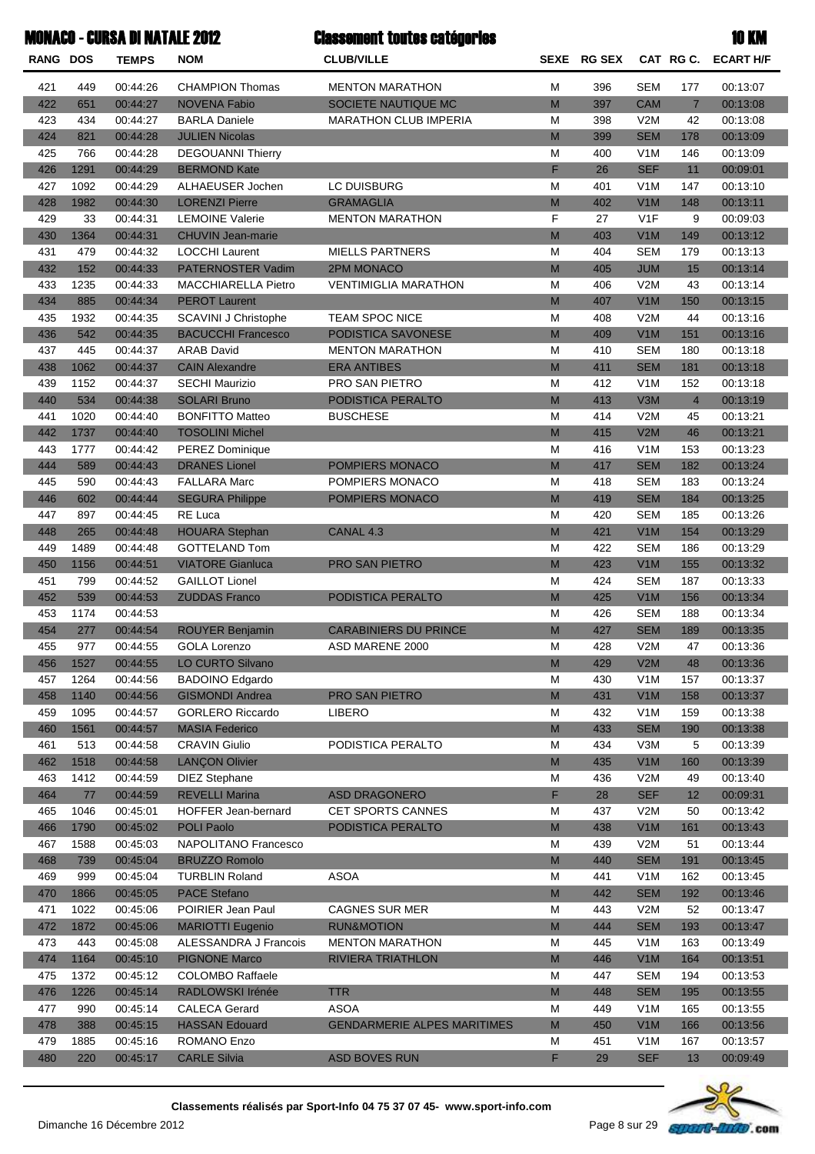|                 |            | <b>MONACO - CURSA DI NATALE 2012</b> |                            | <b>Classement toutes catégories</b> |                                                                                                            |             |                  |                | <b>10 KM</b>     |
|-----------------|------------|--------------------------------------|----------------------------|-------------------------------------|------------------------------------------------------------------------------------------------------------|-------------|------------------|----------------|------------------|
| <b>RANG DOS</b> |            | <b>TEMPS</b>                         | <b>NOM</b>                 | <b>CLUB/VILLE</b>                   |                                                                                                            | SEXE RG SEX |                  | CAT RG C.      | <b>ECART H/F</b> |
| 421             | 449        | 00:44:26                             | <b>CHAMPION Thomas</b>     | <b>MENTON MARATHON</b>              | М                                                                                                          | 396         | <b>SEM</b>       | 177            | 00:13:07         |
| 422             | 651        | 00:44:27                             | <b>NOVENA Fabio</b>        | SOCIETE NAUTIQUE MC                 | M                                                                                                          | 397         | <b>CAM</b>       | $\overline{7}$ | 00:13:08         |
| 423             | 434        | 00:44:27                             | <b>BARLA Daniele</b>       | <b>MARATHON CLUB IMPERIA</b>        | M                                                                                                          | 398         | V2M              | 42             | 00:13:08         |
| 424             | 821        | 00:44:28                             | <b>JULIEN Nicolas</b>      |                                     | $\mathsf{M}% _{H}=\mathsf{M}_{H}$                                                                          | 399         | <b>SEM</b>       | 178            | 00:13:09         |
| 425             | 766        | 00:44:28                             | <b>DEGOUANNI Thierry</b>   |                                     | М                                                                                                          | 400         | V1M              | 146            | 00:13:09         |
| 426             | 1291       | 00:44:29                             | <b>BERMOND Kate</b>        |                                     | F                                                                                                          | 26          | <b>SEF</b>       | 11             | 00:09:01         |
| 427             | 1092       | 00:44:29                             | ALHAEUSER Jochen           | <b>LC DUISBURG</b>                  | М                                                                                                          | 401         | V <sub>1</sub> M | 147            | 00:13:10         |
| 428             | 1982       | 00:44:30                             | <b>LORENZI Pierre</b>      | <b>GRAMAGLIA</b>                    | $\mathsf{M}% _{T}=\mathsf{M}_{T}\!\left( a,b\right) ,\ \mathsf{M}_{T}=\mathsf{M}_{T}\!\left( a,b\right) ,$ | 402         | V1M              | 148            | 00:13:11         |
| 429             | 33         | 00:44:31                             | <b>LEMOINE Valerie</b>     | <b>MENTON MARATHON</b>              | F                                                                                                          | 27          | V <sub>1F</sub>  | 9              | 00:09:03         |
| 430             | 1364       | 00:44:31                             | <b>CHUVIN Jean-marie</b>   |                                     | $\mathsf{M}% _{H}=\mathsf{M}_{H}$                                                                          | 403         | V1M              | 149            | 00:13:12         |
| 431             | 479        | 00:44:32                             | <b>LOCCHI Laurent</b>      | <b>MIELLS PARTNERS</b>              | M                                                                                                          | 404         | <b>SEM</b>       | 179            | 00:13:13         |
| 432             | 152        | 00:44:33                             | PATERNOSTER Vadim          | <b>2PM MONACO</b>                   | $\mathsf{M}% _{H}=\mathsf{M}_{H}$                                                                          | 405         | <b>JUM</b>       | 15             | 00:13:14         |
| 433             | 1235       | 00:44:33                             | <b>MACCHIARELLA Pietro</b> | <b>VENTIMIGLIA MARATHON</b>         | M                                                                                                          | 406         | V2M              | 43             | 00:13:14         |
| 434             | 885        | 00:44:34                             | <b>PEROT Laurent</b>       |                                     | $\mathsf{M}% _{H}=\mathsf{M}_{H}$                                                                          | 407         | V1M              | 150            | 00:13:15         |
| 435             | 1932       | 00:44:35                             | SCAVINI J Christophe       | <b>TEAM SPOC NICE</b>               | M                                                                                                          | 408         | V2M              | 44             | 00:13:16         |
| 436             | 542        | 00:44:35                             | <b>BACUCCHI Francesco</b>  | PODISTICA SAVONESE                  | $\mathsf{M}% _{H}=\mathsf{M}_{H}$                                                                          | 409         | V1M              | 151            | 00:13:16         |
| 437             | 445        | 00:44:37                             | <b>ARAB David</b>          | <b>MENTON MARATHON</b>              | M                                                                                                          | 410         | <b>SEM</b>       | 180            | 00:13:18         |
| 438             | 1062       | 00:44:37                             | <b>CAIN Alexandre</b>      | <b>ERA ANTIBES</b>                  | $\mathsf{M}% _{H}=\mathsf{M}_{H}$                                                                          | 411         | <b>SEM</b>       | 181            | 00:13:18         |
| 439             | 1152       | 00:44:37                             | <b>SECHI Maurizio</b>      | <b>PRO SAN PIETRO</b>               | M                                                                                                          | 412         | V1M              | 152            | 00:13:18         |
| 440             | 534        | 00:44:38                             | <b>SOLARI Bruno</b>        | PODISTICA PERALTO                   | $\mathsf{M}% _{H}=\mathsf{M}_{H}$                                                                          | 413         | V3M              | $\overline{4}$ | 00:13:19         |
| 441             | 1020       | 00:44:40                             | <b>BONFITTO Matteo</b>     | <b>BUSCHESE</b>                     | M                                                                                                          | 414         | V2M              | 45             | 00:13:21         |
| 442             | 1737       | 00:44:40                             | <b>TOSOLINI Michel</b>     |                                     | $\mathsf{M}% _{H}=\mathsf{M}_{H}$                                                                          | 415         | V2M              | 46             | 00:13:21         |
| 443             | 1777       | 00:44:42                             | <b>PEREZ Dominique</b>     |                                     | M                                                                                                          | 416         | V1M              | 153            | 00:13:23         |
| 444             | 589        | 00:44:43                             | <b>DRANES Lionel</b>       | POMPIERS MONACO                     | $\mathsf{M}% _{H}=\mathsf{M}_{H}$                                                                          | 417         | <b>SEM</b>       | 182            | 00:13:24         |
| 445             | 590        | 00:44:43                             | <b>FALLARA Marc</b>        | POMPIERS MONACO                     | M                                                                                                          | 418         | <b>SEM</b>       | 183            | 00:13:24         |
| 446             | 602        | 00:44:44                             | <b>SEGURA Philippe</b>     | POMPIERS MONACO                     | $\mathsf{M}% _{H}=\mathsf{M}_{H}$                                                                          | 419         | <b>SEM</b>       | 184            | 00:13:25         |
| 447             | 897        | 00:44:45                             | RE Luca                    |                                     | M                                                                                                          | 420         | <b>SEM</b>       | 185            | 00:13:26         |
| 448             | 265        | 00:44:48                             | <b>HOUARA Stephan</b>      | CANAL 4.3                           | M                                                                                                          | 421         | V1M              | 154            | 00:13:29         |
| 449             | 1489       | 00:44:48                             | <b>GOTTELAND Tom</b>       |                                     | М                                                                                                          | 422         | <b>SEM</b>       | 186            | 00:13:29         |
| 450             | 1156       | 00:44:51                             | <b>VIATORE Gianluca</b>    | <b>PRO SAN PIETRO</b>               | $\mathsf{M}% _{T}=\mathsf{M}_{T}\!\left( a,b\right) ,\ \mathsf{M}_{T}=\mathsf{M}_{T}\!\left( a,b\right) ,$ | 423         | V1M              | 155            | 00:13:32         |
| 451             | 799        | 00:44:52                             | <b>GAILLOT Lionel</b>      |                                     | М                                                                                                          | 424         | <b>SEM</b>       | 187            | 00:13:33         |
| 452             | 539        | 00:44:53                             | <b>ZUDDAS Franco</b>       | PODISTICA PERALTO                   | $\mathsf{M}% _{T}=\mathsf{M}_{T}\!\left( a,b\right) ,\ \mathsf{M}_{T}=\mathsf{M}_{T}\!\left( a,b\right) ,$ | 425         | V1M              | 156            | 00:13:34         |
| 453             | 1174       | 00:44:53                             |                            |                                     | М                                                                                                          | 426         | <b>SEM</b>       | 188            | 00:13:34         |
| 454             | 277        | 00:44:54                             | <b>ROUYER Benjamin</b>     | <b>CARABINIERS DU PRINCE</b>        | M                                                                                                          | 427         | <b>SEM</b>       | 189            | 00:13:35         |
| 455             | 977        | 00:44:55                             | GOLA Lorenzo               | ASD MARENE 2000                     | М                                                                                                          | 428         | V2M              | 47             | 00:13:36         |
| 456             | 1527       | 00:44:55                             | <b>LO CURTO Silvano</b>    |                                     | M                                                                                                          | 429         | V2M              | 48             | 00:13:36         |
| 457             | 1264       | 00:44:56                             | <b>BADOINO Edgardo</b>     |                                     | M                                                                                                          | 430         | V1M              | 157            | 00:13:37         |
| 458             | 1140       | 00:44:56                             | <b>GISMONDI Andrea</b>     | <b>PRO SAN PIETRO</b>               | $\mathsf{M}% _{T}=\mathsf{M}_{T}\!\left( a,b\right) ,\ \mathsf{M}_{T}=\mathsf{M}_{T}\!\left( a,b\right) ,$ | 431         | V1M              | 158            | 00:13:37         |
| 459             | 1095       | 00:44:57                             | <b>GORLERO Riccardo</b>    | <b>LIBERO</b>                       | M                                                                                                          | 432         | V <sub>1</sub> M | 159            | 00:13:38         |
| 460             | 1561       | 00:44:57                             | <b>MASIA Federico</b>      |                                     | $\mathsf{M}% _{T}=\mathsf{M}_{T}\!\left( a,b\right) ,\ \mathsf{M}_{T}=\mathsf{M}_{T}\!\left( a,b\right) ,$ | 433         | <b>SEM</b>       | 190            | 00:13:38         |
| 461             | 513        | 00:44:58                             | <b>CRAVIN Giulio</b>       | PODISTICA PERALTO                   | M                                                                                                          | 434         | V3M              | 5              | 00:13:39         |
| 462             | 1518       | 00:44:58                             | <b>LANÇON Olivier</b>      |                                     | $\mathsf{M}% _{T}=\mathsf{M}_{T}\!\left( a,b\right) ,\ \mathsf{M}_{T}=\mathsf{M}_{T}\!\left( a,b\right) ,$ | 435         | V1M              | 160            | 00:13:39         |
| 463             | 1412       | 00:44:59                             | <b>DIEZ Stephane</b>       |                                     | М                                                                                                          | 436         | V2M              | 49             | 00:13:40         |
| 464             | 77         | 00:44:59                             | <b>REVELLI Marina</b>      | <b>ASD DRAGONERO</b>                | F                                                                                                          | 28          | <b>SEF</b>       | 12             | 00:09:31         |
| 465             | 1046       | 00:45:01                             | <b>HOFFER Jean-bernard</b> | <b>CET SPORTS CANNES</b>            | М                                                                                                          | 437         | V2M              | 50             | 00:13:42         |
| 466             | 1790       | 00:45:02                             | <b>POLI Paolo</b>          | PODISTICA PERALTO                   | $\mathsf{M}% _{T}=\mathsf{M}_{T}\!\left( a,b\right) ,\ \mathsf{M}_{T}=\mathsf{M}_{T}\!\left( a,b\right) ,$ | 438         | V1M              | 161            | 00:13:43         |
| 467             | 1588       | 00:45:03                             | NAPOLITANO Francesco       |                                     | M                                                                                                          | 439         | V2M              | 51             | 00:13:44         |
| 468             | 739        | 00:45:04                             | <b>BRUZZO Romolo</b>       |                                     | $\mathsf{M}% _{T}=\mathsf{M}_{T}\!\left( a,b\right) ,\ \mathsf{M}_{T}=\mathsf{M}_{T}\!\left( a,b\right) ,$ | 440         | <b>SEM</b>       | 191            | 00:13:45         |
| 469             | 999        | 00:45:04                             | <b>TURBLIN Roland</b>      | ASOA                                | M                                                                                                          | 441         | V1M              | 162            | 00:13:45         |
| 470             | 1866       | 00:45:05                             | <b>PACE Stefano</b>        |                                     | $\mathsf{M}% _{T}=\mathsf{M}_{T}\!\left( a,b\right) ,\ \mathsf{M}_{T}=\mathsf{M}_{T}\!\left( a,b\right) ,$ | 442         | <b>SEM</b>       | 192            | 00:13:46         |
| 471             | 1022       | 00:45:06                             | POIRIER Jean Paul          | <b>CAGNES SUR MER</b>               | М                                                                                                          | 443         | V2M              | 52             | 00:13:47         |
| 472             | 1872       | 00:45:06                             | <b>MARIOTTI Eugenio</b>    | <b>RUN&amp;MOTION</b>               | $\mathsf{M}% _{T}=\mathsf{M}_{T}\!\left( a,b\right) ,\ \mathsf{M}_{T}=\mathsf{M}_{T}\!\left( a,b\right) ,$ | 444         | <b>SEM</b>       | 193            | 00:13:47         |
| 473             | 443        | 00:45:08                             | ALESSANDRA J Francois      | <b>MENTON MARATHON</b>              | М                                                                                                          | 445         | V1M              | 163            | 00:13:49         |
| 474             | 1164       | 00:45:10                             | <b>PIGNONE Marco</b>       | <b>RIVIERA TRIATHLON</b>            | $\mathsf{M}% _{T}=\mathsf{M}_{T}\!\left( a,b\right) ,\ \mathsf{M}_{T}=\mathsf{M}_{T}\!\left( a,b\right) ,$ | 446         | V1M              | 164            | 00:13:51         |
| 475             | 1372       | 00:45:12                             | <b>COLOMBO Raffaele</b>    |                                     | М                                                                                                          | 447         | <b>SEM</b>       | 194            | 00:13:53         |
| 476             | 1226       | 00:45:14                             | RADLOWSKI Irénée           | TTR                                 | M                                                                                                          | 448         | <b>SEM</b>       | 195            | 00:13:55         |
| 477             |            |                                      | <b>CALECA Gerard</b>       | <b>ASOA</b>                         |                                                                                                            | 449         | V <sub>1</sub> M | 165            | 00:13:55         |
| 478             | 990<br>388 | 00:45:14<br>00:45:15                 | <b>HASSAN Edouard</b>      | <b>GENDARMERIE ALPES MARITIMES</b>  | М<br>M                                                                                                     | 450         | V1M              | 166            | 00:13:56         |
| 479             | 1885       |                                      | <b>ROMANO Enzo</b>         |                                     |                                                                                                            | 451         | V <sub>1</sub> M | 167            | 00:13:57         |
| 480             | 220        | 00:45:16<br>00:45:17                 | <b>CARLE Silvia</b>        | <b>ASD BOVES RUN</b>                | М<br>F                                                                                                     | 29          | <b>SEF</b>       | 13             | 00:09:49         |
|                 |            |                                      |                            |                                     |                                                                                                            |             |                  |                |                  |

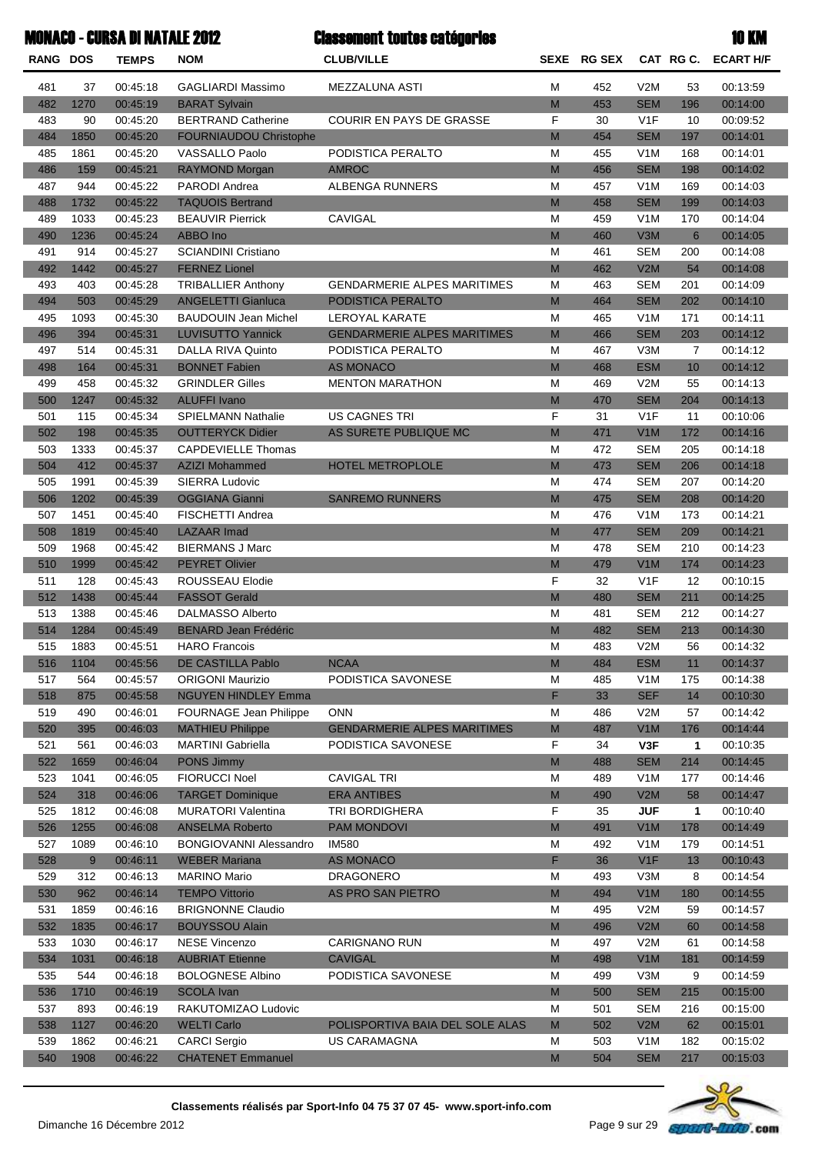|                 |                | <b>MONACO - CURSA DI NATALE 2012</b> |                                                      | <b>Classement toutes catégories</b> |                                                                                                                 |             |                   |                | <b>10 KM</b>         |
|-----------------|----------------|--------------------------------------|------------------------------------------------------|-------------------------------------|-----------------------------------------------------------------------------------------------------------------|-------------|-------------------|----------------|----------------------|
| <b>RANG DOS</b> |                | <b>TEMPS</b>                         | <b>NOM</b>                                           | <b>CLUB/VILLE</b>                   |                                                                                                                 | SEXE RG SEX |                   | CAT RG C.      | <b>ECART H/F</b>     |
| 481             | 37             | 00:45:18                             | <b>GAGLIARDI Massimo</b>                             | MEZZALUNA ASTI                      | М                                                                                                               | 452         | V2M               | 53             | 00:13:59             |
| 482             | 1270           | 00:45:19                             | <b>BARAT Sylvain</b>                                 |                                     | M                                                                                                               | 453         | <b>SEM</b>        | 196            | 00:14:00             |
| 483             | 90             | 00:45:20                             | <b>BERTRAND Catherine</b>                            | COURIR EN PAYS DE GRASSE            | F                                                                                                               | 30          | V <sub>1F</sub>   | 10             | 00:09:52             |
| 484             | 1850           | 00:45:20                             | <b>FOURNIAUDOU Christophe</b>                        |                                     | M                                                                                                               | 454         | <b>SEM</b>        | 197            | 00:14:01             |
| 485             | 1861           | 00:45:20                             | VASSALLO Paolo                                       | PODISTICA PERALTO                   | М                                                                                                               | 455         | V1M               | 168            | 00:14:01             |
| 486             | 159            | 00:45:21                             | RAYMOND Morgan                                       | <b>AMROC</b>                        | $\mathsf{M}% _{H}=\mathsf{M}_{H}$                                                                               | 456         | <b>SEM</b>        | 198            | 00:14:02             |
| 487             | 944            | 00:45:22                             | <b>PARODI Andrea</b>                                 | ALBENGA RUNNERS                     | M                                                                                                               | 457         | V1M               | 169            | 00:14:03             |
| 488             | 1732           | 00:45:22                             | <b>TAQUOIS Bertrand</b>                              |                                     | M                                                                                                               | 458         | <b>SEM</b>        | 199            | 00:14:03             |
| 489             | 1033           | 00:45:23                             | <b>BEAUVIR Pierrick</b>                              | <b>CAVIGAL</b>                      | M                                                                                                               | 459         | V1M               | 170            | 00:14:04             |
| 490             | 1236           | 00:45:24                             | ABBO Ino                                             |                                     | M                                                                                                               | 460         | V3M               | $6\phantom{1}$ | 00:14:05             |
| 491             | 914            | 00:45:27                             | <b>SCIANDINI Cristiano</b>                           |                                     | М                                                                                                               | 461         | <b>SEM</b>        | 200            | 00:14:08             |
| 492             | 1442           | 00:45:27                             | <b>FERNEZ Lionel</b>                                 |                                     | M                                                                                                               | 462         | V2M               | 54             | 00:14:08             |
| 493             | 403            | 00:45:28                             | <b>TRIBALLIER Anthony</b>                            | <b>GENDARMERIE ALPES MARITIMES</b>  | М                                                                                                               | 463         | <b>SEM</b>        | 201            | 00:14:09             |
| 494             | 503            | 00:45:29                             | <b>ANGELETTI Gianluca</b>                            | PODISTICA PERALTO                   | M                                                                                                               | 464         | <b>SEM</b>        | 202            | 00:14:10             |
| 495             | 1093           | 00:45:30                             | <b>BAUDOUIN Jean Michel</b>                          | <b>LEROYAL KARATE</b>               | М                                                                                                               | 465         | V1M               | 171            | 00:14:11             |
| 496             | 394            | 00:45:31                             | <b>LUVISUTTO Yannick</b>                             | <b>GENDARMERIE ALPES MARITIMES</b>  | M                                                                                                               | 466         | <b>SEM</b>        | 203            | 00:14:12             |
| 497             | 514            | 00:45:31                             | DALLA RIVA Quinto                                    | PODISTICA PERALTO                   | M                                                                                                               | 467         | V3M               | $\overline{7}$ | 00:14:12             |
| 498             | 164            | 00:45:31                             | <b>BONNET Fabien</b>                                 | <b>AS MONACO</b>                    | M                                                                                                               | 468         | <b>ESM</b>        | 10             | 00:14:12             |
| 499             | 458            | 00:45:32                             | <b>GRINDLER Gilles</b>                               | <b>MENTON MARATHON</b>              | М                                                                                                               | 469         | V2M               | 55             | 00:14:13             |
| 500             | 1247           | 00:45:32                             | <b>ALUFFI Ivano</b>                                  |                                     | M                                                                                                               | 470         | <b>SEM</b>        | 204            | 00:14:13             |
| 501             | 115            | 00:45:34                             | <b>SPIELMANN Nathalie</b>                            | <b>US CAGNES TRI</b>                | F                                                                                                               | 31          | V <sub>1</sub> F  | 11             | 00:10:06             |
| 502             | 198            | 00:45:35                             | <b>OUTTERYCK Didier</b>                              | AS SURETE PUBLIQUE MC               | M                                                                                                               | 471         | V1M               | 172            | 00:14:16             |
| 503             | 1333           | 00:45:37                             | <b>CAPDEVIELLE Thomas</b>                            |                                     | M                                                                                                               | 472         | <b>SEM</b>        | 205            | 00:14:18             |
| 504             | 412            | 00:45:37                             | <b>AZIZI Mohammed</b>                                | HOTEL METROPLOLE                    | M                                                                                                               | 473         | <b>SEM</b>        | 206            | 00:14:18             |
| 505             | 1991           | 00:45:39                             | <b>SIERRA Ludovic</b>                                |                                     | M                                                                                                               | 474         | <b>SEM</b>        | 207            | 00:14:20             |
| 506             | 1202           | 00:45:39                             | <b>OGGIANA Gianni</b>                                | <b>SANREMO RUNNERS</b>              | M                                                                                                               | 475         | <b>SEM</b>        | 208            | 00:14:20             |
| 507             | 1451           | 00:45:40                             | <b>FISCHETTI Andrea</b>                              |                                     | М                                                                                                               | 476         | V1M               | 173            | 00:14:21             |
| 508             | 1819           | 00:45:40                             | <b>LAZAAR Imad</b>                                   |                                     | M                                                                                                               | 477         | <b>SEM</b>        | 209            | 00:14:21             |
| 509             | 1968           | 00:45:42                             | <b>BIERMANS J Marc</b>                               |                                     | М                                                                                                               | 478         | <b>SEM</b>        | 210            | 00:14:23             |
| 510             | 1999           | 00:45:42                             | <b>PEYRET Olivier</b>                                |                                     | M                                                                                                               | 479         | V1M               | 174            | 00:14:23             |
| 511             | 128            | 00:45:43                             | <b>ROUSSEAU Elodie</b>                               |                                     | F                                                                                                               | 32          | V <sub>1</sub> F  | 12             | 00:10:15             |
| 512             | 1438           | 00:45:44                             | <b>FASSOT Gerald</b>                                 |                                     | M                                                                                                               | 480         | <b>SEM</b>        | 211            | 00:14:25             |
| 513             | 1388           | 00:45:46                             | <b>DALMASSO Alberto</b>                              |                                     | M                                                                                                               | 481         | <b>SEM</b>        | 212            | 00:14:27             |
| 514             | 1284           | 00:45:49                             | <b>BENARD Jean Frédéric</b>                          |                                     | M                                                                                                               | 482         | <b>SEM</b>        | 213            | 00:14:30             |
| 515             | 1883           | 00:45:51                             | <b>HARO Francois</b>                                 |                                     | М                                                                                                               | 483         | V2M               | 56             | 00:14:32             |
| 516             | 1104           | 00:45:56                             | <b>DE CASTILLA Pablo</b>                             | <b>NCAA</b>                         | $\mathsf{M}% _{T}=\mathsf{M}_{T}\!\left( a,b\right) ,\ \mathsf{M}_{T}=\mathsf{M}_{T}\!\left( a,b\right) ,$      | 484         | <b>ESM</b>        | 11             | 00:14:37             |
| 517             | 564            | 00:45:57                             | <b>ORIGONI Maurizio</b>                              | PODISTICA SAVONESE                  | М                                                                                                               | 485         | V1M               | 175            | 00:14:38             |
| 518             | 875            | 00:45:58                             | <b>NGUYEN HINDLEY Emma</b>                           |                                     | F                                                                                                               | 33          | <b>SEF</b>        | 14             | 00:10:30             |
| 519             | 490            | 00:46:01                             | FOURNAGE Jean Philippe                               | <b>ONN</b>                          | М                                                                                                               | 486         | V2M               | 57             | 00:14:42             |
| 520             | 395            | 00:46:03                             | <b>MATHIEU Philippe</b>                              | <b>GENDARMERIE ALPES MARITIMES</b>  | $\mathsf{M}% _{T}=\mathsf{M}_{T}\!\left( a,b\right) ,\ \mathsf{M}_{T}=\mathsf{M}_{T}\!\left( a,b\right) ,$      | 487         | V1M               | 176            | 00:14:44             |
| 521             | 561            | 00:46:03                             | <b>MARTINI Gabriella</b>                             | PODISTICA SAVONESE                  | F                                                                                                               | 34          | V3F               | 1              | 00:10:35             |
| 522             | 1659           | 00:46:04                             | PONS Jimmy                                           |                                     | $\mathsf{M}% _{T}=\mathsf{M}_{T}\!\left( a,b\right) ,\ \mathsf{M}_{T}=\mathsf{M}_{T}\!\left( a,b\right) ,$      | 488         | <b>SEM</b>        | 214            | 00:14:45             |
| 523             | 1041           | 00:46:05                             | <b>FIORUCCI Noel</b>                                 | <b>CAVIGAL TRI</b>                  | М                                                                                                               | 489         | V1M               | 177            | 00:14:46             |
| 524             | 318<br>1812    | 00:46:06                             | <b>TARGET Dominique</b><br><b>MURATORI Valentina</b> | <b>ERA ANTIBES</b>                  | $\mathsf{M}% _{T}=\mathsf{M}_{T}\!\left( a,b\right) ,\ \mathsf{M}_{T}=\mathsf{M}_{T}\!\left( a,b\right) ,$<br>F | 490<br>35   | V2M               | 58             | 00:14:47             |
| 525             |                | 00:46:08                             | <b>ANSELMA Roberto</b>                               | <b>TRI BORDIGHERA</b>               |                                                                                                                 | 491         | <b>JUF</b><br>V1M | 1              | 00:10:40             |
| 526<br>527      | 1255<br>1089   | 00:46:08<br>00:46:10                 | <b>BONGIOVANNI Alessandro</b>                        | PAM MONDOVI<br><b>IM580</b>         | $\mathsf{M}% _{T}=\mathsf{M}_{T}\!\left( a,b\right) ,\ \mathsf{M}_{T}=\mathsf{M}_{T}\!\left( a,b\right) ,$<br>М | 492         | V1M               | 178<br>179     | 00:14:49<br>00:14:51 |
| 528             | $\overline{9}$ | 00:46:11                             | <b>WEBER Mariana</b>                                 | <b>AS MONACO</b>                    | F                                                                                                               | 36          | V1F               | 13             | 00:10:43             |
| 529             | 312            | 00:46:13                             | <b>MARINO Mario</b>                                  | <b>DRAGONERO</b>                    | М                                                                                                               | 493         | V3M               | 8              | 00:14:54             |
| 530             | 962            | 00:46:14                             | <b>TEMPO Vittorio</b>                                | AS PRO SAN PIETRO                   | $\mathsf{M}% _{T}=\mathsf{M}_{T}\!\left( a,b\right) ,\ \mathsf{M}_{T}=\mathsf{M}_{T}\!\left( a,b\right) ,$      | 494         | V1M               | 180            | 00:14:55             |
| 531             | 1859           | 00:46:16                             | <b>BRIGNONNE Claudio</b>                             |                                     | М                                                                                                               | 495         | V2M               | 59             | 00:14:57             |
| 532             | 1835           | 00:46:17                             | <b>BOUYSSOU Alain</b>                                |                                     | $\mathsf{M}% _{T}=\mathsf{M}_{T}\!\left( a,b\right) ,\ \mathsf{M}_{T}=\mathsf{M}_{T}\!\left( a,b\right) ,$      | 496         | V2M               | 60             | 00:14:58             |
| 533             | 1030           | 00:46:17                             | <b>NESE Vincenzo</b>                                 | <b>CARIGNANO RUN</b>                | М                                                                                                               | 497         | V2M               | 61             | 00:14:58             |
| 534             | 1031           | 00:46:18                             | <b>AUBRIAT Etienne</b>                               | <b>CAVIGAL</b>                      | $\mathsf{M}% _{T}=\mathsf{M}_{T}\!\left( a,b\right) ,\ \mathsf{M}_{T}=\mathsf{M}_{T}\!\left( a,b\right) ,$      | 498         | V1M               | 181            | 00:14:59             |
| 535             | 544            | 00:46:18                             | <b>BOLOGNESE Albino</b>                              | PODISTICA SAVONESE                  | М                                                                                                               | 499         | V3M               | 9              | 00:14:59             |
| 536             | 1710           | 00:46:19                             | <b>SCOLA Ivan</b>                                    |                                     | $\mathsf{M}% _{T}=\mathsf{M}_{T}\!\left( a,b\right) ,\ \mathsf{M}_{T}=\mathsf{M}_{T}\!\left( a,b\right) ,$      | 500         | <b>SEM</b>        | 215            | 00:15:00             |
| 537             | 893            | 00:46:19                             | RAKUTOMIZAO Ludovic                                  |                                     | М                                                                                                               | 501         | <b>SEM</b>        | 216            | 00:15:00             |
| 538             | 1127           | 00:46:20                             | <b>WELTI Carlo</b>                                   | POLISPORTIVA BAIA DEL SOLE ALAS     | $\mathsf{M}% _{T}=\mathsf{M}_{T}\!\left( a,b\right) ,\ \mathsf{M}_{T}=\mathsf{M}_{T}\!\left( a,b\right) ,$      | 502         | V2M               | 62             | 00:15:01             |
| 539             | 1862           | 00:46:21                             | <b>CARCI Sergio</b>                                  | US CARAMAGNA                        | М                                                                                                               | 503         | V <sub>1</sub> M  | 182            | 00:15:02             |
| 540             | 1908           | 00:46:22                             | <b>CHATENET Emmanuel</b>                             |                                     | $\mathsf{M}% _{T}=\mathsf{M}_{T}\!\left( a,b\right) ,\ \mathsf{M}_{T}=\mathsf{M}_{T}\!\left( a,b\right) ,$      | 504         | <b>SEM</b>        | 217            | 00:15:03             |
|                 |                |                                      |                                                      |                                     |                                                                                                                 |             |                   |                |                      |

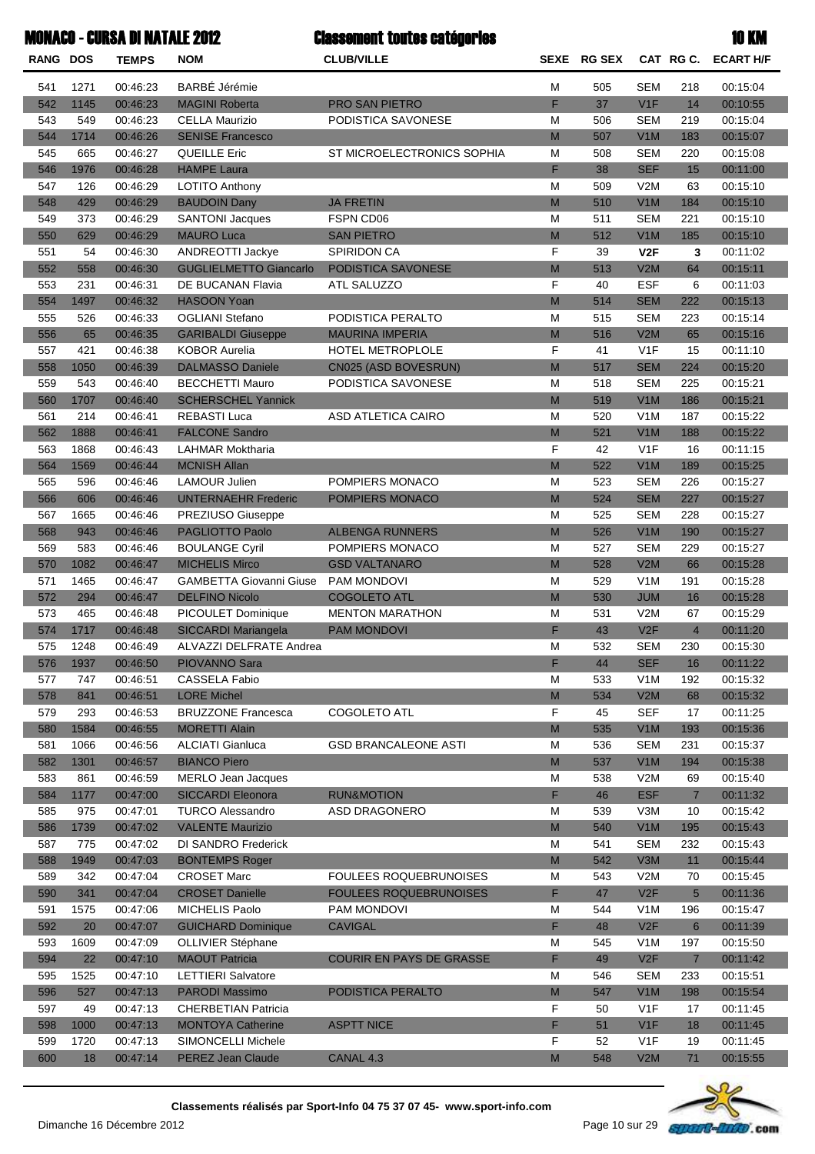| <b>MONACO - CURSA DI NATALE 2012</b> |
|--------------------------------------|
|--------------------------------------|

#### Classement toutes catégories

|                 |             | <b>MONACO - CURSA DI NATALE 2012</b> |                                | <b>Classement toutes catégories</b> |                                                                                                            |             |                  |                      | <b>10 KM</b>        |
|-----------------|-------------|--------------------------------------|--------------------------------|-------------------------------------|------------------------------------------------------------------------------------------------------------|-------------|------------------|----------------------|---------------------|
| <b>RANG DOS</b> |             | <b>TEMPS</b>                         | <b>NOM</b>                     | <b>CLUB/VILLE</b>                   |                                                                                                            | SEXE RG SEX |                  |                      | CAT RG C. ECART H/F |
| 541             | 1271        | 00:46:23                             | <b>BARBÉ</b> Jérémie           |                                     | М                                                                                                          | 505         | <b>SEM</b>       | 218                  | 00:15:04            |
| 542             | 1145        | 00:46:23                             | <b>MAGINI Roberta</b>          | PRO SAN PIETRO                      | F                                                                                                          | 37          | V1F              | 14                   | 00:10:55            |
| 543             | 549         | 00:46:23                             | <b>CELLA Maurizio</b>          | PODISTICA SAVONESE                  | M                                                                                                          | 506         | <b>SEM</b>       | 219                  | 00:15:04            |
| 544             | 1714        | 00:46:26                             | <b>SENISE Francesco</b>        |                                     | M                                                                                                          | 507         | V1M              | 183                  | 00:15:07            |
| 545             | 665         | 00:46:27                             | <b>QUEILLE Eric</b>            | ST MICROELECTRONICS SOPHIA          | M                                                                                                          | 508         | <b>SEM</b>       | 220                  | 00:15:08            |
| 546             | 1976        | 00:46:28                             | <b>HAMPE Laura</b>             |                                     | F                                                                                                          | 38          | <b>SEF</b>       | 15                   | 00:11:00            |
| 547             | 126         | 00:46:29                             | <b>LOTITO Anthony</b>          |                                     | M                                                                                                          | 509         | V2M              | 63                   | 00:15:10            |
| 548             | 429         | 00:46:29                             | <b>BAUDOIN Dany</b>            | <b>JA FRETIN</b>                    | M                                                                                                          | 510         | V1M              | 184                  | 00:15:10            |
| 549             | 373         | 00:46:29                             | <b>SANTONI Jacques</b>         | FSPN CD06                           | M                                                                                                          | 511         | <b>SEM</b>       | 221                  | 00:15:10            |
| 550             | 629         | 00:46:29                             | <b>MAURO Luca</b>              | <b>SAN PIETRO</b>                   | M                                                                                                          | 512         | V1M              | 185                  | 00:15:10            |
| 551             | 54          | 00:46:30                             | ANDREOTTI Jackye               | <b>SPIRIDON CA</b>                  | F                                                                                                          | 39          | V <sub>2F</sub>  | 3                    | 00:11:02            |
| 552             | 558         | 00:46:30                             | <b>GUGLIELMETTO Giancarlo</b>  | PODISTICA SAVONESE                  | $\mathsf{M}$                                                                                               | 513         | V2M              | 64                   | 00:15:11            |
| 553             | 231         | 00:46:31                             | DE BUCANAN Flavia              | ATL SALUZZO                         | F                                                                                                          | 40          | <b>ESF</b>       | 6                    | 00:11:03            |
| 554             | 1497        | 00:46:32                             | <b>HASOON Yoan</b>             |                                     | M                                                                                                          | 514         | <b>SEM</b>       | 222                  | 00:15:13            |
| 555             | 526         | 00:46:33                             | <b>OGLIANI Stefano</b>         | PODISTICA PERALTO                   | M                                                                                                          | 515         | <b>SEM</b>       | 223                  | 00:15:14            |
| 556             | 65          | 00:46:35                             | <b>GARIBALDI Giuseppe</b>      | <b>MAURINA IMPERIA</b>              | M                                                                                                          | 516         | V2M              | 65                   | 00:15:16            |
| 557             | 421         | 00:46:38                             | <b>KOBOR Aurelia</b>           | <b>HOTEL METROPLOLE</b>             | F                                                                                                          | 41          | V <sub>1F</sub>  | 15                   | 00:11:10            |
| 558             | 1050        | 00:46:39                             | <b>DALMASSO Daniele</b>        | CN025 (ASD BOVESRUN)                | M                                                                                                          | 517         | <b>SEM</b>       | 224                  | 00:15:20            |
| 559             | 543         | 00:46:40                             | <b>BECCHETTI Mauro</b>         | PODISTICA SAVONESE                  | M                                                                                                          | 518         | <b>SEM</b>       | 225                  | 00:15:21            |
| 560             | 1707        | 00:46:40                             | <b>SCHERSCHEL Yannick</b>      |                                     | M                                                                                                          | 519         | V1M              | 186                  | 00:15:21            |
| 561             | 214         | 00:46:41                             | <b>REBASTI Luca</b>            | ASD ATLETICA CAIRO                  | M                                                                                                          | 520         | V1M              | 187                  | 00:15:22            |
| 562             | 1888        | 00:46:41                             | <b>FALCONE Sandro</b>          |                                     | M                                                                                                          | 521         | V1M              | 188                  | 00:15:22            |
| 563             | 1868        | 00:46:43                             | <b>LAHMAR Moktharia</b>        |                                     | F                                                                                                          | 42          | V <sub>1F</sub>  | 16                   | 00:11:15            |
| 564             | 1569        | 00:46:44                             | <b>MCNISH Allan</b>            |                                     | M                                                                                                          | 522         | V1M              | 189                  | 00:15:25            |
| 565             | 596         | 00:46:46                             | <b>LAMOUR Julien</b>           | POMPIERS MONACO                     | M                                                                                                          | 523         | <b>SEM</b>       | 226                  | 00:15:27            |
| 566             | 606         | 00:46:46                             | <b>UNTERNAEHR Frederic</b>     | POMPIERS MONACO                     | M                                                                                                          | 524         | <b>SEM</b>       | 227                  | 00:15:27            |
| 567             | 1665        | 00:46:46                             | PREZIUSO Giuseppe              |                                     | M                                                                                                          | 525         | <b>SEM</b>       | 228                  | 00:15:27            |
| 568             | 943         | 00:46:46                             | <b>PAGLIOTTO Paolo</b>         | <b>ALBENGA RUNNERS</b>              | M                                                                                                          | 526         | V1M              | 190                  | 00:15:27            |
| 569             | 583         | 00:46:46                             | <b>BOULANGE Cyril</b>          | POMPIERS MONACO                     | М                                                                                                          | 527         | <b>SEM</b>       | 229                  | 00:15:27            |
| 570             | 1082        | 00:46:47                             | <b>MICHELIS Mirco</b>          | <b>GSD VALTANARO</b>                | M                                                                                                          | 528         | V2M              | 66                   | 00:15:28            |
| 571             | 1465        | 00:46:47                             | <b>GAMBETTA Giovanni Giuse</b> | PAM MONDOVI                         | М                                                                                                          | 529         | V1M              | 191                  | 00:15:28            |
| 572             | 294         | 00:46:47                             | <b>DELFINO Nicolo</b>          | <b>COGOLETO ATL</b>                 | M                                                                                                          | 530         | <b>JUM</b>       | 16                   | 00:15:28            |
|                 |             |                                      |                                |                                     |                                                                                                            |             |                  |                      |                     |
| 573             | 465<br>1717 | 00:46:48<br>00:46:48                 | PICOULET Dominique             | <b>MENTON MARATHON</b>              | М<br>F                                                                                                     | 531<br>43   | V2M<br>V2F       | 67<br>$\overline{4}$ | 00:15:29            |
| 574             |             |                                      | <b>SICCARDI Mariangela</b>     | <b>PAM MONDOVI</b>                  |                                                                                                            |             |                  |                      | 00:11:20            |
| 575             | 1248        | 00:46:49                             | ALVAZZI DELFRATE Andrea        |                                     | M                                                                                                          | 532         | SEM              | 230                  | 00:15:30            |
| 576             | 1937        | 00:46:50                             | <b>PIOVANNO Sara</b>           |                                     | F.                                                                                                         | 44          | <b>SEF</b>       | 16                   | 00:11:22            |
| 577             | 747         | 00:46:51                             | <b>CASSELA Fabio</b>           |                                     | М                                                                                                          | 533         | V <sub>1</sub> M | 192                  | 00:15:32            |
| 578             | 841         | 00:46:51                             | <b>LORE Michel</b>             |                                     | $\mathsf{M}% _{T}=\mathsf{M}_{T}\!\left( a,b\right) ,\ \mathsf{M}_{T}=\mathsf{M}_{T}\!\left( a,b\right) ,$ | 534         | V2M              | 68                   | 00:15:32            |
| 579             | 293         | 00:46:53                             | <b>BRUZZONE Francesca</b>      | <b>COGOLETO ATL</b>                 | F                                                                                                          | 45          | <b>SEF</b>       | 17                   | 00:11:25            |
| 580             | 1584        | 00:46:55                             | <b>MORETTI Alain</b>           |                                     | $\mathsf{M}% _{T}=\mathsf{M}_{T}\!\left( a,b\right) ,\ \mathsf{M}_{T}=\mathsf{M}_{T}\!\left( a,b\right) ,$ | 535         | V1M              | 193                  | 00:15:36            |
| 581             | 1066        | 00:46:56                             | <b>ALCIATI Gianluca</b>        | <b>GSD BRANCALEONE ASTI</b>         | М                                                                                                          | 536         | <b>SEM</b>       | 231                  | 00:15:37            |
| 582             | 1301        | 00:46:57                             | <b>BIANCO Piero</b>            |                                     | $\mathsf{M}% _{T}=\mathsf{M}_{T}\!\left( a,b\right) ,\ \mathsf{M}_{T}=\mathsf{M}_{T}\!\left( a,b\right) ,$ | 537         | V1M              | 194                  | 00:15:38            |
| 583             | 861         | 00:46:59                             | MERLO Jean Jacques             |                                     | М                                                                                                          | 538         | V2M              | 69                   | 00:15:40            |
| 584             | 1177        | 00:47:00                             | <b>SICCARDI Eleonora</b>       | <b>RUN&amp;MOTION</b>               | F                                                                                                          | 46          | <b>ESF</b>       | $\overline{7}$       | 00:11:32            |
| 585             | 975         | 00:47:01                             | <b>TURCO Alessandro</b>        | ASD DRAGONERO                       | М                                                                                                          | 539         | V3M              | 10                   | 00:15:42            |
| 586             | 1739        | 00:47:02                             | <b>VALENTE Maurizio</b>        |                                     | $\mathsf{M}% _{T}=\mathsf{M}_{T}\!\left( a,b\right) ,\ \mathsf{M}_{T}=\mathsf{M}_{T}\!\left( a,b\right) ,$ | 540         | V1M              | 195                  | 00:15:43            |
| 587             | 775         | 00:47:02                             | DI SANDRO Frederick            |                                     | М                                                                                                          | 541         | <b>SEM</b>       | 232                  | 00:15:43            |
| 588             | 1949        | 00:47:03                             | <b>BONTEMPS Roger</b>          |                                     | $\mathsf{M}% _{T}=\mathsf{M}_{T}\!\left( a,b\right) ,\ \mathsf{M}_{T}=\mathsf{M}_{T}\!\left( a,b\right) ,$ | 542         | V3M              | 11                   | 00:15:44            |
| 589             | 342         | 00:47:04                             | <b>CROSET Marc</b>             | <b>FOULEES ROQUEBRUNOISES</b>       | М                                                                                                          | 543         | V2M              | 70                   | 00:15:45            |
| 590             | 341         | 00:47:04                             | <b>CROSET Danielle</b>         | <b>FOULEES ROQUEBRUNOISES</b>       | F                                                                                                          | 47          | V2F              | $5\overline{)}$      | 00:11:36            |
| 591             | 1575        | 00:47:06                             | <b>MICHELIS Paolo</b>          | <b>PAM MONDOVI</b>                  | М                                                                                                          | 544         | V <sub>1</sub> M | 196                  | 00:15:47            |
| 592             | 20          | 00:47:07                             | <b>GUICHARD Dominique</b>      | <b>CAVIGAL</b>                      | F                                                                                                          | 48          | V2F              | 6                    | 00:11:39            |
| 593             | 1609        | 00:47:09                             | <b>OLLIVIER Stéphane</b>       |                                     | М                                                                                                          | 545         | V <sub>1</sub> M | 197                  | 00:15:50            |
| 594             | 22          | 00:47:10                             | <b>MAOUT Patricia</b>          | <b>COURIR EN PAYS DE GRASSE</b>     | F.                                                                                                         | 49          | V2F              | $\overline{7}$       | 00:11:42            |
| 595             | 1525        | 00:47:10                             | <b>LETTIERI Salvatore</b>      |                                     | М                                                                                                          | 546         | <b>SEM</b>       | 233                  | 00:15:51            |
| 596             | 527         | 00:47:13                             | <b>PARODI Massimo</b>          | PODISTICA PERALTO                   | $\mathsf{M}% _{T}=\mathsf{M}_{T}\!\left( a,b\right) ,\ \mathsf{M}_{T}=\mathsf{M}_{T}\!\left( a,b\right) ,$ | 547         | V1M              | 198                  | 00:15:54            |
| 597             | 49          | 00:47:13                             | <b>CHERBETIAN Patricia</b>     |                                     | F                                                                                                          | 50          | V <sub>1</sub> F | 17                   | 00:11:45            |
| 598             | 1000        | 00:47:13                             | <b>MONTOYA Catherine</b>       | <b>ASPTT NICE</b>                   | F                                                                                                          | 51          | V1F              | 18                   | 00:11:45            |
| 599             | 1720        | 00:47:13                             | SIMONCELLI Michele             |                                     | F                                                                                                          | 52          | V1F              | 19                   | 00:11:45            |
| 600             | 18          | 00:47:14                             | <b>PEREZ Jean Claude</b>       | CANAL 4.3                           | $\sf M$                                                                                                    | 548         | V2M              | 71                   | 00:15:55            |



Dimanche 16 Décembre 2012

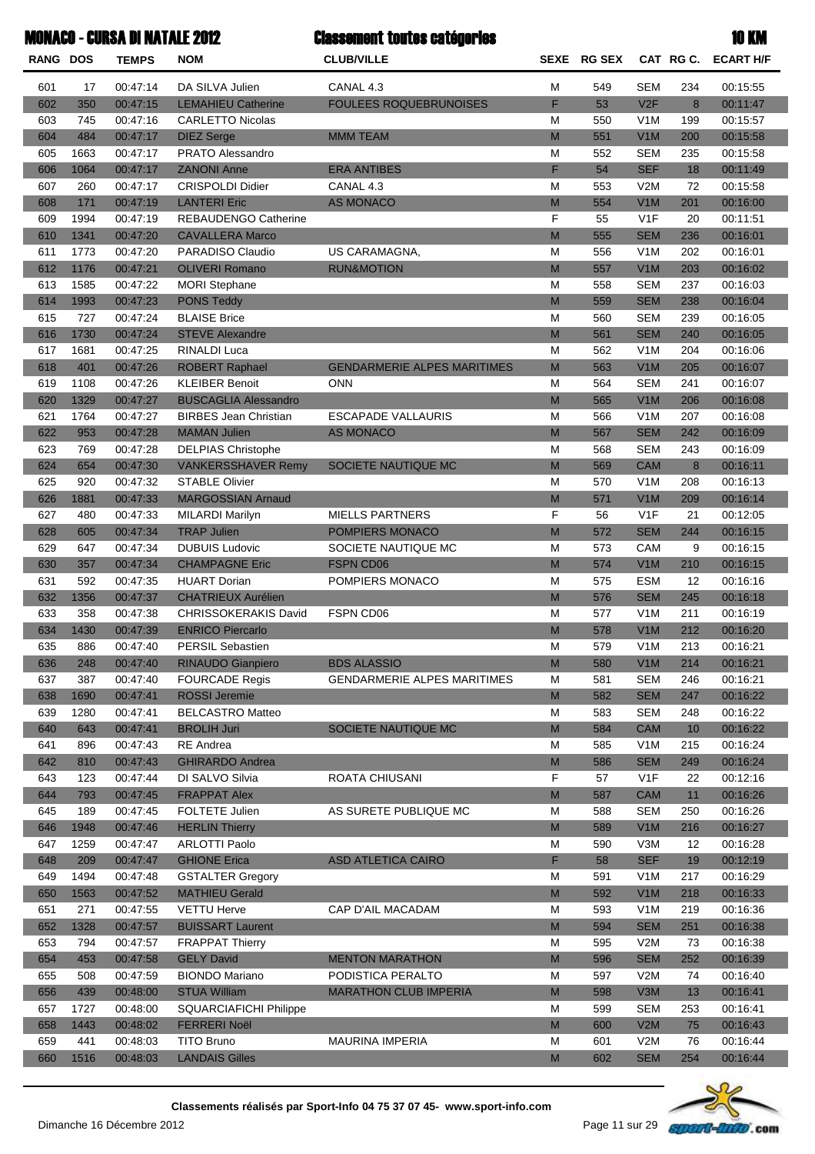|          |      | <b>MONACO - CURSA DI NATALE 2012</b> |                              | <b>Classement toutes catégories</b> |           |             |                  |           | <b>10 KM</b>     |
|----------|------|--------------------------------------|------------------------------|-------------------------------------|-----------|-------------|------------------|-----------|------------------|
| RANG DOS |      | <b>TEMPS</b>                         | <b>NOM</b>                   | <b>CLUB/VILLE</b>                   |           | SEXE RG SEX |                  | CAT RG C. | <b>ECART H/F</b> |
| 601      | 17   | 00:47:14                             | DA SILVA Julien              | CANAL 4.3                           | М         | 549         | <b>SEM</b>       | 234       | 00:15:55         |
| 602      | 350  | 00:47:15                             | <b>LEMAHIEU Catherine</b>    | <b>FOULEES ROQUEBRUNOISES</b>       | F         | 53          | V2F              | 8         | 00:11:47         |
| 603      | 745  | 00:47:16                             | <b>CARLETTO Nicolas</b>      |                                     | M         | 550         | V1M              | 199       | 00:15:57         |
| 604      | 484  | 00:47:17                             | <b>DIEZ Serge</b>            | <b>MMM TEAM</b>                     | M         | 551         | V1M              | 200       | 00:15:58         |
| 605      | 1663 | 00:47:17                             | <b>PRATO Alessandro</b>      |                                     | M         | 552         | <b>SEM</b>       | 235       | 00:15:58         |
| 606      | 1064 | 00:47:17                             | <b>ZANONI Anne</b>           | <b>ERA ANTIBES</b>                  | F         | 54          | <b>SEF</b>       | 18        | 00:11:49         |
| 607      | 260  | 00:47:17                             | <b>CRISPOLDI Didier</b>      | CANAL 4.3                           | M         | 553         | V2M              | 72        | 00:15:58         |
| 608      | 171  | 00:47:19                             | <b>LANTERI Eric</b>          | <b>AS MONACO</b>                    | M         | 554         | V1M              | 201       | 00:16:00         |
| 609      | 1994 | 00:47:19                             | <b>REBAUDENGO Catherine</b>  |                                     | F         | 55          | V1F              | 20        | 00:11:51         |
| 610      | 1341 | 00:47:20                             | <b>CAVALLERA Marco</b>       |                                     | M         | 555         | <b>SEM</b>       | 236       | 00:16:01         |
| 611      | 1773 | 00:47:20                             | PARADISO Claudio             | US CARAMAGNA,                       | M         | 556         | V1M              | 202       | 00:16:01         |
| 612      | 1176 | 00:47:21                             | <b>OLIVERI Romano</b>        | <b>RUN&amp;MOTION</b>               | M         | 557         | V1M              | 203       | 00:16:02         |
| 613      | 1585 | 00:47:22                             | <b>MORI</b> Stephane         |                                     | M         | 558         | <b>SEM</b>       | 237       | 00:16:03         |
| 614      | 1993 | 00:47:23                             | <b>PONS Teddy</b>            |                                     | M         | 559         | <b>SEM</b>       | 238       | 00:16:04         |
| 615      | 727  | 00:47:24                             | <b>BLAISE Brice</b>          |                                     | M         | 560         | <b>SEM</b>       | 239       | 00:16:05         |
|          |      |                                      |                              |                                     |           |             |                  |           |                  |
| 616      | 1730 | 00:47:24                             | <b>STEVE Alexandre</b>       |                                     | M         | 561         | <b>SEM</b>       | 240       | 00:16:05         |
| 617      | 1681 | 00:47:25                             | <b>RINALDI Luca</b>          |                                     | M         | 562         | V1M              | 204       | 00:16:06         |
| 618      | 401  | 00:47:26                             | <b>ROBERT Raphael</b>        | <b>GENDARMERIE ALPES MARITIMES</b>  | M         | 563         | V1M              | 205       | 00:16:07         |
| 619      | 1108 | 00:47:26                             | <b>KLEIBER Benoit</b>        | <b>ONN</b>                          | M         | 564         | <b>SEM</b>       | 241       | 00:16:07         |
| 620      | 1329 | 00:47:27                             | <b>BUSCAGLIA Alessandro</b>  |                                     | M         | 565         | V1M              | 206       | 00:16:08         |
| 621      | 1764 | 00:47:27                             | <b>BIRBES Jean Christian</b> | <b>ESCAPADE VALLAURIS</b>           | M         | 566         | V1M              | 207       | 00:16:08         |
| 622      | 953  | 00:47:28                             | <b>MAMAN Julien</b>          | <b>AS MONACO</b>                    | M         | 567         | <b>SEM</b>       | 242       | 00:16:09         |
| 623      | 769  | 00:47:28                             | <b>DELPIAS Christophe</b>    |                                     | M         | 568         | <b>SEM</b>       | 243       | 00:16:09         |
| 624      | 654  | 00:47:30                             | <b>VANKERSSHAVER Remy</b>    | SOCIETE NAUTIQUE MC                 | M         | 569         | <b>CAM</b>       | 8         | 00:16:11         |
| 625      | 920  | 00:47:32                             | <b>STABLE Olivier</b>        |                                     | M         | 570         | V1M              | 208       | 00:16:13         |
| 626      | 1881 | 00:47:33                             | <b>MARGOSSIAN Arnaud</b>     |                                     | M         | 571         | V1M              | 209       | 00:16:14         |
| 627      | 480  | 00:47:33                             | <b>MILARDI Marilyn</b>       | <b>MIELLS PARTNERS</b>              | F         | 56          | V1F              | 21        | 00:12:05         |
| 628      | 605  | 00:47:34                             | <b>TRAP Julien</b>           | POMPIERS MONACO                     | M         | 572         | <b>SEM</b>       | 244       | 00:16:15         |
| 629      | 647  | 00:47:34                             | <b>DUBUIS Ludovic</b>        | SOCIETE NAUTIQUE MC                 | M         | 573         | CAM              | 9         | 00:16:15         |
| 630      | 357  | 00:47:34                             | <b>CHAMPAGNE Eric</b>        | <b>FSPN CD06</b>                    | M         | 574         | V1M              | 210       | 00:16:15         |
| 631      | 592  | 00:47:35                             | <b>HUART Dorian</b>          | POMPIERS MONACO                     | M         | 575         | <b>ESM</b>       | 12        | 00:16:16         |
| 632      | 1356 | 00:47:37                             | <b>CHATRIEUX Aurélien</b>    |                                     | M         | 576         | <b>SEM</b>       | 245       | 00:16:18         |
| 633      | 358  | 00:47:38                             | CHRISSOKERAKIS David         | FSPN CD06                           | М         | 577         | V <sub>1</sub> M | 211       | 00:16:19         |
| 634      | 1430 | 00:47:39                             | <b>ENRICO Piercarlo</b>      |                                     | M         | 578         | V1M              | 212       | 00:16:20         |
| 635      | 886  | 00:47:40                             | <b>PERSIL Sebastien</b>      |                                     | M         | 579         | V1M              | 213       | 00:16:21         |
| 636      | 248  | 00:47:40                             | RINAUDO Gianpiero            | <b>BDS ALASSIO</b>                  | M         | 580         | V1M              | 214       | 00:16:21         |
| 637      | 387  | 00:47:40                             | <b>FOURCADE Regis</b>        | <b>GENDARMERIE ALPES MARITIMES</b>  | М         | 581         | <b>SEM</b>       | 246       | 00:16:21         |
|          |      |                                      |                              |                                     |           |             |                  |           |                  |
| 638      | 1690 | 00:47:41                             | <b>ROSSI Jeremie</b>         |                                     | M         | 582         | <b>SEM</b>       | 247       | 00:16:22         |
| 639      | 1280 | 00:47:41                             | <b>BELCASTRO Matteo</b>      |                                     | М         | 583         | <b>SEM</b>       | 248       | 00:16:22         |
| 640      | 643  | 00:47:41                             | <b>BROLIH Juri</b>           | SOCIETE NAUTIQUE MC                 | M         | 584         | <b>CAM</b>       | 10        | 00:16:22         |
| 641      | 896  | 00:47:43                             | <b>RE</b> Andrea             |                                     | М         | 585         | V1M              | 215       | 00:16:24         |
| 642      | 810  | 00:47:43                             | <b>GHIRARDO Andrea</b>       |                                     | M         | 586         | <b>SEM</b>       | 249       | 00:16:24         |
| 643      | 123  | 00:47:44                             | DI SALVO Silvia              | ROATA CHIUSANI                      | F         | 57          | V1F              | 22        | 00:12:16         |
| 644      | 793  | 00:47:45                             | <b>FRAPPAT Alex</b>          |                                     | M         | 587         | <b>CAM</b>       | 11        | 00:16:26         |
| 645      | 189  | 00:47:45                             | <b>FOLTETE Julien</b>        | AS SURETE PUBLIQUE MC               | М         | 588         | <b>SEM</b>       | 250       | 00:16:26         |
| 646      | 1948 | 00:47:46                             | <b>HERLIN Thierry</b>        |                                     | M         | 589         | V1M              | 216       | 00:16:27         |
| 647      | 1259 | 00:47:47                             | <b>ARLOTTI Paolo</b>         |                                     | М         | 590         | V3M              | 12        | 00:16:28         |
| 648      | 209  | 00:47:47                             | <b>GHIONE Erica</b>          | <b>ASD ATLETICA CAIRO</b>           | F         | 58          | <b>SEF</b>       | 19        | 00:12:19         |
| 649      | 1494 | 00:47:48                             | <b>GSTALTER Gregory</b>      |                                     | М         | 591         | V <sub>1</sub> M | 217       | 00:16:29         |
| 650      | 1563 | 00:47:52                             | <b>MATHIEU Gerald</b>        |                                     | M         | 592         | V1M              | 218       | 00:16:33         |
| 651      | 271  | 00:47:55                             | <b>VETTU Herve</b>           | CAP D'AIL MACADAM                   | М         | 593         | V <sub>1</sub> M | 219       | 00:16:36         |
| 652      | 1328 | 00:47:57                             | <b>BUISSART Laurent</b>      |                                     | M         | 594         | <b>SEM</b>       | 251       | 00:16:38         |
| 653      | 794  | 00:47:57                             | <b>FRAPPAT Thierry</b>       |                                     | М         | 595         | V2M              | 73        | 00:16:38         |
| 654      | 453  | 00:47:58                             | <b>GELY David</b>            | <b>MENTON MARATHON</b>              | M         | 596         | <b>SEM</b>       | 252       | 00:16:39         |
| 655      | 508  | 00:47:59                             | <b>BIONDO Mariano</b>        | PODISTICA PERALTO                   | М         | 597         | V2M              | 74        | 00:16:40         |
| 656      | 439  | 00:48:00                             | <b>STUA William</b>          | <b>MARATHON CLUB IMPERIA</b>        | M         | 598         | V3M              | 13        | 00:16:41         |
| 657      | 1727 | 00:48:00                             | SQUARCIAFICHI Philippe       |                                     | М         | 599         | <b>SEM</b>       | 253       | 00:16:41         |
| 658      | 1443 | 00:48:02                             | <b>FERRERI Noël</b>          |                                     | M         | 600         | V2M              | 75        | 00:16:43         |
| 659      | 441  | 00:48:03                             | <b>TITO Bruno</b>            | <b>MAURINA IMPERIA</b>              |           | 601         | V2M              | 76        | 00:16:44         |
|          |      |                                      |                              |                                     | М         |             |                  |           |                  |
| 660      | 1516 | 00:48:03                             | <b>LANDAIS Gilles</b>        |                                     | ${\sf M}$ | 602         | <b>SEM</b>       | 254       | 00:16:44         |

Ω Ó ó P Page 11 sur 29 **SUPPER ATTO** . com

**Classements réalisés par Sport-Info 04 75 37 07 45- www.sport-info.com**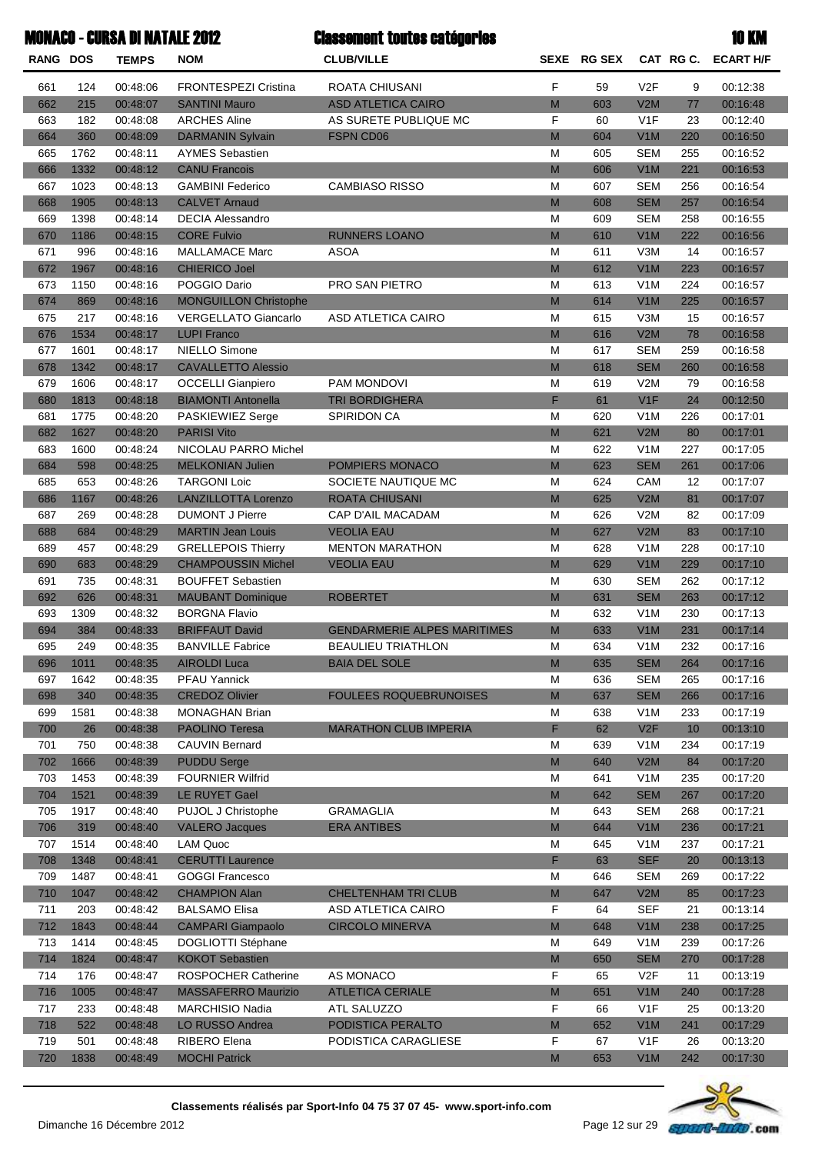|                 |      | <b>MONACO - CURSA DI NATALE 2012</b> |                              | <b>Classement toutes catégories</b> |                                                                                                            |               |                  |           | <b>10 KM</b>     |
|-----------------|------|--------------------------------------|------------------------------|-------------------------------------|------------------------------------------------------------------------------------------------------------|---------------|------------------|-----------|------------------|
| <b>RANG DOS</b> |      | <b>TEMPS</b>                         | <b>NOM</b>                   | <b>CLUB/VILLE</b>                   | <b>SEXE</b>                                                                                                | <b>RG SEX</b> |                  | CAT RG C. | <b>ECART H/F</b> |
| 661             | 124  | 00:48:06                             | FRONTESPEZI Cristina         | <b>ROATA CHIUSANI</b>               | F                                                                                                          | 59            | V2F              | 9         | 00:12:38         |
| 662             | 215  | 00:48:07                             | <b>SANTINI Mauro</b>         | <b>ASD ATLETICA CAIRO</b>           | M                                                                                                          | 603           | V2M              | 77        | 00:16:48         |
| 663             | 182  | 00:48:08                             | <b>ARCHES Aline</b>          | AS SURETE PUBLIQUE MC               | F                                                                                                          | 60            | V1F              | 23        | 00:12:40         |
| 664             | 360  | 00:48:09                             | <b>DARMANIN Sylvain</b>      | <b>FSPN CD06</b>                    | M                                                                                                          | 604           | V1M              | 220       | 00:16:50         |
| 665             | 1762 | 00:48:11                             | <b>AYMES Sebastien</b>       |                                     | M                                                                                                          | 605           | <b>SEM</b>       | 255       | 00:16:52         |
| 666             | 1332 | 00:48:12                             | <b>CANU Francois</b>         |                                     | M                                                                                                          | 606           | V1M              | 221       | 00:16:53         |
| 667             | 1023 | 00:48:13                             | <b>GAMBINI Federico</b>      | <b>CAMBIASO RISSO</b>               | M                                                                                                          | 607           | <b>SEM</b>       | 256       | 00:16:54         |
| 668             | 1905 | 00:48:13                             | <b>CALVET Arnaud</b>         |                                     | M                                                                                                          | 608           | <b>SEM</b>       | 257       | 00:16:54         |
| 669             | 1398 | 00:48:14                             | <b>DECIA Alessandro</b>      |                                     | M                                                                                                          | 609           | <b>SEM</b>       | 258       | 00:16:55         |
| 670             | 1186 | 00:48:15                             | <b>CORE Fulvio</b>           | <b>RUNNERS LOANO</b>                | M                                                                                                          | 610           | V1M              | 222       | 00:16:56         |
| 671             | 996  | 00:48:16                             | <b>MALLAMACE Marc</b>        | <b>ASOA</b>                         | M                                                                                                          | 611           | V3M              | 14        | 00:16:57         |
| 672             | 1967 | 00:48:16                             | <b>CHIERICO Joel</b>         |                                     | M                                                                                                          | 612           | V1M              | 223       | 00:16:57         |
| 673             | 1150 | 00:48:16                             | POGGIO Dario                 | PRO SAN PIETRO                      | M                                                                                                          | 613           | V1M              | 224       | 00:16:57         |
| 674             | 869  | 00:48:16                             | <b>MONGUILLON Christophe</b> |                                     | M                                                                                                          | 614           | V1M              | 225       | 00:16:57         |
| 675             | 217  | 00:48:16                             | <b>VERGELLATO Giancarlo</b>  | <b>ASD ATLETICA CAIRO</b>           | M                                                                                                          | 615           | V3M              | 15        | 00:16:57         |
| 676             | 1534 | 00:48:17                             | <b>LUPI Franco</b>           |                                     | M                                                                                                          | 616           | V2M              | 78        | 00:16:58         |
| 677             | 1601 | 00:48:17                             | NIELLO Simone                |                                     | M                                                                                                          | 617           | <b>SEM</b>       | 259       | 00:16:58         |
| 678             | 1342 | 00:48:17                             | <b>CAVALLETTO Alessio</b>    |                                     | M                                                                                                          | 618           | <b>SEM</b>       | 260       | 00:16:58         |
| 679             | 1606 | 00:48:17                             | <b>OCCELLI Gianpiero</b>     | PAM MONDOVI                         | M                                                                                                          | 619           | V2M              | 79        | 00:16:58         |
| 680             | 1813 | 00:48:18                             | <b>BIAMONTI Antonella</b>    | <b>TRI BORDIGHERA</b>               | F                                                                                                          | 61            | V1F              | 24        | 00:12:50         |
| 681             | 1775 | 00:48:20                             | PASKIEWIEZ Serge             | SPIRIDON CA                         | M                                                                                                          | 620           | V1M              | 226       | 00:17:01         |
| 682             | 1627 | 00:48:20                             | <b>PARISI Vito</b>           |                                     | M                                                                                                          | 621           | V2M              | 80        | 00:17:01         |
| 683             | 1600 | 00:48:24                             | NICOLAU PARRO Michel         |                                     | M                                                                                                          | 622           | V1M              | 227       | 00:17:05         |
| 684             | 598  | 00:48:25                             | <b>MELKONIAN Julien</b>      | POMPIERS MONACO                     | M                                                                                                          | 623           | <b>SEM</b>       | 261       | 00:17:06         |
| 685             | 653  | 00:48:26                             | <b>TARGONI Loic</b>          | SOCIETE NAUTIQUE MC                 | M                                                                                                          | 624           | CAM              | 12        | 00:17:07         |
| 686             | 1167 | 00:48:26                             | <b>LANZILLOTTA Lorenzo</b>   | <b>ROATA CHIUSANI</b>               | M                                                                                                          | 625           | V2M              | 81        | 00:17:07         |
| 687             | 269  | 00:48:28                             | <b>DUMONT J Pierre</b>       | CAP D'AIL MACADAM                   | M                                                                                                          | 626           | V2M              | 82        | 00:17:09         |
| 688             | 684  | 00:48:29                             | <b>MARTIN Jean Louis</b>     | <b>VEOLIA EAU</b>                   | M                                                                                                          | 627           | V2M              | 83        | 00:17:10         |
| 689             | 457  | 00:48:29                             | <b>GRELLEPOIS Thierry</b>    | <b>MENTON MARATHON</b>              | M                                                                                                          | 628           | V1M              | 228       | 00:17:10         |
| 690             | 683  | 00:48:29                             | <b>CHAMPOUSSIN Michel</b>    | <b>VEOLIA EAU</b>                   | M                                                                                                          | 629           | V1M              | 229       | 00:17:10         |
| 691             | 735  | 00:48:31                             | <b>BOUFFET Sebastien</b>     |                                     | M                                                                                                          | 630           | <b>SEM</b>       | 262       | 00:17:12         |
| 692             | 626  | 00:48:31                             | <b>MAUBANT Dominique</b>     | <b>ROBERTET</b>                     | M                                                                                                          | 631           | <b>SEM</b>       | 263       | 00:17:12         |
| 693             | 1309 | 00:48:32                             | <b>BORGNA Flavio</b>         |                                     | M                                                                                                          | 632           | V <sub>1</sub> M | 230       | 00:17:13         |
| 694             | 384  | 00:48:33                             | <b>BRIFFAUT David</b>        | <b>GENDARMERIE ALPES MARITIMES</b>  | M                                                                                                          | 633           | V1M              | 231       | 00:17:14         |
| 695             | 249  | 00:48:35                             | <b>BANVILLE Fabrice</b>      | <b>BEAULIEU TRIATHLON</b>           | M                                                                                                          | 634           | V <sub>1</sub> M | 232       | 00:17:16         |
| 696             | 1011 | 00:48:35                             | <b>AIROLDI Luca</b>          | <b>BAIA DEL SOLE</b>                | M                                                                                                          | 635           | <b>SEM</b>       | 264       | 00:17:16         |
| 697             | 1642 | 00:48:35                             | <b>PFAU Yannick</b>          |                                     | M                                                                                                          | 636           | <b>SEM</b>       | 265       | 00:17:16         |
| 698             | 340  | 00:48:35                             | <b>CREDOZ Olivier</b>        | <b>FOULEES ROQUEBRUNOISES</b>       | $\mathsf{M}% _{T}=\mathsf{M}_{T}\!\left( a,b\right) ,\ \mathsf{M}_{T}=\mathsf{M}_{T}\!\left( a,b\right) ,$ | 637           | <b>SEM</b>       | 266       | 00:17:16         |
| 699             | 1581 | 00:48:38                             | <b>MONAGHAN Brian</b>        |                                     | M                                                                                                          | 638           | V <sub>1</sub> M | 233       | 00:17:19         |
| 700             | 26   | 00:48:38                             | <b>PAOLINO Teresa</b>        | <b>MARATHON CLUB IMPERIA</b>        | F                                                                                                          | 62            | V2F              | 10        | 00:13:10         |
| 701             | 750  | 00:48:38                             | <b>CAUVIN Bernard</b>        |                                     | M                                                                                                          | 639           | V <sub>1</sub> M | 234       | 00:17:19         |
| 702             | 1666 | 00:48:39                             | <b>PUDDU Serge</b>           |                                     | $\mathsf{M}% _{T}=\mathsf{M}_{T}\!\left( a,b\right) ,\ \mathsf{M}_{T}=\mathsf{M}_{T}\!\left( a,b\right) ,$ | 640           | V2M              | 84        | 00:17:20         |
| 703             | 1453 | 00:48:39                             | <b>FOURNIER Wilfrid</b>      |                                     | M                                                                                                          | 641           | V <sub>1</sub> M | 235       | 00:17:20         |
| 704             | 1521 | 00:48:39                             | <b>LE RUYET Gael</b>         |                                     | $\mathsf{M}% _{T}=\mathsf{M}_{T}\!\left( a,b\right) ,\ \mathsf{M}_{T}=\mathsf{M}_{T}\!\left( a,b\right) ,$ | 642           | <b>SEM</b>       | 267       | 00:17:20         |
| 705             | 1917 | 00:48:40                             | PUJOL J Christophe           | <b>GRAMAGLIA</b>                    | M                                                                                                          | 643           | <b>SEM</b>       | 268       | 00:17:21         |
| 706             | 319  | 00:48:40                             | <b>VALERO Jacques</b>        | <b>ERA ANTIBES</b>                  | $\mathsf{M}% _{T}=\mathsf{M}_{T}\!\left( a,b\right) ,\ \mathsf{M}_{T}=\mathsf{M}_{T}\!\left( a,b\right) ,$ | 644           | V1M              | 236       | 00:17:21         |
| 707             | 1514 | 00:48:40                             | <b>LAM Quoc</b>              |                                     | M                                                                                                          | 645           | V <sub>1</sub> M | 237       | 00:17:21         |
| 708             | 1348 | 00:48:41                             | <b>CERUTTI Laurence</b>      |                                     | F                                                                                                          | 63            | <b>SEF</b>       | 20        | 00:13:13         |
| 709             | 1487 | 00:48:41                             | <b>GOGGI Francesco</b>       |                                     | M                                                                                                          | 646           | <b>SEM</b>       | 269       | 00:17:22         |
| 710             | 1047 | 00:48:42                             | <b>CHAMPION Alan</b>         | CHELTENHAM TRI CLUB                 | $\mathsf{M}% _{T}=\mathsf{M}_{T}\!\left( a,b\right) ,\ \mathsf{M}_{T}=\mathsf{M}_{T}\!\left( a,b\right) ,$ | 647           | V2M              | 85        | 00:17:23         |
| 711             | 203  | 00:48:42                             | <b>BALSAMO Elisa</b>         | ASD ATLETICA CAIRO                  | F                                                                                                          | 64            | <b>SEF</b>       | 21        | 00:13:14         |
| 712             | 1843 | 00:48:44                             | <b>CAMPARI Giampaolo</b>     | <b>CIRCOLO MINERVA</b>              | $\mathsf{M}% _{T}=\mathsf{M}_{T}\!\left( a,b\right) ,\ \mathsf{M}_{T}=\mathsf{M}_{T}\!\left( a,b\right) ,$ | 648           | V1M              | 238       | 00:17:25         |
| 713             | 1414 | 00:48:45                             | DOGLIOTTI Stéphane           |                                     | M                                                                                                          | 649           | V <sub>1</sub> M | 239       | 00:17:26         |
| 714             | 1824 | 00:48:47                             | <b>KOKOT Sebastien</b>       |                                     | $\mathsf{M}% _{T}=\mathsf{M}_{T}\!\left( a,b\right) ,\ \mathsf{M}_{T}=\mathsf{M}_{T}\!\left( a,b\right) ,$ | 650           | <b>SEM</b>       | 270       | 00:17:28         |
| 714             | 176  | 00:48:47                             | ROSPOCHER Catherine          | AS MONACO                           | F                                                                                                          | 65            | V2F              | 11        | 00:13:19         |
| 716             | 1005 | 00:48:47                             | <b>MASSAFERRO Maurizio</b>   | <b>ATLETICA CERIALE</b>             | $\mathsf{M}% _{T}=\mathsf{M}_{T}\!\left( a,b\right) ,\ \mathsf{M}_{T}=\mathsf{M}_{T}\!\left( a,b\right) ,$ | 651           | V1M              | 240       | 00:17:28         |
| 717             | 233  | 00:48:48                             | <b>MARCHISIO Nadia</b>       | ATL SALUZZO                         | F                                                                                                          | 66            | V1F              | 25        | 00:13:20         |
| 718             | 522  | 00:48:48                             | LO RUSSO Andrea              | PODISTICA PERALTO                   | $\mathsf{M}% _{T}=\mathsf{M}_{T}\!\left( a,b\right) ,\ \mathsf{M}_{T}=\mathsf{M}_{T}\!\left( a,b\right) ,$ | 652           | V1M              | 241       | 00:17:29         |
| 719             | 501  | 00:48:48                             | RIBERO Elena                 | PODISTICA CARAGLIESE                | F                                                                                                          | 67            | V <sub>1</sub> F | 26        | 00:13:20         |
| 720             | 1838 | 00:48:49                             | <b>MOCHI Patrick</b>         |                                     | ${\sf M}$                                                                                                  | 653           | V1M              | 242       | 00:17:30         |

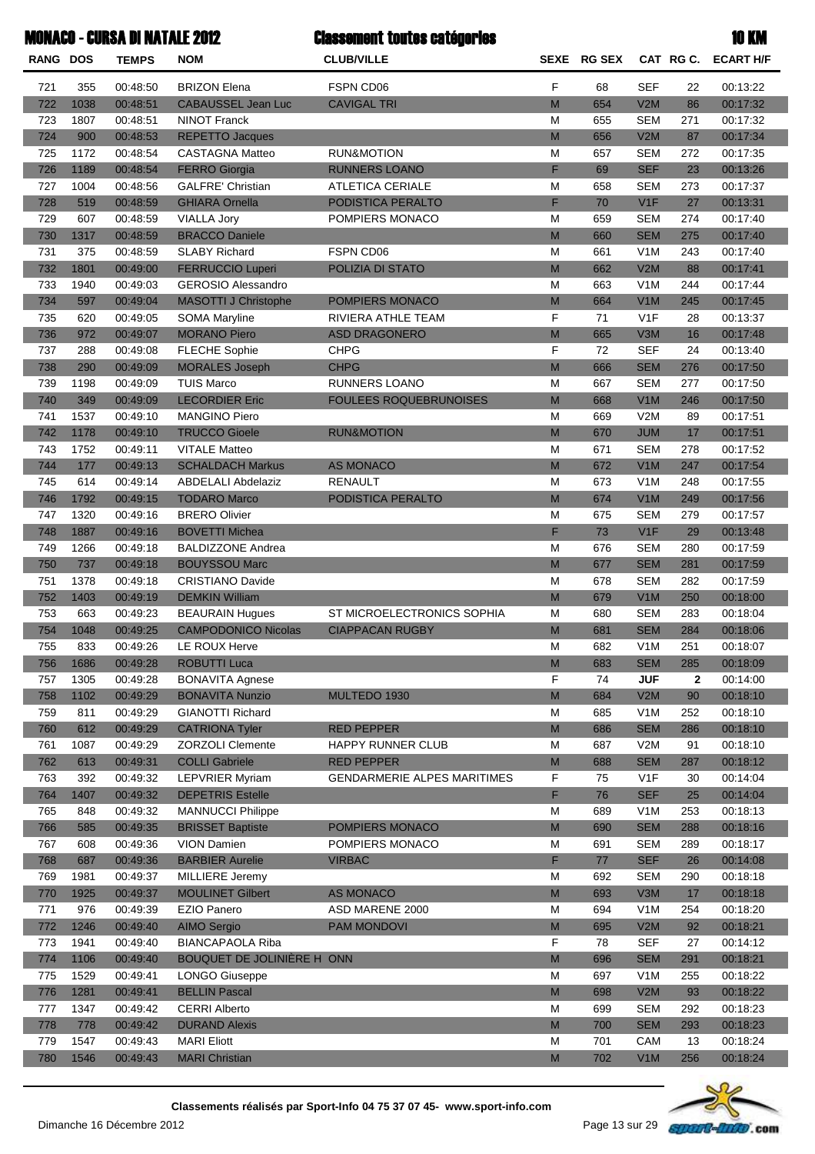|                 |      | <b>MONACO - CURSA DI NATALE 2012</b> |                             | <b>Classement toutes catégories</b> |                                                                                                            |             |                  |              | <b>10 KM</b>     |
|-----------------|------|--------------------------------------|-----------------------------|-------------------------------------|------------------------------------------------------------------------------------------------------------|-------------|------------------|--------------|------------------|
| <b>RANG DOS</b> |      | <b>TEMPS</b>                         | <b>NOM</b>                  | <b>CLUB/VILLE</b>                   |                                                                                                            | SEXE RG SEX |                  | CAT RG C.    | <b>ECART H/F</b> |
| 721             | 355  | 00:48:50                             | <b>BRIZON Elena</b>         | FSPN CD06                           | F                                                                                                          | 68          | <b>SEF</b>       | 22           | 00:13:22         |
| 722             | 1038 | 00:48:51                             | <b>CABAUSSEL Jean Luc</b>   | <b>CAVIGAL TRI</b>                  | M                                                                                                          | 654         | V2M              | 86           | 00:17:32         |
| 723             | 1807 | 00:48:51                             | <b>NINOT Franck</b>         |                                     | M                                                                                                          | 655         | <b>SEM</b>       | 271          | 00:17:32         |
| 724             | 900  | 00:48:53                             | <b>REPETTO Jacques</b>      |                                     | $\mathsf{M}% _{T}=\mathsf{M}_{T}\!\left( a,b\right) ,\ \mathsf{M}_{T}=\mathsf{M}_{T}\!\left( a,b\right) ,$ | 656         | V2M              | 87           | 00:17:34         |
| 725             | 1172 | 00:48:54                             | <b>CASTAGNA Matteo</b>      | <b>RUN&amp;MOTION</b>               | M                                                                                                          | 657         | <b>SEM</b>       | 272          | 00:17:35         |
| 726             | 1189 | 00:48:54                             | <b>FERRO Giorgia</b>        | <b>RUNNERS LOANO</b>                | F                                                                                                          | 69          | <b>SEF</b>       | 23           | 00:13:26         |
| 727             | 1004 | 00:48:56                             | <b>GALFRE' Christian</b>    | <b>ATLETICA CERIALE</b>             | M                                                                                                          | 658         | <b>SEM</b>       | 273          | 00:17:37         |
| 728             | 519  | 00:48:59                             | <b>GHIARA Ornella</b>       | PODISTICA PERALTO                   | F                                                                                                          | 70          | V1F              | 27           | 00:13:31         |
| 729             | 607  | 00:48:59                             | <b>VIALLA Jory</b>          | POMPIERS MONACO                     | M                                                                                                          | 659         | <b>SEM</b>       | 274          | 00:17:40         |
| 730             | 1317 | 00:48:59                             | <b>BRACCO Daniele</b>       |                                     | M                                                                                                          | 660         | <b>SEM</b>       | 275          | 00:17:40         |
| 731             | 375  | 00:48:59                             | <b>SLABY Richard</b>        | FSPN CD06                           | M                                                                                                          | 661         | V1M              | 243          | 00:17:40         |
| 732             | 1801 | 00:49:00                             | <b>FERRUCCIO Luperi</b>     | POLIZIA DI STATO                    | $\mathsf{M}% _{T}=\mathsf{M}_{T}\!\left( a,b\right) ,\ \mathsf{M}_{T}=\mathsf{M}_{T}\!\left( a,b\right) ,$ | 662         | V2M              | 88           | 00:17:41         |
| 733             | 1940 | 00:49:03                             | <b>GEROSIO Alessandro</b>   |                                     | M                                                                                                          | 663         | V1M              | 244          | 00:17:44         |
| 734             | 597  | 00:49:04                             | <b>MASOTTI J Christophe</b> | POMPIERS MONACO                     | $\mathsf{M}% _{T}=\mathsf{M}_{T}\!\left( a,b\right) ,\ \mathsf{M}_{T}=\mathsf{M}_{T}\!\left( a,b\right) ,$ | 664         | V1M              | 245          | 00:17:45         |
| 735             | 620  | 00:49:05                             | <b>SOMA Maryline</b>        | RIVIERA ATHLE TEAM                  | F                                                                                                          | 71          | V <sub>1F</sub>  | 28           | 00:13:37         |
| 736             | 972  | 00:49:07                             | <b>MORANO Piero</b>         | <b>ASD DRAGONERO</b>                | ${\sf M}$                                                                                                  | 665         | V3M              | 16           | 00:17:48         |
| 737             | 288  | 00:49:08                             | <b>FLECHE Sophie</b>        | <b>CHPG</b>                         | F                                                                                                          | 72          | <b>SEF</b>       | 24           | 00:13:40         |
| 738             | 290  | 00:49:09                             | <b>MORALES Joseph</b>       | <b>CHPG</b>                         | ${\sf M}$                                                                                                  | 666         | <b>SEM</b>       | 276          | 00:17:50         |
| 739             | 1198 | 00:49:09                             | <b>TUIS Marco</b>           | <b>RUNNERS LOANO</b>                | M                                                                                                          | 667         | <b>SEM</b>       | 277          | 00:17:50         |
| 740             | 349  | 00:49:09                             | <b>LECORDIER Eric</b>       | <b>FOULEES ROQUEBRUNOISES</b>       | $\mathsf{M}% _{T}=\mathsf{M}_{T}\!\left( a,b\right) ,\ \mathsf{M}_{T}=\mathsf{M}_{T}\!\left( a,b\right) ,$ | 668         | V1M              | 246          | 00:17:50         |
| 741             | 1537 | 00:49:10                             | <b>MANGINO Piero</b>        |                                     | M                                                                                                          | 669         | V2M              | 89           | 00:17:51         |
| 742             | 1178 | 00:49:10                             | <b>TRUCCO Gioele</b>        | <b>RUN&amp;MOTION</b>               | M                                                                                                          | 670         | <b>JUM</b>       | 17           | 00:17:51         |
| 743             | 1752 | 00:49:11                             | <b>VITALE Matteo</b>        |                                     | M                                                                                                          | 671         | <b>SEM</b>       | 278          | 00:17:52         |
| 744             | 177  | 00:49:13                             | <b>SCHALDACH Markus</b>     | <b>AS MONACO</b>                    | M                                                                                                          | 672         | V1M              | 247          | 00:17:54         |
| 745             | 614  | 00:49:14                             | <b>ABDELALI Abdelaziz</b>   | <b>RENAULT</b>                      | M                                                                                                          | 673         | V1M              | 248          | 00:17:55         |
| 746             | 1792 | 00:49:15                             | <b>TODARO Marco</b>         | PODISTICA PERALTO                   | M                                                                                                          | 674         | V1M              | 249          | 00:17:56         |
| 747             | 1320 | 00:49:16                             | <b>BRERO Olivier</b>        |                                     | M                                                                                                          | 675         | <b>SEM</b>       | 279          | 00:17:57         |
| 748             | 1887 | 00:49:16                             | <b>BOVETTI Michea</b>       |                                     | F                                                                                                          | 73          | V1F              | 29           | 00:13:48         |
| 749             | 1266 | 00:49:18                             | <b>BALDIZZONE Andrea</b>    |                                     | M                                                                                                          | 676         | <b>SEM</b>       | 280          | 00:17:59         |
| 750             | 737  | 00:49:18                             | <b>BOUYSSOU Marc</b>        |                                     | M                                                                                                          | 677         | <b>SEM</b>       | 281          | 00:17:59         |
| 751             | 1378 | 00:49:18                             | <b>CRISTIANO Davide</b>     |                                     | M                                                                                                          | 678         | <b>SEM</b>       | 282          | 00:17:59         |
| 752             | 1403 | 00:49:19                             | <b>DEMKIN William</b>       |                                     | $\mathsf{M}% _{T}=\mathsf{M}_{T}\!\left( a,b\right) ,\ \mathsf{M}_{T}=\mathsf{M}_{T}\!\left( a,b\right) ,$ | 679         | V1M              | 250          | 00:18:00         |
| 753             | 663  | 00:49:23                             | <b>BEAURAIN Hugues</b>      | ST MICROELECTRONICS SOPHIA          | M                                                                                                          | 680         | <b>SEM</b>       | 283          | 00:18:04         |
| 754             | 1048 | 00:49:25                             | <b>CAMPODONICO Nicolas</b>  | <b>CIAPPACAN RUGBY</b>              | M                                                                                                          | 681         | <b>SEM</b>       | 284          | 00:18:06         |
| 755             | 833  | 00:49:26                             | LE ROUX Herve               |                                     | M                                                                                                          | 682         | V <sub>1</sub> M | 251          | 00:18:07         |
| 756             | 1686 | 00:49:28                             | <b>ROBUTTI Luca</b>         |                                     | M                                                                                                          | 683         | <b>SEM</b>       | 285          | 00:18:09         |
| 757             | 1305 | 00:49:28                             | <b>BONAVITA Agnese</b>      |                                     | F                                                                                                          | 74          | <b>JUF</b>       | $\mathbf{2}$ | 00:14:00         |
| 758             | 1102 | 00:49:29                             | <b>BONAVITA Nunzio</b>      | MULTEDO 1930                        | $\mathsf{M}% _{T}=\mathsf{M}_{T}\!\left( a,b\right) ,\ \mathsf{M}_{T}=\mathsf{M}_{T}\!\left( a,b\right) ,$ | 684         | V2M              | 90           | 00:18:10         |
| 759             | 811  | 00:49:29                             | <b>GIANOTTI Richard</b>     |                                     | M                                                                                                          | 685         | V <sub>1</sub> M | 252          | 00:18:10         |
| 760             | 612  | 00:49:29                             | <b>CATRIONA Tyler</b>       | <b>RED PEPPER</b>                   | ${\sf M}$                                                                                                  | 686         | <b>SEM</b>       | 286          | 00:18:10         |
| 761             | 1087 | 00:49:29                             | <b>ZORZOLI Clemente</b>     | <b>HAPPY RUNNER CLUB</b>            | M                                                                                                          | 687         | V2M              | 91           | 00:18:10         |
| 762             | 613  | 00:49:31                             | <b>COLLI Gabriele</b>       | <b>RED PEPPER</b>                   | ${\sf M}$                                                                                                  | 688         | <b>SEM</b>       | 287          | 00:18:12         |
| 763             | 392  | 00:49:32                             | <b>LEPVRIER Myriam</b>      | <b>GENDARMERIE ALPES MARITIMES</b>  | F                                                                                                          | 75          | V <sub>1</sub> F | 30           | 00:14:04         |
| 764             | 1407 | 00:49:32                             | <b>DEPETRIS Estelle</b>     |                                     | F                                                                                                          | 76          | <b>SEF</b>       | 25           | 00:14:04         |
| 765             | 848  | 00:49:32                             | <b>MANNUCCI Philippe</b>    |                                     | M                                                                                                          | 689         | V <sub>1</sub> M | 253          | 00:18:13         |
| 766             | 585  | 00:49:35                             | <b>BRISSET Baptiste</b>     | POMPIERS MONACO                     | ${\sf M}$                                                                                                  | 690         | <b>SEM</b>       | 288          | 00:18:16         |
| 767             | 608  | 00:49:36                             | <b>VION Damien</b>          | POMPIERS MONACO                     | M                                                                                                          | 691         | <b>SEM</b>       | 289          | 00:18:17         |
| 768             | 687  | 00:49:36                             | <b>BARBIER Aurelie</b>      | <b>VIRBAC</b>                       | F                                                                                                          | 77          | <b>SEF</b>       | 26           | 00:14:08         |
| 769             | 1981 | 00:49:37                             | MILLIERE Jeremy             |                                     | M                                                                                                          | 692         | <b>SEM</b>       | 290          | 00:18:18         |
| 770             | 1925 | 00:49:37                             | <b>MOULINET Gilbert</b>     | <b>AS MONACO</b>                    | ${\sf M}$                                                                                                  | 693         | V3M              | 17           | 00:18:18         |
| 771             | 976  | 00:49:39                             | <b>EZIO Panero</b>          | ASD MARENE 2000                     | M                                                                                                          | 694         | V <sub>1</sub> M | 254          | 00:18:20         |
| 772             | 1246 | 00:49:40                             | <b>AIMO Sergio</b>          | <b>PAM MONDOVI</b>                  | ${\sf M}$                                                                                                  | 695         | V2M              | 92           | 00:18:21         |
| 773             | 1941 | 00:49:40                             | <b>BIANCAPAOLA Riba</b>     |                                     | F                                                                                                          | 78          | <b>SEF</b>       | 27           | 00:14:12         |
| 774             | 1106 | 00:49:40                             | BOUQUET DE JOLINIÈRE H ONN  |                                     | $\mathsf{M}% _{T}=\mathsf{M}_{T}\!\left( a,b\right) ,\ \mathsf{M}_{T}=\mathsf{M}_{T}\!\left( a,b\right) ,$ | 696         | <b>SEM</b>       | 291          | 00:18:21         |
|                 |      |                                      |                             |                                     |                                                                                                            |             |                  |              |                  |
| 775             | 1529 | 00:49:41                             | <b>LONGO Giuseppe</b>       |                                     | M                                                                                                          | 697         | V <sub>1</sub> M | 255          | 00:18:22         |
| 776             | 1281 | 00:49:41                             | <b>BELLIN Pascal</b>        |                                     | ${\sf M}$                                                                                                  | 698         | V2M              | 93           | 00:18:22         |
| 777             | 1347 | 00:49:42                             | <b>CERRI Alberto</b>        |                                     | м                                                                                                          | 699         | <b>SEM</b>       | 292          | 00:18:23         |
| 778             | 778  | 00:49:42                             | <b>DURAND Alexis</b>        |                                     | ${\sf M}$                                                                                                  | 700         | <b>SEM</b>       | 293          | 00:18:23         |
| 779             | 1547 | 00:49:43                             | <b>MARI Eliott</b>          |                                     | м                                                                                                          | 701         | CAM              | 13           | 00:18:24         |
| 780             | 1546 | 00:49:43                             | <b>MARI Christian</b>       |                                     | ${\sf M}$                                                                                                  | 702         | V1M              | 256          | 00:18:24         |

Ġ Page 13 sur 29 **SUPPER PROD.** com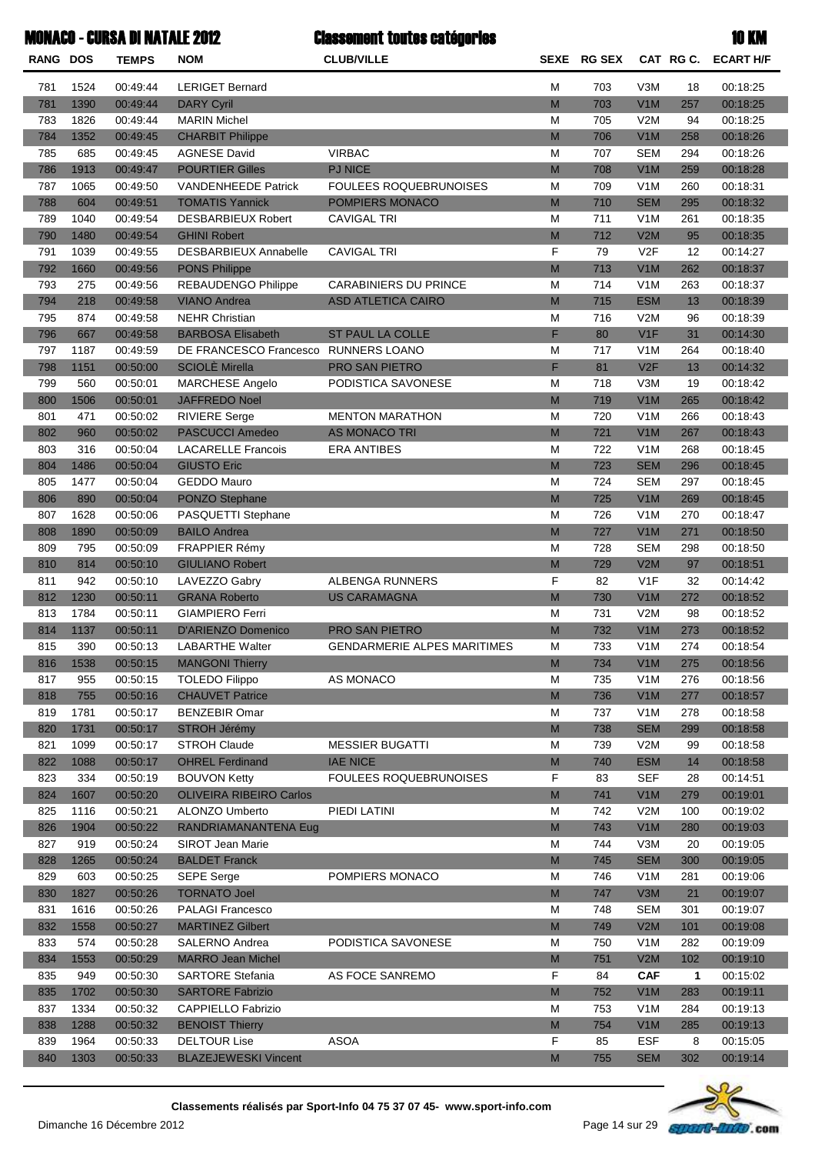## MONACO - CURSA DI NATALE 2012

Classement toutes catégories

| × |  |
|---|--|

| 1524<br>00:49:44<br><b>LERIGET Bernard</b><br>V3M<br>00:18:25<br>781<br>М<br>703<br>18<br>M<br>V1M<br>781<br>1390<br>00:49:44<br>703<br>257<br>00:18:25<br><b>DARY Cyril</b><br>783<br>M<br>V2M<br>00:18:25<br>1826<br>00:49:44<br><b>MARIN Michel</b><br>705<br>94<br>M<br>V1M<br>784<br>00:18:26<br>1352<br>00:49:45<br><b>CHARBIT Philippe</b><br>706<br>258<br>785<br>685<br>00:49:45<br><b>AGNESE David</b><br><b>VIRBAC</b><br>M<br><b>SEM</b><br>294<br>00:18:26<br>707<br>M<br>V1M<br>786<br>1913<br><b>POURTIER Gilles</b><br><b>PJ NICE</b><br>259<br>00:18:28<br>00:49:47<br>708<br>V1M<br>787<br><b>FOULEES ROQUEBRUNOISES</b><br>M<br>00:18:31<br>1065<br>00:49:50<br><b>VANDENHEEDE Patrick</b><br>709<br>260<br>M<br>788<br>604<br><b>TOMATIS Yannick</b><br><b>SEM</b><br>295<br>00:49:51<br>POMPIERS MONACO<br>710<br>00:18:32<br>789<br>1040<br>00:49:54<br><b>DESBARBIEUX Robert</b><br>M<br>V1M<br>00:18:35<br><b>CAVIGAL TRI</b><br>711<br>261<br>M<br>790<br>00:49:54<br>712<br>V2M<br>95<br>1480<br><b>GHINI Robert</b><br>00:18:35<br>F<br>791<br>1039<br><b>DESBARBIEUX Annabelle</b><br>79<br>V2F<br>12<br>00:14:27<br>00:49:55<br><b>CAVIGAL TRI</b><br>V1M<br>792<br>M<br>713<br>262<br>1660<br>00:49:56<br><b>PONS Philippe</b><br>00:18:37<br>V1M<br>793<br>M<br>275<br>00:49:56<br><b>REBAUDENGO Philippe</b><br><b>CARABINIERS DU PRINCE</b><br>714<br>263<br>00:18:37<br>M<br>794<br>218<br>00:49:58<br><b>VIANO Andrea</b><br>715<br><b>ESM</b><br>13<br><b>ASD ATLETICA CAIRO</b><br>00:18:39<br>795<br>874<br>00:49:58<br><b>NEHR Christian</b><br>M<br>V2M<br>00:18:39<br>716<br>96<br>F<br>V1F<br>796<br><b>ST PAUL LA COLLE</b><br>80<br>31<br>667<br>00:49:58<br><b>BARBOSA Elisabeth</b><br>00:14:30<br>797<br>DE FRANCESCO Francesco RUNNERS LOANO<br>V1M<br>1187<br>00:49:59<br>М<br>717<br>264<br>00:18:40<br>F<br>798<br>1151<br><b>SCIOLE</b> Mirella<br>81<br>V2F<br>00:50:00<br>PRO SAN PIETRO<br>13<br>00:14:32<br>799<br>560<br>V3M<br>00:18:42<br>00:50:01<br><b>MARCHESE Angelo</b><br>PODISTICA SAVONESE<br>М<br>718<br>19<br>M<br>V1M<br>800<br>00:50:01<br><b>JAFFREDO Noel</b><br>719<br>265<br>00:18:42<br>1506<br>V1M<br>801<br><b>RIVIERE</b> Serge<br>M<br>00:18:43<br>471<br>00:50:02<br><b>MENTON MARATHON</b><br>720<br>266<br>M<br>V1M<br>802<br>00:50:02<br><b>PASCUCCI Amedeo</b><br>267<br>960<br><b>AS MONACO TRI</b><br>721<br>00:18:43<br>V1M<br>803<br><b>LACARELLE Francois</b><br>M<br>00:18:45<br>316<br>00:50:04<br><b>ERA ANTIBES</b><br>722<br>268<br>M<br>804<br>00:50:04<br><b>GIUSTO Eric</b><br><b>SEM</b><br>296<br>1486<br>723<br>00:18:45<br>805<br>GEDDO Mauro<br>M<br>724<br><b>SEM</b><br>297<br>1477<br>00:50:04<br>00:18:45<br>M<br>V1M<br>806<br>890<br>269<br>00:50:04<br>PONZO Stephane<br>725<br>00:18:45<br>807<br>M<br>V1M<br>270<br>1628<br>00:50:06<br>PASQUETTI Stephane<br>726<br>00:18:47<br>V1M<br><b>BAILO</b> Andrea<br>M<br>271<br>808<br>1890<br>00:50:09<br>727<br>00:18:50<br>809<br><b>FRAPPIER Rémy</b><br>M<br><b>SEM</b><br>298<br>795<br>00:50:09<br>728<br>00:18:50<br>810<br>814<br>M<br>V2M<br>97<br>00:50:10<br><b>GIULIANO Robert</b><br>729<br>00:18:51<br>F<br>811<br>942<br><b>ALBENGA RUNNERS</b><br>V1F<br>32<br>00:14:42<br>00:50:10<br>LAVEZZO Gabry<br>82<br>812<br><b>GRANA Roberto</b><br>M<br>V1M<br>272<br>1230<br>00:50:11<br><b>US CARAMAGNA</b><br>730<br>00:18:52<br>813<br><b>GIAMPIERO Ferri</b><br>V2M<br>1784<br>00:50:11<br>М<br>731<br>98<br>00:18:52<br>M<br>V1M<br>814<br>1137<br>00:50:11<br>D'ARIENZO Domenico<br>PRO SAN PIETRO<br>732<br>273<br>00:18:52<br>M<br>733<br>V1M<br>274<br>815<br>390<br>00:50:13<br><b>LABARTHE Walter</b><br><b>GENDARMERIE ALPES MARITIMES</b><br>00:18:54<br>V1M<br>816<br>00:50:15<br><b>MANGONI Thierry</b><br>M<br>734<br>00:18:56<br>1538<br>275<br>817<br>AS MONACO<br>M<br>V1M<br>00:18:56<br>955<br>00:50:15<br><b>TOLEDO Filippo</b><br>735<br>276<br>818<br><b>CHAUVET Patrice</b><br>$\mathsf{M}% _{T}=\mathsf{M}_{T}\!\left( a,b\right) ,\ \mathsf{M}_{T}=\mathsf{M}_{T}\!\left( a,b\right) ,$<br>V1M<br>755<br>00:50:16<br>736<br>277<br>00:18:57<br>819<br><b>BENZEBIR Omar</b><br>M<br>V1M<br>1781<br>00:50:17<br>737<br>278<br>00:18:58<br>820<br>00:50:17<br>STROH Jérémy<br>$\mathsf{M}% _{T}=\mathsf{M}_{T}\!\left( a,b\right) ,\ \mathsf{M}_{T}=\mathsf{M}_{T}\!\left( a,b\right) ,$<br><b>SEM</b><br>299<br>00:18:58<br>1731<br>738<br>821<br><b>STROH Claude</b><br><b>MESSIER BUGATTI</b><br>V2M<br>00:18:58<br>1099<br>00:50:17<br>M<br>739<br>99<br>822<br>00:50:17<br><b>OHREL Ferdinand</b><br><b>IAE NICE</b><br>$\mathsf{M}% _{T}=\mathsf{M}_{T}\!\left( a,b\right) ,\ \mathsf{M}_{T}=\mathsf{M}_{T}\!\left( a,b\right) ,$<br><b>ESM</b><br>00:18:58<br>1088<br>740<br>14<br>F<br>823<br><b>BOUVON Ketty</b><br><b>SEF</b><br>00:14:51<br>334<br>00:50:19<br><b>FOULEES ROQUEBRUNOISES</b><br>83<br>28<br>824<br>00:50:20<br><b>OLIVEIRA RIBEIRO Carlos</b><br>$\mathsf{M}% _{T}=\mathsf{M}_{T}\!\left( a,b\right) ,\ \mathsf{M}_{T}=\mathsf{M}_{T}\!\left( a,b\right) ,$<br>V1M<br>00:19:01<br>1607<br>741<br>279<br>825<br>ALONZO Umberto<br>PIEDI LATINI<br>V2M<br>00:19:02<br>1116<br>00:50:21<br>M<br>742<br>100<br>826<br>00:50:22<br>RANDRIAMANANTENA Eug<br>$\mathsf{M}% _{T}=\mathsf{M}_{T}\!\left( a,b\right) ,\ \mathsf{M}_{T}=\mathsf{M}_{T}\!\left( a,b\right) ,$<br>V1M<br>00:19:03<br>1904<br>743<br>280<br>827<br><b>SIROT Jean Marie</b><br>744<br>V3M<br>00:19:05<br>919<br>00:50:24<br>M<br>20<br>00:50:24<br><b>BALDET Franck</b><br>$\mathsf{M}% _{T}=\mathsf{M}_{T}\!\left( a,b\right) ,\ \mathsf{M}_{T}=\mathsf{M}_{T}\!\left( a,b\right) ,$<br><b>SEM</b><br>00:19:05<br>828<br>1265<br>745<br>300<br>829<br><b>SEPE Serge</b><br>V1M<br>603<br>00:50:25<br>POMPIERS MONACO<br>M<br>746<br>281<br>00:19:06<br>00:50:26<br><b>TORNATO Joel</b><br>$\mathsf{M}% _{T}=\mathsf{M}_{T}\!\left( a,b\right) ,\ \mathsf{M}_{T}=\mathsf{M}_{T}\!\left( a,b\right) ,$<br>747<br>V3M<br>21<br>00:19:07<br>830<br>1827<br>831<br><b>PALAGI Francesco</b><br><b>SEM</b><br>00:19:07<br>1616<br>00:50:26<br>M<br>748<br>301<br>00:50:27<br><b>MARTINEZ Gilbert</b><br>$\mathsf{M}% _{T}=\mathsf{M}_{T}\!\left( a,b\right) ,\ \mathsf{M}_{T}=\mathsf{M}_{T}\!\left( a,b\right) ,$<br>V2M<br>00:19:08<br>832<br>1558<br>749<br>101<br>833<br>SALERNO Andrea<br>V1M<br>00:19:09<br>574<br>00:50:28<br>PODISTICA SAVONESE<br>M<br>750<br>282<br>834<br>00:50:29<br><b>MARRO Jean Michel</b><br>$\mathsf{M}% _{T}=\mathsf{M}_{T}\!\left( a,b\right) ,\ \mathsf{M}_{T}=\mathsf{M}_{T}\!\left( a,b\right) ,$<br>V2M<br>102<br>00:19:10<br>1553<br>751<br>F<br>835<br><b>SARTORE Stefania</b><br>AS FOCE SANREMO<br>84<br>949<br>00:50:30<br><b>CAF</b><br>00:15:02<br>$\mathbf{1}$<br><b>SARTORE Fabrizio</b><br>$\mathsf{M}% _{T}=\mathsf{M}_{T}\!\left( a,b\right) ,\ \mathsf{M}_{T}=\mathsf{M}_{T}\!\left( a,b\right) ,$<br>V1M<br>00:19:11<br>835<br>1702<br>00:50:30<br>752<br>283<br>837<br>M<br>V1M<br>00:19:13<br>1334<br>00:50:32<br><b>CAPPIELLO Fabrizio</b><br>753<br>284<br>V1M<br>838<br>00:50:32<br><b>BENOIST Thierry</b><br>$\mathsf{M}% _{T}=\mathsf{M}_{T}\!\left( a,b\right) ,\ \mathsf{M}_{T}=\mathsf{M}_{T}\!\left( a,b\right) ,$<br>285<br>00:19:13<br>1288<br>754<br>F<br><b>ESF</b><br>839<br>00:50:33<br><b>DELTOUR Lise</b><br><b>ASOA</b><br>85<br>00:15:05<br>1964<br>8 | <b>RANG DOS</b> |      | <b>TEMPS</b> | <b>NOM</b>                  | vunvnt tvutvv vutvyvi IV<br><b>CLUB/VILLE</b> | <b>SEXE</b> | <b>RG SEX</b> |            | CAT RG C. | <b>ECART H/F</b> |
|---------------------------------------------------------------------------------------------------------------------------------------------------------------------------------------------------------------------------------------------------------------------------------------------------------------------------------------------------------------------------------------------------------------------------------------------------------------------------------------------------------------------------------------------------------------------------------------------------------------------------------------------------------------------------------------------------------------------------------------------------------------------------------------------------------------------------------------------------------------------------------------------------------------------------------------------------------------------------------------------------------------------------------------------------------------------------------------------------------------------------------------------------------------------------------------------------------------------------------------------------------------------------------------------------------------------------------------------------------------------------------------------------------------------------------------------------------------------------------------------------------------------------------------------------------------------------------------------------------------------------------------------------------------------------------------------------------------------------------------------------------------------------------------------------------------------------------------------------------------------------------------------------------------------------------------------------------------------------------------------------------------------------------------------------------------------------------------------------------------------------------------------------------------------------------------------------------------------------------------------------------------------------------------------------------------------------------------------------------------------------------------------------------------------------------------------------------------------------------------------------------------------------------------------------------------------------------------------------------------------------------------------------------------------------------------------------------------------------------------------------------------------------------------------------------------------------------------------------------------------------------------------------------------------------------------------------------------------------------------------------------------------------------------------------------------------------------------------------------------------------------------------------------------------------------------------------------------------------------------------------------------------------------------------------------------------------------------------------------------------------------------------------------------------------------------------------------------------------------------------------------------------------------------------------------------------------------------------------------------------------------------------------------------------------------------------------------------------------------------------------------------------------------------------------------------------------------------------------------------------------------------------------------------------------------------------------------------------------------------------------------------------------------------------------------------------------------------------------------------------------------------------------------------------------------------------------------------------------------------------------------------------------------------------------------------------------------------------------------------------------------------------------------------------------------------------------------------------------------------------------------------------------------------------------------------------------------------------------------------------------------------------------------------------------------------------------------------------------------------------------------------------------------------------------------------------------------------------------------------------------------------------------------------------------------------------------------------------------------------------------------------------------------------------------------------------------------------------------------------------------------------------------------------------------------------------------------------------------------------------------------------------------------------------------------------------------------------------------------------------------------------------------------------------------------------------------------------------------------------------------------------------------------------------------------------------------------------------------------------------------------------------------------------------------------------------------------------------------------------------------------------------------------------------------------------------------------------------------------------------------------------------------------------------------------------------------------------------------------------------------------------------------------------------------------------------------------------------------------------------------------------------------------------------------------------------------------------------------------------------------------------------------------------------------------------------------------------------------------------------------------------------------------------------------------------------------------------------------------------------------------------------------------------------------------------------------------------------------------------------------------------------------------------------------------------------------------------------------------------------------------------------------------------------------------------------------------------------------------------------------------------------------------------------------------------------------------------------------------------------------------------------------------------------------------------------------------------------------------------------------------------------------------------------------------------------------------------------------------------------------------------------------------------------------------------------------------------------------------------------------------------------------------------------|-----------------|------|--------------|-----------------------------|-----------------------------------------------|-------------|---------------|------------|-----------|------------------|
|                                                                                                                                                                                                                                                                                                                                                                                                                                                                                                                                                                                                                                                                                                                                                                                                                                                                                                                                                                                                                                                                                                                                                                                                                                                                                                                                                                                                                                                                                                                                                                                                                                                                                                                                                                                                                                                                                                                                                                                                                                                                                                                                                                                                                                                                                                                                                                                                                                                                                                                                                                                                                                                                                                                                                                                                                                                                                                                                                                                                                                                                                                                                                                                                                                                                                                                                                                                                                                                                                                                                                                                                                                                                                                                                                                                                                                                                                                                                                                                                                                                                                                                                                                                                                                                                                                                                                                                                                                                                                                                                                                                                                                                                                                                                                                                                                                                                                                                                                                                                                                                                                                                                                                                                                                                                                                                                                                                                                                                                                                                                                                                                                                                                                                                                                                                                                                                                                                                                                                                                                                                                                                                                                                                                                                                                                                                                                                                                                                                                                                                                                                                                                                                                                                                                                                                                                                                                                                                                                                                                                                                                                                                                                                                                                                                                                                                                                                                                                     |                 |      |              |                             |                                               |             |               |            |           |                  |
|                                                                                                                                                                                                                                                                                                                                                                                                                                                                                                                                                                                                                                                                                                                                                                                                                                                                                                                                                                                                                                                                                                                                                                                                                                                                                                                                                                                                                                                                                                                                                                                                                                                                                                                                                                                                                                                                                                                                                                                                                                                                                                                                                                                                                                                                                                                                                                                                                                                                                                                                                                                                                                                                                                                                                                                                                                                                                                                                                                                                                                                                                                                                                                                                                                                                                                                                                                                                                                                                                                                                                                                                                                                                                                                                                                                                                                                                                                                                                                                                                                                                                                                                                                                                                                                                                                                                                                                                                                                                                                                                                                                                                                                                                                                                                                                                                                                                                                                                                                                                                                                                                                                                                                                                                                                                                                                                                                                                                                                                                                                                                                                                                                                                                                                                                                                                                                                                                                                                                                                                                                                                                                                                                                                                                                                                                                                                                                                                                                                                                                                                                                                                                                                                                                                                                                                                                                                                                                                                                                                                                                                                                                                                                                                                                                                                                                                                                                                                                     |                 |      |              |                             |                                               |             |               |            |           |                  |
|                                                                                                                                                                                                                                                                                                                                                                                                                                                                                                                                                                                                                                                                                                                                                                                                                                                                                                                                                                                                                                                                                                                                                                                                                                                                                                                                                                                                                                                                                                                                                                                                                                                                                                                                                                                                                                                                                                                                                                                                                                                                                                                                                                                                                                                                                                                                                                                                                                                                                                                                                                                                                                                                                                                                                                                                                                                                                                                                                                                                                                                                                                                                                                                                                                                                                                                                                                                                                                                                                                                                                                                                                                                                                                                                                                                                                                                                                                                                                                                                                                                                                                                                                                                                                                                                                                                                                                                                                                                                                                                                                                                                                                                                                                                                                                                                                                                                                                                                                                                                                                                                                                                                                                                                                                                                                                                                                                                                                                                                                                                                                                                                                                                                                                                                                                                                                                                                                                                                                                                                                                                                                                                                                                                                                                                                                                                                                                                                                                                                                                                                                                                                                                                                                                                                                                                                                                                                                                                                                                                                                                                                                                                                                                                                                                                                                                                                                                                                                     |                 |      |              |                             |                                               |             |               |            |           |                  |
|                                                                                                                                                                                                                                                                                                                                                                                                                                                                                                                                                                                                                                                                                                                                                                                                                                                                                                                                                                                                                                                                                                                                                                                                                                                                                                                                                                                                                                                                                                                                                                                                                                                                                                                                                                                                                                                                                                                                                                                                                                                                                                                                                                                                                                                                                                                                                                                                                                                                                                                                                                                                                                                                                                                                                                                                                                                                                                                                                                                                                                                                                                                                                                                                                                                                                                                                                                                                                                                                                                                                                                                                                                                                                                                                                                                                                                                                                                                                                                                                                                                                                                                                                                                                                                                                                                                                                                                                                                                                                                                                                                                                                                                                                                                                                                                                                                                                                                                                                                                                                                                                                                                                                                                                                                                                                                                                                                                                                                                                                                                                                                                                                                                                                                                                                                                                                                                                                                                                                                                                                                                                                                                                                                                                                                                                                                                                                                                                                                                                                                                                                                                                                                                                                                                                                                                                                                                                                                                                                                                                                                                                                                                                                                                                                                                                                                                                                                                                                     |                 |      |              |                             |                                               |             |               |            |           |                  |
|                                                                                                                                                                                                                                                                                                                                                                                                                                                                                                                                                                                                                                                                                                                                                                                                                                                                                                                                                                                                                                                                                                                                                                                                                                                                                                                                                                                                                                                                                                                                                                                                                                                                                                                                                                                                                                                                                                                                                                                                                                                                                                                                                                                                                                                                                                                                                                                                                                                                                                                                                                                                                                                                                                                                                                                                                                                                                                                                                                                                                                                                                                                                                                                                                                                                                                                                                                                                                                                                                                                                                                                                                                                                                                                                                                                                                                                                                                                                                                                                                                                                                                                                                                                                                                                                                                                                                                                                                                                                                                                                                                                                                                                                                                                                                                                                                                                                                                                                                                                                                                                                                                                                                                                                                                                                                                                                                                                                                                                                                                                                                                                                                                                                                                                                                                                                                                                                                                                                                                                                                                                                                                                                                                                                                                                                                                                                                                                                                                                                                                                                                                                                                                                                                                                                                                                                                                                                                                                                                                                                                                                                                                                                                                                                                                                                                                                                                                                                                     |                 |      |              |                             |                                               |             |               |            |           |                  |
|                                                                                                                                                                                                                                                                                                                                                                                                                                                                                                                                                                                                                                                                                                                                                                                                                                                                                                                                                                                                                                                                                                                                                                                                                                                                                                                                                                                                                                                                                                                                                                                                                                                                                                                                                                                                                                                                                                                                                                                                                                                                                                                                                                                                                                                                                                                                                                                                                                                                                                                                                                                                                                                                                                                                                                                                                                                                                                                                                                                                                                                                                                                                                                                                                                                                                                                                                                                                                                                                                                                                                                                                                                                                                                                                                                                                                                                                                                                                                                                                                                                                                                                                                                                                                                                                                                                                                                                                                                                                                                                                                                                                                                                                                                                                                                                                                                                                                                                                                                                                                                                                                                                                                                                                                                                                                                                                                                                                                                                                                                                                                                                                                                                                                                                                                                                                                                                                                                                                                                                                                                                                                                                                                                                                                                                                                                                                                                                                                                                                                                                                                                                                                                                                                                                                                                                                                                                                                                                                                                                                                                                                                                                                                                                                                                                                                                                                                                                                                     |                 |      |              |                             |                                               |             |               |            |           |                  |
|                                                                                                                                                                                                                                                                                                                                                                                                                                                                                                                                                                                                                                                                                                                                                                                                                                                                                                                                                                                                                                                                                                                                                                                                                                                                                                                                                                                                                                                                                                                                                                                                                                                                                                                                                                                                                                                                                                                                                                                                                                                                                                                                                                                                                                                                                                                                                                                                                                                                                                                                                                                                                                                                                                                                                                                                                                                                                                                                                                                                                                                                                                                                                                                                                                                                                                                                                                                                                                                                                                                                                                                                                                                                                                                                                                                                                                                                                                                                                                                                                                                                                                                                                                                                                                                                                                                                                                                                                                                                                                                                                                                                                                                                                                                                                                                                                                                                                                                                                                                                                                                                                                                                                                                                                                                                                                                                                                                                                                                                                                                                                                                                                                                                                                                                                                                                                                                                                                                                                                                                                                                                                                                                                                                                                                                                                                                                                                                                                                                                                                                                                                                                                                                                                                                                                                                                                                                                                                                                                                                                                                                                                                                                                                                                                                                                                                                                                                                                                     |                 |      |              |                             |                                               |             |               |            |           |                  |
|                                                                                                                                                                                                                                                                                                                                                                                                                                                                                                                                                                                                                                                                                                                                                                                                                                                                                                                                                                                                                                                                                                                                                                                                                                                                                                                                                                                                                                                                                                                                                                                                                                                                                                                                                                                                                                                                                                                                                                                                                                                                                                                                                                                                                                                                                                                                                                                                                                                                                                                                                                                                                                                                                                                                                                                                                                                                                                                                                                                                                                                                                                                                                                                                                                                                                                                                                                                                                                                                                                                                                                                                                                                                                                                                                                                                                                                                                                                                                                                                                                                                                                                                                                                                                                                                                                                                                                                                                                                                                                                                                                                                                                                                                                                                                                                                                                                                                                                                                                                                                                                                                                                                                                                                                                                                                                                                                                                                                                                                                                                                                                                                                                                                                                                                                                                                                                                                                                                                                                                                                                                                                                                                                                                                                                                                                                                                                                                                                                                                                                                                                                                                                                                                                                                                                                                                                                                                                                                                                                                                                                                                                                                                                                                                                                                                                                                                                                                                                     |                 |      |              |                             |                                               |             |               |            |           |                  |
|                                                                                                                                                                                                                                                                                                                                                                                                                                                                                                                                                                                                                                                                                                                                                                                                                                                                                                                                                                                                                                                                                                                                                                                                                                                                                                                                                                                                                                                                                                                                                                                                                                                                                                                                                                                                                                                                                                                                                                                                                                                                                                                                                                                                                                                                                                                                                                                                                                                                                                                                                                                                                                                                                                                                                                                                                                                                                                                                                                                                                                                                                                                                                                                                                                                                                                                                                                                                                                                                                                                                                                                                                                                                                                                                                                                                                                                                                                                                                                                                                                                                                                                                                                                                                                                                                                                                                                                                                                                                                                                                                                                                                                                                                                                                                                                                                                                                                                                                                                                                                                                                                                                                                                                                                                                                                                                                                                                                                                                                                                                                                                                                                                                                                                                                                                                                                                                                                                                                                                                                                                                                                                                                                                                                                                                                                                                                                                                                                                                                                                                                                                                                                                                                                                                                                                                                                                                                                                                                                                                                                                                                                                                                                                                                                                                                                                                                                                                                                     |                 |      |              |                             |                                               |             |               |            |           |                  |
|                                                                                                                                                                                                                                                                                                                                                                                                                                                                                                                                                                                                                                                                                                                                                                                                                                                                                                                                                                                                                                                                                                                                                                                                                                                                                                                                                                                                                                                                                                                                                                                                                                                                                                                                                                                                                                                                                                                                                                                                                                                                                                                                                                                                                                                                                                                                                                                                                                                                                                                                                                                                                                                                                                                                                                                                                                                                                                                                                                                                                                                                                                                                                                                                                                                                                                                                                                                                                                                                                                                                                                                                                                                                                                                                                                                                                                                                                                                                                                                                                                                                                                                                                                                                                                                                                                                                                                                                                                                                                                                                                                                                                                                                                                                                                                                                                                                                                                                                                                                                                                                                                                                                                                                                                                                                                                                                                                                                                                                                                                                                                                                                                                                                                                                                                                                                                                                                                                                                                                                                                                                                                                                                                                                                                                                                                                                                                                                                                                                                                                                                                                                                                                                                                                                                                                                                                                                                                                                                                                                                                                                                                                                                                                                                                                                                                                                                                                                                                     |                 |      |              |                             |                                               |             |               |            |           |                  |
|                                                                                                                                                                                                                                                                                                                                                                                                                                                                                                                                                                                                                                                                                                                                                                                                                                                                                                                                                                                                                                                                                                                                                                                                                                                                                                                                                                                                                                                                                                                                                                                                                                                                                                                                                                                                                                                                                                                                                                                                                                                                                                                                                                                                                                                                                                                                                                                                                                                                                                                                                                                                                                                                                                                                                                                                                                                                                                                                                                                                                                                                                                                                                                                                                                                                                                                                                                                                                                                                                                                                                                                                                                                                                                                                                                                                                                                                                                                                                                                                                                                                                                                                                                                                                                                                                                                                                                                                                                                                                                                                                                                                                                                                                                                                                                                                                                                                                                                                                                                                                                                                                                                                                                                                                                                                                                                                                                                                                                                                                                                                                                                                                                                                                                                                                                                                                                                                                                                                                                                                                                                                                                                                                                                                                                                                                                                                                                                                                                                                                                                                                                                                                                                                                                                                                                                                                                                                                                                                                                                                                                                                                                                                                                                                                                                                                                                                                                                                                     |                 |      |              |                             |                                               |             |               |            |           |                  |
|                                                                                                                                                                                                                                                                                                                                                                                                                                                                                                                                                                                                                                                                                                                                                                                                                                                                                                                                                                                                                                                                                                                                                                                                                                                                                                                                                                                                                                                                                                                                                                                                                                                                                                                                                                                                                                                                                                                                                                                                                                                                                                                                                                                                                                                                                                                                                                                                                                                                                                                                                                                                                                                                                                                                                                                                                                                                                                                                                                                                                                                                                                                                                                                                                                                                                                                                                                                                                                                                                                                                                                                                                                                                                                                                                                                                                                                                                                                                                                                                                                                                                                                                                                                                                                                                                                                                                                                                                                                                                                                                                                                                                                                                                                                                                                                                                                                                                                                                                                                                                                                                                                                                                                                                                                                                                                                                                                                                                                                                                                                                                                                                                                                                                                                                                                                                                                                                                                                                                                                                                                                                                                                                                                                                                                                                                                                                                                                                                                                                                                                                                                                                                                                                                                                                                                                                                                                                                                                                                                                                                                                                                                                                                                                                                                                                                                                                                                                                                     |                 |      |              |                             |                                               |             |               |            |           |                  |
|                                                                                                                                                                                                                                                                                                                                                                                                                                                                                                                                                                                                                                                                                                                                                                                                                                                                                                                                                                                                                                                                                                                                                                                                                                                                                                                                                                                                                                                                                                                                                                                                                                                                                                                                                                                                                                                                                                                                                                                                                                                                                                                                                                                                                                                                                                                                                                                                                                                                                                                                                                                                                                                                                                                                                                                                                                                                                                                                                                                                                                                                                                                                                                                                                                                                                                                                                                                                                                                                                                                                                                                                                                                                                                                                                                                                                                                                                                                                                                                                                                                                                                                                                                                                                                                                                                                                                                                                                                                                                                                                                                                                                                                                                                                                                                                                                                                                                                                                                                                                                                                                                                                                                                                                                                                                                                                                                                                                                                                                                                                                                                                                                                                                                                                                                                                                                                                                                                                                                                                                                                                                                                                                                                                                                                                                                                                                                                                                                                                                                                                                                                                                                                                                                                                                                                                                                                                                                                                                                                                                                                                                                                                                                                                                                                                                                                                                                                                                                     |                 |      |              |                             |                                               |             |               |            |           |                  |
|                                                                                                                                                                                                                                                                                                                                                                                                                                                                                                                                                                                                                                                                                                                                                                                                                                                                                                                                                                                                                                                                                                                                                                                                                                                                                                                                                                                                                                                                                                                                                                                                                                                                                                                                                                                                                                                                                                                                                                                                                                                                                                                                                                                                                                                                                                                                                                                                                                                                                                                                                                                                                                                                                                                                                                                                                                                                                                                                                                                                                                                                                                                                                                                                                                                                                                                                                                                                                                                                                                                                                                                                                                                                                                                                                                                                                                                                                                                                                                                                                                                                                                                                                                                                                                                                                                                                                                                                                                                                                                                                                                                                                                                                                                                                                                                                                                                                                                                                                                                                                                                                                                                                                                                                                                                                                                                                                                                                                                                                                                                                                                                                                                                                                                                                                                                                                                                                                                                                                                                                                                                                                                                                                                                                                                                                                                                                                                                                                                                                                                                                                                                                                                                                                                                                                                                                                                                                                                                                                                                                                                                                                                                                                                                                                                                                                                                                                                                                                     |                 |      |              |                             |                                               |             |               |            |           |                  |
|                                                                                                                                                                                                                                                                                                                                                                                                                                                                                                                                                                                                                                                                                                                                                                                                                                                                                                                                                                                                                                                                                                                                                                                                                                                                                                                                                                                                                                                                                                                                                                                                                                                                                                                                                                                                                                                                                                                                                                                                                                                                                                                                                                                                                                                                                                                                                                                                                                                                                                                                                                                                                                                                                                                                                                                                                                                                                                                                                                                                                                                                                                                                                                                                                                                                                                                                                                                                                                                                                                                                                                                                                                                                                                                                                                                                                                                                                                                                                                                                                                                                                                                                                                                                                                                                                                                                                                                                                                                                                                                                                                                                                                                                                                                                                                                                                                                                                                                                                                                                                                                                                                                                                                                                                                                                                                                                                                                                                                                                                                                                                                                                                                                                                                                                                                                                                                                                                                                                                                                                                                                                                                                                                                                                                                                                                                                                                                                                                                                                                                                                                                                                                                                                                                                                                                                                                                                                                                                                                                                                                                                                                                                                                                                                                                                                                                                                                                                                                     |                 |      |              |                             |                                               |             |               |            |           |                  |
|                                                                                                                                                                                                                                                                                                                                                                                                                                                                                                                                                                                                                                                                                                                                                                                                                                                                                                                                                                                                                                                                                                                                                                                                                                                                                                                                                                                                                                                                                                                                                                                                                                                                                                                                                                                                                                                                                                                                                                                                                                                                                                                                                                                                                                                                                                                                                                                                                                                                                                                                                                                                                                                                                                                                                                                                                                                                                                                                                                                                                                                                                                                                                                                                                                                                                                                                                                                                                                                                                                                                                                                                                                                                                                                                                                                                                                                                                                                                                                                                                                                                                                                                                                                                                                                                                                                                                                                                                                                                                                                                                                                                                                                                                                                                                                                                                                                                                                                                                                                                                                                                                                                                                                                                                                                                                                                                                                                                                                                                                                                                                                                                                                                                                                                                                                                                                                                                                                                                                                                                                                                                                                                                                                                                                                                                                                                                                                                                                                                                                                                                                                                                                                                                                                                                                                                                                                                                                                                                                                                                                                                                                                                                                                                                                                                                                                                                                                                                                     |                 |      |              |                             |                                               |             |               |            |           |                  |
|                                                                                                                                                                                                                                                                                                                                                                                                                                                                                                                                                                                                                                                                                                                                                                                                                                                                                                                                                                                                                                                                                                                                                                                                                                                                                                                                                                                                                                                                                                                                                                                                                                                                                                                                                                                                                                                                                                                                                                                                                                                                                                                                                                                                                                                                                                                                                                                                                                                                                                                                                                                                                                                                                                                                                                                                                                                                                                                                                                                                                                                                                                                                                                                                                                                                                                                                                                                                                                                                                                                                                                                                                                                                                                                                                                                                                                                                                                                                                                                                                                                                                                                                                                                                                                                                                                                                                                                                                                                                                                                                                                                                                                                                                                                                                                                                                                                                                                                                                                                                                                                                                                                                                                                                                                                                                                                                                                                                                                                                                                                                                                                                                                                                                                                                                                                                                                                                                                                                                                                                                                                                                                                                                                                                                                                                                                                                                                                                                                                                                                                                                                                                                                                                                                                                                                                                                                                                                                                                                                                                                                                                                                                                                                                                                                                                                                                                                                                                                     |                 |      |              |                             |                                               |             |               |            |           |                  |
|                                                                                                                                                                                                                                                                                                                                                                                                                                                                                                                                                                                                                                                                                                                                                                                                                                                                                                                                                                                                                                                                                                                                                                                                                                                                                                                                                                                                                                                                                                                                                                                                                                                                                                                                                                                                                                                                                                                                                                                                                                                                                                                                                                                                                                                                                                                                                                                                                                                                                                                                                                                                                                                                                                                                                                                                                                                                                                                                                                                                                                                                                                                                                                                                                                                                                                                                                                                                                                                                                                                                                                                                                                                                                                                                                                                                                                                                                                                                                                                                                                                                                                                                                                                                                                                                                                                                                                                                                                                                                                                                                                                                                                                                                                                                                                                                                                                                                                                                                                                                                                                                                                                                                                                                                                                                                                                                                                                                                                                                                                                                                                                                                                                                                                                                                                                                                                                                                                                                                                                                                                                                                                                                                                                                                                                                                                                                                                                                                                                                                                                                                                                                                                                                                                                                                                                                                                                                                                                                                                                                                                                                                                                                                                                                                                                                                                                                                                                                                     |                 |      |              |                             |                                               |             |               |            |           |                  |
|                                                                                                                                                                                                                                                                                                                                                                                                                                                                                                                                                                                                                                                                                                                                                                                                                                                                                                                                                                                                                                                                                                                                                                                                                                                                                                                                                                                                                                                                                                                                                                                                                                                                                                                                                                                                                                                                                                                                                                                                                                                                                                                                                                                                                                                                                                                                                                                                                                                                                                                                                                                                                                                                                                                                                                                                                                                                                                                                                                                                                                                                                                                                                                                                                                                                                                                                                                                                                                                                                                                                                                                                                                                                                                                                                                                                                                                                                                                                                                                                                                                                                                                                                                                                                                                                                                                                                                                                                                                                                                                                                                                                                                                                                                                                                                                                                                                                                                                                                                                                                                                                                                                                                                                                                                                                                                                                                                                                                                                                                                                                                                                                                                                                                                                                                                                                                                                                                                                                                                                                                                                                                                                                                                                                                                                                                                                                                                                                                                                                                                                                                                                                                                                                                                                                                                                                                                                                                                                                                                                                                                                                                                                                                                                                                                                                                                                                                                                                                     |                 |      |              |                             |                                               |             |               |            |           |                  |
|                                                                                                                                                                                                                                                                                                                                                                                                                                                                                                                                                                                                                                                                                                                                                                                                                                                                                                                                                                                                                                                                                                                                                                                                                                                                                                                                                                                                                                                                                                                                                                                                                                                                                                                                                                                                                                                                                                                                                                                                                                                                                                                                                                                                                                                                                                                                                                                                                                                                                                                                                                                                                                                                                                                                                                                                                                                                                                                                                                                                                                                                                                                                                                                                                                                                                                                                                                                                                                                                                                                                                                                                                                                                                                                                                                                                                                                                                                                                                                                                                                                                                                                                                                                                                                                                                                                                                                                                                                                                                                                                                                                                                                                                                                                                                                                                                                                                                                                                                                                                                                                                                                                                                                                                                                                                                                                                                                                                                                                                                                                                                                                                                                                                                                                                                                                                                                                                                                                                                                                                                                                                                                                                                                                                                                                                                                                                                                                                                                                                                                                                                                                                                                                                                                                                                                                                                                                                                                                                                                                                                                                                                                                                                                                                                                                                                                                                                                                                                     |                 |      |              |                             |                                               |             |               |            |           |                  |
|                                                                                                                                                                                                                                                                                                                                                                                                                                                                                                                                                                                                                                                                                                                                                                                                                                                                                                                                                                                                                                                                                                                                                                                                                                                                                                                                                                                                                                                                                                                                                                                                                                                                                                                                                                                                                                                                                                                                                                                                                                                                                                                                                                                                                                                                                                                                                                                                                                                                                                                                                                                                                                                                                                                                                                                                                                                                                                                                                                                                                                                                                                                                                                                                                                                                                                                                                                                                                                                                                                                                                                                                                                                                                                                                                                                                                                                                                                                                                                                                                                                                                                                                                                                                                                                                                                                                                                                                                                                                                                                                                                                                                                                                                                                                                                                                                                                                                                                                                                                                                                                                                                                                                                                                                                                                                                                                                                                                                                                                                                                                                                                                                                                                                                                                                                                                                                                                                                                                                                                                                                                                                                                                                                                                                                                                                                                                                                                                                                                                                                                                                                                                                                                                                                                                                                                                                                                                                                                                                                                                                                                                                                                                                                                                                                                                                                                                                                                                                     |                 |      |              |                             |                                               |             |               |            |           |                  |
|                                                                                                                                                                                                                                                                                                                                                                                                                                                                                                                                                                                                                                                                                                                                                                                                                                                                                                                                                                                                                                                                                                                                                                                                                                                                                                                                                                                                                                                                                                                                                                                                                                                                                                                                                                                                                                                                                                                                                                                                                                                                                                                                                                                                                                                                                                                                                                                                                                                                                                                                                                                                                                                                                                                                                                                                                                                                                                                                                                                                                                                                                                                                                                                                                                                                                                                                                                                                                                                                                                                                                                                                                                                                                                                                                                                                                                                                                                                                                                                                                                                                                                                                                                                                                                                                                                                                                                                                                                                                                                                                                                                                                                                                                                                                                                                                                                                                                                                                                                                                                                                                                                                                                                                                                                                                                                                                                                                                                                                                                                                                                                                                                                                                                                                                                                                                                                                                                                                                                                                                                                                                                                                                                                                                                                                                                                                                                                                                                                                                                                                                                                                                                                                                                                                                                                                                                                                                                                                                                                                                                                                                                                                                                                                                                                                                                                                                                                                                                     |                 |      |              |                             |                                               |             |               |            |           |                  |
|                                                                                                                                                                                                                                                                                                                                                                                                                                                                                                                                                                                                                                                                                                                                                                                                                                                                                                                                                                                                                                                                                                                                                                                                                                                                                                                                                                                                                                                                                                                                                                                                                                                                                                                                                                                                                                                                                                                                                                                                                                                                                                                                                                                                                                                                                                                                                                                                                                                                                                                                                                                                                                                                                                                                                                                                                                                                                                                                                                                                                                                                                                                                                                                                                                                                                                                                                                                                                                                                                                                                                                                                                                                                                                                                                                                                                                                                                                                                                                                                                                                                                                                                                                                                                                                                                                                                                                                                                                                                                                                                                                                                                                                                                                                                                                                                                                                                                                                                                                                                                                                                                                                                                                                                                                                                                                                                                                                                                                                                                                                                                                                                                                                                                                                                                                                                                                                                                                                                                                                                                                                                                                                                                                                                                                                                                                                                                                                                                                                                                                                                                                                                                                                                                                                                                                                                                                                                                                                                                                                                                                                                                                                                                                                                                                                                                                                                                                                                                     |                 |      |              |                             |                                               |             |               |            |           |                  |
|                                                                                                                                                                                                                                                                                                                                                                                                                                                                                                                                                                                                                                                                                                                                                                                                                                                                                                                                                                                                                                                                                                                                                                                                                                                                                                                                                                                                                                                                                                                                                                                                                                                                                                                                                                                                                                                                                                                                                                                                                                                                                                                                                                                                                                                                                                                                                                                                                                                                                                                                                                                                                                                                                                                                                                                                                                                                                                                                                                                                                                                                                                                                                                                                                                                                                                                                                                                                                                                                                                                                                                                                                                                                                                                                                                                                                                                                                                                                                                                                                                                                                                                                                                                                                                                                                                                                                                                                                                                                                                                                                                                                                                                                                                                                                                                                                                                                                                                                                                                                                                                                                                                                                                                                                                                                                                                                                                                                                                                                                                                                                                                                                                                                                                                                                                                                                                                                                                                                                                                                                                                                                                                                                                                                                                                                                                                                                                                                                                                                                                                                                                                                                                                                                                                                                                                                                                                                                                                                                                                                                                                                                                                                                                                                                                                                                                                                                                                                                     |                 |      |              |                             |                                               |             |               |            |           |                  |
|                                                                                                                                                                                                                                                                                                                                                                                                                                                                                                                                                                                                                                                                                                                                                                                                                                                                                                                                                                                                                                                                                                                                                                                                                                                                                                                                                                                                                                                                                                                                                                                                                                                                                                                                                                                                                                                                                                                                                                                                                                                                                                                                                                                                                                                                                                                                                                                                                                                                                                                                                                                                                                                                                                                                                                                                                                                                                                                                                                                                                                                                                                                                                                                                                                                                                                                                                                                                                                                                                                                                                                                                                                                                                                                                                                                                                                                                                                                                                                                                                                                                                                                                                                                                                                                                                                                                                                                                                                                                                                                                                                                                                                                                                                                                                                                                                                                                                                                                                                                                                                                                                                                                                                                                                                                                                                                                                                                                                                                                                                                                                                                                                                                                                                                                                                                                                                                                                                                                                                                                                                                                                                                                                                                                                                                                                                                                                                                                                                                                                                                                                                                                                                                                                                                                                                                                                                                                                                                                                                                                                                                                                                                                                                                                                                                                                                                                                                                                                     |                 |      |              |                             |                                               |             |               |            |           |                  |
|                                                                                                                                                                                                                                                                                                                                                                                                                                                                                                                                                                                                                                                                                                                                                                                                                                                                                                                                                                                                                                                                                                                                                                                                                                                                                                                                                                                                                                                                                                                                                                                                                                                                                                                                                                                                                                                                                                                                                                                                                                                                                                                                                                                                                                                                                                                                                                                                                                                                                                                                                                                                                                                                                                                                                                                                                                                                                                                                                                                                                                                                                                                                                                                                                                                                                                                                                                                                                                                                                                                                                                                                                                                                                                                                                                                                                                                                                                                                                                                                                                                                                                                                                                                                                                                                                                                                                                                                                                                                                                                                                                                                                                                                                                                                                                                                                                                                                                                                                                                                                                                                                                                                                                                                                                                                                                                                                                                                                                                                                                                                                                                                                                                                                                                                                                                                                                                                                                                                                                                                                                                                                                                                                                                                                                                                                                                                                                                                                                                                                                                                                                                                                                                                                                                                                                                                                                                                                                                                                                                                                                                                                                                                                                                                                                                                                                                                                                                                                     |                 |      |              |                             |                                               |             |               |            |           |                  |
|                                                                                                                                                                                                                                                                                                                                                                                                                                                                                                                                                                                                                                                                                                                                                                                                                                                                                                                                                                                                                                                                                                                                                                                                                                                                                                                                                                                                                                                                                                                                                                                                                                                                                                                                                                                                                                                                                                                                                                                                                                                                                                                                                                                                                                                                                                                                                                                                                                                                                                                                                                                                                                                                                                                                                                                                                                                                                                                                                                                                                                                                                                                                                                                                                                                                                                                                                                                                                                                                                                                                                                                                                                                                                                                                                                                                                                                                                                                                                                                                                                                                                                                                                                                                                                                                                                                                                                                                                                                                                                                                                                                                                                                                                                                                                                                                                                                                                                                                                                                                                                                                                                                                                                                                                                                                                                                                                                                                                                                                                                                                                                                                                                                                                                                                                                                                                                                                                                                                                                                                                                                                                                                                                                                                                                                                                                                                                                                                                                                                                                                                                                                                                                                                                                                                                                                                                                                                                                                                                                                                                                                                                                                                                                                                                                                                                                                                                                                                                     |                 |      |              |                             |                                               |             |               |            |           |                  |
|                                                                                                                                                                                                                                                                                                                                                                                                                                                                                                                                                                                                                                                                                                                                                                                                                                                                                                                                                                                                                                                                                                                                                                                                                                                                                                                                                                                                                                                                                                                                                                                                                                                                                                                                                                                                                                                                                                                                                                                                                                                                                                                                                                                                                                                                                                                                                                                                                                                                                                                                                                                                                                                                                                                                                                                                                                                                                                                                                                                                                                                                                                                                                                                                                                                                                                                                                                                                                                                                                                                                                                                                                                                                                                                                                                                                                                                                                                                                                                                                                                                                                                                                                                                                                                                                                                                                                                                                                                                                                                                                                                                                                                                                                                                                                                                                                                                                                                                                                                                                                                                                                                                                                                                                                                                                                                                                                                                                                                                                                                                                                                                                                                                                                                                                                                                                                                                                                                                                                                                                                                                                                                                                                                                                                                                                                                                                                                                                                                                                                                                                                                                                                                                                                                                                                                                                                                                                                                                                                                                                                                                                                                                                                                                                                                                                                                                                                                                                                     |                 |      |              |                             |                                               |             |               |            |           |                  |
|                                                                                                                                                                                                                                                                                                                                                                                                                                                                                                                                                                                                                                                                                                                                                                                                                                                                                                                                                                                                                                                                                                                                                                                                                                                                                                                                                                                                                                                                                                                                                                                                                                                                                                                                                                                                                                                                                                                                                                                                                                                                                                                                                                                                                                                                                                                                                                                                                                                                                                                                                                                                                                                                                                                                                                                                                                                                                                                                                                                                                                                                                                                                                                                                                                                                                                                                                                                                                                                                                                                                                                                                                                                                                                                                                                                                                                                                                                                                                                                                                                                                                                                                                                                                                                                                                                                                                                                                                                                                                                                                                                                                                                                                                                                                                                                                                                                                                                                                                                                                                                                                                                                                                                                                                                                                                                                                                                                                                                                                                                                                                                                                                                                                                                                                                                                                                                                                                                                                                                                                                                                                                                                                                                                                                                                                                                                                                                                                                                                                                                                                                                                                                                                                                                                                                                                                                                                                                                                                                                                                                                                                                                                                                                                                                                                                                                                                                                                                                     |                 |      |              |                             |                                               |             |               |            |           |                  |
|                                                                                                                                                                                                                                                                                                                                                                                                                                                                                                                                                                                                                                                                                                                                                                                                                                                                                                                                                                                                                                                                                                                                                                                                                                                                                                                                                                                                                                                                                                                                                                                                                                                                                                                                                                                                                                                                                                                                                                                                                                                                                                                                                                                                                                                                                                                                                                                                                                                                                                                                                                                                                                                                                                                                                                                                                                                                                                                                                                                                                                                                                                                                                                                                                                                                                                                                                                                                                                                                                                                                                                                                                                                                                                                                                                                                                                                                                                                                                                                                                                                                                                                                                                                                                                                                                                                                                                                                                                                                                                                                                                                                                                                                                                                                                                                                                                                                                                                                                                                                                                                                                                                                                                                                                                                                                                                                                                                                                                                                                                                                                                                                                                                                                                                                                                                                                                                                                                                                                                                                                                                                                                                                                                                                                                                                                                                                                                                                                                                                                                                                                                                                                                                                                                                                                                                                                                                                                                                                                                                                                                                                                                                                                                                                                                                                                                                                                                                                                     |                 |      |              |                             |                                               |             |               |            |           |                  |
|                                                                                                                                                                                                                                                                                                                                                                                                                                                                                                                                                                                                                                                                                                                                                                                                                                                                                                                                                                                                                                                                                                                                                                                                                                                                                                                                                                                                                                                                                                                                                                                                                                                                                                                                                                                                                                                                                                                                                                                                                                                                                                                                                                                                                                                                                                                                                                                                                                                                                                                                                                                                                                                                                                                                                                                                                                                                                                                                                                                                                                                                                                                                                                                                                                                                                                                                                                                                                                                                                                                                                                                                                                                                                                                                                                                                                                                                                                                                                                                                                                                                                                                                                                                                                                                                                                                                                                                                                                                                                                                                                                                                                                                                                                                                                                                                                                                                                                                                                                                                                                                                                                                                                                                                                                                                                                                                                                                                                                                                                                                                                                                                                                                                                                                                                                                                                                                                                                                                                                                                                                                                                                                                                                                                                                                                                                                                                                                                                                                                                                                                                                                                                                                                                                                                                                                                                                                                                                                                                                                                                                                                                                                                                                                                                                                                                                                                                                                                                     |                 |      |              |                             |                                               |             |               |            |           |                  |
|                                                                                                                                                                                                                                                                                                                                                                                                                                                                                                                                                                                                                                                                                                                                                                                                                                                                                                                                                                                                                                                                                                                                                                                                                                                                                                                                                                                                                                                                                                                                                                                                                                                                                                                                                                                                                                                                                                                                                                                                                                                                                                                                                                                                                                                                                                                                                                                                                                                                                                                                                                                                                                                                                                                                                                                                                                                                                                                                                                                                                                                                                                                                                                                                                                                                                                                                                                                                                                                                                                                                                                                                                                                                                                                                                                                                                                                                                                                                                                                                                                                                                                                                                                                                                                                                                                                                                                                                                                                                                                                                                                                                                                                                                                                                                                                                                                                                                                                                                                                                                                                                                                                                                                                                                                                                                                                                                                                                                                                                                                                                                                                                                                                                                                                                                                                                                                                                                                                                                                                                                                                                                                                                                                                                                                                                                                                                                                                                                                                                                                                                                                                                                                                                                                                                                                                                                                                                                                                                                                                                                                                                                                                                                                                                                                                                                                                                                                                                                     |                 |      |              |                             |                                               |             |               |            |           |                  |
|                                                                                                                                                                                                                                                                                                                                                                                                                                                                                                                                                                                                                                                                                                                                                                                                                                                                                                                                                                                                                                                                                                                                                                                                                                                                                                                                                                                                                                                                                                                                                                                                                                                                                                                                                                                                                                                                                                                                                                                                                                                                                                                                                                                                                                                                                                                                                                                                                                                                                                                                                                                                                                                                                                                                                                                                                                                                                                                                                                                                                                                                                                                                                                                                                                                                                                                                                                                                                                                                                                                                                                                                                                                                                                                                                                                                                                                                                                                                                                                                                                                                                                                                                                                                                                                                                                                                                                                                                                                                                                                                                                                                                                                                                                                                                                                                                                                                                                                                                                                                                                                                                                                                                                                                                                                                                                                                                                                                                                                                                                                                                                                                                                                                                                                                                                                                                                                                                                                                                                                                                                                                                                                                                                                                                                                                                                                                                                                                                                                                                                                                                                                                                                                                                                                                                                                                                                                                                                                                                                                                                                                                                                                                                                                                                                                                                                                                                                                                                     |                 |      |              |                             |                                               |             |               |            |           |                  |
|                                                                                                                                                                                                                                                                                                                                                                                                                                                                                                                                                                                                                                                                                                                                                                                                                                                                                                                                                                                                                                                                                                                                                                                                                                                                                                                                                                                                                                                                                                                                                                                                                                                                                                                                                                                                                                                                                                                                                                                                                                                                                                                                                                                                                                                                                                                                                                                                                                                                                                                                                                                                                                                                                                                                                                                                                                                                                                                                                                                                                                                                                                                                                                                                                                                                                                                                                                                                                                                                                                                                                                                                                                                                                                                                                                                                                                                                                                                                                                                                                                                                                                                                                                                                                                                                                                                                                                                                                                                                                                                                                                                                                                                                                                                                                                                                                                                                                                                                                                                                                                                                                                                                                                                                                                                                                                                                                                                                                                                                                                                                                                                                                                                                                                                                                                                                                                                                                                                                                                                                                                                                                                                                                                                                                                                                                                                                                                                                                                                                                                                                                                                                                                                                                                                                                                                                                                                                                                                                                                                                                                                                                                                                                                                                                                                                                                                                                                                                                     |                 |      |              |                             |                                               |             |               |            |           |                  |
|                                                                                                                                                                                                                                                                                                                                                                                                                                                                                                                                                                                                                                                                                                                                                                                                                                                                                                                                                                                                                                                                                                                                                                                                                                                                                                                                                                                                                                                                                                                                                                                                                                                                                                                                                                                                                                                                                                                                                                                                                                                                                                                                                                                                                                                                                                                                                                                                                                                                                                                                                                                                                                                                                                                                                                                                                                                                                                                                                                                                                                                                                                                                                                                                                                                                                                                                                                                                                                                                                                                                                                                                                                                                                                                                                                                                                                                                                                                                                                                                                                                                                                                                                                                                                                                                                                                                                                                                                                                                                                                                                                                                                                                                                                                                                                                                                                                                                                                                                                                                                                                                                                                                                                                                                                                                                                                                                                                                                                                                                                                                                                                                                                                                                                                                                                                                                                                                                                                                                                                                                                                                                                                                                                                                                                                                                                                                                                                                                                                                                                                                                                                                                                                                                                                                                                                                                                                                                                                                                                                                                                                                                                                                                                                                                                                                                                                                                                                                                     |                 |      |              |                             |                                               |             |               |            |           |                  |
|                                                                                                                                                                                                                                                                                                                                                                                                                                                                                                                                                                                                                                                                                                                                                                                                                                                                                                                                                                                                                                                                                                                                                                                                                                                                                                                                                                                                                                                                                                                                                                                                                                                                                                                                                                                                                                                                                                                                                                                                                                                                                                                                                                                                                                                                                                                                                                                                                                                                                                                                                                                                                                                                                                                                                                                                                                                                                                                                                                                                                                                                                                                                                                                                                                                                                                                                                                                                                                                                                                                                                                                                                                                                                                                                                                                                                                                                                                                                                                                                                                                                                                                                                                                                                                                                                                                                                                                                                                                                                                                                                                                                                                                                                                                                                                                                                                                                                                                                                                                                                                                                                                                                                                                                                                                                                                                                                                                                                                                                                                                                                                                                                                                                                                                                                                                                                                                                                                                                                                                                                                                                                                                                                                                                                                                                                                                                                                                                                                                                                                                                                                                                                                                                                                                                                                                                                                                                                                                                                                                                                                                                                                                                                                                                                                                                                                                                                                                                                     |                 |      |              |                             |                                               |             |               |            |           |                  |
|                                                                                                                                                                                                                                                                                                                                                                                                                                                                                                                                                                                                                                                                                                                                                                                                                                                                                                                                                                                                                                                                                                                                                                                                                                                                                                                                                                                                                                                                                                                                                                                                                                                                                                                                                                                                                                                                                                                                                                                                                                                                                                                                                                                                                                                                                                                                                                                                                                                                                                                                                                                                                                                                                                                                                                                                                                                                                                                                                                                                                                                                                                                                                                                                                                                                                                                                                                                                                                                                                                                                                                                                                                                                                                                                                                                                                                                                                                                                                                                                                                                                                                                                                                                                                                                                                                                                                                                                                                                                                                                                                                                                                                                                                                                                                                                                                                                                                                                                                                                                                                                                                                                                                                                                                                                                                                                                                                                                                                                                                                                                                                                                                                                                                                                                                                                                                                                                                                                                                                                                                                                                                                                                                                                                                                                                                                                                                                                                                                                                                                                                                                                                                                                                                                                                                                                                                                                                                                                                                                                                                                                                                                                                                                                                                                                                                                                                                                                                                     |                 |      |              |                             |                                               |             |               |            |           |                  |
|                                                                                                                                                                                                                                                                                                                                                                                                                                                                                                                                                                                                                                                                                                                                                                                                                                                                                                                                                                                                                                                                                                                                                                                                                                                                                                                                                                                                                                                                                                                                                                                                                                                                                                                                                                                                                                                                                                                                                                                                                                                                                                                                                                                                                                                                                                                                                                                                                                                                                                                                                                                                                                                                                                                                                                                                                                                                                                                                                                                                                                                                                                                                                                                                                                                                                                                                                                                                                                                                                                                                                                                                                                                                                                                                                                                                                                                                                                                                                                                                                                                                                                                                                                                                                                                                                                                                                                                                                                                                                                                                                                                                                                                                                                                                                                                                                                                                                                                                                                                                                                                                                                                                                                                                                                                                                                                                                                                                                                                                                                                                                                                                                                                                                                                                                                                                                                                                                                                                                                                                                                                                                                                                                                                                                                                                                                                                                                                                                                                                                                                                                                                                                                                                                                                                                                                                                                                                                                                                                                                                                                                                                                                                                                                                                                                                                                                                                                                                                     |                 |      |              |                             |                                               |             |               |            |           |                  |
|                                                                                                                                                                                                                                                                                                                                                                                                                                                                                                                                                                                                                                                                                                                                                                                                                                                                                                                                                                                                                                                                                                                                                                                                                                                                                                                                                                                                                                                                                                                                                                                                                                                                                                                                                                                                                                                                                                                                                                                                                                                                                                                                                                                                                                                                                                                                                                                                                                                                                                                                                                                                                                                                                                                                                                                                                                                                                                                                                                                                                                                                                                                                                                                                                                                                                                                                                                                                                                                                                                                                                                                                                                                                                                                                                                                                                                                                                                                                                                                                                                                                                                                                                                                                                                                                                                                                                                                                                                                                                                                                                                                                                                                                                                                                                                                                                                                                                                                                                                                                                                                                                                                                                                                                                                                                                                                                                                                                                                                                                                                                                                                                                                                                                                                                                                                                                                                                                                                                                                                                                                                                                                                                                                                                                                                                                                                                                                                                                                                                                                                                                                                                                                                                                                                                                                                                                                                                                                                                                                                                                                                                                                                                                                                                                                                                                                                                                                                                                     |                 |      |              |                             |                                               |             |               |            |           |                  |
|                                                                                                                                                                                                                                                                                                                                                                                                                                                                                                                                                                                                                                                                                                                                                                                                                                                                                                                                                                                                                                                                                                                                                                                                                                                                                                                                                                                                                                                                                                                                                                                                                                                                                                                                                                                                                                                                                                                                                                                                                                                                                                                                                                                                                                                                                                                                                                                                                                                                                                                                                                                                                                                                                                                                                                                                                                                                                                                                                                                                                                                                                                                                                                                                                                                                                                                                                                                                                                                                                                                                                                                                                                                                                                                                                                                                                                                                                                                                                                                                                                                                                                                                                                                                                                                                                                                                                                                                                                                                                                                                                                                                                                                                                                                                                                                                                                                                                                                                                                                                                                                                                                                                                                                                                                                                                                                                                                                                                                                                                                                                                                                                                                                                                                                                                                                                                                                                                                                                                                                                                                                                                                                                                                                                                                                                                                                                                                                                                                                                                                                                                                                                                                                                                                                                                                                                                                                                                                                                                                                                                                                                                                                                                                                                                                                                                                                                                                                                                     |                 |      |              |                             |                                               |             |               |            |           |                  |
|                                                                                                                                                                                                                                                                                                                                                                                                                                                                                                                                                                                                                                                                                                                                                                                                                                                                                                                                                                                                                                                                                                                                                                                                                                                                                                                                                                                                                                                                                                                                                                                                                                                                                                                                                                                                                                                                                                                                                                                                                                                                                                                                                                                                                                                                                                                                                                                                                                                                                                                                                                                                                                                                                                                                                                                                                                                                                                                                                                                                                                                                                                                                                                                                                                                                                                                                                                                                                                                                                                                                                                                                                                                                                                                                                                                                                                                                                                                                                                                                                                                                                                                                                                                                                                                                                                                                                                                                                                                                                                                                                                                                                                                                                                                                                                                                                                                                                                                                                                                                                                                                                                                                                                                                                                                                                                                                                                                                                                                                                                                                                                                                                                                                                                                                                                                                                                                                                                                                                                                                                                                                                                                                                                                                                                                                                                                                                                                                                                                                                                                                                                                                                                                                                                                                                                                                                                                                                                                                                                                                                                                                                                                                                                                                                                                                                                                                                                                                                     |                 |      |              |                             |                                               |             |               |            |           |                  |
|                                                                                                                                                                                                                                                                                                                                                                                                                                                                                                                                                                                                                                                                                                                                                                                                                                                                                                                                                                                                                                                                                                                                                                                                                                                                                                                                                                                                                                                                                                                                                                                                                                                                                                                                                                                                                                                                                                                                                                                                                                                                                                                                                                                                                                                                                                                                                                                                                                                                                                                                                                                                                                                                                                                                                                                                                                                                                                                                                                                                                                                                                                                                                                                                                                                                                                                                                                                                                                                                                                                                                                                                                                                                                                                                                                                                                                                                                                                                                                                                                                                                                                                                                                                                                                                                                                                                                                                                                                                                                                                                                                                                                                                                                                                                                                                                                                                                                                                                                                                                                                                                                                                                                                                                                                                                                                                                                                                                                                                                                                                                                                                                                                                                                                                                                                                                                                                                                                                                                                                                                                                                                                                                                                                                                                                                                                                                                                                                                                                                                                                                                                                                                                                                                                                                                                                                                                                                                                                                                                                                                                                                                                                                                                                                                                                                                                                                                                                                                     |                 |      |              |                             |                                               |             |               |            |           |                  |
|                                                                                                                                                                                                                                                                                                                                                                                                                                                                                                                                                                                                                                                                                                                                                                                                                                                                                                                                                                                                                                                                                                                                                                                                                                                                                                                                                                                                                                                                                                                                                                                                                                                                                                                                                                                                                                                                                                                                                                                                                                                                                                                                                                                                                                                                                                                                                                                                                                                                                                                                                                                                                                                                                                                                                                                                                                                                                                                                                                                                                                                                                                                                                                                                                                                                                                                                                                                                                                                                                                                                                                                                                                                                                                                                                                                                                                                                                                                                                                                                                                                                                                                                                                                                                                                                                                                                                                                                                                                                                                                                                                                                                                                                                                                                                                                                                                                                                                                                                                                                                                                                                                                                                                                                                                                                                                                                                                                                                                                                                                                                                                                                                                                                                                                                                                                                                                                                                                                                                                                                                                                                                                                                                                                                                                                                                                                                                                                                                                                                                                                                                                                                                                                                                                                                                                                                                                                                                                                                                                                                                                                                                                                                                                                                                                                                                                                                                                                                                     |                 |      |              |                             |                                               |             |               |            |           |                  |
|                                                                                                                                                                                                                                                                                                                                                                                                                                                                                                                                                                                                                                                                                                                                                                                                                                                                                                                                                                                                                                                                                                                                                                                                                                                                                                                                                                                                                                                                                                                                                                                                                                                                                                                                                                                                                                                                                                                                                                                                                                                                                                                                                                                                                                                                                                                                                                                                                                                                                                                                                                                                                                                                                                                                                                                                                                                                                                                                                                                                                                                                                                                                                                                                                                                                                                                                                                                                                                                                                                                                                                                                                                                                                                                                                                                                                                                                                                                                                                                                                                                                                                                                                                                                                                                                                                                                                                                                                                                                                                                                                                                                                                                                                                                                                                                                                                                                                                                                                                                                                                                                                                                                                                                                                                                                                                                                                                                                                                                                                                                                                                                                                                                                                                                                                                                                                                                                                                                                                                                                                                                                                                                                                                                                                                                                                                                                                                                                                                                                                                                                                                                                                                                                                                                                                                                                                                                                                                                                                                                                                                                                                                                                                                                                                                                                                                                                                                                                                     |                 |      |              |                             |                                               |             |               |            |           |                  |
|                                                                                                                                                                                                                                                                                                                                                                                                                                                                                                                                                                                                                                                                                                                                                                                                                                                                                                                                                                                                                                                                                                                                                                                                                                                                                                                                                                                                                                                                                                                                                                                                                                                                                                                                                                                                                                                                                                                                                                                                                                                                                                                                                                                                                                                                                                                                                                                                                                                                                                                                                                                                                                                                                                                                                                                                                                                                                                                                                                                                                                                                                                                                                                                                                                                                                                                                                                                                                                                                                                                                                                                                                                                                                                                                                                                                                                                                                                                                                                                                                                                                                                                                                                                                                                                                                                                                                                                                                                                                                                                                                                                                                                                                                                                                                                                                                                                                                                                                                                                                                                                                                                                                                                                                                                                                                                                                                                                                                                                                                                                                                                                                                                                                                                                                                                                                                                                                                                                                                                                                                                                                                                                                                                                                                                                                                                                                                                                                                                                                                                                                                                                                                                                                                                                                                                                                                                                                                                                                                                                                                                                                                                                                                                                                                                                                                                                                                                                                                     |                 |      |              |                             |                                               |             |               |            |           |                  |
|                                                                                                                                                                                                                                                                                                                                                                                                                                                                                                                                                                                                                                                                                                                                                                                                                                                                                                                                                                                                                                                                                                                                                                                                                                                                                                                                                                                                                                                                                                                                                                                                                                                                                                                                                                                                                                                                                                                                                                                                                                                                                                                                                                                                                                                                                                                                                                                                                                                                                                                                                                                                                                                                                                                                                                                                                                                                                                                                                                                                                                                                                                                                                                                                                                                                                                                                                                                                                                                                                                                                                                                                                                                                                                                                                                                                                                                                                                                                                                                                                                                                                                                                                                                                                                                                                                                                                                                                                                                                                                                                                                                                                                                                                                                                                                                                                                                                                                                                                                                                                                                                                                                                                                                                                                                                                                                                                                                                                                                                                                                                                                                                                                                                                                                                                                                                                                                                                                                                                                                                                                                                                                                                                                                                                                                                                                                                                                                                                                                                                                                                                                                                                                                                                                                                                                                                                                                                                                                                                                                                                                                                                                                                                                                                                                                                                                                                                                                                                     |                 |      |              |                             |                                               |             |               |            |           |                  |
|                                                                                                                                                                                                                                                                                                                                                                                                                                                                                                                                                                                                                                                                                                                                                                                                                                                                                                                                                                                                                                                                                                                                                                                                                                                                                                                                                                                                                                                                                                                                                                                                                                                                                                                                                                                                                                                                                                                                                                                                                                                                                                                                                                                                                                                                                                                                                                                                                                                                                                                                                                                                                                                                                                                                                                                                                                                                                                                                                                                                                                                                                                                                                                                                                                                                                                                                                                                                                                                                                                                                                                                                                                                                                                                                                                                                                                                                                                                                                                                                                                                                                                                                                                                                                                                                                                                                                                                                                                                                                                                                                                                                                                                                                                                                                                                                                                                                                                                                                                                                                                                                                                                                                                                                                                                                                                                                                                                                                                                                                                                                                                                                                                                                                                                                                                                                                                                                                                                                                                                                                                                                                                                                                                                                                                                                                                                                                                                                                                                                                                                                                                                                                                                                                                                                                                                                                                                                                                                                                                                                                                                                                                                                                                                                                                                                                                                                                                                                                     |                 |      |              |                             |                                               |             |               |            |           |                  |
|                                                                                                                                                                                                                                                                                                                                                                                                                                                                                                                                                                                                                                                                                                                                                                                                                                                                                                                                                                                                                                                                                                                                                                                                                                                                                                                                                                                                                                                                                                                                                                                                                                                                                                                                                                                                                                                                                                                                                                                                                                                                                                                                                                                                                                                                                                                                                                                                                                                                                                                                                                                                                                                                                                                                                                                                                                                                                                                                                                                                                                                                                                                                                                                                                                                                                                                                                                                                                                                                                                                                                                                                                                                                                                                                                                                                                                                                                                                                                                                                                                                                                                                                                                                                                                                                                                                                                                                                                                                                                                                                                                                                                                                                                                                                                                                                                                                                                                                                                                                                                                                                                                                                                                                                                                                                                                                                                                                                                                                                                                                                                                                                                                                                                                                                                                                                                                                                                                                                                                                                                                                                                                                                                                                                                                                                                                                                                                                                                                                                                                                                                                                                                                                                                                                                                                                                                                                                                                                                                                                                                                                                                                                                                                                                                                                                                                                                                                                                                     |                 |      |              |                             |                                               |             |               |            |           |                  |
|                                                                                                                                                                                                                                                                                                                                                                                                                                                                                                                                                                                                                                                                                                                                                                                                                                                                                                                                                                                                                                                                                                                                                                                                                                                                                                                                                                                                                                                                                                                                                                                                                                                                                                                                                                                                                                                                                                                                                                                                                                                                                                                                                                                                                                                                                                                                                                                                                                                                                                                                                                                                                                                                                                                                                                                                                                                                                                                                                                                                                                                                                                                                                                                                                                                                                                                                                                                                                                                                                                                                                                                                                                                                                                                                                                                                                                                                                                                                                                                                                                                                                                                                                                                                                                                                                                                                                                                                                                                                                                                                                                                                                                                                                                                                                                                                                                                                                                                                                                                                                                                                                                                                                                                                                                                                                                                                                                                                                                                                                                                                                                                                                                                                                                                                                                                                                                                                                                                                                                                                                                                                                                                                                                                                                                                                                                                                                                                                                                                                                                                                                                                                                                                                                                                                                                                                                                                                                                                                                                                                                                                                                                                                                                                                                                                                                                                                                                                                                     |                 |      |              |                             |                                               |             |               |            |           |                  |
|                                                                                                                                                                                                                                                                                                                                                                                                                                                                                                                                                                                                                                                                                                                                                                                                                                                                                                                                                                                                                                                                                                                                                                                                                                                                                                                                                                                                                                                                                                                                                                                                                                                                                                                                                                                                                                                                                                                                                                                                                                                                                                                                                                                                                                                                                                                                                                                                                                                                                                                                                                                                                                                                                                                                                                                                                                                                                                                                                                                                                                                                                                                                                                                                                                                                                                                                                                                                                                                                                                                                                                                                                                                                                                                                                                                                                                                                                                                                                                                                                                                                                                                                                                                                                                                                                                                                                                                                                                                                                                                                                                                                                                                                                                                                                                                                                                                                                                                                                                                                                                                                                                                                                                                                                                                                                                                                                                                                                                                                                                                                                                                                                                                                                                                                                                                                                                                                                                                                                                                                                                                                                                                                                                                                                                                                                                                                                                                                                                                                                                                                                                                                                                                                                                                                                                                                                                                                                                                                                                                                                                                                                                                                                                                                                                                                                                                                                                                                                     |                 |      |              |                             |                                               |             |               |            |           |                  |
|                                                                                                                                                                                                                                                                                                                                                                                                                                                                                                                                                                                                                                                                                                                                                                                                                                                                                                                                                                                                                                                                                                                                                                                                                                                                                                                                                                                                                                                                                                                                                                                                                                                                                                                                                                                                                                                                                                                                                                                                                                                                                                                                                                                                                                                                                                                                                                                                                                                                                                                                                                                                                                                                                                                                                                                                                                                                                                                                                                                                                                                                                                                                                                                                                                                                                                                                                                                                                                                                                                                                                                                                                                                                                                                                                                                                                                                                                                                                                                                                                                                                                                                                                                                                                                                                                                                                                                                                                                                                                                                                                                                                                                                                                                                                                                                                                                                                                                                                                                                                                                                                                                                                                                                                                                                                                                                                                                                                                                                                                                                                                                                                                                                                                                                                                                                                                                                                                                                                                                                                                                                                                                                                                                                                                                                                                                                                                                                                                                                                                                                                                                                                                                                                                                                                                                                                                                                                                                                                                                                                                                                                                                                                                                                                                                                                                                                                                                                                                     |                 |      |              |                             |                                               |             |               |            |           |                  |
|                                                                                                                                                                                                                                                                                                                                                                                                                                                                                                                                                                                                                                                                                                                                                                                                                                                                                                                                                                                                                                                                                                                                                                                                                                                                                                                                                                                                                                                                                                                                                                                                                                                                                                                                                                                                                                                                                                                                                                                                                                                                                                                                                                                                                                                                                                                                                                                                                                                                                                                                                                                                                                                                                                                                                                                                                                                                                                                                                                                                                                                                                                                                                                                                                                                                                                                                                                                                                                                                                                                                                                                                                                                                                                                                                                                                                                                                                                                                                                                                                                                                                                                                                                                                                                                                                                                                                                                                                                                                                                                                                                                                                                                                                                                                                                                                                                                                                                                                                                                                                                                                                                                                                                                                                                                                                                                                                                                                                                                                                                                                                                                                                                                                                                                                                                                                                                                                                                                                                                                                                                                                                                                                                                                                                                                                                                                                                                                                                                                                                                                                                                                                                                                                                                                                                                                                                                                                                                                                                                                                                                                                                                                                                                                                                                                                                                                                                                                                                     |                 |      |              |                             |                                               |             |               |            |           |                  |
|                                                                                                                                                                                                                                                                                                                                                                                                                                                                                                                                                                                                                                                                                                                                                                                                                                                                                                                                                                                                                                                                                                                                                                                                                                                                                                                                                                                                                                                                                                                                                                                                                                                                                                                                                                                                                                                                                                                                                                                                                                                                                                                                                                                                                                                                                                                                                                                                                                                                                                                                                                                                                                                                                                                                                                                                                                                                                                                                                                                                                                                                                                                                                                                                                                                                                                                                                                                                                                                                                                                                                                                                                                                                                                                                                                                                                                                                                                                                                                                                                                                                                                                                                                                                                                                                                                                                                                                                                                                                                                                                                                                                                                                                                                                                                                                                                                                                                                                                                                                                                                                                                                                                                                                                                                                                                                                                                                                                                                                                                                                                                                                                                                                                                                                                                                                                                                                                                                                                                                                                                                                                                                                                                                                                                                                                                                                                                                                                                                                                                                                                                                                                                                                                                                                                                                                                                                                                                                                                                                                                                                                                                                                                                                                                                                                                                                                                                                                                                     |                 |      |              |                             |                                               |             |               |            |           |                  |
|                                                                                                                                                                                                                                                                                                                                                                                                                                                                                                                                                                                                                                                                                                                                                                                                                                                                                                                                                                                                                                                                                                                                                                                                                                                                                                                                                                                                                                                                                                                                                                                                                                                                                                                                                                                                                                                                                                                                                                                                                                                                                                                                                                                                                                                                                                                                                                                                                                                                                                                                                                                                                                                                                                                                                                                                                                                                                                                                                                                                                                                                                                                                                                                                                                                                                                                                                                                                                                                                                                                                                                                                                                                                                                                                                                                                                                                                                                                                                                                                                                                                                                                                                                                                                                                                                                                                                                                                                                                                                                                                                                                                                                                                                                                                                                                                                                                                                                                                                                                                                                                                                                                                                                                                                                                                                                                                                                                                                                                                                                                                                                                                                                                                                                                                                                                                                                                                                                                                                                                                                                                                                                                                                                                                                                                                                                                                                                                                                                                                                                                                                                                                                                                                                                                                                                                                                                                                                                                                                                                                                                                                                                                                                                                                                                                                                                                                                                                                                     |                 |      |              |                             |                                               |             |               |            |           |                  |
|                                                                                                                                                                                                                                                                                                                                                                                                                                                                                                                                                                                                                                                                                                                                                                                                                                                                                                                                                                                                                                                                                                                                                                                                                                                                                                                                                                                                                                                                                                                                                                                                                                                                                                                                                                                                                                                                                                                                                                                                                                                                                                                                                                                                                                                                                                                                                                                                                                                                                                                                                                                                                                                                                                                                                                                                                                                                                                                                                                                                                                                                                                                                                                                                                                                                                                                                                                                                                                                                                                                                                                                                                                                                                                                                                                                                                                                                                                                                                                                                                                                                                                                                                                                                                                                                                                                                                                                                                                                                                                                                                                                                                                                                                                                                                                                                                                                                                                                                                                                                                                                                                                                                                                                                                                                                                                                                                                                                                                                                                                                                                                                                                                                                                                                                                                                                                                                                                                                                                                                                                                                                                                                                                                                                                                                                                                                                                                                                                                                                                                                                                                                                                                                                                                                                                                                                                                                                                                                                                                                                                                                                                                                                                                                                                                                                                                                                                                                                                     |                 |      |              |                             |                                               |             |               |            |           |                  |
|                                                                                                                                                                                                                                                                                                                                                                                                                                                                                                                                                                                                                                                                                                                                                                                                                                                                                                                                                                                                                                                                                                                                                                                                                                                                                                                                                                                                                                                                                                                                                                                                                                                                                                                                                                                                                                                                                                                                                                                                                                                                                                                                                                                                                                                                                                                                                                                                                                                                                                                                                                                                                                                                                                                                                                                                                                                                                                                                                                                                                                                                                                                                                                                                                                                                                                                                                                                                                                                                                                                                                                                                                                                                                                                                                                                                                                                                                                                                                                                                                                                                                                                                                                                                                                                                                                                                                                                                                                                                                                                                                                                                                                                                                                                                                                                                                                                                                                                                                                                                                                                                                                                                                                                                                                                                                                                                                                                                                                                                                                                                                                                                                                                                                                                                                                                                                                                                                                                                                                                                                                                                                                                                                                                                                                                                                                                                                                                                                                                                                                                                                                                                                                                                                                                                                                                                                                                                                                                                                                                                                                                                                                                                                                                                                                                                                                                                                                                                                     |                 |      |              |                             |                                               |             |               |            |           |                  |
|                                                                                                                                                                                                                                                                                                                                                                                                                                                                                                                                                                                                                                                                                                                                                                                                                                                                                                                                                                                                                                                                                                                                                                                                                                                                                                                                                                                                                                                                                                                                                                                                                                                                                                                                                                                                                                                                                                                                                                                                                                                                                                                                                                                                                                                                                                                                                                                                                                                                                                                                                                                                                                                                                                                                                                                                                                                                                                                                                                                                                                                                                                                                                                                                                                                                                                                                                                                                                                                                                                                                                                                                                                                                                                                                                                                                                                                                                                                                                                                                                                                                                                                                                                                                                                                                                                                                                                                                                                                                                                                                                                                                                                                                                                                                                                                                                                                                                                                                                                                                                                                                                                                                                                                                                                                                                                                                                                                                                                                                                                                                                                                                                                                                                                                                                                                                                                                                                                                                                                                                                                                                                                                                                                                                                                                                                                                                                                                                                                                                                                                                                                                                                                                                                                                                                                                                                                                                                                                                                                                                                                                                                                                                                                                                                                                                                                                                                                                                                     |                 |      |              |                             |                                               |             |               |            |           |                  |
|                                                                                                                                                                                                                                                                                                                                                                                                                                                                                                                                                                                                                                                                                                                                                                                                                                                                                                                                                                                                                                                                                                                                                                                                                                                                                                                                                                                                                                                                                                                                                                                                                                                                                                                                                                                                                                                                                                                                                                                                                                                                                                                                                                                                                                                                                                                                                                                                                                                                                                                                                                                                                                                                                                                                                                                                                                                                                                                                                                                                                                                                                                                                                                                                                                                                                                                                                                                                                                                                                                                                                                                                                                                                                                                                                                                                                                                                                                                                                                                                                                                                                                                                                                                                                                                                                                                                                                                                                                                                                                                                                                                                                                                                                                                                                                                                                                                                                                                                                                                                                                                                                                                                                                                                                                                                                                                                                                                                                                                                                                                                                                                                                                                                                                                                                                                                                                                                                                                                                                                                                                                                                                                                                                                                                                                                                                                                                                                                                                                                                                                                                                                                                                                                                                                                                                                                                                                                                                                                                                                                                                                                                                                                                                                                                                                                                                                                                                                                                     |                 |      |              |                             |                                               |             |               |            |           |                  |
|                                                                                                                                                                                                                                                                                                                                                                                                                                                                                                                                                                                                                                                                                                                                                                                                                                                                                                                                                                                                                                                                                                                                                                                                                                                                                                                                                                                                                                                                                                                                                                                                                                                                                                                                                                                                                                                                                                                                                                                                                                                                                                                                                                                                                                                                                                                                                                                                                                                                                                                                                                                                                                                                                                                                                                                                                                                                                                                                                                                                                                                                                                                                                                                                                                                                                                                                                                                                                                                                                                                                                                                                                                                                                                                                                                                                                                                                                                                                                                                                                                                                                                                                                                                                                                                                                                                                                                                                                                                                                                                                                                                                                                                                                                                                                                                                                                                                                                                                                                                                                                                                                                                                                                                                                                                                                                                                                                                                                                                                                                                                                                                                                                                                                                                                                                                                                                                                                                                                                                                                                                                                                                                                                                                                                                                                                                                                                                                                                                                                                                                                                                                                                                                                                                                                                                                                                                                                                                                                                                                                                                                                                                                                                                                                                                                                                                                                                                                                                     |                 |      |              |                             |                                               |             |               |            |           |                  |
|                                                                                                                                                                                                                                                                                                                                                                                                                                                                                                                                                                                                                                                                                                                                                                                                                                                                                                                                                                                                                                                                                                                                                                                                                                                                                                                                                                                                                                                                                                                                                                                                                                                                                                                                                                                                                                                                                                                                                                                                                                                                                                                                                                                                                                                                                                                                                                                                                                                                                                                                                                                                                                                                                                                                                                                                                                                                                                                                                                                                                                                                                                                                                                                                                                                                                                                                                                                                                                                                                                                                                                                                                                                                                                                                                                                                                                                                                                                                                                                                                                                                                                                                                                                                                                                                                                                                                                                                                                                                                                                                                                                                                                                                                                                                                                                                                                                                                                                                                                                                                                                                                                                                                                                                                                                                                                                                                                                                                                                                                                                                                                                                                                                                                                                                                                                                                                                                                                                                                                                                                                                                                                                                                                                                                                                                                                                                                                                                                                                                                                                                                                                                                                                                                                                                                                                                                                                                                                                                                                                                                                                                                                                                                                                                                                                                                                                                                                                                                     | 840             | 1303 | 00:50:33     | <b>BLAZEJEWESKI Vincent</b> |                                               | M           | 755           | <b>SEM</b> | 302       | 00:19:14         |

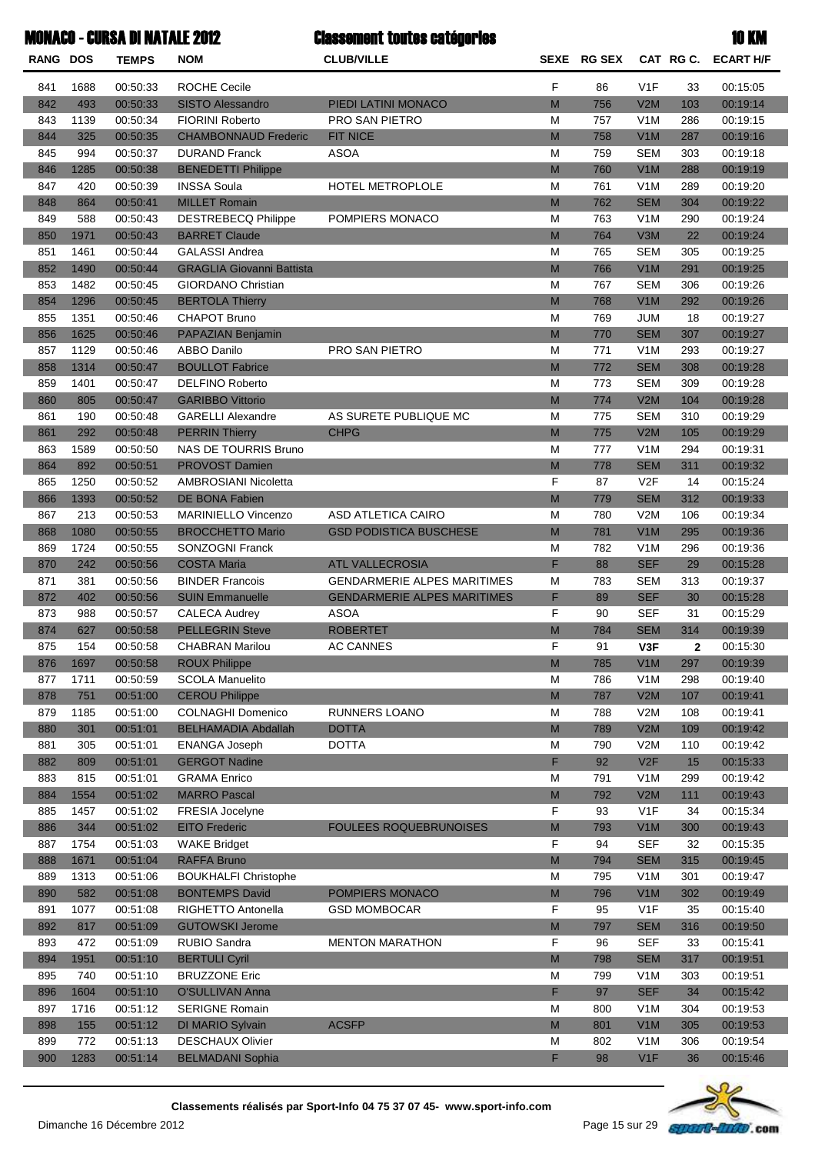|             |                | <b>MONACO - CURSA DI NATALE 2012</b> |                             | <b>Classement toutes catégories</b> |                   |               |                          |                | <b>10 KM</b>     |
|-------------|----------------|--------------------------------------|-----------------------------|-------------------------------------|-------------------|---------------|--------------------------|----------------|------------------|
| <b>RANG</b> | <b>DOS</b>     | <b>TEMPS</b>                         | <b>NOM</b>                  | <b>CLUB/VILLE</b>                   | <b>SEXE</b>       | <b>RG SEX</b> |                          | CAT RG C.      | <b>ECART H/F</b> |
| 841         | 1688           | 00:50:33                             | <b>ROCHE Cecile</b>         |                                     | F                 | 86            | V <sub>1</sub> F         | 33             | 00:15:05         |
| 842         | 493            | 00:50:33                             | SISTO Alessandro            | PIEDI LATINI MONACO                 | M                 | 756           | V2M                      | 103            | 00:19:14         |
| 843         | 1139           | 00:50:34                             | <b>FIORINI Roberto</b>      | <b>PRO SAN PIETRO</b>               | м                 | 757           | V <sub>1</sub> M         | 286            | 00:19:15         |
| 844         | 325            | 00:50:35                             | <b>CHAMBONNAUD Frederic</b> | <b>FIT NICE</b>                     | M                 | 758           | V1M                      | 287            | 00:19:16         |
| 845         | 994            | 00:50:37                             | <b>DURAND Franck</b>        | <b>ASOA</b>                         | м                 | 759           | <b>SEM</b>               | 303            | 00:19:18         |
| 846         | 1285           | 00:50:38                             | <b>BENEDETTI Philippe</b>   |                                     | M                 | 760           | V1M                      | 288            | 00:19:19         |
| 847         | 420            | 00:50:39                             | <b>INSSA Soula</b>          | <b>HOTEL METROPLOLE</b>             | м                 | 761           | V <sub>1</sub> M         | 289            | 00:19:20         |
| 0.40        | 0 <sup>0</sup> | 00F0.44                              | $MII I E T D \cdots L$      |                                     | <b>B</b> <i>B</i> | 700           | $\bigcap_{n=1}^{\infty}$ | 0 <sup>0</sup> | 001000           |

| 843        | 1139        | 00:50:34             | <b>FIORINI Roberto</b>                             | <b>PRO SAN PIETRO</b>              | М                                 | 757       | V <sub>1</sub> M        | 286          | 00:19:15             |
|------------|-------------|----------------------|----------------------------------------------------|------------------------------------|-----------------------------------|-----------|-------------------------|--------------|----------------------|
| 844        | 325         | 00:50:35             | <b>CHAMBONNAUD Frederic</b>                        | FIT NICE                           | $\mathsf{M}% _{H}=\mathsf{M}_{H}$ | 758       | V1M                     | 287          | 00:19:16             |
| 845        | 994         | 00:50:37             | <b>DURAND Franck</b>                               | <b>ASOA</b>                        | M                                 | 759       | <b>SEM</b>              | 303          | 00:19:18             |
| 846        | 1285        | 00:50:38             | <b>BENEDETTI Philippe</b>                          |                                    | $\mathsf{M}% _{H}=\mathsf{M}_{H}$ | 760       | V1M                     | 288          | 00:19:19             |
| 847        | 420         | 00:50:39             | <b>INSSA Soula</b>                                 | HOTEL METROPLOLE                   | M                                 | 761       | V1M                     | 289          | 00:19:20             |
| 848        | 864         | 00:50:41             | <b>MILLET Romain</b>                               |                                    | $\mathsf{M}% _{H}=\mathsf{M}_{H}$ | 762       | <b>SEM</b>              | 304          | 00:19:22             |
| 849        | 588         | 00:50:43             | <b>DESTREBECQ Philippe</b>                         | POMPIERS MONACO                    | M                                 | 763       | V1M                     | 290          | 00:19:24             |
| 850        | 1971        | 00:50:43             | <b>BARRET Claude</b>                               |                                    | $\mathsf{M}% _{H}=\mathsf{M}_{H}$ | 764       | V3M                     | 22           | 00:19:24             |
|            | 1461        |                      | <b>GALASSI Andrea</b>                              |                                    | M                                 | 765       | <b>SEM</b>              |              | 00:19:25             |
| 851        |             | 00:50:44             |                                                    |                                    |                                   |           |                         | 305          |                      |
| 852        | 1490        | 00:50:44             | <b>GRAGLIA Giovanni Battista</b>                   |                                    | $\mathsf{M}% _{H}=\mathsf{M}_{H}$ | 766       | V1M                     | 291          | 00:19:25             |
| 853        | 1482        | 00:50:45             | <b>GIORDANO Christian</b>                          |                                    | M                                 | 767       | <b>SEM</b>              | 306          | 00:19:26             |
| 854        | 1296        | 00:50:45             | <b>BERTOLA Thierry</b>                             |                                    | $\mathsf{M}% _{H}=\mathsf{M}_{H}$ | 768       | V1M                     | 292          | 00:19:26             |
| 855        | 1351        | 00:50:46             | CHAPOT Bruno                                       |                                    | M                                 | 769       | <b>JUM</b>              | 18           | 00:19:27             |
| 856        | 1625        | 00:50:46             | PAPAZIAN Benjamin                                  |                                    | M                                 | 770       | <b>SEM</b>              | 307          | 00:19:27             |
| 857        | 1129        | 00:50:46             | <b>ABBO Danilo</b>                                 | PRO SAN PIETRO                     | M                                 | 771       | V1M                     | 293          | 00:19:27             |
| 858        | 1314        | 00:50:47             | <b>BOULLOT Fabrice</b>                             |                                    | M                                 | 772       | <b>SEM</b>              | 308          | 00:19:28             |
| 859        | 1401        | 00:50:47             | <b>DELFINO Roberto</b>                             |                                    | M                                 | 773       | <b>SEM</b>              | 309          | 00:19:28             |
| 860        | 805         | 00:50:47             | <b>GARIBBO Vittorio</b>                            |                                    | M                                 | 774       | V2M                     | 104          | 00:19:28             |
| 861        | 190         | 00:50:48             | <b>GARELLI Alexandre</b>                           | AS SURETE PUBLIQUE MC              | M                                 | 775       | <b>SEM</b>              | 310          | 00:19:29             |
| 861        | 292         | 00:50:48             | <b>PERRIN Thierry</b>                              | <b>CHPG</b>                        | $\mathsf{M}% _{H}=\mathsf{M}_{H}$ | 775       | V2M                     | 105          | 00:19:29             |
| 863        | 1589        | 00:50:50             | NAS DE TOURRIS Bruno                               |                                    | M                                 | 777       | V1M                     | 294          | 00:19:31             |
| 864        | 892         | 00:50:51             | <b>PROVOST Damien</b>                              |                                    | M                                 | 778       | <b>SEM</b>              | 311          | 00:19:32             |
| 865        | 1250        | 00:50:52             | <b>AMBROSIANI Nicoletta</b>                        |                                    | F                                 | 87        | V <sub>2</sub> F        | 14           | 00:15:24             |
| 866        | 1393        | 00:50:52             | <b>DE BONA Fabien</b>                              |                                    | $\mathsf{M}% _{H}=\mathsf{M}_{H}$ | 779       | <b>SEM</b>              | 312          | 00:19:33             |
| 867        | 213         |                      | MARINIELLO Vincenzo                                | ASD ATLETICA CAIRO                 | M                                 | 780       | V2M                     |              | 00:19:34             |
|            |             | 00:50:53             |                                                    |                                    |                                   |           |                         | 106          |                      |
| 868        | 1080        | 00:50:55             | <b>BROCCHETTO Mario</b>                            | <b>GSD PODISTICA BUSCHESE</b>      | M                                 | 781       | V1M                     | 295          | 00:19:36             |
| 869        | 1724        | 00:50:55             | SONZOGNI Franck                                    |                                    | M                                 | 782       | V1M                     | 296          | 00:19:36             |
| 870        | 242         | 00:50:56             | <b>COSTA Maria</b>                                 | <b>ATL VALLECROSIA</b>             | F                                 | 88        | <b>SEF</b>              | 29           | 00:15:28             |
| 871        | 381         | 00:50:56             | <b>BINDER Francois</b>                             | <b>GENDARMERIE ALPES MARITIMES</b> | M                                 | 783       | <b>SEM</b>              | 313          | 00:19:37             |
| 872        | 402         | 00:50:56             | <b>SUIN Emmanuelle</b>                             | <b>GENDARMERIE ALPES MARITIMES</b> | F                                 | 89        | <b>SEF</b>              | 30           | 00:15:28             |
| 873        | 988         | 00:50:57             | <b>CALECA Audrey</b>                               | <b>ASOA</b>                        | F                                 | 90        | <b>SEF</b>              | 31           | 00:15:29             |
| 874        | 627         | 00:50:58             | <b>PELLEGRIN Steve</b>                             | <b>ROBERTET</b>                    | M                                 | 784       | <b>SEM</b>              | 314          | 00:19:39             |
| 875        | 154         | 00:50:58             | <b>CHABRAN Marilou</b>                             | <b>AC CANNES</b>                   | F                                 | 91        | V <sub>3</sub> F        | $\mathbf{2}$ | 00:15:30             |
| 876        | 1697        | 00:50:58             | <b>ROUX Philippe</b>                               |                                    | M                                 | 785       | V1M                     | 297          | 00:19:39             |
| 877        | 1711        | 00:50:59             | <b>SCOLA Manuelito</b>                             |                                    | M                                 | 786       | V1M                     | 298          | 00:19:40             |
| 878        | 751         | 00:51:00             | <b>CEROU Philippe</b>                              |                                    | M                                 | 787       | V2M                     | 107          | 00:19:41             |
| 879        | 1185        |                      |                                                    |                                    |                                   |           |                         |              |                      |
| 880        |             | 00:51:00             | <b>COLNAGHI Domenico</b>                           | <b>RUNNERS LOANO</b>               | M                                 | 788       | V2M                     | 108          | 00:19:41             |
|            |             |                      | <b>BELHAMADIA Abdallah</b>                         | <b>DOTTA</b>                       | M                                 | 789       | V2M                     |              |                      |
|            | 301         | 00:51:01             |                                                    |                                    |                                   |           |                         | 109          | 00:19:42             |
| 881        | 305         | 00:51:01             | <b>ENANGA Joseph</b>                               | <b>DOTTA</b>                       | М                                 | 790       | V2M                     | 110          | 00:19:42             |
| 882        | 809         | 00:51:01             | <b>GERGOT Nadine</b>                               |                                    | F                                 | 92        | V2F                     | 15           | 00:15:33             |
| 883        | 815         | 00:51:01             | <b>GRAMA Enrico</b>                                |                                    | M                                 | 791       | V <sub>1</sub> M        | 299          | 00:19:42             |
| 884        | 1554        | 00:51:02             | <b>MARRO Pascal</b>                                |                                    | ${\sf M}$                         | 792       | V2M                     | 111          | 00:19:43             |
| 885        | 1457        | 00:51:02             | FRESIA Jocelyne                                    |                                    | F                                 | 93        | V <sub>1</sub> F        | 34           | 00:15:34             |
| 886        | 344         | 00:51:02             | <b>EITO Frederic</b>                               | <b>FOULEES ROQUEBRUNOISES</b>      | ${\sf M}$                         | 793       | V1M                     | 300          | 00:19:43             |
| 887        | 1754        | 00:51:03             | <b>WAKE Bridget</b>                                |                                    | F                                 | 94        | <b>SEF</b>              | 32           | 00:15:35             |
| 888        | 1671        | 00:51:04             | <b>RAFFA Bruno</b>                                 |                                    | ${\sf M}$                         | 794       | <b>SEM</b>              | 315          | 00:19:45             |
| 889        | 1313        | 00:51:06             | <b>BOUKHALFI Christophe</b>                        |                                    | M                                 | 795       | V <sub>1</sub> M        | 301          | 00:19:47             |
| 890        | 582         | 00:51:08             | <b>BONTEMPS David</b>                              | POMPIERS MONACO                    | ${\sf M}$                         | 796       | V1M                     | 302          | 00:19:49             |
| 891        | 1077        | 00:51:08             | RIGHETTO Antonella                                 | <b>GSD MOMBOCAR</b>                | F                                 | 95        | V <sub>1</sub> F        | 35           | 00:15:40             |
| 892        | 817         | 00:51:09             | <b>GUTOWSKI Jerome</b>                             |                                    | ${\sf M}$                         | 797       | <b>SEM</b>              | 316          | 00:19:50             |
| 893        | 472         | 00:51:09             | RUBIO Sandra                                       | <b>MENTON MARATHON</b>             | F                                 | 96        | <b>SEF</b>              | 33           | 00:15:41             |
| 894        | 1951        | 00:51:10             | <b>BERTULI Cyril</b>                               |                                    | ${\sf M}$                         | 798       | <b>SEM</b>              | 317          | 00:19:51             |
| 895        | 740         | 00:51:10             | <b>BRUZZONE Eric</b>                               |                                    | M                                 | 799       | V <sub>1</sub> M        | 303          | 00:19:51             |
| 896        | 1604        | 00:51:10             | O'SULLIVAN Anna                                    |                                    | F                                 | 97        | <b>SEF</b>              | 34           | 00:15:42             |
| 897        | 1716        | 00:51:12             | <b>SERIGNE Romain</b>                              |                                    | M                                 | 800       | V <sub>1</sub> M        | 304          | 00:19:53             |
|            |             |                      |                                                    |                                    |                                   |           |                         |              |                      |
| 898        | 155         | 00:51:12             | DI MARIO Sylvain                                   | <b>ACSFP</b>                       | ${\sf M}$                         | 801       | V1M                     | 305          | 00:19:53             |
| 899<br>900 | 772<br>1283 | 00:51:13<br>00:51:14 | <b>DESCHAUX Olivier</b><br><b>BELMADANI Sophia</b> |                                    | M<br>F.                           | 802<br>98 | V <sub>1</sub> M<br>V1F | 306<br>36    | 00:19:54<br>00:15:46 |

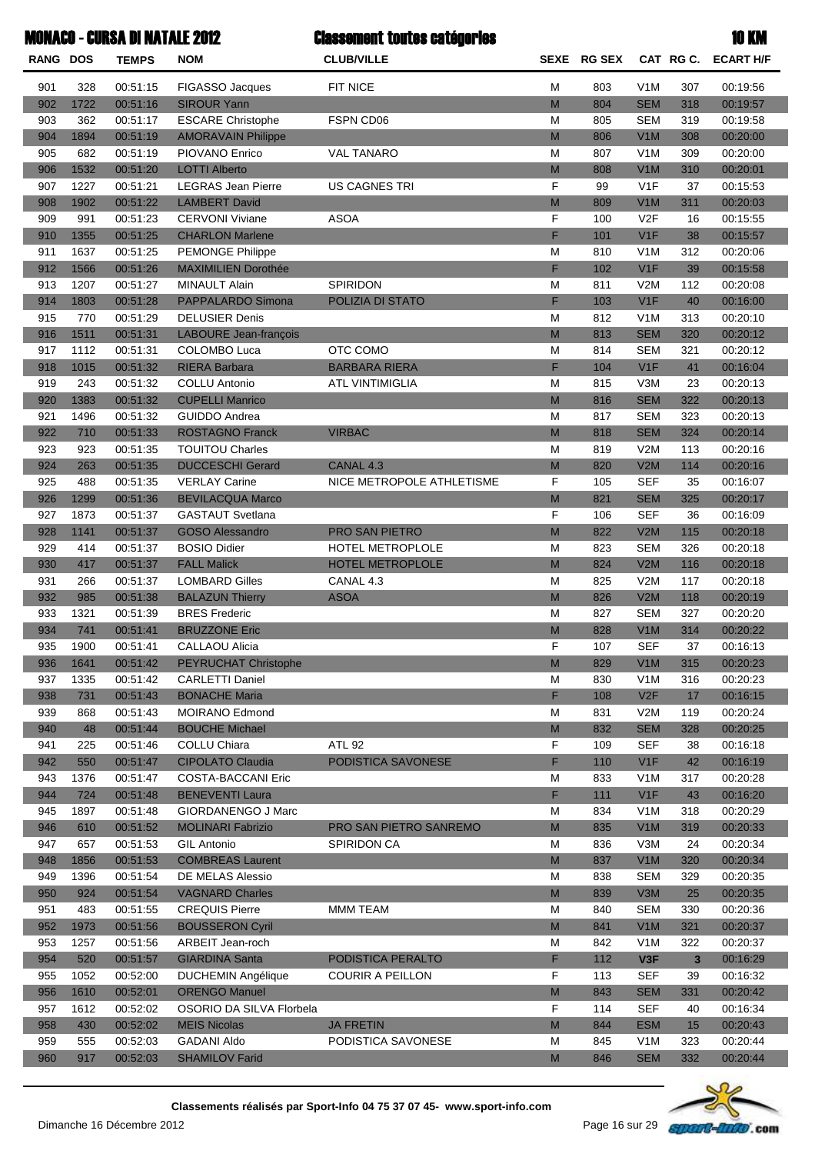|                 |      | <b>MONACO - CURSA DI NATALE 2012</b> |                              | <b>Classement toutes catégories</b> |                                                                                                            |             |                  |           | <b>10 KM</b>     |
|-----------------|------|--------------------------------------|------------------------------|-------------------------------------|------------------------------------------------------------------------------------------------------------|-------------|------------------|-----------|------------------|
| <b>RANG DOS</b> |      | <b>TEMPS</b>                         | <b>NOM</b>                   | <b>CLUB/VILLE</b>                   |                                                                                                            | SEXE RG SEX |                  | CAT RG C. | <b>ECART H/F</b> |
| 901             | 328  | 00:51:15                             | FIGASSO Jacques              | FIT NICE                            | М                                                                                                          | 803         | V <sub>1</sub> M | 307       | 00:19:56         |
| 902             | 1722 | 00:51:16                             | <b>SIROUR Yann</b>           |                                     | M                                                                                                          | 804         | <b>SEM</b>       | 318       | 00:19:57         |
| 903             | 362  | 00:51:17                             | <b>ESCARE Christophe</b>     | FSPN CD06                           | M                                                                                                          | 805         | <b>SEM</b>       | 319       | 00:19:58         |
| 904             | 1894 | 00:51:19                             | <b>AMORAVAIN Philippe</b>    |                                     | $\mathsf{M}% _{T}=\mathsf{M}_{T}\!\left( a,b\right) ,\ \mathsf{M}_{T}=\mathsf{M}_{T}\!\left( a,b\right) ,$ | 806         | V1M              | 308       | 00:20:00         |
| 905             | 682  | 00:51:19                             | PIOVANO Enrico               | <b>VAL TANARO</b>                   | M                                                                                                          | 807         | V1M              | 309       | 00:20:00         |
| 906             | 1532 | 00:51:20                             | <b>LOTTI Alberto</b>         |                                     | $\mathsf{M}% _{T}=\mathsf{M}_{T}\!\left( a,b\right) ,\ \mathsf{M}_{T}=\mathsf{M}_{T}\!\left( a,b\right) ,$ | 808         | V1M              | 310       | 00:20:01         |
| 907             | 1227 | 00:51:21                             | <b>LEGRAS Jean Pierre</b>    | US CAGNES TRI                       | F                                                                                                          | 99          | V <sub>1F</sub>  | 37        | 00:15:53         |
| 908             | 1902 | 00:51:22                             | <b>LAMBERT David</b>         |                                     | M                                                                                                          | 809         | V1M              | 311       | 00:20:03         |
| 909             | 991  | 00:51:23                             | <b>CERVONI Viviane</b>       | <b>ASOA</b>                         | F                                                                                                          | 100         | V <sub>2F</sub>  | 16        | 00:15:55         |
| 910             | 1355 | 00:51:25                             | <b>CHARLON Marlene</b>       |                                     | F                                                                                                          | 101         | V1F              | 38        | 00:15:57         |
| 911             | 1637 | 00:51:25                             | <b>PEMONGE Philippe</b>      |                                     | M                                                                                                          | 810         | V <sub>1</sub> M | 312       | 00:20:06         |
| 912             | 1566 | 00:51:26                             | <b>MAXIMILIEN Dorothée</b>   |                                     | F                                                                                                          | 102         | V1F              | 39        | 00:15:58         |
| 913             | 1207 | 00:51:27                             | <b>MINAULT Alain</b>         | SPIRIDON                            | M                                                                                                          | 811         | V2M              | 112       | 00:20:08         |
| 914             | 1803 | 00:51:28                             | PAPPALARDO Simona            | POLIZIA DI STATO                    | F                                                                                                          | 103         | V1F              | 40        | 00:16:00         |
| 915             | 770  | 00:51:29                             | <b>DELUSIER Denis</b>        |                                     | M                                                                                                          | 812         | V <sub>1</sub> M | 313       | 00:20:10         |
| 916             | 1511 | 00:51:31                             | <b>LABOURE Jean-françois</b> |                                     | $\mathsf{M}% _{T}=\mathsf{M}_{T}\!\left( a,b\right) ,\ \mathsf{M}_{T}=\mathsf{M}_{T}\!\left( a,b\right) ,$ | 813         | <b>SEM</b>       | 320       | 00:20:12         |
| 917             | 1112 | 00:51:31                             | <b>COLOMBO Luca</b>          | OTC COMO                            | M                                                                                                          | 814         | <b>SEM</b>       | 321       | 00:20:12         |
| 918             | 1015 | 00:51:32                             | <b>RIERA Barbara</b>         | <b>BARBARA RIERA</b>                | F                                                                                                          | 104         | V1F              | 41        | 00:16:04         |
| 919             | 243  | 00:51:32                             | <b>COLLU Antonio</b>         | <b>ATL VINTIMIGLIA</b>              | M                                                                                                          | 815         | V3M              | 23        | 00:20:13         |
| 920             | 1383 | 00:51:32                             | <b>CUPELLI Manrico</b>       |                                     | M                                                                                                          | 816         | <b>SEM</b>       | 322       | 00:20:13         |
| 921             | 1496 | 00:51:32                             | <b>GUIDDO Andrea</b>         |                                     | M                                                                                                          | 817         | <b>SEM</b>       | 323       | 00:20:13         |
| 922             | 710  | 00:51:33                             | <b>ROSTAGNO Franck</b>       | <b>VIRBAC</b>                       | M                                                                                                          | 818         | <b>SEM</b>       | 324       | 00:20:14         |
| 923             | 923  | 00:51:35                             | <b>TOUITOU Charles</b>       |                                     | M                                                                                                          | 819         | V2M              | 113       | 00:20:16         |
| 924             | 263  | 00:51:35                             | <b>DUCCESCHI Gerard</b>      | CANAL 4.3                           | M                                                                                                          | 820         | V2M              | 114       | 00:20:16         |
| 925             | 488  | 00:51:35                             | <b>VERLAY Carine</b>         | NICE METROPOLE ATHLETISME           | F                                                                                                          | 105         | <b>SEF</b>       | 35        | 00:16:07         |
| 926             | 1299 | 00:51:36                             | <b>BEVILACQUA Marco</b>      |                                     | M                                                                                                          | 821         | <b>SEM</b>       | 325       | 00:20:17         |
| 927             | 1873 | 00:51:37                             | <b>GASTAUT Svetlana</b>      |                                     | F                                                                                                          | 106         | <b>SEF</b>       | 36        | 00:16:09         |
| 928             | 1141 | 00:51:37                             | <b>GOSO Alessandro</b>       | PRO SAN PIETRO                      | M                                                                                                          | 822         | V2M              | 115       | 00:20:18         |
| 929             | 414  | 00:51:37                             | <b>BOSIO Didier</b>          | <b>HOTEL METROPLOLE</b>             | M                                                                                                          | 823         | <b>SEM</b>       | 326       | 00:20:18         |
| 930             | 417  | 00:51:37                             | <b>FALL Malick</b>           | <b>HOTEL METROPLOLE</b>             | M                                                                                                          | 824         | V2M              | 116       | 00:20:18         |
| 931             | 266  | 00:51:37                             | <b>LOMBARD Gilles</b>        | CANAL 4.3                           | M                                                                                                          | 825         | V2M              | 117       | 00:20:18         |
| 932             | 985  | 00:51:38                             | <b>BALAZUN Thierry</b>       | <b>ASOA</b>                         | M                                                                                                          | 826         | V2M              | 118       | 00:20:19         |
| 933             | 1321 | 00:51:39                             | <b>BRES</b> Frederic         |                                     | М                                                                                                          | 827         | <b>SEM</b>       | 327       | 00:20:20         |
| 934             | 741  | 00:51:41                             | <b>BRUZZONE Eric</b>         |                                     | M                                                                                                          | 828         | V1M              | 314       | 00:20:22         |
| 935             | 1900 | 00:51:41                             | CALLAOU Alicia               |                                     | F                                                                                                          | 107         | SEF              | 37        | 00:16:13         |
| 936             | 1641 | 00:51:42                             | <b>PEYRUCHAT Christophe</b>  |                                     | M                                                                                                          | 829         | V1M              | 315       | 00:20:23         |
| 937             | 1335 | 00:51:42                             | <b>CARLETTI Daniel</b>       |                                     | М                                                                                                          | 830         | V <sub>1</sub> M | 316       | 00:20:23         |
| 938             | 731  | 00:51:43                             | <b>BONACHE Maria</b>         |                                     | F                                                                                                          | 108         | V2F              | 17        | 00:16:15         |
| 939             | 868  | 00:51:43                             | MOIRANO Edmond               |                                     | М                                                                                                          | 831         | V2M              | 119       | 00:20:24         |
| 940             | 48   | 00:51:44                             | <b>BOUCHE Michael</b>        |                                     | M                                                                                                          | 832         | <b>SEM</b>       | 328       | 00:20:25         |
| 941             | 225  | 00:51:46                             | <b>COLLU Chiara</b>          | <b>ATL 92</b>                       | F                                                                                                          | 109         | <b>SEF</b>       | 38        | 00:16:18         |
| 942             | 550  | 00:51:47                             | <b>CIPOLATO Claudia</b>      | PODISTICA SAVONESE                  | F                                                                                                          | 110         | V1F              | 42        | 00:16:19         |
| 943             | 1376 | 00:51:47                             | <b>COSTA-BACCANI Eric</b>    |                                     | М                                                                                                          | 833         | V <sub>1</sub> M | 317       | 00:20:28         |
| 944             | 724  | 00:51:48                             | <b>BENEVENTI Laura</b>       |                                     | F.                                                                                                         | 111         | V1F              | 43        | 00:16:20         |
| 945             | 1897 | 00:51:48                             | <b>GIORDANENGO J Marc</b>    |                                     | М                                                                                                          | 834         | V <sub>1</sub> M | 318       | 00:20:29         |
| 946             | 610  | 00:51:52                             | <b>MOLINARI Fabrizio</b>     | <b>PRO SAN PIETRO SANREMO</b>       | M                                                                                                          | 835         | V1M              | 319       | 00:20:33         |
| 947             | 657  | 00:51:53                             | <b>GIL Antonio</b>           | SPIRIDON CA                         | М                                                                                                          | 836         | V3M              | 24        | 00:20:34         |
| 948             | 1856 | 00:51:53                             | <b>COMBREAS Laurent</b>      |                                     | M                                                                                                          | 837         | V1M              | 320       | 00:20:34         |
| 949             | 1396 | 00:51:54                             | DE MELAS Alessio             |                                     | M                                                                                                          | 838         | <b>SEM</b>       | 329       | 00:20:35         |
| 950             | 924  | 00:51:54                             | <b>VAGNARD Charles</b>       |                                     | M                                                                                                          | 839         | V3M              | 25        | 00:20:35         |
| 951             | 483  | 00:51:55                             | <b>CREQUIS Pierre</b>        | MMM TEAM                            | M                                                                                                          | 840         | <b>SEM</b>       | 330       | 00:20:36         |
| 952             | 1973 | 00:51:56                             | <b>BOUSSERON Cyril</b>       |                                     | M                                                                                                          | 841         | V1M              | 321       | 00:20:37         |
| 953             | 1257 | 00:51:56                             | ARBEIT Jean-roch             |                                     | M                                                                                                          | 842         | V1M              | 322       | 00:20:37         |
| 954             | 520  | 00:51:57                             | <b>GIARDINA Santa</b>        | PODISTICA PERALTO                   | F.                                                                                                         | 112         | V3F              | 3         | 00:16:29         |
| 955             | 1052 | 00:52:00                             | <b>DUCHEMIN Angélique</b>    | COURIR A PEILLON                    | F                                                                                                          | 113         | <b>SEF</b>       | 39        | 00:16:32         |
| 956             | 1610 | 00:52:01                             | <b>ORENGO Manuel</b>         |                                     | $\mathsf{M}% _{T}=\mathsf{M}_{T}\!\left( a,b\right) ,\ \mathsf{M}_{T}=\mathsf{M}_{T}\!\left( a,b\right) ,$ | 843         | <b>SEM</b>       | 331       | 00:20:42         |
| 957             | 1612 | 00:52:02                             | OSORIO DA SILVA Florbela     |                                     | F                                                                                                          | 114         | <b>SEF</b>       | 40        | 00:16:34         |
| 958             | 430  | 00:52:02                             | <b>MEIS Nicolas</b>          | <b>JA FRETIN</b>                    | M                                                                                                          | 844         | <b>ESM</b>       | 15        | 00:20:43         |
| 959             | 555  | 00:52:03                             | <b>GADANI Aldo</b>           | PODISTICA SAVONESE                  | М                                                                                                          | 845         | V <sub>1</sub> M | 323       | 00:20:44         |
| 960             | 917  | 00:52:03                             | <b>SHAMILOV Farid</b>        |                                     | M                                                                                                          | 846         | <b>SEM</b>       | 332       | 00:20:44         |

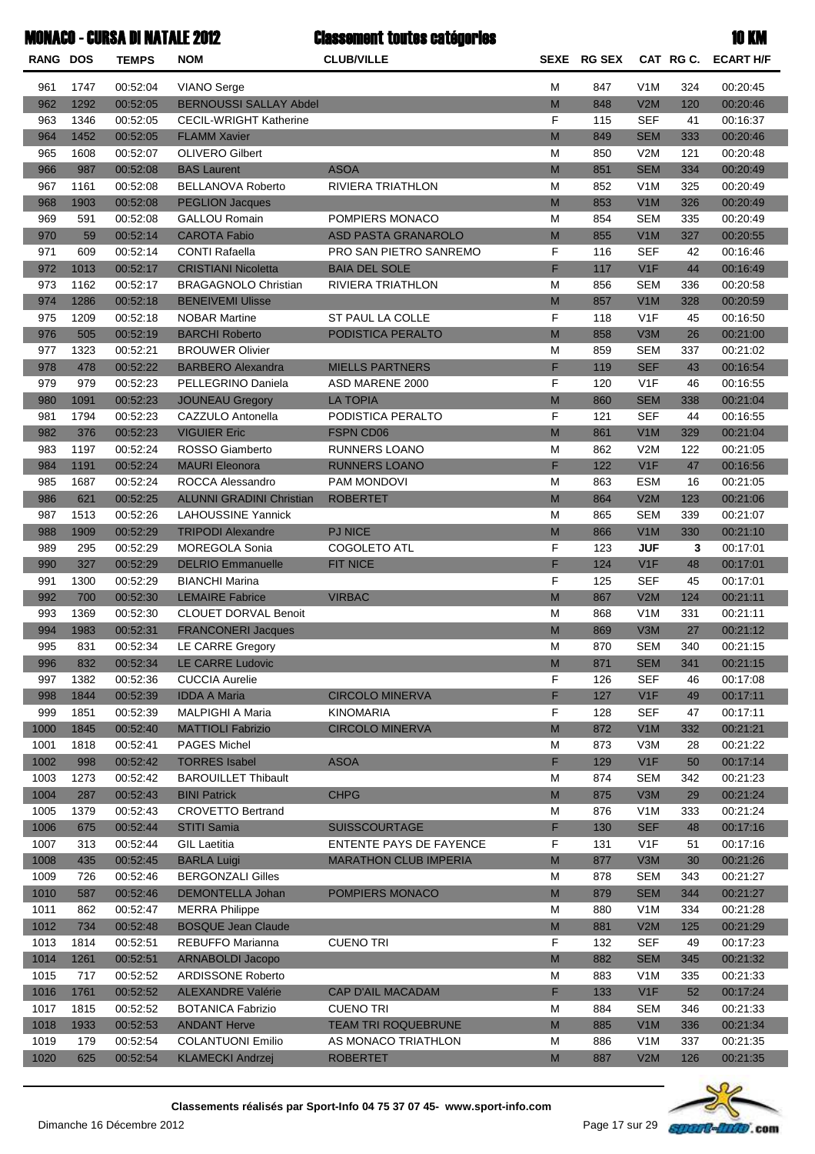|            |              | <b>MONACO - CURSA DI NATALE 2012</b> |                                              | <b>Classement toutes catégories</b>        |                                                                                                            |             |                          |          | <b>10 KM</b>         |
|------------|--------------|--------------------------------------|----------------------------------------------|--------------------------------------------|------------------------------------------------------------------------------------------------------------|-------------|--------------------------|----------|----------------------|
| RANG DOS   |              | <b>TEMPS</b>                         | <b>NOM</b>                                   | <b>CLUB/VILLE</b>                          |                                                                                                            | SEXE RG SEX |                          |          | CAT RG C. ECART H/F  |
| 961        | 1747         | 00:52:04                             | <b>VIANO Serge</b>                           |                                            | М                                                                                                          | 847         | V <sub>1</sub> M         | 324      | 00:20:45             |
| 962        | 1292         | 00:52:05                             | <b>BERNOUSSI SALLAY Abdel</b>                |                                            | M                                                                                                          | 848         | V2M                      | 120      | 00:20:46             |
| 963        | 1346         | 00:52:05                             | <b>CECIL-WRIGHT Katherine</b>                |                                            | F                                                                                                          | 115         | <b>SEF</b>               | 41       | 00:16:37             |
| 964        | 1452         | 00:52:05                             | <b>FLAMM Xavier</b>                          |                                            | M                                                                                                          | 849         | <b>SEM</b>               | 333      | 00:20:46             |
| 965        | 1608         | 00:52:07                             | <b>OLIVERO Gilbert</b>                       |                                            | М                                                                                                          | 850         | V2M                      | 121      | 00:20:48             |
| 966        | 987          | 00:52:08                             | <b>BAS Laurent</b>                           | <b>ASOA</b>                                | M                                                                                                          | 851         | <b>SEM</b>               | 334      | 00:20:49             |
| 967        | 1161         | 00:52:08                             | <b>BELLANOVA Roberto</b>                     | RIVIERA TRIATHLON                          | М                                                                                                          | 852         | V <sub>1</sub> M         | 325      | 00:20:49             |
| 968        | 1903         | 00:52:08                             | <b>PEGLION Jacques</b>                       |                                            | M                                                                                                          | 853         | V1M                      | 326      | 00:20:49             |
| 969        | 591          | 00:52:08                             | <b>GALLOU Romain</b>                         | POMPIERS MONACO                            | М                                                                                                          | 854         | <b>SEM</b>               | 335      | 00:20:49             |
| 970        | 59           | 00:52:14                             | <b>CAROTA Fabio</b>                          | <b>ASD PASTA GRANAROLO</b>                 | M                                                                                                          | 855         | V1M                      | 327      | 00:20:55             |
| 971        | 609          | 00:52:14                             | <b>CONTI Rafaella</b>                        | PRO SAN PIETRO SANREMO                     | F                                                                                                          | 116         | <b>SEF</b>               | 42       | 00:16:46             |
| 972        | 1013         | 00:52:17                             | <b>CRISTIANI Nicoletta</b>                   | <b>BAIA DEL SOLE</b>                       | F                                                                                                          | 117         | V1F                      | 44       | 00:16:49             |
| 973        | 1162         | 00:52:17                             | <b>BRAGAGNOLO Christian</b>                  | RIVIERA TRIATHLON                          | М                                                                                                          | 856         | <b>SEM</b>               | 336      | 00:20:58             |
| 974        | 1286         | 00:52:18                             | <b>BENEIVEMI Ulisse</b>                      |                                            | M                                                                                                          | 857         | V1M                      | 328      | 00:20:59             |
| 975        | 1209         | 00:52:18                             | <b>NOBAR Martine</b>                         | ST PAUL LA COLLE                           | F                                                                                                          | 118         | V1F                      | 45       | 00:16:50             |
| 976        | 505          | 00:52:19                             | <b>BARCHI Roberto</b>                        | PODISTICA PERALTO                          | M                                                                                                          | 858         | V3M                      | 26       | 00:21:00             |
| 977        | 1323         | 00:52:21                             | <b>BROUWER Olivier</b>                       |                                            | М                                                                                                          | 859         | <b>SEM</b>               | 337      | 00:21:02             |
| 978        | 478          | 00:52:22                             | <b>BARBERO Alexandra</b>                     | <b>MIELLS PARTNERS</b>                     | F                                                                                                          | 119         | <b>SEF</b>               | 43       | 00:16:54             |
| 979        | 979          | 00:52:23                             | PELLEGRINO Daniela                           | ASD MARENE 2000                            | F                                                                                                          | 120         | V1F                      | 46       | 00:16:55             |
| 980        | 1091         | 00:52:23                             | <b>JOUNEAU Gregory</b>                       | <b>LA TOPIA</b>                            | M                                                                                                          | 860         | <b>SEM</b>               | 338      | 00:21:04             |
| 981        | 1794         | 00:52:23                             | CAZZULO Antonella                            | PODISTICA PERALTO                          | F                                                                                                          | 121         | <b>SEF</b>               | 44       | 00:16:55             |
| 982        | 376          | 00:52:23                             | <b>VIGUIER Eric</b>                          | <b>FSPN CD06</b>                           | M                                                                                                          | 861         | V1M                      | 329      | 00:21:04             |
| 983        | 1197         | 00:52:24                             | ROSSO Giamberto                              | <b>RUNNERS LOANO</b>                       | M                                                                                                          | 862         | V2M                      | 122      | 00:21:05             |
| 984        | 1191         | 00:52:24                             | <b>MAURI Eleonora</b>                        | <b>RUNNERS LOANO</b>                       | F                                                                                                          | 122         | V1F                      | 47       | 00:16:56             |
| 985        | 1687         | 00:52:24                             | ROCCA Alessandro                             | PAM MONDOVI                                | М                                                                                                          | 863         | <b>ESM</b>               | 16       | 00:21:05             |
| 986        | 621          | 00:52:25                             | <b>ALUNNI GRADINI Christian</b>              | <b>ROBERTET</b>                            | M                                                                                                          | 864         | V2M                      | 123      | 00:21:06             |
| 987        | 1513         | 00:52:26                             | <b>LAHOUSSINE Yannick</b>                    |                                            | M                                                                                                          | 865         | <b>SEM</b>               | 339      | 00:21:07             |
| 988        | 1909         | 00:52:29                             | <b>TRIPODI Alexandre</b>                     | <b>PJ NICE</b>                             | M                                                                                                          | 866         | V1M                      | 330      | 00:21:10             |
| 989        | 295          | 00:52:29                             | <b>MOREGOLA Sonia</b>                        | <b>COGOLETO ATL</b>                        | F                                                                                                          | 123         | <b>JUF</b>               | 3        | 00:17:01             |
| 990        | 327          | 00:52:29                             | <b>DELRIO Emmanuelle</b>                     | FIT NICE                                   | F.                                                                                                         | 124         | V1F                      | 48       | 00:17:01             |
| 991        | 1300         | 00:52:29                             | <b>BIANCHI Marina</b>                        |                                            | F                                                                                                          | 125         | <b>SEF</b>               | 45       | 00:17:01             |
| 992        | 700          | 00:52:30                             | <b>LEMAIRE Fabrice</b>                       | <b>VIRBAC</b>                              | M                                                                                                          | 867         | V2M                      | 124      | 00:21:11             |
| 993        | 1369         | 00:52:30                             | <b>CLOUET DORVAL Benoit</b>                  |                                            | М                                                                                                          | 868         | V <sub>1</sub> M         | 331      | 00:21:11             |
| 994        | 1983         | 00:52:31                             | <b>FRANCONERI Jacques</b>                    |                                            | M                                                                                                          | 869         | V3M                      | 27       | 00:21:12             |
| 995        | 831          | 00:52:34                             | LE CARRE Gregory                             |                                            | М                                                                                                          | 870         | <b>SEM</b>               | 340      | 00:21:15             |
| 996        | 832          | 00:52:34                             | <b>LE CARRE Ludovic</b>                      |                                            | $\mathsf{M}% _{T}=\mathsf{M}_{T}\!\left( a,b\right) ,\ \mathsf{M}_{T}=\mathsf{M}_{T}\!\left( a,b\right) ,$ | 871         | <b>SEM</b><br><b>SEF</b> | 341      | 00:21:15             |
| 997<br>998 | 1382<br>1844 | 00:52:36<br>00:52:39                 | <b>CUCCIA Aurelie</b><br><b>IDDA A Maria</b> |                                            | F<br>F.                                                                                                    | 126<br>127  | V1F                      | 46<br>49 | 00:17:08<br>00:17:11 |
| 999        | 1851         | 00:52:39                             | MALPIGHI A Maria                             | <b>CIRCOLO MINERVA</b><br><b>KINOMARIA</b> | F                                                                                                          | 128         | <b>SEF</b>               | 47       | 00:17:11             |
| 1000       | 1845         | 00:52:40                             | <b>MATTIOLI Fabrizio</b>                     | <b>CIRCOLO MINERVA</b>                     | $\mathsf{M}% _{T}=\mathsf{M}_{T}\!\left( a,b\right) ,\ \mathsf{M}_{T}=\mathsf{M}_{T}\!\left( a,b\right) ,$ | 872         | V1M                      | 332      | 00:21:21             |
| 1001       | 1818         | 00:52:41                             | <b>PAGES Michel</b>                          |                                            | M                                                                                                          | 873         | V3M                      | 28       | 00:21:22             |
| 1002       | 998          | 00:52:42                             | <b>TORRES Isabel</b>                         | <b>ASOA</b>                                | F.                                                                                                         | 129         | V1F                      | 50       | 00:17:14             |
| 1003       | 1273         | 00:52:42                             | <b>BAROUILLET Thibault</b>                   |                                            | M                                                                                                          | 874         | <b>SEM</b>               | 342      | 00:21:23             |
| 1004       | 287          | 00:52:43                             | <b>BINI Patrick</b>                          | <b>CHPG</b>                                | $\mathsf{M}% _{T}=\mathsf{M}_{T}\!\left( a,b\right) ,\ \mathsf{M}_{T}=\mathsf{M}_{T}\!\left( a,b\right) ,$ | 875         | V3M                      | 29       | 00:21:24             |
| 1005       | 1379         | 00:52:43                             | <b>CROVETTO Bertrand</b>                     |                                            | M                                                                                                          | 876         | V <sub>1</sub> M         | 333      | 00:21:24             |
| 1006       | 675          | 00:52:44                             | <b>STITI Samia</b>                           | <b>SUISSCOURTAGE</b>                       | F.                                                                                                         | 130         | <b>SEF</b>               | 48       | 00:17:16             |
| 1007       | 313          | 00:52:44                             | <b>GIL Laetitia</b>                          | ENTENTE PAYS DE FAYENCE                    | F                                                                                                          | 131         | V1F                      | 51       | 00:17:16             |
| 1008       | 435          | 00:52:45                             | <b>BARLA Luigi</b>                           | <b>MARATHON CLUB IMPERIA</b>               | $\mathsf{M}% _{T}=\mathsf{M}_{T}\!\left( a,b\right) ,\ \mathsf{M}_{T}=\mathsf{M}_{T}\!\left( a,b\right) ,$ | 877         | V3M                      | 30       | 00:21:26             |
| 1009       | 726          | 00:52:46                             | <b>BERGONZALI Gilles</b>                     |                                            | M                                                                                                          | 878         | <b>SEM</b>               | 343      | 00:21:27             |
| 1010       | 587          | 00:52:46                             | <b>DEMONTELLA Johan</b>                      | POMPIERS MONACO                            | $\mathsf{M}% _{T}=\mathsf{M}_{T}\!\left( a,b\right) ,\ \mathsf{M}_{T}=\mathsf{M}_{T}\!\left( a,b\right) ,$ | 879         | <b>SEM</b>               | 344      | 00:21:27             |
| 1011       | 862          | 00:52:47                             | <b>MERRA Philippe</b>                        |                                            | M                                                                                                          | 880         | V <sub>1</sub> M         | 334      | 00:21:28             |
| 1012       | 734          | 00:52:48                             | <b>BOSQUE Jean Claude</b>                    |                                            | $\mathsf{M}% _{T}=\mathsf{M}_{T}\!\left( a,b\right) ,\ \mathsf{M}_{T}=\mathsf{M}_{T}\!\left( a,b\right) ,$ | 881         | V2M                      | 125      | 00:21:29             |
| 1013       | 1814         | 00:52:51                             | <b>REBUFFO Marianna</b>                      | <b>CUENO TRI</b>                           | F                                                                                                          | 132         | <b>SEF</b>               | 49       | 00:17:23             |
| 1014       | 1261         | 00:52:51                             | <b>ARNABOLDI Jacopo</b>                      |                                            | $\mathsf{M}% _{T}=\mathsf{M}_{T}\!\left( a,b\right) ,\ \mathsf{M}_{T}=\mathsf{M}_{T}\!\left( a,b\right) ,$ | 882         | <b>SEM</b>               | 345      | 00:21:32             |
| 1015       | 717          | 00:52:52                             | <b>ARDISSONE Roberto</b>                     |                                            | М                                                                                                          | 883         | V <sub>1</sub> M         | 335      | 00:21:33             |
| 1016       | 1761         | 00:52:52                             | <b>ALEXANDRE Valérie</b>                     | <b>CAP D'AIL MACADAM</b>                   | F.                                                                                                         | 133         | V1F                      | 52       | 00:17:24             |
| 1017       | 1815         | 00:52:52                             | <b>BOTANICA Fabrizio</b>                     | <b>CUENO TRI</b>                           | M                                                                                                          | 884         | <b>SEM</b>               | 346      | 00:21:33             |
| 1018       | 1933         | 00:52:53                             | <b>ANDANT Herve</b>                          | <b>TEAM TRI ROQUEBRUNE</b>                 | M                                                                                                          | 885         | V1M                      | 336      | 00:21:34             |
| 1019       | 179          | 00:52:54                             | <b>COLANTUONI Emilio</b>                     | AS MONACO TRIATHLON                        | M                                                                                                          | 886         | V <sub>1</sub> M         | 337      | 00:21:35             |
| 1020       | 625          | 00:52:54                             | <b>KLAMECKI Andrzej</b>                      | <b>ROBERTET</b>                            | $\mathsf{M}% _{T}=\mathsf{M}_{T}\!\left( a,b\right) ,\ \mathsf{M}_{T}=\mathsf{M}_{T}\!\left( a,b\right) ,$ | 887         | V2M                      | 126      | 00:21:35             |

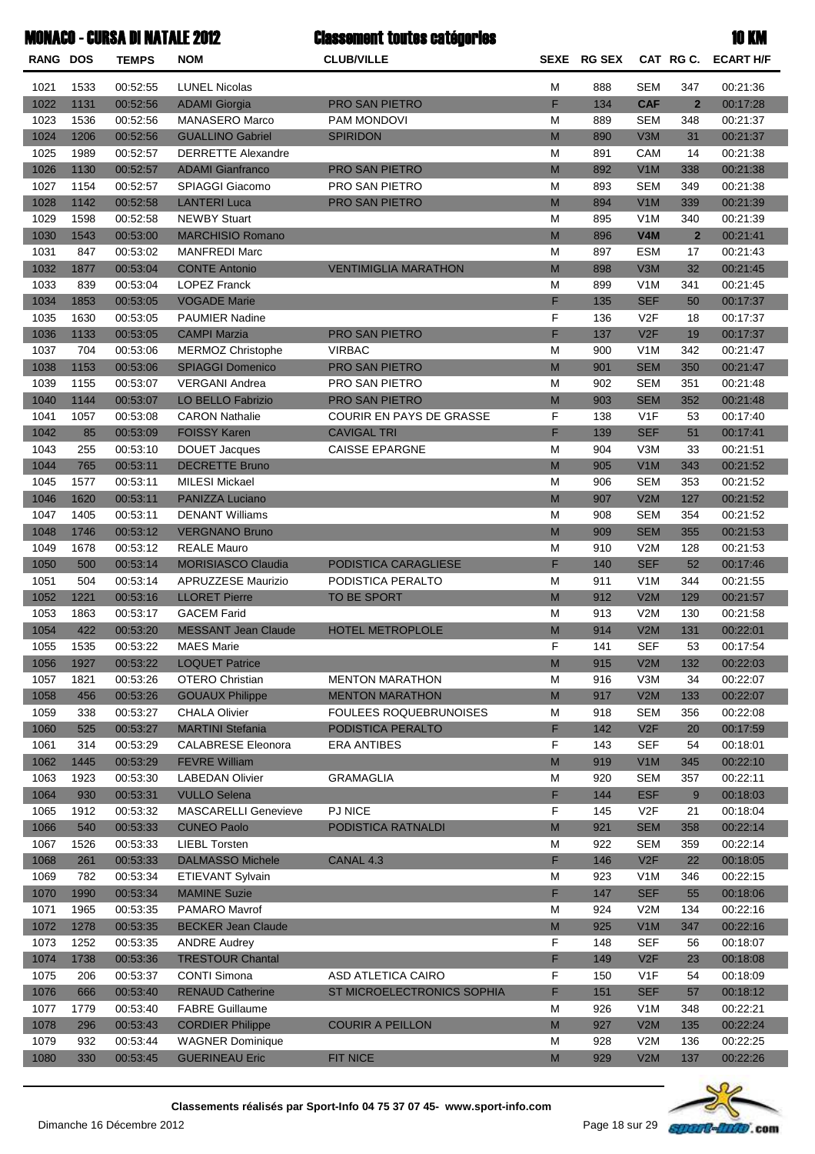|  |  |  | <b>MONACO - CURSA DI NATALE 2012</b> |  |  |  |  |
|--|--|--|--------------------------------------|--|--|--|--|
|--|--|--|--------------------------------------|--|--|--|--|

#### t toutee catégorie

| ×<br>- |  |
|--------|--|

|              |              | <b>MONACO - CURSA DI NATALE 2012</b> |                                            | <b>Classement toutes catégories</b> |                                                                                                            |             |                  |                | <b>10 KM</b>         |
|--------------|--------------|--------------------------------------|--------------------------------------------|-------------------------------------|------------------------------------------------------------------------------------------------------------|-------------|------------------|----------------|----------------------|
| RANG DOS     |              | <b>TEMPS</b>                         | <b>NOM</b>                                 | <b>CLUB/VILLE</b>                   |                                                                                                            | SEXE RG SEX |                  | CAT RG C.      | <b>ECART H/F</b>     |
| 1021         | 1533         | 00:52:55                             | <b>LUNEL Nicolas</b>                       |                                     | М                                                                                                          | 888         | <b>SEM</b>       | 347            | 00:21:36             |
| 1022         | 1131         | 00:52:56                             | <b>ADAMI</b> Giorgia                       | PRO SAN PIETRO                      | F                                                                                                          | 134         | <b>CAF</b>       | $\overline{2}$ | 00:17:28             |
| 1023         | 1536         | 00:52:56                             | <b>MANASERO Marco</b>                      | <b>PAM MONDOVI</b>                  | M                                                                                                          | 889         | <b>SEM</b>       | 348            | 00:21:37             |
| 1024         | 1206         | 00:52:56                             | <b>GUALLINO Gabriel</b>                    | <b>SPIRIDON</b>                     | M                                                                                                          | 890         | V3M              | 31             | 00:21:37             |
| 1025         | 1989         | 00:52:57                             | <b>DERRETTE Alexandre</b>                  |                                     | M                                                                                                          | 891         | CAM              | 14             | 00:21:38             |
| 1026         | 1130         | 00:52:57                             | <b>ADAMI Gianfranco</b>                    | PRO SAN PIETRO                      | M                                                                                                          | 892         | V1M              | 338            | 00:21:38             |
| 1027         | 1154         | 00:52:57                             | SPIAGGI Giacomo                            | PRO SAN PIETRO                      | M                                                                                                          | 893         | <b>SEM</b>       | 349            | 00:21:38             |
| 1028         | 1142         | 00:52:58                             | <b>LANTERI Luca</b>                        | PRO SAN PIETRO                      | M                                                                                                          | 894         | V <sub>1</sub> M | 339            | 00:21:39             |
| 1029         | 1598         | 00:52:58                             | <b>NEWBY Stuart</b>                        |                                     | M                                                                                                          | 895         | V1M              | 340            | 00:21:39             |
| 1030         | 1543         | 00:53:00                             | <b>MARCHISIO Romano</b>                    |                                     | M                                                                                                          | 896         | <b>V4M</b>       | $\overline{2}$ | 00:21:41             |
| 1031         | 847          | 00:53:02                             | <b>MANFREDI Marc</b>                       |                                     | M                                                                                                          | 897         | <b>ESM</b>       | 17             | 00:21:43             |
| 1032         | 1877         | 00:53:04                             | <b>CONTE Antonio</b>                       | <b>VENTIMIGLIA MARATHON</b>         | M                                                                                                          | 898         | V3M              | 32             | 00:21:45             |
| 1033         | 839          | 00:53:04                             | <b>LOPEZ Franck</b>                        |                                     | M                                                                                                          | 899         | V1M              | 341            | 00:21:45             |
| 1034         | 1853         | 00:53:05                             | <b>VOGADE Marie</b>                        |                                     | F                                                                                                          | 135         | <b>SEF</b>       | 50             | 00:17:37             |
| 1035         | 1630         | 00:53:05                             | <b>PAUMIER Nadine</b>                      |                                     | F                                                                                                          | 136         | V <sub>2</sub> F | 18             | 00:17:37             |
| 1036         | 1133         | 00:53:05                             | <b>CAMPI Marzia</b>                        | PRO SAN PIETRO                      | F                                                                                                          | 137         | V2F              | 19             | 00:17:37             |
| 1037         | 704          | 00:53:06                             | <b>MERMOZ Christophe</b>                   | <b>VIRBAC</b>                       | M                                                                                                          | 900         | V <sub>1</sub> M | 342            | 00:21:47             |
| 1038         | 1153         | 00:53:06                             | <b>SPIAGGI Domenico</b>                    | PRO SAN PIETRO                      | M                                                                                                          | 901         | <b>SEM</b>       | 350            | 00:21:47             |
| 1039         | 1155         | 00:53:07                             | <b>VERGANI Andrea</b>                      | PRO SAN PIETRO                      | M                                                                                                          | 902         | <b>SEM</b>       | 351            | 00:21:48             |
| 1040         | 1144         | 00:53:07                             | <b>LO BELLO Fabrizio</b>                   | PRO SAN PIETRO                      | M                                                                                                          | 903         | <b>SEM</b>       | 352            | 00:21:48             |
| 1041         | 1057         | 00:53:08                             | <b>CARON Nathalie</b>                      | COURIR EN PAYS DE GRASSE            | F                                                                                                          | 138         | V <sub>1</sub> F | 53             | 00:17:40             |
| 1042         | 85           | 00:53:09                             | <b>FOISSY Karen</b>                        | <b>CAVIGAL TRI</b>                  | F                                                                                                          | 139         | <b>SEF</b>       | 51             | 00:17:41             |
| 1043         | 255          | 00:53:10                             | <b>DOUET Jacques</b>                       | <b>CAISSE EPARGNE</b>               | M                                                                                                          | 904         | V3M              | 33             | 00:21:51             |
| 1044         | 765          | 00:53:11                             | <b>DECRETTE Bruno</b>                      |                                     | M                                                                                                          | 905         | V1M              | 343            | 00:21:52             |
| 1045         | 1577         | 00:53:11                             | <b>MILESI Mickael</b>                      |                                     | M                                                                                                          | 906         | <b>SEM</b>       | 353            | 00:21:52             |
| 1046         | 1620         | 00:53:11                             | PANIZZA Luciano                            |                                     | M                                                                                                          | 907         | V2M              | 127            | 00:21:52             |
| 1047         | 1405         | 00:53:11                             | <b>DENANT Williams</b>                     |                                     | M                                                                                                          | 908         | <b>SEM</b>       | 354            | 00:21:52             |
| 1048         | 1746         | 00:53:12                             | <b>VERGNANO Bruno</b>                      |                                     | M                                                                                                          | 909         | <b>SEM</b>       | 355            | 00:21:53             |
| 1049         | 1678         | 00:53:12                             | <b>REALE Mauro</b>                         |                                     | M                                                                                                          | 910         | V2M              | 128            | 00:21:53             |
| 1050         | 500          | 00:53:14                             | <b>MORISIASCO Claudia</b>                  | PODISTICA CARAGLIESE                | F.                                                                                                         | 140         | <b>SEF</b>       | 52             | 00:17:46             |
| 1051         | 504<br>1221  | 00:53:14                             | APRUZZESE Maurizio                         | PODISTICA PERALTO                   | M                                                                                                          | 911         | V <sub>1</sub> M | 344            | 00:21:55             |
| 1052<br>1053 | 1863         | 00:53:16<br>00:53:17                 | <b>LLORET Pierre</b><br><b>GACEM Farid</b> | TO BE SPORT                         | M<br>М                                                                                                     | 912         | V2M<br>V2M       | 129<br>130     | 00:21:57<br>00:21:58 |
| 1054         | 422          | 00:53:20                             | <b>MESSANT Jean Claude</b>                 | <b>HOTEL METROPLOLE</b>             | M                                                                                                          | 913<br>914  | V2M              | 131            | 00:22:01             |
| 1055         |              | 00:53:22                             | <b>MAES Marie</b>                          |                                     | F                                                                                                          | 141         | SEF              | 53             | 00:17:54             |
| 1056         | 1535<br>1927 | 00:53:22                             | <b>LOQUET Patrice</b>                      |                                     | M                                                                                                          | 915         | V2M              | 132            | 00:22:03             |
| 1057         | 1821         | 00:53:26                             | OTERO Christian                            | <b>MENTON MARATHON</b>              | М                                                                                                          | 916         | V3M              | 34             | 00:22:07             |
| 1058         | 456          | 00:53:26                             | <b>GOUAUX Philippe</b>                     | <b>MENTON MARATHON</b>              | $\mathsf{M}% _{T}=\mathsf{M}_{T}\!\left( a,b\right) ,\ \mathsf{M}_{T}=\mathsf{M}_{T}\!\left( a,b\right) ,$ | 917         | V2M              | 133            | 00:22:07             |
| 1059         | 338          | 00:53:27                             | <b>CHALA Olivier</b>                       | <b>FOULEES ROQUEBRUNOISES</b>       | М                                                                                                          | 918         | <b>SEM</b>       | 356            | 00:22:08             |
| 1060         | 525          | 00:53:27                             | <b>MARTINI Stefania</b>                    | PODISTICA PERALTO                   | F.                                                                                                         | 142         | V2F              | 20             | 00:17:59             |
| 1061         | 314          | 00:53:29                             | <b>CALABRESE Eleonora</b>                  | <b>ERA ANTIBES</b>                  | F                                                                                                          | 143         | <b>SEF</b>       | 54             | 00:18:01             |
| 1062         | 1445         | 00:53:29                             | <b>FEVRE William</b>                       |                                     | $\mathsf{M}% _{T}=\mathsf{M}_{T}\!\left( a,b\right) ,\ \mathsf{M}_{T}=\mathsf{M}_{T}\!\left( a,b\right) ,$ | 919         | V1M              | 345            | 00:22:10             |
| 1063         | 1923         | 00:53:30                             | <b>LABEDAN Olivier</b>                     | GRAMAGLIA                           | М                                                                                                          | 920         | <b>SEM</b>       | 357            | 00:22:11             |
| 1064         | 930          | 00:53:31                             | <b>VULLO Selena</b>                        |                                     | F.                                                                                                         | 144         | <b>ESF</b>       | 9              | 00:18:03             |
| 1065         | 1912         | 00:53:32                             | <b>MASCARELLI Genevieve</b>                | <b>PJ NICE</b>                      | F                                                                                                          | 145         | V2F              | 21             | 00:18:04             |
| 1066         | 540          | 00:53:33                             | <b>CUNEO Paolo</b>                         | PODISTICA RATNALDI                  | $\mathsf{M}% _{T}=\mathsf{M}_{T}\!\left( a,b\right) ,\ \mathsf{M}_{T}=\mathsf{M}_{T}\!\left( a,b\right) ,$ | 921         | <b>SEM</b>       | 358            | 00:22:14             |
| 1067         | 1526         | 00:53:33                             | <b>LIEBL Torsten</b>                       |                                     | М                                                                                                          | 922         | <b>SEM</b>       | 359            | 00:22:14             |
| 1068         | 261          | 00:53:33                             | <b>DALMASSO Michele</b>                    | CANAL 4.3                           | F.                                                                                                         | 146         | V2F              | 22             | 00:18:05             |
| 1069         | 782          | 00:53:34                             | ETIEVANT Sylvain                           |                                     | М                                                                                                          | 923         | V <sub>1</sub> M | 346            | 00:22:15             |
| 1070         | 1990         | 00:53:34                             | <b>MAMINE Suzie</b>                        |                                     | F.                                                                                                         | 147         | <b>SEF</b>       | 55             | 00:18:06             |
| 1071         | 1965         | 00:53:35                             | PAMARO Mavrof                              |                                     | M                                                                                                          | 924         | V2M              | 134            | 00:22:16             |
| 1072         | 1278         | 00:53:35                             | <b>BECKER Jean Claude</b>                  |                                     | $\mathsf{M}% _{T}=\mathsf{M}_{T}\!\left( a,b\right) ,\ \mathsf{M}_{T}=\mathsf{M}_{T}\!\left( a,b\right) ,$ | 925         | V <sub>1</sub> M | 347            | 00:22:16             |
| 1073         | 1252         | 00:53:35                             | <b>ANDRE Audrey</b>                        |                                     | F                                                                                                          | 148         | <b>SEF</b>       | 56             | 00:18:07             |
| 1074         | 1738         | 00:53:36                             | <b>TRESTOUR Chantal</b>                    |                                     | F.                                                                                                         | 149         | V2F              | 23             | 00:18:08             |
| 1075         | 206          | 00:53:37                             | <b>CONTI Simona</b>                        | ASD ATLETICA CAIRO                  | F                                                                                                          | 150         | V <sub>1</sub> F | 54             | 00:18:09             |
| 1076         | 666          | 00:53:40                             | <b>RENAUD Catherine</b>                    | <b>ST MICROELECTRONICS SOPHIA</b>   | F.                                                                                                         | 151         | <b>SEF</b>       | 57             | 00:18:12             |
| 1077         | 1779         | 00:53:40                             | <b>FABRE Guillaume</b>                     |                                     | М                                                                                                          | 926         | V <sub>1</sub> M | 348            | 00:22:21             |
| 1078         | 296          | 00:53:43                             | <b>CORDIER Philippe</b>                    | <b>COURIR A PEILLON</b>             | $\mathsf{M}% _{T}=\mathsf{M}_{T}\!\left( a,b\right) ,\ \mathsf{M}_{T}=\mathsf{M}_{T}\!\left( a,b\right) ,$ | 927         | V2M              | 135            | 00:22:24             |
| 1079         | 932          | 00:53:44                             | <b>WAGNER Dominique</b>                    |                                     | М                                                                                                          | 928         | V2M              | 136            | 00:22:25             |
| 1080         | 330          | 00:53:45                             | <b>GUERINEAU Eric</b>                      | FIT NICE                            | M                                                                                                          | 929         | V2M              | 137            | 00:22:26             |
|              |              |                                      |                                            |                                     |                                                                                                            |             |                  |                |                      |



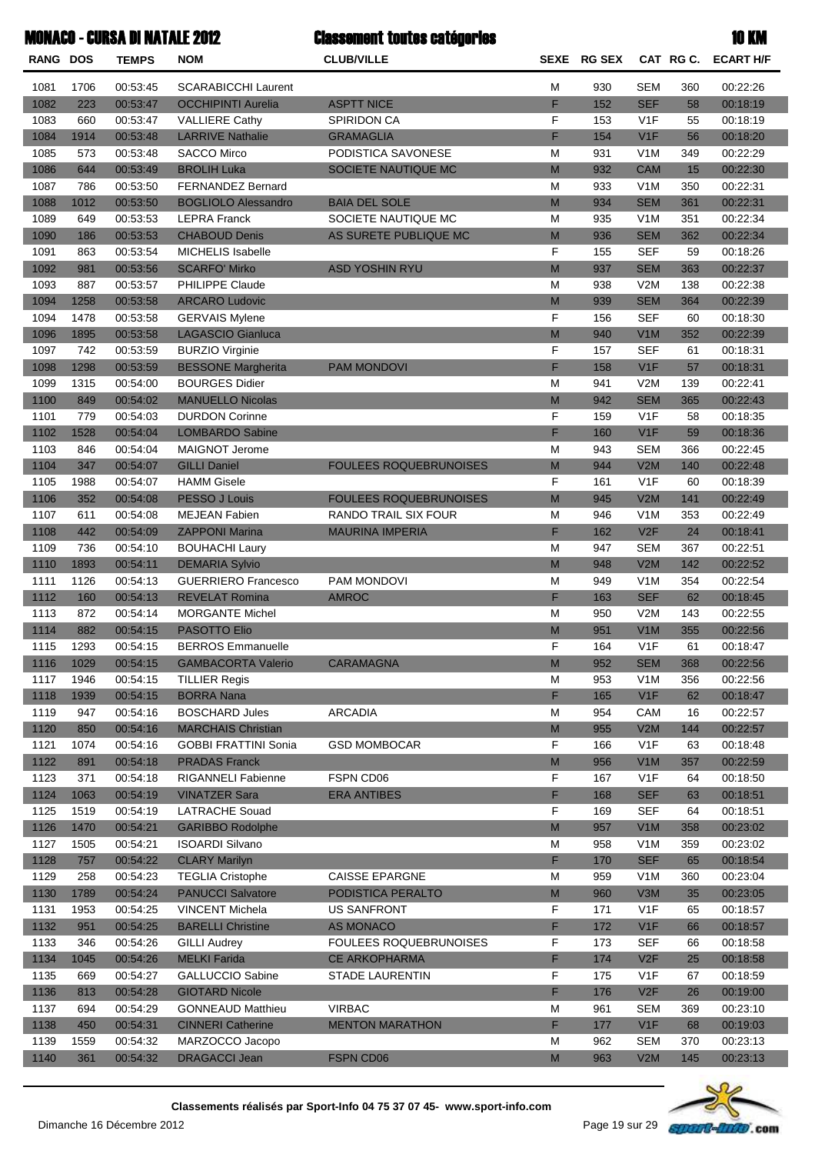|             |            | <b>MONACO - CURSA DI NATALE 2012</b> |                            | <b>Classement toutes catégories</b> |   |             |                  |     | <b>10 KM</b>        |
|-------------|------------|--------------------------------------|----------------------------|-------------------------------------|---|-------------|------------------|-----|---------------------|
| <b>RANG</b> | <b>DOS</b> | <b>TEMPS</b>                         | <b>NOM</b>                 | <b>CLUB/VILLE</b>                   |   | SEXE RG SEX |                  |     | CAT RG C. ECART H/F |
| 1081        | 1706       | 00:53:45                             | <b>SCARABICCHI Laurent</b> |                                     | м | 930         | <b>SEM</b>       | 360 | 00:22:26            |
| 1082        | 223        | 00:53:47                             | <b>OCCHIPINTI Aurelia</b>  | <b>ASPTT NICE</b>                   |   | 152         | <b>SEF</b>       | 58  | 00:18:19            |
| 1083        | 660        | 00:53:47                             | <b>VALLIERE Cathy</b>      | <b>SPIRIDON CA</b>                  | F | 153         | V <sub>1</sub> F | 55  | 00:18:19            |
| 1084        | 1914       | 00:53:48                             | <b>LARRIVE Nathalie</b>    | <b>GRAMAGI IA</b>                   |   | 154         | V1F              | 56  | 00:18:20            |

| 1082         | 223        | 00:53:47 | <b>OCCHIPINTI Aurelia</b>   | <b>ASPTT NICE</b>             | F.                                                                                                         | 152 | <b>SEF</b>       | 58  | 00:18:19 |
|--------------|------------|----------|-----------------------------|-------------------------------|------------------------------------------------------------------------------------------------------------|-----|------------------|-----|----------|
| 1083         | 660        | 00:53:47 | <b>VALLIERE Cathy</b>       | <b>SPIRIDON CA</b>            | F                                                                                                          | 153 | V1F              | 55  | 00:18:19 |
| 1084         | 1914       | 00:53:48 | <b>LARRIVE Nathalie</b>     | <b>GRAMAGLIA</b>              | F.                                                                                                         | 154 | V1F              | 56  | 00:18:20 |
| 1085         | 573        | 00:53:48 | <b>SACCO Mirco</b>          | PODISTICA SAVONESE            | M                                                                                                          | 931 | V <sub>1</sub> M | 349 | 00:22:29 |
| 1086         | 644        | 00:53:49 | <b>BROLIH Luka</b>          | SOCIETE NAUTIQUE MC           | M                                                                                                          | 932 | <b>CAM</b>       | 15  | 00:22:30 |
| 1087         | 786        | 00:53:50 | <b>FERNANDEZ Bernard</b>    |                               | M                                                                                                          | 933 | V <sub>1</sub> M | 350 | 00:22:31 |
| 1088         | 1012       | 00:53:50 | <b>BOGLIOLO Alessandro</b>  | <b>BAIA DEL SOLE</b>          | M                                                                                                          | 934 | <b>SEM</b>       | 361 | 00:22:31 |
| 1089         | 649        | 00:53:53 | <b>LEPRA Franck</b>         | SOCIETE NAUTIQUE MC           | M                                                                                                          | 935 | V <sub>1</sub> M | 351 | 00:22:34 |
| 1090         | 186        | 00:53:53 | <b>CHABOUD Denis</b>        | AS SURETE PUBLIQUE MC         | M                                                                                                          | 936 | <b>SEM</b>       | 362 | 00:22:34 |
| 1091         | 863        | 00:53:54 | <b>MICHELIS Isabelle</b>    |                               | F                                                                                                          | 155 | <b>SEF</b>       | 59  | 00:18:26 |
| 1092         | 981        | 00:53:56 | <b>SCARFO' Mirko</b>        | <b>ASD YOSHIN RYU</b>         | M                                                                                                          | 937 | <b>SEM</b>       | 363 | 00:22:37 |
| 1093         | 887        | 00:53:57 | PHILIPPE Claude             |                               | M                                                                                                          | 938 | V2M              | 138 | 00:22:38 |
| 1094         | 1258       | 00:53:58 | <b>ARCARO Ludovic</b>       |                               | M                                                                                                          | 939 | <b>SEM</b>       | 364 | 00:22:39 |
| 1094         | 1478       | 00:53:58 | <b>GERVAIS Mylene</b>       |                               | F                                                                                                          | 156 | <b>SEF</b>       | 60  | 00:18:30 |
| 1096         | 1895       | 00:53:58 | <b>LAGASCIO Gianluca</b>    |                               | $\mathsf{M}% _{T}=\mathsf{M}_{T}\!\left( a,b\right) ,\ \mathsf{M}_{T}=\mathsf{M}_{T}\!\left( a,b\right) ,$ | 940 | V1M              | 352 | 00:22:39 |
| 1097         | 742        | 00:53:59 | <b>BURZIO Virginie</b>      |                               | F                                                                                                          | 157 | <b>SEF</b>       | 61  | 00:18:31 |
| 1098         | 1298       | 00:53:59 | <b>BESSONE Margherita</b>   | <b>PAM MONDOVI</b>            | F.                                                                                                         | 158 | V1F              | 57  | 00:18:31 |
| 1099         | 1315       | 00:54:00 | <b>BOURGES Didier</b>       |                               | M                                                                                                          | 941 | V2M              | 139 | 00:22:41 |
|              |            |          |                             |                               | M                                                                                                          |     | <b>SEM</b>       |     |          |
| 1100<br>1101 | 849<br>779 | 00:54:02 | <b>MANUELLO Nicolas</b>     |                               | F                                                                                                          | 942 | V <sub>1</sub> F | 365 | 00:22:43 |
|              |            | 00:54:03 | <b>DURDON Corinne</b>       |                               | F.                                                                                                         | 159 |                  | 58  | 00:18:35 |
| 1102         | 1528       | 00:54:04 | <b>LOMBARDO Sabine</b>      |                               |                                                                                                            | 160 | V1F              | 59  | 00:18:36 |
| 1103         | 846        | 00:54:04 | <b>MAIGNOT Jerome</b>       |                               | M                                                                                                          | 943 | <b>SEM</b>       | 366 | 00:22:45 |
| 1104         | 347        | 00:54:07 | <b>GILLI Daniel</b>         | <b>FOULEES ROQUEBRUNOISES</b> | M                                                                                                          | 944 | V2M              | 140 | 00:22:48 |
| 1105         | 1988       | 00:54:07 | <b>HAMM Gisele</b>          |                               | F                                                                                                          | 161 | V <sub>1F</sub>  | 60  | 00:18:39 |
| 1106         | 352        | 00:54:08 | PESSO J Louis               | <b>FOULEES ROQUEBRUNOISES</b> | M                                                                                                          | 945 | V2M              | 141 | 00:22:49 |
| 1107         | 611        | 00:54:08 | <b>MEJEAN Fabien</b>        | RANDO TRAIL SIX FOUR          | М                                                                                                          | 946 | V <sub>1</sub> M | 353 | 00:22:49 |
| 1108         | 442        | 00:54:09 | <b>ZAPPONI Marina</b>       | <b>MAURINA IMPERIA</b>        | F                                                                                                          | 162 | V2F              | 24  | 00:18:41 |
| 1109         | 736        | 00:54:10 | <b>BOUHACHI Laury</b>       |                               | M                                                                                                          | 947 | <b>SEM</b>       | 367 | 00:22:51 |
| 1110         | 1893       | 00:54:11 | <b>DEMARIA Sylvio</b>       |                               | M                                                                                                          | 948 | V2M              | 142 | 00:22:52 |
| 1111         | 1126       | 00:54:13 | <b>GUERRIERO Francesco</b>  | PAM MONDOVI                   | M                                                                                                          | 949 | V <sub>1</sub> M | 354 | 00:22:54 |
| 1112         | 160        | 00:54:13 | <b>REVELAT Romina</b>       | <b>AMROC</b>                  | F                                                                                                          | 163 | <b>SEF</b>       | 62  | 00:18:45 |
| 1113         | 872        | 00:54:14 | <b>MORGANTE Michel</b>      |                               | M                                                                                                          | 950 | V2M              | 143 | 00:22:55 |
| 1114         | 882        | 00:54:15 | <b>PASOTTO Elio</b>         |                               | $\mathsf{M}% _{T}=\mathsf{M}_{T}\!\left( a,b\right) ,\ \mathsf{M}_{T}=\mathsf{M}_{T}\!\left( a,b\right) ,$ | 951 | V1M              | 355 | 00:22:56 |
| 1115         | 1293       | 00:54:15 | <b>BERROS Emmanuelle</b>    |                               | F                                                                                                          | 164 | V <sub>1F</sub>  | 61  | 00:18:47 |
| 1116         | 1029       | 00:54:15 | <b>GAMBACORTA Valerio</b>   | <b>CARAMAGNA</b>              | $\mathsf{M}% _{T}=\mathsf{M}_{T}\!\left( a,b\right) ,\ \mathsf{M}_{T}=\mathsf{M}_{T}\!\left( a,b\right) ,$ | 952 | <b>SEM</b>       | 368 | 00:22:56 |
| 1117         | 1946       | 00:54:15 | <b>TILLIER Regis</b>        |                               | M                                                                                                          | 953 | V <sub>1</sub> M | 356 | 00:22:56 |
| 1118         | 1939       | 00:54:15 | <b>BORRA Nana</b>           |                               | F.                                                                                                         | 165 | V1F              | 62  | 00:18:47 |
| 1119         | 947        | 00:54:16 | <b>BOSCHARD Jules</b>       | <b>ARCADIA</b>                | M                                                                                                          | 954 | CAM              | 16  | 00:22:57 |
| 1120         | 850        | 00:54:16 | <b>MARCHAIS Christian</b>   |                               | M                                                                                                          | 955 | V2M              | 144 | 00:22:57 |
| 1121         | 1074       | 00:54:16 | <b>GOBBI FRATTINI Sonia</b> | <b>GSD MOMBOCAR</b>           | F                                                                                                          | 166 | V <sub>1</sub> F | 63  | 00:18:48 |
| 1122         | 891        | 00:54:18 | <b>PRADAS Franck</b>        |                               | M                                                                                                          | 956 | V1M              | 357 | 00:22:59 |
| 1123         | 371        | 00:54:18 | <b>RIGANNELI Fabienne</b>   | FSPN CD06                     | F                                                                                                          | 167 | V <sub>1</sub> F | 64  | 00:18:50 |
| 1124         | 1063       | 00:54:19 | <b>VINATZER Sara</b>        | <b>ERA ANTIBES</b>            | F                                                                                                          | 168 | <b>SEF</b>       | 63  | 00:18:51 |
| 1125         | 1519       | 00:54:19 | <b>LATRACHE Souad</b>       |                               | F                                                                                                          | 169 | <b>SEF</b>       | 64  | 00:18:51 |
| 1126         | 1470       | 00:54:21 | <b>GARIBBO Rodolphe</b>     |                               | M                                                                                                          | 957 | V1M              | 358 | 00:23:02 |
| 1127         | 1505       | 00:54:21 | <b>ISOARDI Silvano</b>      |                               | M                                                                                                          | 958 | V <sub>1</sub> M | 359 | 00:23:02 |
| 1128         | 757        | 00:54:22 | <b>CLARY Marilyn</b>        |                               | F.                                                                                                         | 170 | <b>SEF</b>       | 65  | 00:18:54 |
| 1129         | 258        | 00:54:23 | <b>TEGLIA Cristophe</b>     | <b>CAISSE EPARGNE</b>         | M                                                                                                          | 959 | V <sub>1</sub> M | 360 | 00:23:04 |
| 1130         | 1789       | 00:54:24 | <b>PANUCCI Salvatore</b>    | PODISTICA PERALTO             | M                                                                                                          | 960 | V3M              | 35  | 00:23:05 |
| 1131         | 1953       | 00:54:25 | <b>VINCENT Michela</b>      | <b>US SANFRONT</b>            | F                                                                                                          | 171 | V <sub>1</sub> F | 65  | 00:18:57 |
| 1132         | 951        | 00:54:25 | <b>BARELLI Christine</b>    | <b>AS MONACO</b>              | F                                                                                                          | 172 | V1F              | 66  | 00:18:57 |
| 1133         | 346        | 00:54:26 | <b>GILLI Audrey</b>         | <b>FOULEES ROQUEBRUNOISES</b> | F                                                                                                          | 173 | <b>SEF</b>       | 66  | 00:18:58 |
| 1134         | 1045       | 00:54:26 | <b>MELKI Farida</b>         | <b>CE ARKOPHARMA</b>          | F                                                                                                          | 174 | V2F              | 25  | 00:18:58 |
| 1135         | 669        | 00:54:27 | <b>GALLUCCIO Sabine</b>     | <b>STADE LAURENTIN</b>        | F                                                                                                          | 175 | V <sub>1</sub> F | 67  | 00:18:59 |
| 1136         | 813        | 00:54:28 | <b>GIOTARD Nicole</b>       |                               | F                                                                                                          | 176 | V2F              | 26  | 00:19:00 |
| 1137         | 694        | 00:54:29 | <b>GONNEAUD Matthieu</b>    | <b>VIRBAC</b>                 | M                                                                                                          | 961 | <b>SEM</b>       | 369 | 00:23:10 |
| 1138         | 450        | 00:54:31 | <b>CINNERI Catherine</b>    | <b>MENTON MARATHON</b>        | F                                                                                                          | 177 | V1F              | 68  | 00:19:03 |
| 1139         | 1559       | 00:54:32 | MARZOCCO Jacopo             |                               | М                                                                                                          | 962 | <b>SEM</b>       | 370 | 00:23:13 |
| 1140         | 361        | 00:54:32 | <b>DRAGACCI Jean</b>        | <b>FSPN CD06</b>              | $\mathsf{M}% _{T}=\mathsf{M}_{T}\!\left( a,b\right) ,\ \mathsf{M}_{T}=\mathsf{M}_{T}\!\left( a,b\right) ,$ | 963 | V2M              | 145 | 00:23:13 |
|              |            |          |                             |                               |                                                                                                            |     |                  |     |          |



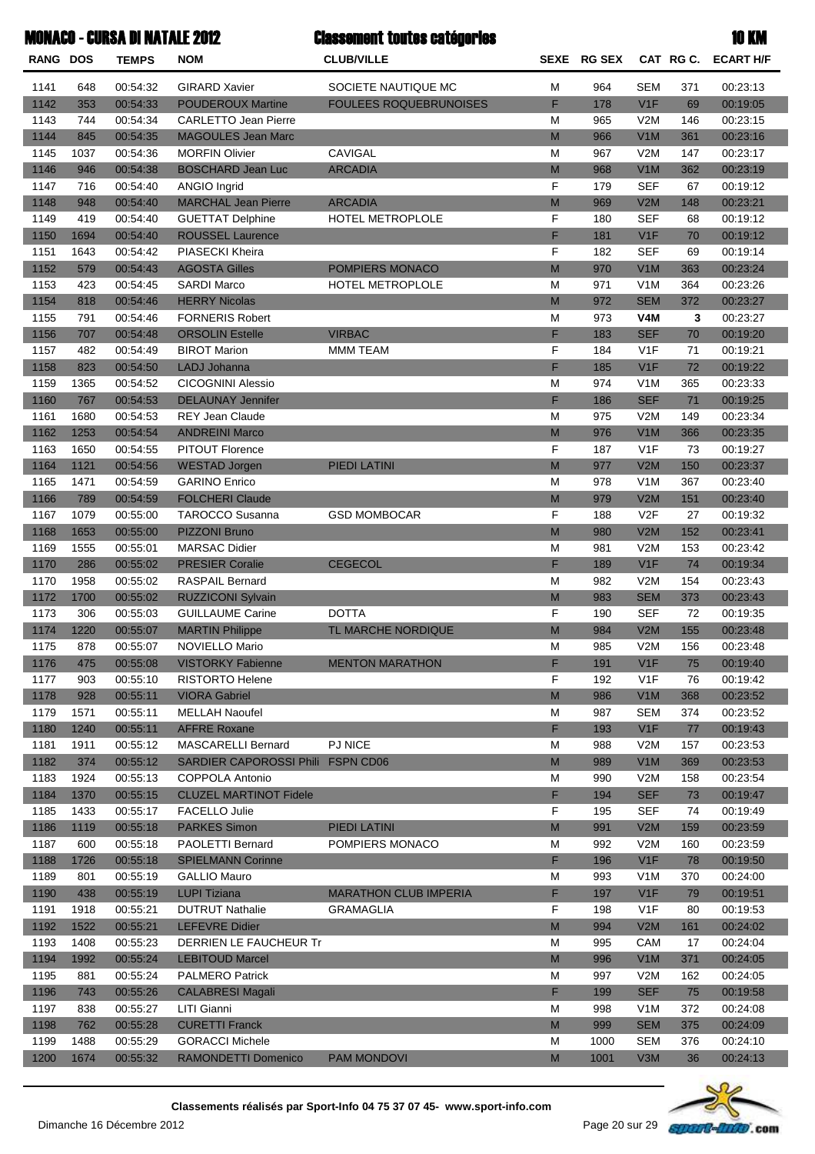|  | <b>MONACO - CURSA DI NATALE 201:</b> |  |  |
|--|--------------------------------------|--|--|
|  |                                      |  |  |

|                 |      | <b>MONACO - CURSA DI NATALE 2012</b> |                                                      | <b>Classement toutes catégories</b> |    |             |                  |           | <b>10 KM</b>     |
|-----------------|------|--------------------------------------|------------------------------------------------------|-------------------------------------|----|-------------|------------------|-----------|------------------|
| <b>RANG DOS</b> |      | <b>TEMPS</b>                         | <b>NOM</b>                                           | <b>CLUB/VILLE</b>                   |    | SEXE RG SEX |                  | CAT RG C. | <b>ECART H/F</b> |
| 1141            | 648  | 00:54:32                             | <b>GIRARD Xavier</b>                                 | SOCIETE NAUTIQUE MC                 | M  | 964         | <b>SEM</b>       | 371       | 00:23:13         |
| 1142            | 353  | 00:54:33                             | <b>POUDEROUX Martine</b>                             | <b>FOULEES ROQUEBRUNOISES</b>       | F  | 178         | V1F              | 69        | 00:19:05         |
| 1143            | 744  | 00:54:34                             | <b>CARLETTO Jean Pierre</b>                          |                                     | M  | 965         | V2M              | 146       | 00:23:15         |
| 1144            | 845  | 00:54:35                             | <b>MAGOULES Jean Marc</b>                            |                                     | M  | 966         | V <sub>1</sub> M | 361       | 00:23:16         |
| 1145            | 1037 | 00:54:36                             | <b>MORFIN Olivier</b>                                | <b>CAVIGAL</b>                      | M  | 967         | V2M              | 147       | 00:23:17         |
| 1146            | 946  | 00:54:38                             | <b>BOSCHARD Jean Luc</b>                             | <b>ARCADIA</b>                      | M  | 968         | V <sub>1</sub> M | 362       | 00:23:19         |
| 1147            | 716  | 00:54:40                             | <b>ANGIO Ingrid</b>                                  |                                     | F  | 179         | <b>SEF</b>       | 67        | 00:19:12         |
| 1148            | 948  | 00:54:40                             | <b>MARCHAL Jean Pierre</b>                           | <b>ARCADIA</b>                      | M  | 969         | V2M              | 148       | 00:23:21         |
| 1149            | 419  | 00:54:40                             | <b>GUETTAT Delphine</b>                              | HOTEL METROPLOLE                    | F  | 180         | <b>SEF</b>       | 68        | 00:19:12         |
| 1150            | 1694 | 00:54:40                             | <b>ROUSSEL Laurence</b>                              |                                     | F  | 181         | V1F              | 70        | 00:19:12         |
| 1151            | 1643 | 00:54:42                             | PIASECKI Kheira                                      |                                     | F  | 182         | <b>SEF</b>       | 69        | 00:19:14         |
| 1152            | 579  | 00:54:43                             | <b>AGOSTA Gilles</b>                                 | POMPIERS MONACO                     | M  | 970         | V1M              | 363       | 00:23:24         |
| 1153            | 423  | 00:54:45                             | <b>SARDI Marco</b>                                   | HOTEL METROPLOLE                    | M  | 971         | V <sub>1</sub> M | 364       | 00:23:26         |
| 1154            | 818  | 00:54:46                             | <b>HERRY Nicolas</b>                                 |                                     | M  | 972         | <b>SEM</b>       | 372       | 00:23:27         |
| 1155            | 791  | 00:54:46                             | <b>FORNERIS Robert</b>                               |                                     | M  | 973         | V <sub>4</sub> M | 3         | 00:23:27         |
| 1156            | 707  | 00:54:48                             | <b>ORSOLIN Estelle</b>                               | <b>VIRBAC</b>                       | F  | 183         | <b>SEF</b>       | 70        | 00:19:20         |
| 1157            | 482  | 00:54:49                             | <b>BIROT Marion</b>                                  | MMM TEAM                            | F  | 184         | V <sub>1</sub> F | 71        | 00:19:21         |
| 1158            | 823  | 00:54:50                             | LADJ Johanna                                         |                                     | F  | 185         | V1F              | 72        | 00:19:22         |
|                 | 1365 |                                      |                                                      |                                     | M  | 974         |                  |           |                  |
| 1159            |      | 00:54:52                             | <b>CICOGNINI Alessio</b><br><b>DELAUNAY Jennifer</b> |                                     |    |             | V <sub>1</sub> M | 365       | 00:23:33         |
| 1160            | 767  | 00:54:53                             |                                                      |                                     | F  | 186         | <b>SEF</b>       | 71        | 00:19:25         |
| 1161            | 1680 | 00:54:53                             | <b>REY Jean Claude</b>                               |                                     | M  | 975         | V2M              | 149       | 00:23:34         |
| 1162            | 1253 | 00:54:54                             | <b>ANDREINI Marco</b>                                |                                     | M  | 976         | V1M              | 366       | 00:23:35         |
| 1163            | 1650 | 00:54:55                             | PITOUT Florence                                      |                                     | F  | 187         | V <sub>1F</sub>  | 73        | 00:19:27         |
| 1164            | 1121 | 00:54:56                             | <b>WESTAD Jorgen</b>                                 | <b>PIEDI LATINI</b>                 | M  | 977         | V2M              | 150       | 00:23:37         |
| 1165            | 1471 | 00:54:59                             | <b>GARINO Enrico</b>                                 |                                     | M  | 978         | V1M              | 367       | 00:23:40         |
| 1166            | 789  | 00:54:59                             | <b>FOLCHERI Claude</b>                               |                                     | M  | 979         | V2M              | 151       | 00:23:40         |
| 1167            | 1079 | 00:55:00                             | <b>TAROCCO Susanna</b>                               | <b>GSD MOMBOCAR</b>                 | F  | 188         | V <sub>2</sub> F | 27        | 00:19:32         |
| 1168            | 1653 | 00:55:00                             | <b>PIZZONI Bruno</b>                                 |                                     | M  | 980         | V2M              | 152       | 00:23:41         |
| 1169            | 1555 | 00:55:01                             | <b>MARSAC Didier</b>                                 |                                     | M  | 981         | V2M              | 153       | 00:23:42         |
| 1170            | 286  | 00:55:02                             | <b>PRESIER Coralie</b>                               | <b>CEGECOL</b>                      | F  | 189         | V1F              | 74        | 00:19:34         |
| 1170            | 1958 | 00:55:02                             | <b>RASPAIL Bernard</b>                               |                                     | M  | 982         | V2M              | 154       | 00:23:43         |
| 1172            | 1700 | 00:55:02                             | <b>RUZZICONI Sylvain</b>                             |                                     | M  | 983         | <b>SEM</b>       | 373       | 00:23:43         |
| 1173            | 306  | 00:55:03                             | <b>GUILLAUME Carine</b>                              | <b>DOTTA</b>                        | F  | 190         | <b>SEF</b>       | 72        | 00:19:35         |
| 1174            | 1220 | 00:55:07                             | <b>MARTIN Philippe</b>                               | TL MARCHE NORDIQUE                  | M  | 984         | V2M              | 155       | 00:23:48         |
| 1175            | 878  | 00:55:07                             | NOVIELLO Mario                                       |                                     | M  | 985         | V2M              | 156       | 00:23:48         |
| 1176            | 475  | 00:55:08                             | <b>VISTORKY Fabienne</b>                             | <b>MENTON MARATHON</b>              | F. | 191         | V1F              | 75        | 00:19:40         |
| 1177            | 903  | 00:55:10                             | <b>RISTORTO Helene</b>                               |                                     | F  | 192         | V <sub>1</sub> F | 76        | 00:19:42         |
| 1178            | 928  | 00:55:11                             | <b>VIORA Gabriel</b>                                 |                                     | M  | 986         | V1M              | 368       | 00:23:52         |
| 1179            | 1571 | 00:55:11                             | <b>MELLAH Naoufel</b>                                |                                     | M  | 987         | <b>SEM</b>       | 374       | 00:23:52         |
| 1180            | 1240 | 00:55:11                             | <b>AFFRE Roxane</b>                                  |                                     | F  | 193         | V1F              | 77        | 00:19:43         |
| 1181            | 1911 | 00:55:12                             | <b>MASCARELLI Bernard</b>                            | <b>PJ NICE</b>                      | M  | 988         | V2M              | 157       | 00:23:53         |
| 1182            | 374  | 00:55:12                             | <b>SARDIER CAPOROSSI Phili FSPN CD06</b>             |                                     | M  | 989         | V1M              | 369       | 00:23:53         |
| 1183            | 1924 | 00:55:13                             | <b>COPPOLA Antonio</b>                               |                                     | M  | 990         | V2M              | 158       | 00:23:54         |
| 1184            | 1370 | 00:55:15                             | <b>CLUZEL MARTINOT Fidele</b>                        |                                     | F  | 194         | <b>SEF</b>       | 73        | 00:19:47         |
| 1185            | 1433 | 00:55:17                             | <b>FACELLO Julie</b>                                 |                                     | F  | 195         | <b>SEF</b>       | 74        | 00:19:49         |
|                 | 1119 | 00:55:18                             | <b>PARKES Simon</b>                                  | PIEDI LATINI                        | M  |             | V2M              |           | 00:23:59         |
| 1186            |      |                                      |                                                      |                                     |    | 991         |                  | 159       |                  |
| 1187            | 600  | 00:55:18                             | <b>PAOLETTI Bernard</b>                              | POMPIERS MONACO                     | M  | 992         | V2M              | 160       | 00:23:59         |
| 1188            | 1726 | 00:55:18                             | <b>SPIELMANN Corinne</b>                             |                                     | F  | 196         | V1F              | 78        | 00:19:50         |
| 1189            | 801  | 00:55:19                             | <b>GALLIO Mauro</b>                                  |                                     | M  | 993         | V <sub>1</sub> M | 370       | 00:24:00         |
| 1190            | 438  | 00:55:19                             | <b>LUPI Tiziana</b>                                  | <b>MARATHON CLUB IMPERIA</b>        | F  | 197         | V1F              | 79        | 00:19:51         |
| 1191            | 1918 | 00:55:21                             | <b>DUTRUT Nathalie</b>                               | <b>GRAMAGLIA</b>                    | F  | 198         | V <sub>1</sub> F | 80        | 00:19:53         |
| 1192            | 1522 | 00:55:21                             | <b>LEFEVRE Didier</b>                                |                                     | M  | 994         | V2M              | 161       | 00:24:02         |
| 1193            | 1408 | 00:55:23                             | DERRIEN LE FAUCHEUR Tr                               |                                     | M  | 995         | CAM              | 17        | 00:24:04         |
| 1194            | 1992 | 00:55:24                             | <b>LEBITOUD Marcel</b>                               |                                     | M  | 996         | V1M              | 371       | 00:24:05         |
| 1195            | 881  | 00:55:24                             | <b>PALMERO Patrick</b>                               |                                     | M  | 997         | V2M              | 162       | 00:24:05         |
| 1196            | 743  | 00:55:26                             | <b>CALABRESI Magali</b>                              |                                     | F  | 199         | <b>SEF</b>       | 75        | 00:19:58         |
| 1197            | 838  | 00:55:27                             | LITI Gianni                                          |                                     | M  | 998         | V <sub>1</sub> M | 372       | 00:24:08         |
| 1198            | 762  | 00:55:28                             | <b>CURETTI Franck</b>                                |                                     | M  | 999         | <b>SEM</b>       | 375       | 00:24:09         |
| 1199            | 1488 | 00:55:29                             | <b>GORACCI Michele</b>                               |                                     | М  | 1000        | <b>SEM</b>       | 376       | 00:24:10         |
| 1200            | 1674 | 00:55:32                             | <b>RAMONDETTI Domenico</b>                           | <b>PAM MONDOVI</b>                  | M  | 1001        | V3M              | 36        | 00:24:13         |

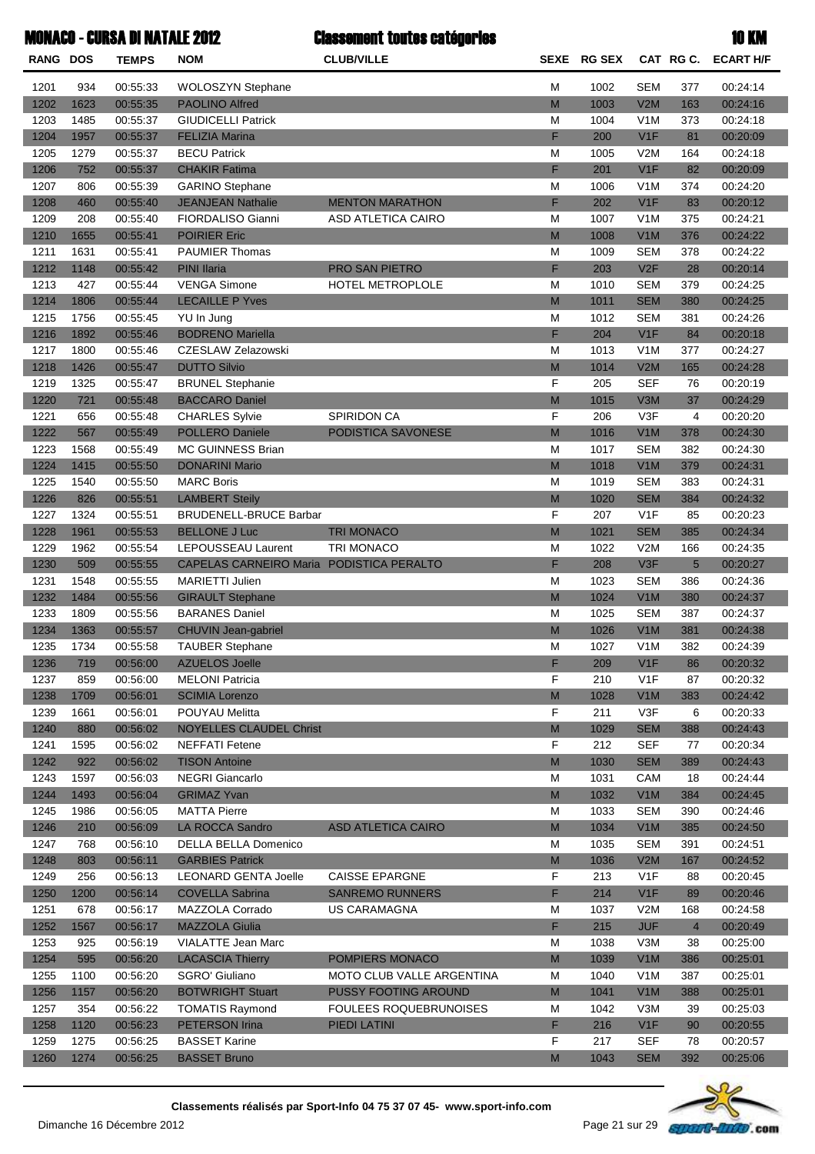## 10 KMMONACO - CURSA DI NATALE 2012

Classement toutes catégories

| <b>RANG DOS</b> |             | <b>TEMPS</b>         | <b>NOM</b>                                      | <b>CLUB/VILLE</b>                |                                                                                                            | SEXE RG SEX |                  |                | CAT RG C. ECART H/F  |
|-----------------|-------------|----------------------|-------------------------------------------------|----------------------------------|------------------------------------------------------------------------------------------------------------|-------------|------------------|----------------|----------------------|
| 1201            | 934         | 00:55:33             | WOLOSZYN Stephane                               |                                  | M                                                                                                          | 1002        | <b>SEM</b>       | 377            | 00:24:14             |
| 1202            | 1623        | 00:55:35             | <b>PAOLINO Alfred</b>                           |                                  | $\mathsf{M}% _{T}=\mathsf{M}_{T}\!\left( a,b\right) ,\ \mathsf{M}_{T}=\mathsf{M}_{T}\!\left( a,b\right) ,$ | 1003        | V2M              | 163            | 00:24:16             |
| 1203            | 1485        | 00:55:37             | <b>GIUDICELLI Patrick</b>                       |                                  | M                                                                                                          | 1004        | V1M              | 373            | 00:24:18             |
| 1204            | 1957        | 00:55:37             | <b>FELIZIA Marina</b>                           |                                  | F                                                                                                          | 200         | V1F              | 81             | 00:20:09             |
| 1205            | 1279        | 00:55:37             | <b>BECU Patrick</b>                             |                                  | M                                                                                                          | 1005        | V2M              | 164            | 00:24:18             |
| 1206            | 752         | 00:55:37             | <b>CHAKIR Fatima</b>                            |                                  | F                                                                                                          | 201         | V1F              | 82             | 00:20:09             |
| 1207            | 806         | 00:55:39             | <b>GARINO Stephane</b>                          |                                  | M                                                                                                          | 1006        | V1M              | 374            | 00:24:20             |
| 1208            | 460         | 00:55:40             | <b>JEANJEAN Nathalie</b>                        | <b>MENTON MARATHON</b>           | F                                                                                                          | 202         | V1F              | 83             | 00:20:12             |
| 1209            | 208         | 00:55:40             | FIORDALISO Gianni                               | ASD ATLETICA CAIRO               | M                                                                                                          | 1007        | V <sub>1</sub> M | 375            | 00:24:21             |
| 1210            | 1655        | 00:55:41             | <b>POIRIER Eric</b>                             |                                  | $\mathsf{M}% _{T}=\mathsf{M}_{T}\!\left( a,b\right) ,\ \mathsf{M}_{T}=\mathsf{M}_{T}\!\left( a,b\right) ,$ | 1008        | V1M              | 376            | 00:24:22             |
| 1211            | 1631        | 00:55:41             | <b>PAUMIER Thomas</b>                           |                                  | M                                                                                                          | 1009        | <b>SEM</b>       | 378            | 00:24:22             |
| 1212            | 1148        | 00:55:42             | <b>PINI Ilaria</b>                              | PRO SAN PIETRO                   | F                                                                                                          | 203         | V2F              | 28             | 00:20:14             |
| 1213            | 427         | 00:55:44             | <b>VENGA Simone</b>                             | HOTEL METROPLOLE                 | M                                                                                                          | 1010        | <b>SEM</b>       | 379            | 00:24:25             |
| 1214            | 1806        | 00:55:44             | <b>LECAILLE P Yves</b>                          |                                  | $\mathsf{M}% _{T}=\mathsf{M}_{T}\!\left( a,b\right) ,\ \mathsf{M}_{T}=\mathsf{M}_{T}\!\left( a,b\right) ,$ | 1011        | <b>SEM</b>       | 380            | 00:24:25             |
| 1215            | 1756        | 00:55:45             | YU In Jung                                      |                                  | M                                                                                                          | 1012        | <b>SEM</b>       | 381            | 00:24:26             |
| 1216            | 1892        | 00:55:46             | <b>BODRENO Mariella</b>                         |                                  | F                                                                                                          | 204         | V1F              | 84             | 00:20:18             |
| 1217            | 1800        | 00:55:46             | CZESLAW Zelazowski                              |                                  | M                                                                                                          | 1013        | V1M              | 377            | 00:24:27             |
| 1218            | 1426        | 00:55:47             | <b>DUTTO Silvio</b>                             |                                  | $\mathsf{M}% _{T}=\mathsf{M}_{T}\!\left( a,b\right) ,\ \mathsf{M}_{T}=\mathsf{M}_{T}\!\left( a,b\right) ,$ | 1014        | V2M              | 165            | 00:24:28             |
| 1219            | 1325        | 00:55:47             | <b>BRUNEL Stephanie</b>                         |                                  | F                                                                                                          | 205         | <b>SEF</b>       | 76             | 00:20:19             |
| 1220            | 721         | 00:55:48             | <b>BACCARO Daniel</b>                           |                                  | M                                                                                                          | 1015        | V3M              | 37             | 00:24:29             |
| 1221            | 656         | 00:55:48             | <b>CHARLES Sylvie</b>                           | SPIRIDON CA                      | F                                                                                                          | 206         | V3F              | 4              | 00:20:20             |
| 1222            | 567         | 00:55:49             | POLLERO Daniele                                 | PODISTICA SAVONESE               | M                                                                                                          | 1016        | V1M              | 378            | 00:24:30             |
| 1223            | 1568        | 00:55:49             | MC GUINNESS Brian                               |                                  | M                                                                                                          | 1017        | <b>SEM</b>       | 382            | 00:24:30             |
| 1224            | 1415        | 00:55:50             | <b>DONARINI Mario</b>                           |                                  | $\mathsf{M}% _{T}=\mathsf{M}_{T}\!\left( a,b\right) ,\ \mathsf{M}_{T}=\mathsf{M}_{T}\!\left( a,b\right) ,$ | 1018        | V1M              | 379            | 00:24:31             |
| 1225            | 1540        | 00:55:50             | <b>MARC Boris</b>                               |                                  | M                                                                                                          | 1019        | <b>SEM</b>       | 383            | 00:24:31             |
| 1226            | 826         | 00:55:51             | <b>LAMBERT Steily</b>                           |                                  | $\mathsf{M}% _{T}=\mathsf{M}_{T}\!\left( a,b\right) ,\ \mathsf{M}_{T}=\mathsf{M}_{T}\!\left( a,b\right) ,$ | 1020        | <b>SEM</b>       | 384            | 00:24:32             |
| 1227            | 1324        | 00:55:51             | BRUDENELL-BRUCE Barbar                          |                                  | F                                                                                                          | 207         | V <sub>1</sub> F | 85             | 00:20:23             |
| 1228            | 1961        | 00:55:53             | <b>BELLONE J Luc</b>                            | <b>TRI MONACO</b>                | $\mathsf{M}$                                                                                               | 1021        | <b>SEM</b>       | 385            | 00:24:34             |
| 1229            | 1962        | 00:55:54             | LEPOUSSEAU Laurent                              | TRI MONACO                       | M                                                                                                          | 1022        | V2M              | 166            | 00:24:35             |
| 1230            | 509         | 00:55:55             | CAPELAS CARNEIRO Maria PODISTICA PERALTO        |                                  | F                                                                                                          | 208         | V3F              | 5              | 00:20:27             |
| 1231            | 1548        | 00:55:55             | MARIETTI Julien                                 |                                  | M                                                                                                          | 1023        | <b>SEM</b>       | 386            | 00:24:36             |
| 1232            | 1484        | 00:55:56             | <b>GIRAULT Stephane</b>                         |                                  | $\mathsf{M}% _{T}=\mathsf{M}_{T}\!\left( a,b\right) ,\ \mathsf{M}_{T}=\mathsf{M}_{T}\!\left( a,b\right) ,$ | 1024        | V1M              | 380            | 00:24:37             |
| 1233            | 1809        | 00:55:56             | <b>BARANES Daniel</b>                           |                                  | M                                                                                                          | 1025        | <b>SEM</b>       | 387            | 00:24:37             |
| 1234            | 1363        | 00:55:57             | CHUVIN Jean-gabriel                             |                                  | M                                                                                                          | 1026        | V1M              | 381            | 00:24:38             |
| 1235            | 1734        | 00:55:58             | <b>TAUBER Stephane</b>                          |                                  | M                                                                                                          | 1027        | V1M              | 382            | 00:24:39             |
| 1236            | 719         | 00:56:00             | <b>AZUELOS Joelle</b>                           |                                  | F<br>F                                                                                                     | 209         | V1F<br>V1F       | 86             | 00:20:32             |
| 1237            | 859<br>1709 | 00:56:00<br>00:56:01 | <b>MELONI Patricia</b><br><b>SCIMIA Lorenzo</b> |                                  | $\mathsf{M}% _{T}=\mathsf{M}_{T}\!\left( a,b\right) ,\ \mathsf{M}_{T}=\mathsf{M}_{T}\!\left( a,b\right) ,$ | 210<br>1028 | V1M              | 87<br>383      | 00:20:32<br>00:24:42 |
| 1238<br>1239    | 1661        | 00:56:01             | POUYAU Melitta                                  |                                  | F                                                                                                          | 211         | V3F              | 6              | 00:20:33             |
| 1240            | 880         | 00:56:02             | <b>NOYELLES CLAUDEL Christ</b>                  |                                  | $\mathsf{M}% _{T}=\mathsf{M}_{T}\!\left( a,b\right) ,\ \mathsf{M}_{T}=\mathsf{M}_{T}\!\left( a,b\right) ,$ | 1029        | <b>SEM</b>       | 388            | 00:24:43             |
| 1241            | 1595        | 00:56:02             | <b>NEFFATI Fetene</b>                           |                                  | F                                                                                                          | 212         | <b>SEF</b>       | 77             | 00:20:34             |
| 1242            | 922         | 00:56:02             | <b>TISON Antoine</b>                            |                                  | $\mathsf{M}% _{T}=\mathsf{M}_{T}\!\left( a,b\right) ,\ \mathsf{M}_{T}=\mathsf{M}_{T}\!\left( a,b\right) ,$ | 1030        | <b>SEM</b>       | 389            | 00:24:43             |
| 1243            | 1597        | 00:56:03             | <b>NEGRI Giancarlo</b>                          |                                  | M                                                                                                          | 1031        | CAM              | 18             | 00:24:44             |
| 1244            | 1493        | 00:56:04             | <b>GRIMAZ Yvan</b>                              |                                  | $\mathsf{M}% _{T}=\mathsf{M}_{T}\!\left( a,b\right) ,\ \mathsf{M}_{T}=\mathsf{M}_{T}\!\left( a,b\right) ,$ | 1032        | V1M              | 384            | 00:24:45             |
| 1245            | 1986        | 00:56:05             | <b>MATTA Pierre</b>                             |                                  | M                                                                                                          | 1033        | <b>SEM</b>       | 390            | 00:24:46             |
| 1246            | 210         | 00:56:09             | LA ROCCA Sandro                                 | <b>ASD ATLETICA CAIRO</b>        | $\mathsf{M}% _{T}=\mathsf{M}_{T}\!\left( a,b\right) ,\ \mathsf{M}_{T}=\mathsf{M}_{T}\!\left( a,b\right) ,$ | 1034        | V1M              | 385            | 00:24:50             |
| 1247            | 768         | 00:56:10             | DELLA BELLA Domenico                            |                                  | М                                                                                                          | 1035        | <b>SEM</b>       | 391            | 00:24:51             |
| 1248            | 803         | 00:56:11             | <b>GARBIES Patrick</b>                          |                                  | $\mathsf{M}% _{T}=\mathsf{M}_{T}\!\left( a,b\right) ,\ \mathsf{M}_{T}=\mathsf{M}_{T}\!\left( a,b\right) ,$ | 1036        | V2M              | 167            | 00:24:52             |
| 1249            | 256         | 00:56:13             | <b>LEONARD GENTA Joelle</b>                     | <b>CAISSE EPARGNE</b>            | F                                                                                                          | 213         | V <sub>1</sub> F | 88             | 00:20:45             |
| 1250            | 1200        | 00:56:14             | <b>COVELLA Sabrina</b>                          | <b>SANREMO RUNNERS</b>           | F                                                                                                          | 214         | V1F              | 89             | 00:20:46             |
| 1251            | 678         | 00:56:17             | MAZZOLA Corrado                                 | US CARAMAGNA                     | М                                                                                                          | 1037        | V2M              | 168            | 00:24:58             |
| 1252            | 1567        | 00:56:17             | <b>MAZZOLA Giulia</b>                           |                                  | F                                                                                                          | 215         | <b>JUF</b>       | $\overline{4}$ | 00:20:49             |
| 1253            | 925         | 00:56:19             | <b>VIALATTE Jean Marc</b>                       |                                  | М                                                                                                          | 1038        | V3M              | 38             | 00:25:00             |
| 1254            | 595         | 00:56:20             | <b>LACASCIA Thierry</b>                         | POMPIERS MONACO                  | $\mathsf{M}% _{T}=\mathsf{M}_{T}\!\left( a,b\right) ,\ \mathsf{M}_{T}=\mathsf{M}_{T}\!\left( a,b\right) ,$ | 1039        | V1M              | 386            | 00:25:01             |
| 1255            | 1100        | 00:56:20             | <b>SGRO' Giuliano</b>                           | <b>MOTO CLUB VALLE ARGENTINA</b> | M                                                                                                          | 1040        | V <sub>1</sub> M | 387            | 00:25:01             |
| 1256            | 1157        | 00:56:20             | <b>BOTWRIGHT Stuart</b>                         | <b>PUSSY FOOTING AROUND</b>      | $\mathsf{M}% _{T}=\mathsf{M}_{T}\!\left( a,b\right) ,\ \mathsf{M}_{T}=\mathsf{M}_{T}\!\left( a,b\right) ,$ | 1041        | V1M              | 388            | 00:25:01             |
| 1257            | 354         | 00:56:22             | <b>TOMATIS Raymond</b>                          | <b>FOULEES ROQUEBRUNOISES</b>    | М                                                                                                          | 1042        | V3M              | 39             | 00:25:03             |
| 1258            | 1120        | 00:56:23             | <b>PETERSON Irina</b>                           | PIEDI LATINI                     | F                                                                                                          | 216         | V1F              | 90             | 00:20:55             |
| 1259            | 1275        | 00:56:25             | <b>BASSET Karine</b>                            |                                  | F                                                                                                          | 217         | <b>SEF</b>       | 78             | 00:20:57             |
| 1260            | 1274        | 00:56:25             | <b>BASSET Bruno</b>                             |                                  | M                                                                                                          | 1043        | <b>SEM</b>       | 392            | 00:25:06             |
|                 |             |                      |                                                 |                                  |                                                                                                            |             |                  |                |                      |

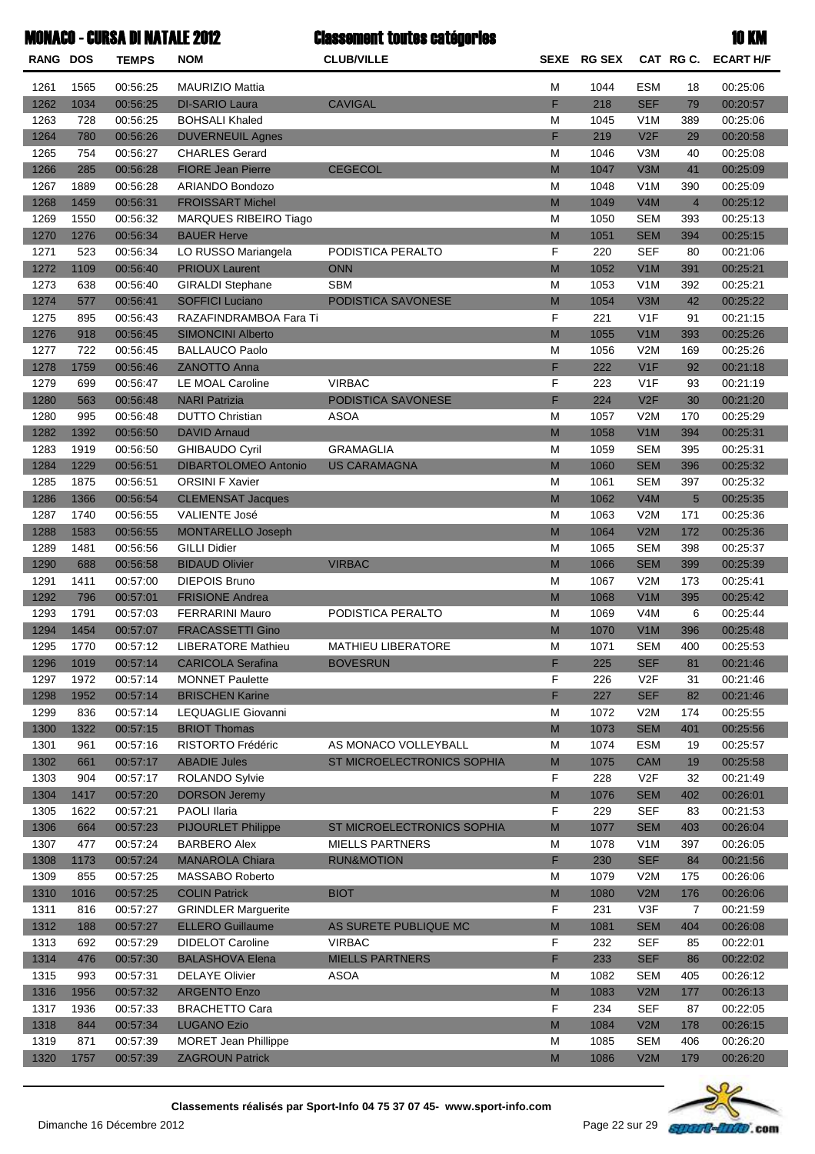10 KMMONACO - CURSA DI NATALE 2012

chanàtes está triat<br>triata

|          |      | MUNAVU - VUNOA JI NA IALL ZUIZ |                             | viaððuligill Luulbð valgyvi 19ð |                                                                                                            |             |                  |                 | IV RM            |
|----------|------|--------------------------------|-----------------------------|---------------------------------|------------------------------------------------------------------------------------------------------------|-------------|------------------|-----------------|------------------|
| RANG DOS |      | <b>TEMPS</b>                   | <b>NOM</b>                  | <b>CLUB/VILLE</b>               |                                                                                                            | SEXE RG SEX |                  | CAT RG C.       | <b>ECART H/F</b> |
| 1261     | 1565 | 00:56:25                       | <b>MAURIZIO Mattia</b>      |                                 | M                                                                                                          | 1044        | <b>ESM</b>       | 18              | 00:25:06         |
| 1262     | 1034 | 00:56:25                       | <b>DI-SARIO Laura</b>       | <b>CAVIGAL</b>                  | F                                                                                                          | 218         | <b>SEF</b>       | 79              | 00:20:57         |
| 1263     | 728  | 00:56:25                       | <b>BOHSALI Khaled</b>       |                                 | M                                                                                                          | 1045        | V1M              | 389             | 00:25:06         |
| 1264     | 780  | 00:56:26                       | <b>DUVERNEUIL Agnes</b>     |                                 | F                                                                                                          | 219         | V2F              | 29              | 00:20:58         |
| 1265     | 754  | 00:56:27                       | <b>CHARLES Gerard</b>       |                                 | M                                                                                                          | 1046        | V3M              | 40              | 00:25:08         |
| 1266     | 285  | 00:56:28                       | <b>FIORE Jean Pierre</b>    | <b>CEGECOL</b>                  | M                                                                                                          | 1047        | V3M              | 41              | 00:25:09         |
| 1267     | 1889 | 00:56:28                       | ARIANDO Bondozo             |                                 | M                                                                                                          | 1048        | V <sub>1</sub> M | 390             | 00:25:09         |
| 1268     | 1459 | 00:56:31                       | <b>FROISSART Michel</b>     |                                 | M                                                                                                          | 1049        | V4M              | $\overline{4}$  | 00:25:12         |
| 1269     | 1550 | 00:56:32                       | MARQUES RIBEIRO Tiago       |                                 | M                                                                                                          | 1050        | <b>SEM</b>       | 393             | 00:25:13         |
| 1270     | 1276 | 00:56:34                       | <b>BAUER Herve</b>          |                                 | M                                                                                                          | 1051        | <b>SEM</b>       | 394             | 00:25:15         |
| 1271     | 523  | 00:56:34                       | LO RUSSO Mariangela         | PODISTICA PERALTO               | F                                                                                                          | 220         | <b>SEF</b>       | 80              | 00:21:06         |
| 1272     | 1109 | 00:56:40                       | <b>PRIOUX Laurent</b>       | <b>ONN</b>                      | M                                                                                                          | 1052        | V1M              | 391             | 00:25:21         |
| 1273     | 638  | 00:56:40                       | <b>GIRALDI Stephane</b>     | <b>SBM</b>                      | M                                                                                                          | 1053        | V1M              | 392             | 00:25:21         |
| 1274     | 577  | 00:56:41                       | <b>SOFFICI Luciano</b>      | PODISTICA SAVONESE              | M                                                                                                          | 1054        | V3M              | 42              | 00:25:22         |
| 1275     | 895  | 00:56:43                       | RAZAFINDRAMBOA Fara Ti      |                                 | F                                                                                                          | 221         | V1F              | 91              | 00:21:15         |
| 1276     | 918  | 00:56:45                       | <b>SIMONCINI Alberto</b>    |                                 | M                                                                                                          | 1055        | V1M              | 393             | 00:25:26         |
| 1277     | 722  | 00:56:45                       | <b>BALLAUCO Paolo</b>       |                                 | M                                                                                                          | 1056        | V2M              | 169             | 00:25:26         |
| 1278     | 1759 | 00:56:46                       | <b>ZANOTTO Anna</b>         |                                 | F                                                                                                          | 222         | V1F              | 92              | 00:21:18         |
| 1279     | 699  | 00:56:47                       | LE MOAL Caroline            | <b>VIRBAC</b>                   | F                                                                                                          | 223         | V <sub>1</sub> F | 93              | 00:21:19         |
| 1280     | 563  | 00:56:48                       | <b>NARI Patrizia</b>        | PODISTICA SAVONESE              | F                                                                                                          | 224         | V2F              | 30              | 00:21:20         |
| 1280     | 995  | 00:56:48                       | <b>DUTTO Christian</b>      | <b>ASOA</b>                     | M                                                                                                          | 1057        | V2M              | 170             | 00:25:29         |
| 1282     | 1392 | 00:56:50                       | <b>DAVID Arnaud</b>         |                                 | M                                                                                                          | 1058        | V1M              | 394             | 00:25:31         |
| 1283     | 1919 | 00:56:50                       | <b>GHIBAUDO Cyril</b>       | <b>GRAMAGLIA</b>                | M                                                                                                          | 1059        | <b>SEM</b>       | 395             | 00:25:31         |
| 1284     | 1229 | 00:56:51                       | <b>DIBARTOLOMEO Antonio</b> | <b>US CARAMAGNA</b>             | M                                                                                                          | 1060        | <b>SEM</b>       | 396             | 00:25:32         |
| 1285     | 1875 | 00:56:51                       | <b>ORSINI F Xavier</b>      |                                 | M                                                                                                          | 1061        | <b>SEM</b>       | 397             | 00:25:32         |
| 1286     | 1366 | 00:56:54                       | <b>CLEMENSAT Jacques</b>    |                                 | M                                                                                                          | 1062        | V4M              | $5\overline{)}$ | 00:25:35         |
| 1287     | 1740 | 00:56:55                       | VALIENTE José               |                                 | M                                                                                                          | 1063        | V2M              | 171             | 00:25:36         |
| 1288     | 1583 | 00:56:55                       | MONTARELLO Joseph           |                                 | M                                                                                                          | 1064        | V2M              | 172             | 00:25:36         |
| 1289     | 1481 | 00:56:56                       | <b>GILLI Didier</b>         |                                 | M                                                                                                          | 1065        | <b>SEM</b>       | 398             | 00:25:37         |
| 1290     | 688  | 00:56:58                       | <b>BIDAUD Olivier</b>       | <b>VIRBAC</b>                   | M                                                                                                          | 1066        | <b>SEM</b>       | 399             | 00:25:39         |
| 1291     | 1411 | 00:57:00                       | <b>DIEPOIS Bruno</b>        |                                 | M                                                                                                          | 1067        | V2M              | 173             | 00:25:41         |
| 1292     | 796  | 00:57:01                       | <b>FRISIONE Andrea</b>      |                                 | M                                                                                                          | 1068        | V1M              | 395             | 00:25:42         |
| 1293     | 1791 | 00:57:03                       | <b>FERRARINI Mauro</b>      | PODISTICA PERALTO               | M                                                                                                          | 1069        | V4M              | 6               | 00:25:44         |
| 1294     | 1454 | 00:57:07                       | <b>FRACASSETTI Gino</b>     |                                 | M                                                                                                          | 1070        | V1M              | 396             | 00:25:48         |
| 1295     | 1770 | 00:57:12                       | <b>LIBERATORE Mathieu</b>   | <b>MATHIEU LIBERATORE</b>       | M                                                                                                          | 1071        | <b>SEM</b>       | 400             | 00:25:53         |
| 1296     | 1019 | 00:57:14                       | <b>CARICOLA Serafina</b>    | <b>BOVESRUN</b>                 | F.                                                                                                         | 225         | <b>SEF</b>       | 81              | 00:21:46         |
| 1297     | 1972 | 00:57:14                       | <b>MONNET Paulette</b>      |                                 | F                                                                                                          | 226         | V <sub>2F</sub>  | 31              | 00:21:46         |
| 1298     | 1952 | 00:57:14                       | <b>BRISCHEN Karine</b>      |                                 | F                                                                                                          | 227         | <b>SEF</b>       | 82              | 00:21:46         |
| 1299     | 836  | 00:57:14                       | <b>LEQUAGLIE Giovanni</b>   |                                 | M                                                                                                          | 1072        | V2M              | 174             | 00:25:55         |
| 1300     | 1322 | 00:57:15                       | <b>BRIOT Thomas</b>         |                                 | $\mathsf{M}% _{T}=\mathsf{M}_{T}\!\left( a,b\right) ,\ \mathsf{M}_{T}=\mathsf{M}_{T}\!\left( a,b\right) ,$ | 1073        | <b>SEM</b>       | 401             | 00:25:56         |
| 1301     | 961  | 00:57:16                       | RISTORTO Frédéric           | AS MONACO VOLLEYBALL            | M                                                                                                          | 1074        | <b>ESM</b>       | 19              | 00:25:57         |
| 1302     | 661  | 00:57:17                       | <b>ABADIE Jules</b>         | ST MICROELECTRONICS SOPHIA      | $\mathsf{M}% _{T}=\mathsf{M}_{T}\!\left( a,b\right) ,\ \mathsf{M}_{T}=\mathsf{M}_{T}\!\left( a,b\right) ,$ | 1075        | <b>CAM</b>       | 19              | 00:25:58         |
| 1303     | 904  | 00:57:17                       | ROLANDO Sylvie              |                                 | F                                                                                                          | 228         | V2F              | 32              | 00:21:49         |
| 1304     | 1417 | 00:57:20                       | <b>DORSON Jeremy</b>        |                                 | $\mathsf{M}% _{T}=\mathsf{M}_{T}\!\left( a,b\right) ,\ \mathsf{M}_{T}=\mathsf{M}_{T}\!\left( a,b\right) ,$ | 1076        | <b>SEM</b>       | 402             | 00:26:01         |
| 1305     | 1622 | 00:57:21                       | PAOLI Ilaria                |                                 | F                                                                                                          | 229         | <b>SEF</b>       | 83              | 00:21:53         |
| 1306     | 664  | 00:57:23                       | <b>PIJOURLET Philippe</b>   | ST MICROELECTRONICS SOPHIA      | $\mathsf{M}% _{T}=\mathsf{M}_{T}\!\left( a,b\right) ,\ \mathsf{M}_{T}=\mathsf{M}_{T}\!\left( a,b\right) ,$ | 1077        | <b>SEM</b>       | 403             | 00:26:04         |
| 1307     | 477  | 00:57:24                       | <b>BARBERO Alex</b>         | <b>MIELLS PARTNERS</b>          | M                                                                                                          | 1078        | V1M              | 397             | 00:26:05         |
| 1308     | 1173 | 00:57:24                       | <b>MANAROLA Chiara</b>      | <b>RUN&amp;MOTION</b>           | F                                                                                                          | 230         | <b>SEF</b>       | 84              | 00:21:56         |
| 1309     | 855  | 00:57:25                       | MASSABO Roberto             |                                 | M                                                                                                          | 1079        | V2M              | 175             | 00:26:06         |
| 1310     | 1016 | 00:57:25                       | <b>COLIN Patrick</b>        | <b>BIOT</b>                     | $\mathsf{M}% _{T}=\mathsf{M}_{T}\!\left( a,b\right) ,\ \mathsf{M}_{T}=\mathsf{M}_{T}\!\left( a,b\right) ,$ | 1080        | V2M              | 176             | 00:26:06         |
| 1311     | 816  | 00:57:27                       | <b>GRINDLER Marguerite</b>  |                                 | F                                                                                                          | 231         | V3F              | $\overline{7}$  | 00:21:59         |
| 1312     | 188  | 00:57:27                       | <b>ELLERO Guillaume</b>     | AS SURETE PUBLIQUE MC           | $\mathsf{M}% _{T}=\mathsf{M}_{T}\!\left( a,b\right) ,\ \mathsf{M}_{T}=\mathsf{M}_{T}\!\left( a,b\right) ,$ | 1081        | <b>SEM</b>       | 404             | 00:26:08         |
| 1313     | 692  | 00:57:29                       | <b>DIDELOT Caroline</b>     | <b>VIRBAC</b>                   | F                                                                                                          | 232         | <b>SEF</b>       | 85              | 00:22:01         |
| 1314     | 476  | 00:57:30                       | <b>BALASHOVA Elena</b>      | <b>MIELLS PARTNERS</b>          | F                                                                                                          | 233         | <b>SEF</b>       | 86              | 00:22:02         |
| 1315     | 993  | 00:57:31                       | <b>DELAYE Olivier</b>       | <b>ASOA</b>                     | M                                                                                                          | 1082        | <b>SEM</b>       | 405             | 00:26:12         |
| 1316     | 1956 | 00:57:32                       | <b>ARGENTO Enzo</b>         |                                 | $\mathsf{M}% _{T}=\mathsf{M}_{T}\!\left( a,b\right) ,\ \mathsf{M}_{T}=\mathsf{M}_{T}\!\left( a,b\right) ,$ | 1083        | V2M              | 177             | 00:26:13         |
| 1317     | 1936 | 00:57:33                       | <b>BRACHETTO Cara</b>       |                                 | F                                                                                                          | 234         | <b>SEF</b>       | 87              | 00:22:05         |
| 1318     | 844  | 00:57:34                       | <b>LUGANO Ezio</b>          |                                 | $\mathsf{M}% _{T}=\mathsf{M}_{T}\!\left( a,b\right) ,\ \mathsf{M}_{T}=\mathsf{M}_{T}\!\left( a,b\right) ,$ | 1084        | V2M              | 178             | 00:26:15         |
| 1319     | 871  | 00:57:39                       | <b>MORET Jean Phillippe</b> |                                 | M                                                                                                          | 1085        | <b>SEM</b>       | 406             | 00:26:20         |
| 1320     | 1757 | 00:57:39                       | <b>ZAGROUN Patrick</b>      |                                 | $\mathsf{M}% _{T}=\mathsf{M}_{T}\!\left( a,b\right) ,\ \mathsf{M}_{T}=\mathsf{M}_{T}\!\left( a,b\right) ,$ | 1086        | V2M              | 179             | 00:26:20         |

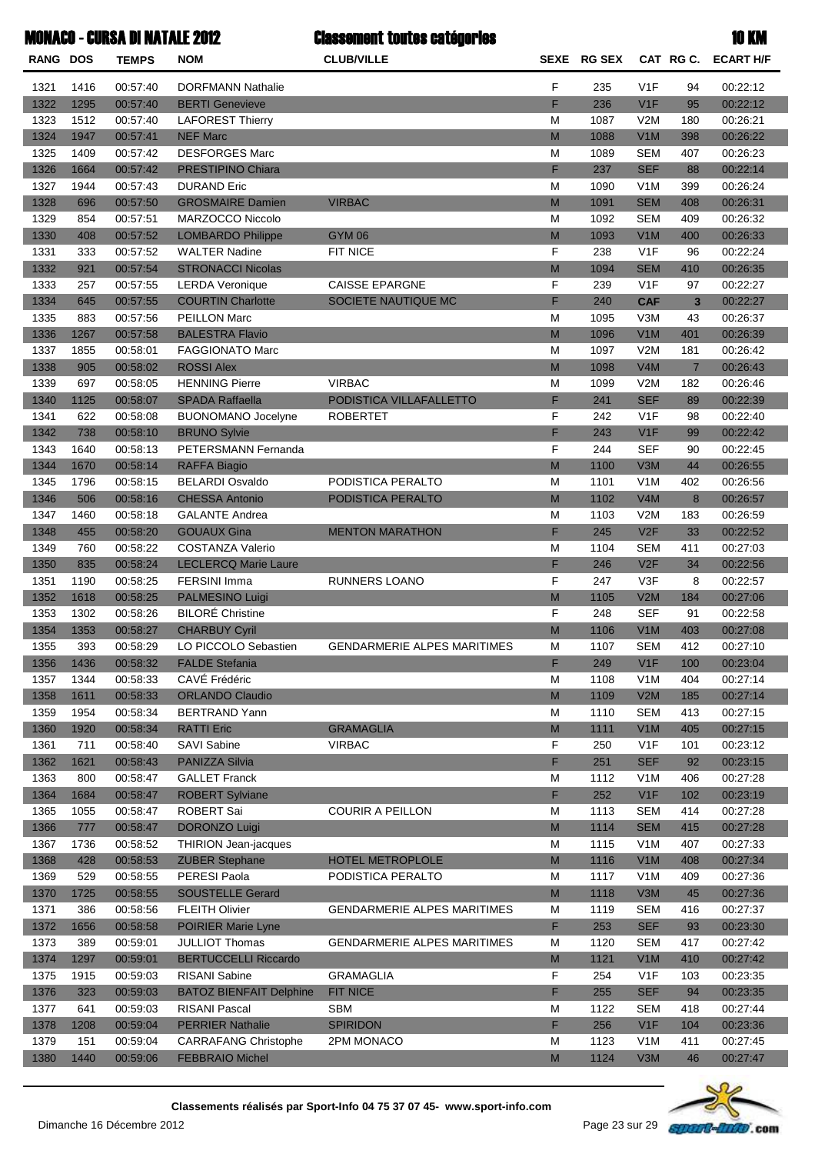t teutes estégenles

| ۰. | ú<br>í.<br>r |
|----|--------------|
|    |              |

|                 |      | <b>MONACO - CURSA DI NATALE 2012</b> |                                | <b>Classement toutes catégories</b> |        |             |                        |                | <b>10 KM</b>     |
|-----------------|------|--------------------------------------|--------------------------------|-------------------------------------|--------|-------------|------------------------|----------------|------------------|
| <b>RANG DOS</b> |      | <b>TEMPS</b>                         | <b>NOM</b>                     | <b>CLUB/VILLE</b>                   |        | SEXE RG SEX |                        | CAT RG C.      | <b>ECART H/F</b> |
| 1321            | 1416 | 00:57:40                             | <b>DORFMANN Nathalie</b>       |                                     | F      | 235         | V <sub>1</sub> F       | 94             | 00:22:12         |
| 1322            | 1295 | 00:57:40                             | <b>BERTI</b> Genevieve         |                                     | F      | 236         | V1F                    | 95             | 00:22:12         |
| 1323            | 1512 | 00:57:40                             | <b>LAFOREST Thierry</b>        |                                     | M      | 1087        | V2M                    | 180            | 00:26:21         |
| 1324            | 1947 | 00:57:41                             | <b>NEF Marc</b>                |                                     | M      | 1088        | V1M                    | 398            | 00:26:22         |
| 1325            | 1409 | 00:57:42                             | <b>DESFORGES Marc</b>          |                                     | M      | 1089        | <b>SEM</b>             | 407            | 00:26:23         |
| 1326            | 1664 | 00:57:42                             | <b>PRESTIPINO Chiara</b>       |                                     | F      | 237         | <b>SEF</b>             | 88             | 00:22:14         |
| 1327            | 1944 | 00:57:43                             | <b>DURAND Eric</b>             |                                     | M      | 1090        | V <sub>1</sub> M       | 399            | 00:26:24         |
| 1328            | 696  | 00:57:50                             | <b>GROSMAIRE Damien</b>        | <b>VIRBAC</b>                       | M      | 1091        | <b>SEM</b>             | 408            | 00:26:31         |
| 1329            | 854  | 00:57:51                             | MARZOCCO Niccolo               |                                     | M      | 1092        | <b>SEM</b>             | 409            | 00:26:32         |
| 1330            | 408  | 00:57:52                             | <b>LOMBARDO Philippe</b>       | <b>GYM 06</b>                       | M      | 1093        | V1M                    | 400            | 00:26:33         |
| 1331            | 333  | 00:57:52                             | <b>WALTER Nadine</b>           | FIT NICE                            | F      | 238         | V <sub>1F</sub>        | 96             | 00:22:24         |
| 1332            | 921  | 00:57:54                             | <b>STRONACCI Nicolas</b>       |                                     | M      | 1094        | <b>SEM</b>             | 410            | 00:26:35         |
| 1333            | 257  | 00:57:55                             | <b>LERDA Veronique</b>         | <b>CAISSE EPARGNE</b>               | F      | 239         | V <sub>1F</sub>        | 97             | 00:22:27         |
| 1334            | 645  | 00:57:55                             | <b>COURTIN Charlotte</b>       | SOCIETE NAUTIQUE MC                 | F      | 240         | <b>CAF</b>             | 3              | 00:22:27         |
| 1335            | 883  | 00:57:56                             | <b>PEILLON Marc</b>            |                                     | M      | 1095        | V3M                    | 43             | 00:26:37         |
| 1336            | 1267 | 00:57:58                             | <b>BALESTRA Flavio</b>         |                                     | M      | 1096        | V1M                    | 401            | 00:26:39         |
| 1337            | 1855 | 00:58:01                             | <b>FAGGIONATO Marc</b>         |                                     | M      | 1097        | V2M                    | 181            | 00:26:42         |
| 1338            | 905  | 00:58:02                             | <b>ROSSI Alex</b>              |                                     | M      | 1098        | V4M                    | $\overline{7}$ | 00:26:43         |
| 1339            | 697  | 00:58:05                             | <b>HENNING Pierre</b>          | <b>VIRBAC</b>                       | M      | 1099        | V2M                    | 182            | 00:26:46         |
| 1340            | 1125 | 00:58:07                             | <b>SPADA Raffaella</b>         | PODISTICA VILLAFALLETTO             | F      | 241         | <b>SEF</b>             | 89             | 00:22:39         |
| 1341            | 622  | 00:58:08                             | <b>BUONOMANO Jocelyne</b>      | <b>ROBERTET</b>                     | F      | 242         | V <sub>1F</sub>        | 98             | 00:22:40         |
| 1342            | 738  | 00:58:10                             | <b>BRUNO Sylvie</b>            |                                     | F      | 243         | V1F                    | 99             | 00:22:42         |
| 1343            | 1640 | 00:58:13                             | PETERSMANN Fernanda            |                                     | F      | 244         | <b>SEF</b>             | 90             | 00:22:45         |
| 1344            | 1670 | 00:58:14                             | <b>RAFFA Biagio</b>            |                                     | M      | 1100        | V3M                    | 44             | 00:26:55         |
| 1345            | 1796 | 00:58:15                             | <b>BELARDI Osvaldo</b>         | PODISTICA PERALTO                   | M      | 1101        | V1M                    | 402            | 00:26:56         |
| 1346            | 506  | 00:58:16                             | <b>CHESSA Antonio</b>          | PODISTICA PERALTO                   | M      | 1102        | V4M                    | 8              | 00:26:57         |
| 1347            | 1460 | 00:58:18                             | <b>GALANTE Andrea</b>          |                                     | M      | 1103        | V2M                    | 183            | 00:26:59         |
| 1348            | 455  | 00:58:20                             | <b>GOUAUX Gina</b>             | <b>MENTON MARATHON</b>              | F      | 245         | V2F                    | 33             | 00:22:52         |
| 1349            | 760  | 00:58:22                             | <b>COSTANZA Valerio</b>        |                                     | M      | 1104        | <b>SEM</b>             | 411            | 00:27:03         |
| 1350            | 835  | 00:58:24                             | <b>LECLERCQ Marie Laure</b>    |                                     | F      | 246         | V2F                    | 34             | 00:22:56         |
| 1351            | 1190 | 00:58:25                             | <b>FERSINI Imma</b>            | RUNNERS LOANO                       | F      | 247         | V3F                    | 8              | 00:22:57         |
| 1352            | 1618 | 00:58:25                             | PALMESINO Luigi                |                                     | M      | 1105        | V2M                    | 184            | 00:27:06         |
| 1353            | 1302 | 00:58:26                             | <b>BILORÉ Christine</b>        |                                     | F      | 248         | <b>SEF</b>             | 91             | 00:22:58         |
| 1354            | 1353 | 00:58:27                             | <b>CHARBUY Cyril</b>           |                                     | M      | 1106        | V1M                    | 403            | 00:27:08         |
| 1355            | 393  | 00:58:29                             | LO PICCOLO Sebastien           | <b>GENDARMERIE ALPES MARITIMES</b>  | M      | 1107        | SEM                    | 412            | 00:27:10         |
| 1356            | 1436 | 00:58:32                             | <b>FALDE Stefania</b>          |                                     | F      | 249         | V1F                    | 100            | 00:23:04         |
| 1357            | 1344 | 00:58:33                             | CAVÉ Frédéric                  |                                     | М      | 1108        | V <sub>1</sub> M       | 404            | 00:27:14         |
| 1358            | 1611 | 00:58:33                             | <b>ORLANDO Claudio</b>         |                                     | M      | 1109        | V2M                    | 185            | 00:27:14         |
| 1359            | 1954 | 00:58:34                             | <b>BERTRAND Yann</b>           |                                     | M      | 1110        | <b>SEM</b>             | 413            | 00:27:15         |
| 1360            | 1920 | 00:58:34                             | <b>RATTI Eric</b>              | <b>GRAMAGLIA</b>                    | M      | 1111        | V1M                    | 405            | 00:27:15         |
| 1361            | 711  | 00:58:40                             | <b>SAVI Sabine</b>             | <b>VIRBAC</b>                       | F      | 250         | V <sub>1F</sub>        | 101            | 00:23:12         |
| 1362            | 1621 | 00:58:43                             | PANIZZA Silvia                 |                                     | F      | 251         | <b>SEF</b>             | 92             | 00:23:15         |
| 1363            | 800  | 00:58:47                             | <b>GALLET Franck</b>           |                                     | M      | 1112        | V <sub>1</sub> M       | 406            | 00:27:28         |
| 1364            | 1684 | 00:58:47                             | <b>ROBERT Sylviane</b>         |                                     | F      | 252         | V1F                    | 102            | 00:23:19         |
| 1365            | 1055 | 00:58:47                             | ROBERT Sai                     | COURIR A PEILLON                    | М      | 1113        | <b>SEM</b>             | 414            | 00:27:28         |
| 1366            | 777  | 00:58:47                             | <b>DORONZO Luigi</b>           |                                     | M      | 1114        | <b>SEM</b>             | 415            | 00:27:28         |
| 1367            | 1736 | 00:58:52                             | THIRION Jean-jacques           |                                     | M      | 1115        | V <sub>1</sub> M       | 407            | 00:27:33         |
| 1368            | 428  | 00:58:53                             | <b>ZUBER Stephane</b>          | <b>HOTEL METROPLOLE</b>             | M      | 1116        | V1M                    | 408            | 00:27:34         |
| 1369            | 529  | 00:58:55                             | PERESI Paola                   | PODISTICA PERALTO                   | M      | 1117        | V <sub>1</sub> M       | 409            | 00:27:36         |
| 1370            | 1725 | 00:58:55                             | <b>SOUSTELLE Gerard</b>        |                                     | M      | 1118        | V3M<br><b>SEM</b>      | 45             | 00:27:36         |
| 1371            | 386  | 00:58:56                             | <b>FLEITH Olivier</b>          | <b>GENDARMERIE ALPES MARITIMES</b>  | М      | 1119        |                        | 416            | 00:27:37         |
| 1372            | 1656 | 00:58:58                             | <b>POIRIER Marie Lyne</b>      |                                     | F.     | 253         | <b>SEF</b>             | 93             | 00:23:30         |
| 1373            | 389  | 00:59:01                             | <b>JULLIOT Thomas</b>          | <b>GENDARMERIE ALPES MARITIMES</b>  | M      | 1120        | <b>SEM</b>             | 417            | 00:27:42         |
| 1374            | 1297 | 00:59:01                             | <b>BERTUCCELLI Riccardo</b>    |                                     | M      | 1121        | V1M<br>V <sub>1F</sub> | 410            | 00:27:42         |
| 1375            | 1915 | 00:59:03                             | <b>RISANI Sabine</b>           | <b>GRAMAGLIA</b>                    | F<br>F | 254<br>255  | <b>SEF</b>             | 103            | 00:23:35         |
| 1376            | 323  | 00:59:03                             | <b>BATOZ BIENFAIT Delphine</b> | <b>FIT NICE</b>                     |        |             |                        | 94             | 00:23:35         |
| 1377            | 641  | 00:59:03                             | RISANI Pascal                  | <b>SBM</b>                          | М      | 1122        | <b>SEM</b>             | 418            | 00:27:44         |
| 1378            | 1208 | 00:59:04                             | <b>PERRIER Nathalie</b>        | <b>SPIRIDON</b>                     | F      | 256         | V1F                    | 104            | 00:23:36         |
| 1379            | 151  | 00:59:04                             | <b>CARRAFANG Christophe</b>    | 2PM MONACO                          | М      | 1123        | V <sub>1</sub> M       | 411            | 00:27:45         |
| 1380            | 1440 | 00:59:06                             | <b>FEBBRAIO Michel</b>         |                                     | M      | 1124        | V3M                    | 46             | 00:27:47         |

**Classements réalisés par Sport-Info 04 75 37 07 45- www.sport-info.com**

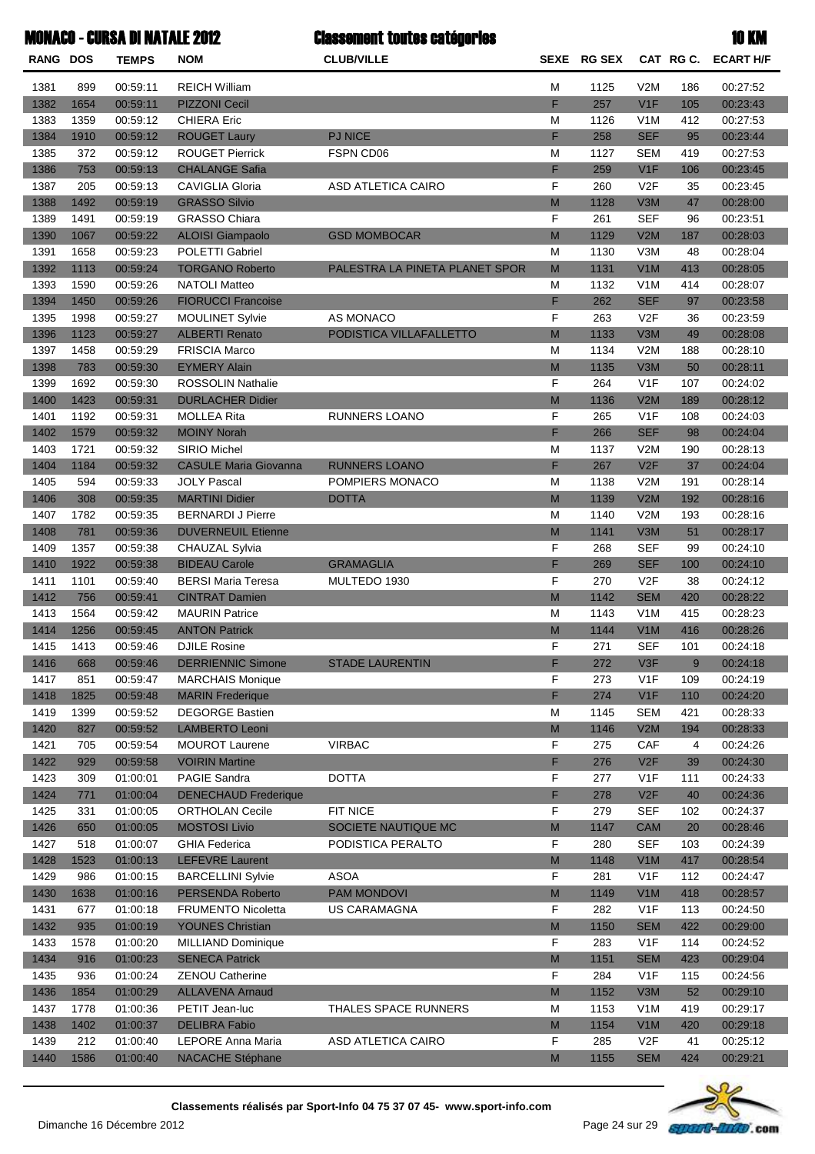| <b>MONACO - CURSA DI NATALE 201:</b> |  |  |
|--------------------------------------|--|--|
|                                      |  |  |

|                 |              | <b>MONACO - CURSA DI NATALE 2012</b> |                                               | <b>Classement toutes catégories</b> |                                   |             |                         |           | <b>10 KM</b>         |
|-----------------|--------------|--------------------------------------|-----------------------------------------------|-------------------------------------|-----------------------------------|-------------|-------------------------|-----------|----------------------|
| <b>RANG DOS</b> |              | <b>TEMPS</b>                         | <b>NOM</b>                                    | <b>CLUB/VILLE</b>                   |                                   | SEXE RG SEX |                         | CAT RG C. | <b>ECART H/F</b>     |
| 1381            | 899          | 00:59:11                             | <b>REICH William</b>                          |                                     | м                                 | 1125        | V2M                     | 186       | 00:27:52             |
| 1382            | 1654         | 00:59:11                             | <b>PIZZONI Cecil</b>                          |                                     | F                                 | 257         | V1F                     | 105       | 00:23:43             |
| 1383            | 1359         | 00:59:12                             | <b>CHIERA Eric</b>                            |                                     | M                                 | 1126        | V1M                     | 412       | 00:27:53             |
| 1384            | 1910         | 00:59:12                             | <b>ROUGET Laury</b>                           | <b>PJ NICE</b>                      | F                                 | 258         | <b>SEF</b>              | 95        | 00:23:44             |
| 1385            | 372          | 00:59:12                             | <b>ROUGET Pierrick</b>                        | FSPN CD06                           | M                                 | 1127        | <b>SEM</b>              | 419       | 00:27:53             |
| 1386            | 753          | 00:59:13                             | <b>CHALANGE Safia</b>                         |                                     | F                                 | 259         | V1F                     | 106       | 00:23:45             |
| 1387            | 205          | 00:59:13                             | <b>CAVIGLIA Gloria</b>                        | ASD ATLETICA CAIRO                  | F                                 | 260         | V2F                     | 35        | 00:23:45             |
| 1388            | 1492         | 00:59:19                             | <b>GRASSO Silvio</b>                          |                                     | $\mathsf{M}% _{H}=\mathsf{M}_{H}$ | 1128        | V3M                     | 47        | 00:28:00             |
| 1389            | 1491         | 00:59:19                             | <b>GRASSO Chiara</b>                          |                                     | F                                 | 261         | <b>SEF</b>              | 96        | 00:23:51             |
| 1390            | 1067         | 00:59:22                             | <b>ALOISI Giampaolo</b>                       | <b>GSD MOMBOCAR</b>                 | M                                 | 1129        | V2M                     | 187       | 00:28:03             |
| 1391            | 1658         | 00:59:23                             | POLETTI Gabriel                               |                                     | M                                 | 1130        | V3M                     | 48        | 00:28:04             |
| 1392            | 1113         | 00:59:24                             | <b>TORGANO Roberto</b>                        | PALESTRA LA PINETA PLANET SPOR      | $\mathsf{M}% _{H}=\mathsf{M}_{H}$ | 1131        | V1M                     | 413       | 00:28:05             |
| 1393            | 1590         | 00:59:26                             | <b>NATOLI Matteo</b>                          |                                     | M                                 | 1132        | V <sub>1</sub> M        | 414       | 00:28:07             |
| 1394            | 1450         | 00:59:26                             | <b>FIORUCCI Francoise</b>                     |                                     | F                                 | 262         | <b>SEF</b>              | 97        | 00:23:58             |
| 1395            | 1998         | 00:59:27                             | <b>MOULINET Sylvie</b>                        | AS MONACO                           | F                                 | 263         | V2F                     | 36        | 00:23:59             |
| 1396            | 1123         | 00:59:27                             | <b>ALBERTI Renato</b>                         | PODISTICA VILLAFALLETTO             | M                                 | 1133        | V3M                     | 49        | 00:28:08             |
| 1397            | 1458         | 00:59:29                             | <b>FRISCIA Marco</b>                          |                                     | M                                 | 1134        | V2M                     | 188       | 00:28:10             |
| 1398            | 783          | 00:59:30                             | <b>EYMERY Alain</b>                           |                                     | $\mathsf{M}% _{H}=\mathsf{M}_{H}$ | 1135        | V3M                     | 50        | 00:28:11             |
| 1399            | 1692         | 00:59:30                             | <b>ROSSOLIN Nathalie</b>                      |                                     | F                                 | 264         | V <sub>1</sub> F        | 107       | 00:24:02             |
| 1400            | 1423         | 00:59:31                             | <b>DURLACHER Didier</b>                       |                                     | $\mathsf{M}% _{H}=\mathsf{M}_{H}$ | 1136        | V2M                     | 189       | 00:28:12             |
| 1401            | 1192         | 00:59:31                             | <b>MOLLEA Rita</b>                            | RUNNERS LOANO                       | F                                 | 265         | V <sub>1</sub> F        | 108       | 00:24:03             |
| 1402            | 1579         | 00:59:32                             | <b>MOINY Norah</b>                            |                                     | F                                 | 266         | <b>SEF</b>              | 98        | 00:24:04             |
| 1403            | 1721         | 00:59:32                             | <b>SIRIO Michel</b>                           |                                     | M                                 | 1137        | V2M                     | 190       | 00:28:13             |
| 1404            | 1184         | 00:59:32                             | <b>CASULE Maria Giovanna</b>                  | <b>RUNNERS LOANO</b>                | F                                 | 267         | V2F                     | 37        | 00:24:04             |
| 1405            | 594          | 00:59:33                             | <b>JOLY Pascal</b>                            | POMPIERS MONACO                     | M                                 | 1138        | V2M                     | 191       | 00:28:14             |
| 1406            | 308          | 00:59:35                             | <b>MARTINI Didier</b>                         | <b>DOTTA</b>                        | $\mathsf{M}% _{H}=\mathsf{M}_{H}$ | 1139        | V2M                     | 192       | 00:28:16             |
| 1407            | 1782         | 00:59:35                             | <b>BERNARDI J Pierre</b>                      |                                     | M                                 | 1140        | V2M                     | 193       | 00:28:16             |
| 1408            | 781          | 00:59:36                             | <b>DUVERNEUIL Etienne</b>                     |                                     | M                                 | 1141        | V3M                     | 51        | 00:28:17             |
| 1409            | 1357         | 00:59:38                             | <b>CHAUZAL Sylvia</b>                         |                                     | F                                 | 268         | <b>SEF</b>              | 99        | 00:24:10             |
| 1410            | 1922         | 00:59:38                             | <b>BIDEAU Carole</b>                          | <b>GRAMAGLIA</b>                    | F                                 | 269         | <b>SEF</b>              | 100       | 00:24:10             |
| 1411            | 1101         | 00:59:40                             | <b>BERSI Maria Teresa</b>                     | MULTEDO 1930                        | F                                 | 270         | V2F                     | 38        | 00:24:12             |
| 1412            | 756          | 00:59:41                             | <b>CINTRAT Damien</b>                         |                                     | $\mathsf{M}% _{H}=\mathsf{M}_{H}$ | 1142        | <b>SEM</b>              | 420       | 00:28:22             |
| 1413<br>1414    | 1564<br>1256 | 00:59:42                             | <b>MAURIN Patrice</b><br><b>ANTON Patrick</b> |                                     | М<br>M                            | 1143        | V <sub>1</sub> M<br>V1M | 415       | 00:28:23             |
|                 |              | 00:59:45                             | <b>DJILE Rosine</b>                           |                                     |                                   | 1144        |                         | 416       | 00:28:26             |
| 1415<br>1416    | 1413<br>668  | 00:59:46<br>00:59:46                 | <b>DERRIENNIC Simone</b>                      | <b>STADE LAURENTIN</b>              | F<br>F                            | 271<br>272  | SEF<br>V3F              | 101<br>9  | 00:24:18<br>00:24:18 |
| 1417            | 851          | 00:59:47                             | <b>MARCHAIS Monique</b>                       |                                     | F                                 | 273         | V <sub>1</sub> F        | 109       | 00:24:19             |
| 1418            | 1825         | 00:59:48                             | <b>MARIN Frederique</b>                       |                                     | F                                 | 274         | V1F                     | 110       | 00:24:20             |
| 1419            | 1399         | 00:59:52                             | <b>DEGORGE Bastien</b>                        |                                     | М                                 | 1145        | <b>SEM</b>              | 421       | 00:28:33             |
| 1420            | 827          | 00:59:52                             | <b>LAMBERTO Leoni</b>                         |                                     | ${\sf M}$                         | 1146        | V2M                     | 194       | 00:28:33             |
| 1421            | 705          | 00:59:54                             | <b>MOUROT Laurene</b>                         | <b>VIRBAC</b>                       | F                                 | 275         | CAF                     | 4         | 00:24:26             |
| 1422            | 929          | 00:59:58                             | <b>VOIRIN Martine</b>                         |                                     | F                                 | 276         | V2F                     | 39        | 00:24:30             |
| 1423            | 309          | 01:00:01                             | <b>PAGIE Sandra</b>                           | <b>DOTTA</b>                        | F                                 | 277         | V <sub>1</sub> F        | 111       | 00:24:33             |
| 1424            | 771          | 01:00:04                             | <b>DENECHAUD Frederique</b>                   |                                     | F                                 | 278         | V2F                     | 40        | 00:24:36             |
| 1425            | 331          | 01:00:05                             | <b>ORTHOLAN Cecile</b>                        | FIT NICE                            | F                                 | 279         | <b>SEF</b>              | 102       | 00:24:37             |
| 1426            | 650          | 01:00:05                             | <b>MOSTOSI Livio</b>                          | SOCIETE NAUTIQUE MC                 | M                                 | 1147        | <b>CAM</b>              | 20        | 00:28:46             |
| 1427            | 518          | 01:00:07                             | <b>GHIA Federica</b>                          | PODISTICA PERALTO                   | F                                 | 280         | <b>SEF</b>              | 103       | 00:24:39             |
| 1428            | 1523         | 01:00:13                             | <b>LEFEVRE Laurent</b>                        |                                     | ${\sf M}$                         | 1148        | V1M                     | 417       | 00:28:54             |
| 1429            | 986          | 01:00:15                             | <b>BARCELLINI Sylvie</b>                      | ASOA                                | F                                 | 281         | V <sub>1</sub> F        | 112       | 00:24:47             |
| 1430            | 1638         | 01:00:16                             | <b>PERSENDA Roberto</b>                       | PAM MONDOVI                         | ${\sf M}$                         | 1149        | V1M                     | 418       | 00:28:57             |
| 1431            | 677          | 01:00:18                             | <b>FRUMENTO Nicoletta</b>                     | <b>US CARAMAGNA</b>                 | F                                 | 282         | V <sub>1</sub> F        | 113       | 00:24:50             |
| 1432            | 935          | 01:00:19                             | <b>YOUNES Christian</b>                       |                                     | ${\sf M}$                         | 1150        | <b>SEM</b>              | 422       | 00:29:00             |
| 1433            | 1578         | 01:00:20                             | <b>MILLIAND Dominique</b>                     |                                     | F                                 | 283         | V <sub>1</sub> F        | 114       | 00:24:52             |
| 1434            | 916          | 01:00:23                             | <b>SENECA Patrick</b>                         |                                     | ${\sf M}$                         | 1151        | <b>SEM</b>              | 423       | 00:29:04             |
| 1435            | 936          | 01:00:24                             | <b>ZENOU Catherine</b>                        |                                     | F                                 | 284         | V <sub>1</sub> F        | 115       | 00:24:56             |
| 1436            | 1854         | 01:00:29                             | <b>ALLAVENA Arnaud</b>                        |                                     | ${\sf M}$                         | 1152        | V3M                     | 52        | 00:29:10             |
| 1437            | 1778         | 01:00:36                             | PETIT Jean-luc                                | THALES SPACE RUNNERS                | м                                 | 1153        | V <sub>1</sub> M        | 419       | 00:29:17             |
| 1438            | 1402         | 01:00:37                             | <b>DELIBRA Fabio</b>                          |                                     | M                                 | 1154        | V1M                     | 420       | 00:29:18             |
| 1439            | 212          | 01:00:40                             | LEPORE Anna Maria                             | ASD ATLETICA CAIRO                  | F                                 | 285         | V <sub>2</sub> F        | 41        | 00:25:12             |
| 1440            | 1586         | 01:00:40                             | <b>NACACHE Stéphane</b>                       |                                     | M                                 | 1155        | <b>SEM</b>              | 424       | 00:29:21             |



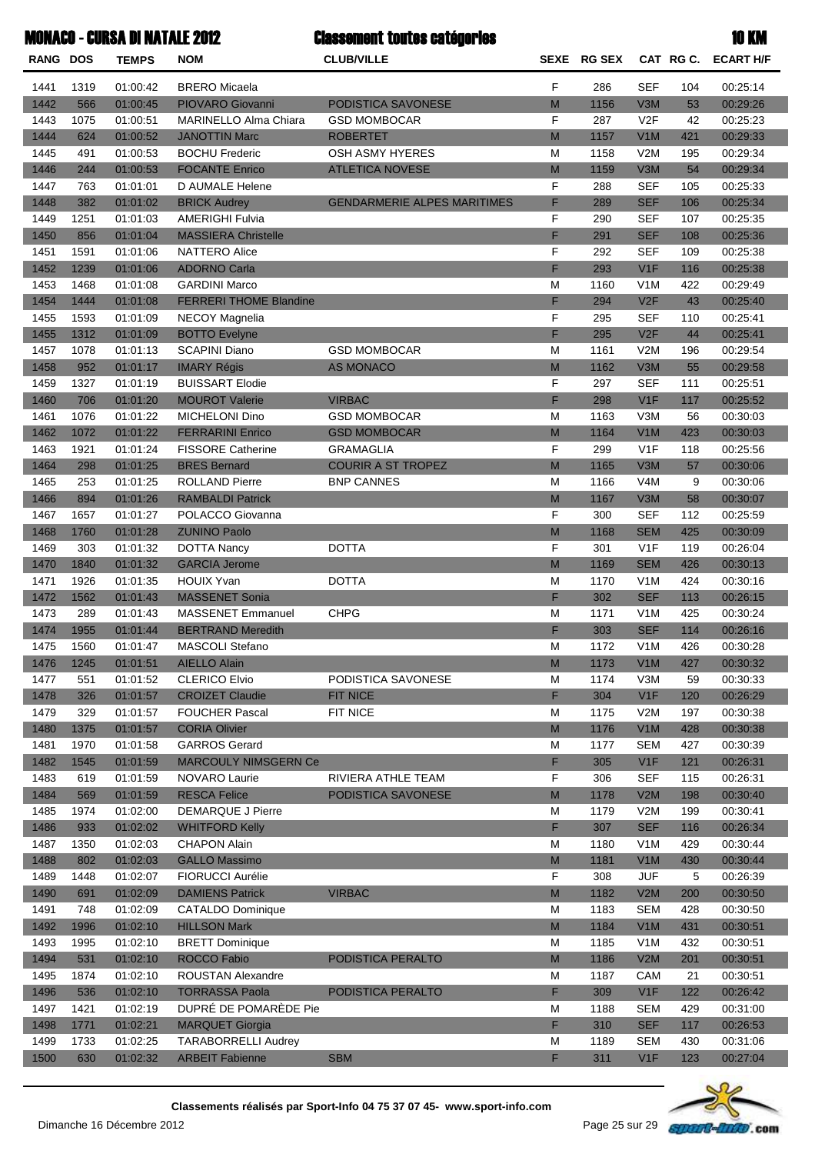| Monaco - Cursa di Natale 201 |  |  |
|------------------------------|--|--|
|                              |  |  |

# chas actágories

|                 |            | <b>MONACO - CURSA DI NATALE 2012</b> |                                      | <b>Classement toutes catégories</b>      |                                                                                                            |             |                   |            | <b>10 KM</b>         |
|-----------------|------------|--------------------------------------|--------------------------------------|------------------------------------------|------------------------------------------------------------------------------------------------------------|-------------|-------------------|------------|----------------------|
| <b>RANG DOS</b> |            | <b>TEMPS</b>                         | <b>NOM</b>                           | <b>CLUB/VILLE</b>                        |                                                                                                            | SEXE RG SEX |                   | CAT RG C.  | <b>ECART H/F</b>     |
| 1441            | 1319       | 01:00:42                             | <b>BRERO</b> Micaela                 |                                          | F                                                                                                          | 286         | <b>SEF</b>        | 104        | 00:25:14             |
| 1442            | 566        | 01:00:45                             | <b>PIOVARO Giovanni</b>              | PODISTICA SAVONESE                       | $\mathsf{M}% _{T}=\mathsf{M}_{T}\!\left( a,b\right) ,\ \mathsf{M}_{T}=\mathsf{M}_{T}\!\left( a,b\right) ,$ | 1156        | V3M               | 53         | 00:29:26             |
| 1443            | 1075       | 01:00:51                             | <b>MARINELLO Alma Chiara</b>         | <b>GSD MOMBOCAR</b>                      | F                                                                                                          | 287         | V <sub>2</sub> F  | 42         | 00:25:23             |
| 1444            | 624        | 01:00:52                             | <b>JANOTTIN Marc</b>                 | <b>ROBERTET</b>                          | $\mathsf{M}% _{T}=\mathsf{M}_{T}\!\left( a,b\right) ,\ \mathsf{M}_{T}=\mathsf{M}_{T}\!\left( a,b\right) ,$ | 1157        | V1M               | 421        | 00:29:33             |
| 1445            | 491        | 01:00:53                             | <b>BOCHU Frederic</b>                | OSH ASMY HYERES                          | M                                                                                                          | 1158        | V2M               | 195        | 00:29:34             |
| 1446            | 244        | 01:00:53                             | <b>FOCANTE Enrico</b>                | <b>ATLETICA NOVESE</b>                   | $\mathsf{M}% _{T}=\mathsf{M}_{T}\!\left( a,b\right) ,\ \mathsf{M}_{T}=\mathsf{M}_{T}\!\left( a,b\right) ,$ | 1159        | V3M               | 54         | 00:29:34             |
| 1447            | 763        | 01:01:01                             | D AUMALE Helene                      |                                          | F                                                                                                          | 288         | <b>SEF</b>        | 105        | 00:25:33             |
| 1448            | 382        | 01:01:02                             | <b>BRICK Audrey</b>                  | <b>GENDARMERIE ALPES MARITIMES</b>       | F                                                                                                          | 289         | <b>SEF</b>        | 106        | 00:25:34             |
| 1449            | 1251       | 01:01:03                             | <b>AMERIGHI Fulvia</b>               |                                          | F                                                                                                          | 290         | <b>SEF</b>        | 107        | 00:25:35             |
| 1450            | 856        | 01:01:04                             | <b>MASSIERA Christelle</b>           |                                          | F                                                                                                          | 291         | <b>SEF</b>        | 108        | 00:25:36             |
| 1451            | 1591       | 01:01:06                             | <b>NATTERO Alice</b>                 |                                          | F                                                                                                          | 292         | <b>SEF</b>        | 109        | 00:25:38             |
| 1452            | 1239       | 01:01:06                             | <b>ADORNO Carla</b>                  |                                          | F                                                                                                          | 293         | V1F               | 116        | 00:25:38             |
| 1453            | 1468       | 01:01:08                             | <b>GARDINI Marco</b>                 |                                          | M                                                                                                          | 1160        | V1M               | 422        | 00:29:49             |
| 1454            | 1444       | 01:01:08                             | <b>FERRERI THOME Blandine</b>        |                                          | F                                                                                                          | 294         | V2F               | 43         | 00:25:40             |
| 1455            | 1593       | 01:01:09                             | <b>NECOY Magnelia</b>                |                                          | F                                                                                                          | 295         | <b>SEF</b>        | 110        | 00:25:41             |
| 1455            | 1312       | 01:01:09                             | <b>BOTTO Evelyne</b>                 |                                          | F                                                                                                          | 295         | V2F               | 44         | 00:25:41             |
| 1457            | 1078       | 01:01:13                             | <b>SCAPINI Diano</b>                 | <b>GSD MOMBOCAR</b>                      | M                                                                                                          | 1161        | V2M               | 196        | 00:29:54             |
| 1458            | 952        | 01:01:17                             | <b>IMARY Régis</b>                   | <b>AS MONACO</b>                         | $\mathsf{M}% _{T}=\mathsf{M}_{T}\!\left( a,b\right) ,\ \mathsf{M}_{T}=\mathsf{M}_{T}\!\left( a,b\right) ,$ | 1162        | V3M               | 55         | 00:29:58             |
| 1459            | 1327       | 01:01:19                             | <b>BUISSART Elodie</b>               |                                          | F                                                                                                          | 297         | <b>SEF</b>        | 111        | 00:25:51             |
| 1460            | 706        | 01:01:20                             | <b>MOUROT Valerie</b>                | <b>VIRBAC</b>                            | F                                                                                                          | 298         | V1F               | 117        | 00:25:52             |
| 1461            | 1076       | 01:01:22                             | MICHELONI Dino                       | <b>GSD MOMBOCAR</b>                      | M                                                                                                          | 1163        | V3M               | 56         | 00:30:03             |
| 1462            | 1072       | 01:01:22                             | <b>FERRARINI Enrico</b>              | <b>GSD MOMBOCAR</b>                      | $\mathsf{M}% _{T}=\mathsf{M}_{T}\!\left( a,b\right) ,\ \mathsf{M}_{T}=\mathsf{M}_{T}\!\left( a,b\right) ,$ | 1164        | V1M               | 423        | 00:30:03             |
| 1463            | 1921       | 01:01:24                             | <b>FISSORE Catherine</b>             | <b>GRAMAGLIA</b>                         | F                                                                                                          | 299         | V1F               | 118        | 00:25:56             |
| 1464            | 298        | 01:01:25                             | <b>BRES Bernard</b>                  | <b>COURIR A ST TROPEZ</b>                | $\mathsf{M}% _{T}=\mathsf{M}_{T}\!\left( a,b\right) ,\ \mathsf{M}_{T}=\mathsf{M}_{T}\!\left( a,b\right) ,$ | 1165        | V3M               | 57         | 00:30:06             |
| 1465            | 253        | 01:01:25                             | <b>ROLLAND Pierre</b>                | <b>BNP CANNES</b>                        | M                                                                                                          | 1166        | V4M               | 9          | 00:30:06             |
| 1466            | 894        | 01:01:26                             | <b>RAMBALDI Patrick</b>              |                                          | $\mathsf{M}% _{T}=\mathsf{M}_{T}\!\left( a,b\right) ,\ \mathsf{M}_{T}=\mathsf{M}_{T}\!\left( a,b\right) ,$ | 1167        | V3M               | 58         | 00:30:07             |
| 1467            | 1657       | 01:01:27                             | POLACCO Giovanna                     |                                          | F                                                                                                          | 300         | <b>SEF</b>        | 112        | 00:25:59             |
| 1468            | 1760       | 01:01:28                             | <b>ZUNINO Paolo</b>                  |                                          | $\mathsf{M}% _{T}=\mathsf{M}_{T}\!\left( a,b\right) ,\ \mathsf{M}_{T}=\mathsf{M}_{T}\!\left( a,b\right) ,$ | 1168        | <b>SEM</b>        | 425        | 00:30:09             |
| 1469            | 303        | 01:01:32                             | DOTTA Nancy                          | <b>DOTTA</b>                             | F                                                                                                          | 301         | V <sub>1</sub> F  | 119        | 00:26:04             |
| 1470            | 1840       | 01:01:32                             | <b>GARCIA Jerome</b>                 |                                          | $\mathsf{M}% _{T}=\mathsf{M}_{T}\!\left( a,b\right) ,\ \mathsf{M}_{T}=\mathsf{M}_{T}\!\left( a,b\right) ,$ | 1169        | <b>SEM</b>        | 426        | 00:30:13             |
| 1471            | 1926       | 01:01:35                             | <b>HOUIX Yvan</b>                    | <b>DOTTA</b>                             | М                                                                                                          | 1170        | V1M               | 424        | 00:30:16             |
| 1472            | 1562       | 01:01:43                             | <b>MASSENET Sonia</b>                |                                          | F                                                                                                          | 302         | <b>SEF</b>        | 113        | 00:26:15             |
| 1473            | 289        | 01:01:43                             | <b>MASSENET Emmanuel</b>             | <b>CHPG</b>                              | M                                                                                                          | 1171        | V <sub>1</sub> M  | 425        | 00:30:24             |
| 1474            | 1955       | 01:01:44                             | <b>BERTRAND Meredith</b>             |                                          | F                                                                                                          | 303         | <b>SEF</b>        | 114        | 00:26:16             |
| 1475            | 1560       | 01:01:47                             | <b>MASCOLI Stefano</b>               |                                          | M                                                                                                          | 1172        | V <sub>1</sub> M  | 426        | 00:30:28             |
| 1476            | 1245       | 01:01:51                             | <b>AIELLO Alain</b>                  |                                          | M                                                                                                          | 1173        | V1M               | 427        | 00:30:32             |
| 1477            | 551        | 01:01:52                             | <b>CLERICO Elvio</b>                 | PODISTICA SAVONESE                       | М                                                                                                          | 1174        | V3M               | 59         | 00:30:33             |
| 1478            | 326        | 01:01:57                             | <b>CROIZET Claudie</b>               | FIT NICE                                 | F                                                                                                          | 304         | V1F               | 120        | 00:26:29             |
| 1479            | 329        | 01:01:57                             | <b>FOUCHER Pascal</b>                | FIT NICE                                 | M                                                                                                          | 1175        | V2M               | 197        | 00:30:38             |
| 1480            | 1375       | 01:01:57                             | <b>CORIA Olivier</b>                 |                                          | M                                                                                                          | 1176        | V1M               | 428        | 00:30:38             |
| 1481            | 1970       | 01:01:58                             | <b>GARROS Gerard</b>                 |                                          | M                                                                                                          | 1177        | <b>SEM</b><br>V1F | 427        | 00:30:39             |
| 1482<br>1483    | 1545       | 01:01:59                             | <b>MARCOULY NIMSGERN Ce</b>          |                                          | F<br>$\mathsf F$                                                                                           | 305<br>306  | <b>SEF</b>        | 121        | 00:26:31             |
| 1484            | 619<br>569 | 01:01:59<br>01:01:59                 | NOVARO Laurie<br><b>RESCA Felice</b> | RIVIERA ATHLE TEAM<br>PODISTICA SAVONESE | $\mathsf{M}% _{T}=\mathsf{M}_{T}\!\left( a,b\right) ,\ \mathsf{M}_{T}=\mathsf{M}_{T}\!\left( a,b\right) ,$ | 1178        | V2M               | 115<br>198 | 00:26:31<br>00:30:40 |
| 1485            | 1974       | 01:02:00                             | DEMARQUE J Pierre                    |                                          | М                                                                                                          | 1179        | V2M               | 199        | 00:30:41             |
| 1486            | 933        | 01:02:02                             | <b>WHITFORD Kelly</b>                |                                          | F                                                                                                          | 307         | <b>SEF</b>        | 116        | 00:26:34             |
| 1487            | 1350       | 01:02:03                             | <b>CHAPON Alain</b>                  |                                          | M                                                                                                          | 1180        | V <sub>1</sub> M  | 429        | 00:30:44             |
| 1488            | 802        | 01:02:03                             | <b>GALLO Massimo</b>                 |                                          | M                                                                                                          | 1181        | V1M               | 430        | 00:30:44             |
| 1489            | 1448       | 01:02:07                             | <b>FIORUCCI Aurélie</b>              |                                          | F                                                                                                          | 308         | JUF               | 5          | 00:26:39             |
| 1490            | 691        | 01:02:09                             | <b>DAMIENS Patrick</b>               | <b>VIRBAC</b>                            | $\mathsf{M}% _{T}=\mathsf{M}_{T}\!\left( a,b\right) ,\ \mathsf{M}_{T}=\mathsf{M}_{T}\!\left( a,b\right) ,$ | 1182        | V2M               | 200        | 00:30:50             |
| 1491            | 748        | 01:02:09                             | CATALDO Dominique                    |                                          | M                                                                                                          | 1183        | <b>SEM</b>        | 428        | 00:30:50             |
| 1492            | 1996       | 01:02:10                             | <b>HILLSON Mark</b>                  |                                          | M                                                                                                          | 1184        | V1M               | 431        | 00:30:51             |
| 1493            | 1995       | 01:02:10                             | <b>BRETT Dominique</b>               |                                          | M                                                                                                          | 1185        | V <sub>1</sub> M  | 432        | 00:30:51             |
| 1494            | 531        | 01:02:10                             | <b>ROCCO Fabio</b>                   | PODISTICA PERALTO                        | M                                                                                                          | 1186        | V2M               | 201        | 00:30:51             |
| 1495            | 1874       | 01:02:10                             | ROUSTAN Alexandre                    |                                          | M                                                                                                          | 1187        | CAM               | 21         | 00:30:51             |
| 1496            | 536        | 01:02:10                             | <b>TORRASSA Paola</b>                | PODISTICA PERALTO                        | F                                                                                                          | 309         | V1F               | 122        | 00:26:42             |
| 1497            | 1421       | 01:02:19                             | DUPRÉ DE POMARÈDE Pie                |                                          | М                                                                                                          | 1188        | SEM               | 429        | 00:31:00             |
| 1498            | 1771       | 01:02:21                             | <b>MARQUET Giorgia</b>               |                                          | F                                                                                                          | 310         | <b>SEF</b>        | 117        | 00:26:53             |
| 1499            | 1733       | 01:02:25                             | <b>TARABORRELLI Audrey</b>           |                                          | M                                                                                                          | 1189        | SEM               | 430        | 00:31:06             |
| 1500            | 630        | 01:02:32                             | <b>ARBEIT Fabienne</b>               | <b>SBM</b>                               | F                                                                                                          | 311         | V1F               | 123        | 00:27:04             |

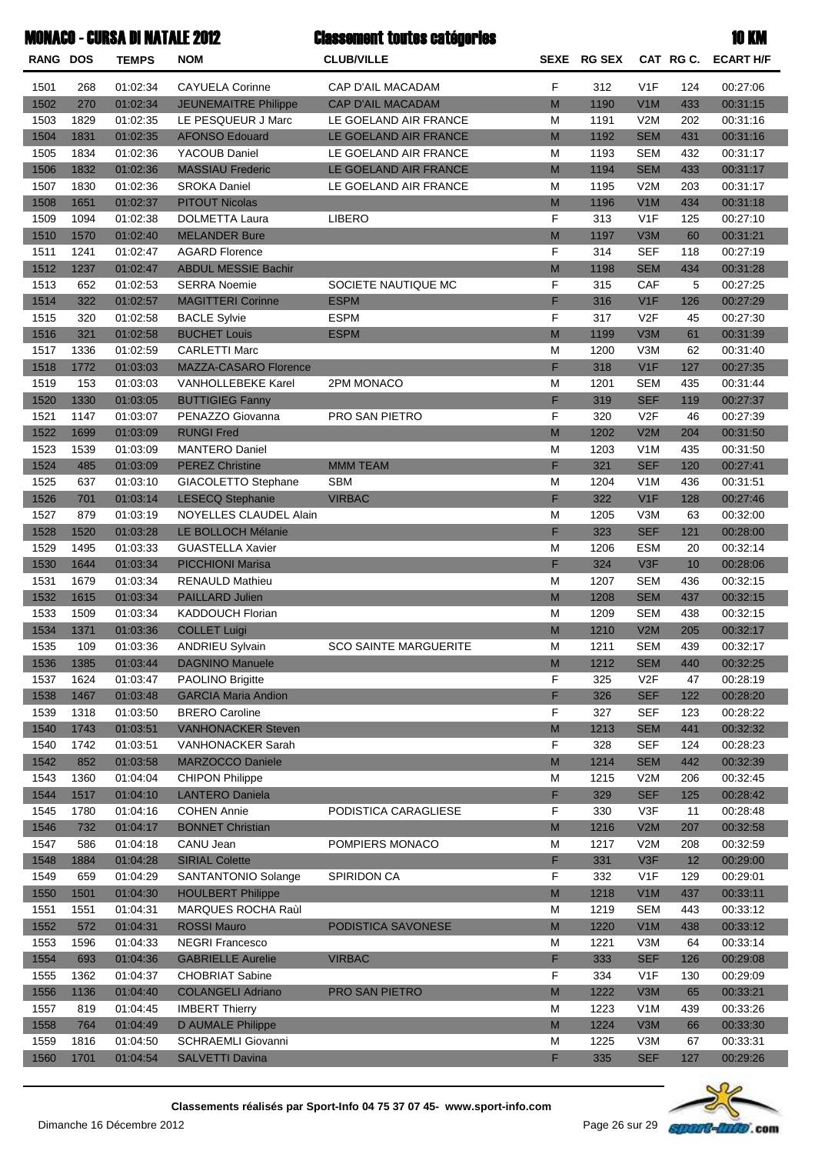|              |              | <b>MONACO - CURSA DI NATALE 2012</b> |                                                   | <b>Classement toutes catégories</b> |                                                                                                            |             |                   |           | <b>10 KM</b>         |
|--------------|--------------|--------------------------------------|---------------------------------------------------|-------------------------------------|------------------------------------------------------------------------------------------------------------|-------------|-------------------|-----------|----------------------|
| RANG DOS     |              | <b>TEMPS</b>                         | <b>NOM</b>                                        | <b>CLUB/VILLE</b>                   |                                                                                                            | SEXE RG SEX |                   | CAT RG C. | <b>ECART H/F</b>     |
| 1501         | 268          | 01:02:34                             | <b>CAYUELA Corinne</b>                            | CAP D'AIL MACADAM                   | F                                                                                                          | 312         | V <sub>1</sub> F  | 124       | 00:27:06             |
| 1502         | 270          | 01:02:34                             | <b>JEUNEMAITRE Philippe</b>                       | <b>CAP D'AIL MACADAM</b>            | M                                                                                                          | 1190        | V1M               | 433       | 00:31:15             |
| 1503         | 1829         | 01:02:35                             | LE PESQUEUR J Marc                                | LE GOELAND AIR FRANCE               | М                                                                                                          | 1191        | V2M               | 202       | 00:31:16             |
| 1504         | 1831         | 01:02:35                             | <b>AFONSO Edouard</b>                             | LE GOELAND AIR FRANCE               | M                                                                                                          | 1192        | <b>SEM</b>        | 431       | 00:31:16             |
| 1505         | 1834         | 01:02:36                             | YACOUB Daniel                                     | LE GOELAND AIR FRANCE               | M                                                                                                          | 1193        | <b>SEM</b>        | 432       | 00:31:17             |
| 1506         | 1832         | 01:02:36                             | <b>MASSIAU Frederic</b>                           | LE GOELAND AIR FRANCE               | M                                                                                                          | 1194        | <b>SEM</b>        | 433       | 00:31:17             |
| 1507         | 1830         | 01:02:36                             | <b>SROKA Daniel</b>                               | LE GOELAND AIR FRANCE               | M                                                                                                          | 1195        | V2M               | 203       | 00:31:17             |
| 1508         | 1651         | 01:02:37                             | <b>PITOUT Nicolas</b>                             |                                     | $\mathsf{M}% _{T}=\mathsf{M}_{T}\!\left( a,b\right) ,\ \mathsf{M}_{T}=\mathsf{M}_{T}\!\left( a,b\right) ,$ | 1196        | V1M               | 434       | 00:31:18             |
| 1509         | 1094         | 01:02:38                             | <b>DOLMETTA Laura</b>                             | LIBERO                              | F                                                                                                          | 313         | V1F               | 125       | 00:27:10             |
| 1510         | 1570         | 01:02:40                             | <b>MELANDER Bure</b>                              |                                     | M                                                                                                          | 1197        | V3M               | 60        | 00:31:21             |
| 1511         | 1241         | 01:02:47                             | <b>AGARD Florence</b>                             |                                     | F                                                                                                          | 314         | <b>SEF</b>        | 118       | 00:27:19             |
| 1512         | 1237         | 01:02:47                             | <b>ABDUL MESSIE Bachir</b>                        |                                     | M                                                                                                          | 1198        | <b>SEM</b>        | 434       | 00:31:28             |
| 1513         | 652          | 01:02:53                             | <b>SERRA Noemie</b>                               | SOCIETE NAUTIQUE MC                 | F                                                                                                          | 315         | CAF               | 5         | 00:27:25             |
| 1514         | 322          | 01:02:57                             | <b>MAGITTERI Corinne</b>                          | <b>ESPM</b>                         | F                                                                                                          | 316         | V1F               | 126       | 00:27:29             |
| 1515         | 320          | 01:02:58                             | <b>BACLE Sylvie</b>                               | <b>ESPM</b>                         | F                                                                                                          | 317         | V <sub>2F</sub>   | 45        | 00:27:30             |
| 1516         | 321          | 01:02:58                             | <b>BUCHET Louis</b>                               | <b>ESPM</b>                         | M                                                                                                          | 1199        | V3M               | 61        | 00:31:39             |
| 1517         | 1336         | 01:02:59                             | <b>CARLETTI Marc</b>                              |                                     | M                                                                                                          | 1200        | V3M               | 62        | 00:31:40             |
| 1518         | 1772         | 01:03:03                             | <b>MAZZA-CASARO Florence</b>                      |                                     | F                                                                                                          | 318         | V1F               | 127       | 00:27:35             |
| 1519         | 153          | 01:03:03                             | VANHOLLEBEKE Karel                                | 2PM MONACO                          | M                                                                                                          | 1201        | <b>SEM</b>        | 435       | 00:31:44             |
| 1520         | 1330         | 01:03:05                             | <b>BUTTIGIEG Fanny</b>                            |                                     | F                                                                                                          | 319         | <b>SEF</b>        | 119       | 00:27:37             |
| 1521         | 1147         | 01:03:07                             | PENAZZO Giovanna                                  | PRO SAN PIETRO                      | F                                                                                                          | 320         | V <sub>2</sub> F  | 46        | 00:27:39             |
| 1522         | 1699         | 01:03:09                             | <b>RUNGI Fred</b>                                 |                                     | M                                                                                                          | 1202        | V2M               | 204       | 00:31:50             |
| 1523         | 1539         | 01:03:09                             | MANTERO Daniel                                    |                                     | M                                                                                                          | 1203        | V <sub>1</sub> M  | 435       | 00:31:50             |
| 1524         | 485          | 01:03:09                             | <b>PEREZ Christine</b>                            | <b>MMM TEAM</b>                     | F                                                                                                          | 321         | <b>SEF</b>        | 120       | 00:27:41             |
| 1525         | 637          | 01:03:10                             | GIACOLETTO Stephane                               | <b>SBM</b>                          | M                                                                                                          | 1204        | V <sub>1</sub> M  | 436       | 00:31:51             |
| 1526         | 701          | 01:03:14                             | <b>LESECQ Stephanie</b>                           | <b>VIRBAC</b>                       | F                                                                                                          | 322         | V1F               | 128       | 00:27:46             |
| 1527         | 879          | 01:03:19                             | NOYELLES CLAUDEL Alain                            |                                     | M                                                                                                          | 1205        | V3M               | 63        | 00:32:00             |
| 1528         | 1520         | 01:03:28                             | <b>LE BOLLOCH Mélanie</b>                         |                                     | F                                                                                                          | 323         | <b>SEF</b>        | 121       | 00:28:00             |
| 1529<br>1530 | 1495         | 01:03:33                             | <b>GUASTELLA Xavier</b>                           |                                     | М<br>F.                                                                                                    | 1206        | <b>ESM</b><br>V3F | 20        | 00:32:14             |
| 1531         | 1644<br>1679 | 01:03:34<br>01:03:34                 | <b>PICCHIONI Marisa</b><br><b>RENAULD Mathieu</b> |                                     | М                                                                                                          | 324<br>1207 | <b>SEM</b>        | 10<br>436 | 00:28:06<br>00:32:15 |
| 1532         | 1615         | 01:03:34                             | <b>PAILLARD Julien</b>                            |                                     | $\mathsf{M}% _{T}=\mathsf{M}_{T}\!\left( a,b\right) ,\ \mathsf{M}_{T}=\mathsf{M}_{T}\!\left( a,b\right) ,$ | 1208        | <b>SEM</b>        | 437       | 00:32:15             |
| 1533         | 1509         | 01:03:34                             | <b>KADDOUCH Florian</b>                           |                                     | М                                                                                                          | 1209        | <b>SEM</b>        | 438       | 00:32:15             |
| 1534         | 1371         | 01:03:36                             | <b>COLLET Luigi</b>                               |                                     | M                                                                                                          | 1210        | V2M               | 205       | 00:32:17             |
| 1535         | 109          | 01:03:36                             | <b>ANDRIEU Sylvain</b>                            | <b>SCO SAINTE MARGUERITE</b>        | M                                                                                                          | 1211        | SEM               | 439       | 00:32:17             |
| 1536         | 1385         | 01:03:44                             | <b>DAGNINO Manuele</b>                            |                                     | M                                                                                                          | 1212        | <b>SEM</b>        | 440       | 00:32:25             |
| 1537         | 1624         | 01:03:47                             | PAOLINO Brigitte                                  |                                     | F                                                                                                          | 325         | V2F               | 47        | 00:28:19             |
| 1538         | 1467         | 01:03:48                             | <b>GARCIA Maria Andion</b>                        |                                     | F                                                                                                          | 326         | <b>SEF</b>        | 122       | 00:28:20             |
| 1539         | 1318         | 01:03:50                             | <b>BRERO Caroline</b>                             |                                     | F                                                                                                          | 327         | <b>SEF</b>        | 123       | 00:28:22             |
| 1540         | 1743         | 01:03:51                             | <b>VANHONACKER Steven</b>                         |                                     | $\mathsf{M}% _{T}=\mathsf{M}_{T}\!\left( a,b\right) ,\ \mathsf{M}_{T}=\mathsf{M}_{T}\!\left( a,b\right) ,$ | 1213        | <b>SEM</b>        | 441       | 00:32:32             |
| 1540         | 1742         | 01:03:51                             | <b>VANHONACKER Sarah</b>                          |                                     | F                                                                                                          | 328         | <b>SEF</b>        | 124       | 00:28:23             |
| 1542         | 852          | 01:03:58                             | <b>MARZOCCO Daniele</b>                           |                                     | $\mathsf{M}% _{T}=\mathsf{M}_{T}\!\left( a,b\right) ,\ \mathsf{M}_{T}=\mathsf{M}_{T}\!\left( a,b\right) ,$ | 1214        | <b>SEM</b>        | 442       | 00:32:39             |
| 1543         | 1360         | 01:04:04                             | <b>CHIPON Philippe</b>                            |                                     | M                                                                                                          | 1215        | V2M               | 206       | 00:32:45             |
| 1544         | 1517         | 01:04:10                             | <b>LANTERO Daniela</b>                            |                                     | F.                                                                                                         | 329         | <b>SEF</b>        | 125       | 00:28:42             |
| 1545         | 1780         | 01:04:16                             | <b>COHEN Annie</b>                                | PODISTICA CARAGLIESE                | F                                                                                                          | 330         | V3F               | 11        | 00:28:48             |
| 1546         | 732          | 01:04:17                             | <b>BONNET Christian</b>                           |                                     | $\mathsf{M}% _{T}=\mathsf{M}_{T}\!\left( a,b\right) ,\ \mathsf{M}_{T}=\mathsf{M}_{T}\!\left( a,b\right) ,$ | 1216        | V2M               | 207       | 00:32:58             |
| 1547         | 586          | 01:04:18                             | CANU Jean                                         | POMPIERS MONACO                     | М                                                                                                          | 1217        | V2M               | 208       | 00:32:59             |
| 1548         | 1884         | 01:04:28                             | <b>SIRIAL Colette</b>                             |                                     | F.                                                                                                         | 331         | V3F               | 12        | 00:29:00             |
| 1549         | 659          | 01:04:29                             | SANTANTONIO Solange                               | SPIRIDON CA                         | F                                                                                                          | 332         | V <sub>1</sub> F  | 129       | 00:29:01             |
| 1550         | 1501         | 01:04:30                             | <b>HOULBERT Philippe</b>                          |                                     | $\mathsf{M}% _{T}=\mathsf{M}_{T}\!\left( a,b\right) ,\ \mathsf{M}_{T}=\mathsf{M}_{T}\!\left( a,b\right) ,$ | 1218        | V1M               | 437       | 00:33:11             |
| 1551         | 1551         | 01:04:31                             | MARQUES ROCHA Raùl                                |                                     | М                                                                                                          | 1219        | <b>SEM</b>        | 443       | 00:33:12             |
| 1552         | 572          | 01:04:31                             | <b>ROSSI Mauro</b>                                | PODISTICA SAVONESE                  | $\mathsf{M}% _{T}=\mathsf{M}_{T}\!\left( a,b\right) ,\ \mathsf{M}_{T}=\mathsf{M}_{T}\!\left( a,b\right) ,$ | 1220        | V1M               | 438       | 00:33:12             |
| 1553         | 1596         | 01:04:33                             | <b>NEGRI Francesco</b>                            |                                     | М                                                                                                          | 1221        | V3M               | 64        | 00:33:14             |
| 1554         | 693          | 01:04:36                             | <b>GABRIELLE Aurelie</b>                          | <b>VIRBAC</b>                       | F.                                                                                                         | 333         | <b>SEF</b>        | 126       | 00:29:08             |
| 1555         | 1362         | 01:04:37                             | <b>CHOBRIAT Sabine</b>                            |                                     | F                                                                                                          | 334         | V <sub>1</sub> F  | 130       | 00:29:09             |
| 1556         | 1136         | 01:04:40                             | <b>COLANGELI Adriano</b>                          | PRO SAN PIETRO                      | $\mathsf{M}% _{T}=\mathsf{M}_{T}\!\left( a,b\right) ,\ \mathsf{M}_{T}=\mathsf{M}_{T}\!\left( a,b\right) ,$ | 1222        | V3M               | 65        | 00:33:21             |
| 1557         | 819          | 01:04:45                             | <b>IMBERT Thierry</b>                             |                                     | М                                                                                                          | 1223        | V <sub>1</sub> M  | 439       | 00:33:26             |
| 1558         | 764          | 01:04:49                             | <b>D AUMALE Philippe</b>                          |                                     | $\mathsf{M}% _{T}=\mathsf{M}_{T}\!\left( a,b\right) ,\ \mathsf{M}_{T}=\mathsf{M}_{T}\!\left( a,b\right) ,$ | 1224        | V3M               | 66        | 00:33:30             |
| 1559         | 1816         | 01:04:50                             | <b>SCHRAEMLI Giovanni</b>                         |                                     | М                                                                                                          | 1225        | V3M               | 67        | 00:33:31             |
| 1560         | 1701         | 01:04:54                             | <b>SALVETTI Davina</b>                            |                                     | F.                                                                                                         | 335         | <b>SEF</b>        | 127       | 00:29:26             |

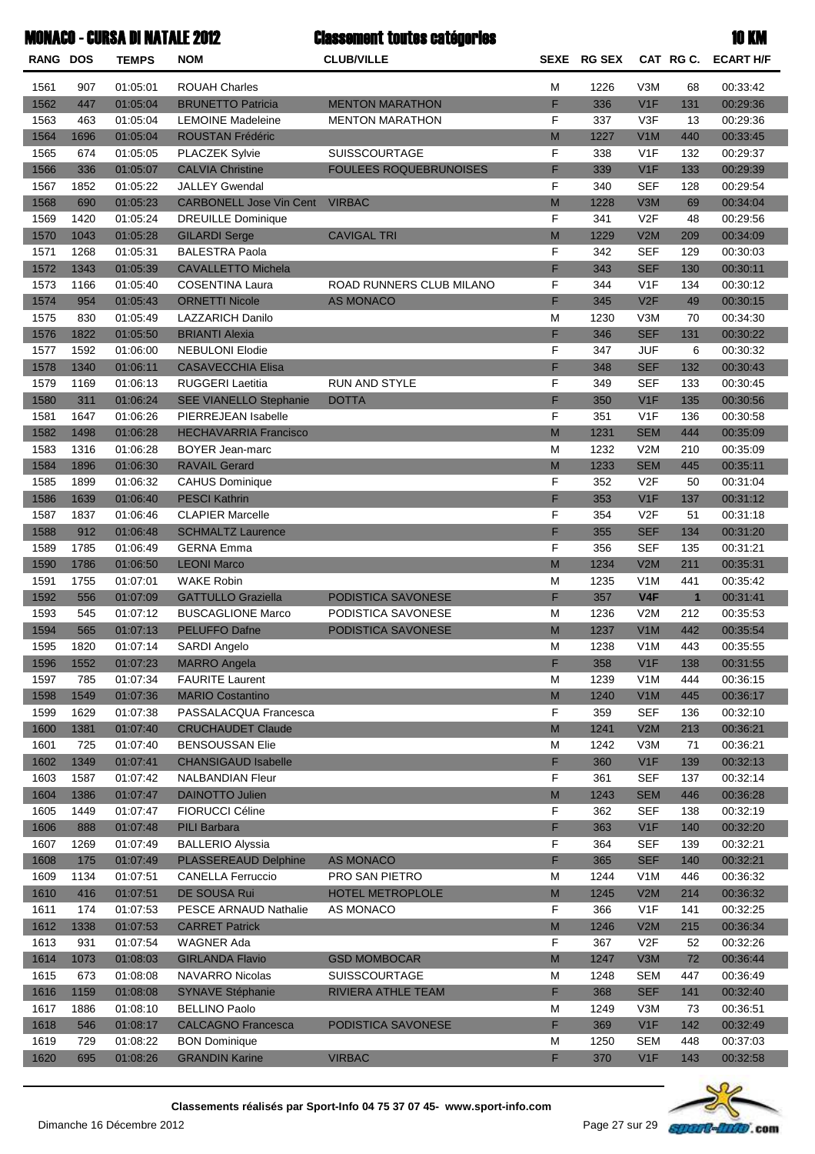| <b>MONACO - CURSA DI NATALE 201</b> |  |  |
|-------------------------------------|--|--|
|                                     |  |  |

## Classement toutes catégories

|              |              | <b>MONACO - CURSA DI NATALE 2012</b> |                                                  | <b>Classement toutes catégories</b> |                                                                                                            |             |                  |              | <b>10 KM</b>         |
|--------------|--------------|--------------------------------------|--------------------------------------------------|-------------------------------------|------------------------------------------------------------------------------------------------------------|-------------|------------------|--------------|----------------------|
| RANG DOS     |              | <b>TEMPS</b>                         | <b>NOM</b>                                       | <b>CLUB/VILLE</b>                   |                                                                                                            | SEXE RG SEX |                  | CAT RG C.    | <b>ECART H/F</b>     |
| 1561         | 907          | 01:05:01                             | <b>ROUAH Charles</b>                             |                                     | м                                                                                                          | 1226        | V3M              | 68           | 00:33:42             |
| 1562         | 447          | 01:05:04                             | <b>BRUNETTO Patricia</b>                         | <b>MENTON MARATHON</b>              | F                                                                                                          | 336         | V1F              | 131          | 00:29:36             |
| 1563         | 463          | 01:05:04                             | <b>LEMOINE Madeleine</b>                         | <b>MENTON MARATHON</b>              | F                                                                                                          | 337         | V3F              | 13           | 00:29:36             |
| 1564         | 1696         | 01:05:04                             | <b>ROUSTAN Frédéric</b>                          |                                     | M                                                                                                          | 1227        | V1M              | 440          | 00:33:45             |
| 1565         | 674          | 01:05:05                             | <b>PLACZEK Sylvie</b>                            | <b>SUISSCOURTAGE</b>                | F                                                                                                          | 338         | V <sub>1</sub> F | 132          | 00:29:37             |
| 1566         | 336          | 01:05:07                             | <b>CALVIA Christine</b>                          | <b>FOULEES ROQUEBRUNOISES</b>       | F                                                                                                          | 339         | V1F              | 133          | 00:29:39             |
| 1567         | 1852         | 01:05:22                             | <b>JALLEY Gwendal</b>                            |                                     | F                                                                                                          | 340         | <b>SEF</b>       | 128          | 00:29:54             |
| 1568         | 690          | 01:05:23                             | <b>CARBONELL Jose Vin Cent</b>                   | <b>VIRBAC</b>                       | M                                                                                                          | 1228        | V3M              | 69           | 00:34:04             |
| 1569         | 1420         | 01:05:24                             | <b>DREUILLE Dominique</b>                        |                                     | F                                                                                                          | 341         | V2F              | 48           | 00:29:56             |
| 1570         | 1043         | 01:05:28                             | <b>GILARDI Serge</b>                             | <b>CAVIGAL TRI</b>                  | $\mathsf{M}$                                                                                               | 1229        | V2M              | 209          | 00:34:09             |
| 1571         | 1268         | 01:05:31                             | <b>BALESTRA Paola</b>                            |                                     | F                                                                                                          | 342         | <b>SEF</b>       | 129          | 00:30:03             |
| 1572         | 1343         | 01:05:39                             | <b>CAVALLETTO Michela</b>                        |                                     | F                                                                                                          | 343         | <b>SEF</b>       | 130          | 00:30:11             |
| 1573         | 1166         | 01:05:40                             | <b>COSENTINA Laura</b>                           | ROAD RUNNERS CLUB MILANO            | F                                                                                                          | 344         | V1F              | 134          | 00:30:12             |
| 1574         | 954          | 01:05:43                             | <b>ORNETTI Nicole</b>                            | <b>AS MONACO</b>                    | F                                                                                                          | 345         | V2F              | 49           | 00:30:15             |
| 1575         | 830          | 01:05:49                             | <b>LAZZARICH Danilo</b>                          |                                     | М                                                                                                          | 1230        | V3M              | 70           | 00:34:30             |
| 1576         | 1822         | 01:05:50                             | <b>BRIANTI Alexia</b>                            |                                     | F                                                                                                          | 346         | <b>SEF</b>       | 131          | 00:30:22             |
| 1577         | 1592         | 01:06:00                             | <b>NEBULONI Elodie</b>                           |                                     | F                                                                                                          | 347         | <b>JUF</b>       | 6            | 00:30:32             |
| 1578         | 1340         | 01:06:11                             | <b>CASAVECCHIA Elisa</b>                         |                                     | F                                                                                                          | 348         | <b>SEF</b>       | 132          | 00:30:43             |
| 1579         | 1169         | 01:06:13                             | <b>RUGGERI Laetitia</b>                          | <b>RUN AND STYLE</b>                | F                                                                                                          | 349         | <b>SEF</b>       | 133          | 00:30:45             |
| 1580         | 311          | 01:06:24                             | <b>SEE VIANELLO Stephanie</b>                    | <b>DOTTA</b>                        | F                                                                                                          | 350         | V1F              | 135          | 00:30:56             |
| 1581         | 1647         | 01:06:26                             | PIERREJEAN Isabelle                              |                                     | F                                                                                                          | 351         | V <sub>1</sub> F | 136          | 00:30:58             |
| 1582         | 1498         | 01:06:28                             | <b>HECHAVARRIA Francisco</b>                     |                                     | $\mathsf{M}$                                                                                               | 1231        | <b>SEM</b>       | 444          | 00:35:09             |
| 1583         | 1316         | 01:06:28                             | BOYER Jean-marc                                  |                                     | M                                                                                                          | 1232        | V2M              | 210          | 00:35:09             |
| 1584         | 1896         | 01:06:30                             | <b>RAVAIL Gerard</b>                             |                                     | M                                                                                                          | 1233        | <b>SEM</b>       | 445          | 00:35:11             |
| 1585         | 1899         | 01:06:32                             | <b>CAHUS Dominique</b>                           |                                     | F                                                                                                          | 352         | V <sub>2F</sub>  | 50           | 00:31:04             |
| 1586         | 1639         | 01:06:40                             | <b>PESCI Kathrin</b>                             |                                     | F                                                                                                          | 353         | V1F              | 137          | 00:31:12             |
| 1587         | 1837         | 01:06:46                             | <b>CLAPIER Marcelle</b>                          |                                     | F                                                                                                          | 354         | V2F              | 51           | 00:31:18             |
| 1588         | 912          | 01:06:48                             | <b>SCHMALTZ Laurence</b>                         |                                     | F                                                                                                          | 355         | <b>SEF</b>       | 134          | 00:31:20             |
| 1589         | 1785         | 01:06:49                             | <b>GERNA Emma</b>                                |                                     | F                                                                                                          | 356         | <b>SEF</b>       | 135          | 00:31:21             |
| 1590         | 1786         | 01:06:50                             | <b>LEONI Marco</b>                               |                                     | M                                                                                                          | 1234        | V2M              | 211          | 00:35:31             |
| 1591         | 1755         | 01:07:01                             | <b>WAKE Robin</b>                                |                                     | М                                                                                                          | 1235        | V <sub>1</sub> M | 441          | 00:35:42             |
| 1592         | 556          | 01:07:09                             | <b>GATTULLO Graziella</b>                        | PODISTICA SAVONESE                  | F                                                                                                          | 357         | V <sub>4F</sub>  | $\mathbf{1}$ | 00:31:41             |
| 1593         | 545          | 01:07:12                             | <b>BUSCAGLIONE Marco</b><br><b>PELUFFO Dafne</b> | PODISTICA SAVONESE                  | М                                                                                                          | 1236        | V2M<br>V1M       | 212          | 00:35:53             |
| 1594         | 565          | 01:07:13                             |                                                  | <b>PODISTICA SAVONESE</b>           | M                                                                                                          | 1237        |                  | 442          | 00:35:54             |
| 1595<br>1596 | 1820<br>1552 | 01:07:14<br>01:07:23                 | SARDI Angelo<br><b>MARRO Angela</b>              |                                     | M<br>F                                                                                                     | 1238<br>358 | V1M<br>V1F       | 443<br>138   | 00:35:55             |
| 1597         | 785          | 01:07:34                             | <b>FAURITE Laurent</b>                           |                                     | M                                                                                                          | 1239        | V <sub>1</sub> M | 444          | 00:31:55             |
| 1598         | 1549         | 01:07:36                             | <b>MARIO Costantino</b>                          |                                     | M                                                                                                          | 1240        | V1M              | 445          | 00:36:15<br>00:36:17 |
| 1599         | 1629         | 01:07:38                             | PASSALACQUA Francesca                            |                                     | F                                                                                                          | 359         | <b>SEF</b>       | 136          | 00:32:10             |
| 1600         | 1381         | 01:07:40                             | <b>CRUCHAUDET Claude</b>                         |                                     | $\mathsf{M}% _{T}=\mathsf{M}_{T}\!\left( a,b\right) ,\ \mathsf{M}_{T}=\mathsf{M}_{T}\!\left( a,b\right) ,$ | 1241        | V2M              | 213          | 00:36:21             |
| 1601         | 725          | 01:07:40                             | <b>BENSOUSSAN Elie</b>                           |                                     | M                                                                                                          | 1242        | V3M              | 71           | 00:36:21             |
| 1602         | 1349         | 01:07:41                             | <b>CHANSIGAUD Isabelle</b>                       |                                     | F                                                                                                          | 360         | V1F              | 139          | 00:32:13             |
| 1603         | 1587         | 01:07:42                             | <b>NALBANDIAN Fleur</b>                          |                                     | F                                                                                                          | 361         | <b>SEF</b>       | 137          | 00:32:14             |
| 1604         | 1386         | 01:07:47                             | <b>DAINOTTO Julien</b>                           |                                     | M                                                                                                          | 1243        | <b>SEM</b>       | 446          | 00:36:28             |
| 1605         | 1449         | 01:07:47                             | <b>FIORUCCI Céline</b>                           |                                     | F                                                                                                          | 362         | <b>SEF</b>       | 138          | 00:32:19             |
| 1606         | 888          | 01:07:48                             | <b>PILI Barbara</b>                              |                                     | F                                                                                                          | 363         | V1F              | 140          | 00:32:20             |
| 1607         | 1269         | 01:07:49                             | <b>BALLERIO Alyssia</b>                          |                                     | F                                                                                                          | 364         | <b>SEF</b>       | 139          | 00:32:21             |
| 1608         | 175          | 01:07:49                             | <b>PLASSEREAUD Delphine</b>                      | <b>AS MONACO</b>                    | F                                                                                                          | 365         | <b>SEF</b>       | 140          | 00:32:21             |
| 1609         | 1134         | 01:07:51                             | <b>CANELLA Ferruccio</b>                         | PRO SAN PIETRO                      | M                                                                                                          | 1244        | V <sub>1</sub> M | 446          | 00:36:32             |
| 1610         | 416          | 01:07:51                             | DE SOUSA Rui                                     | <b>HOTEL METROPLOLE</b>             | M                                                                                                          | 1245        | V2M              | 214          | 00:36:32             |
| 1611         | 174          | 01:07:53                             | PESCE ARNAUD Nathalie                            | AS MONACO                           | F                                                                                                          | 366         | V1F              | 141          | 00:32:25             |
| 1612         | 1338         | 01:07:53                             | <b>CARRET Patrick</b>                            |                                     | $\mathsf{M}% _{T}=\mathsf{M}_{T}\!\left( a,b\right) ,\ \mathsf{M}_{T}=\mathsf{M}_{T}\!\left( a,b\right) ,$ | 1246        | V2M              | 215          | 00:36:34             |
| 1613         | 931          | 01:07:54                             | <b>WAGNER Ada</b>                                |                                     | F                                                                                                          | 367         | V2F              | 52           | 00:32:26             |
| 1614         | 1073         | 01:08:03                             | <b>GIRLANDA Flavio</b>                           | <b>GSD MOMBOCAR</b>                 | $\mathsf{M}% _{T}=\mathsf{M}_{T}\!\left( a,b\right) ,\ \mathsf{M}_{T}=\mathsf{M}_{T}\!\left( a,b\right) ,$ | 1247        | V3M              | 72           | 00:36:44             |
| 1615         | 673          | 01:08:08                             | NAVARRO Nicolas                                  | <b>SUISSCOURTAGE</b>                | M                                                                                                          | 1248        | <b>SEM</b>       | 447          | 00:36:49             |
| 1616         | 1159         | 01:08:08                             | <b>SYNAVE Stéphanie</b>                          | RIVIERA ATHLE TEAM                  | F                                                                                                          | 368         | <b>SEF</b>       | 141          | 00:32:40             |
| 1617         | 1886         | 01:08:10                             | <b>BELLINO Paolo</b>                             |                                     | M                                                                                                          | 1249        | V3M              | 73           | 00:36:51             |
| 1618         | 546          | 01:08:17                             | <b>CALCAGNO Francesca</b>                        | PODISTICA SAVONESE                  | F                                                                                                          | 369         | V1F              | 142          | 00:32:49             |
| 1619         | 729          | 01:08:22                             | <b>BON Dominique</b>                             |                                     | М                                                                                                          | 1250        | <b>SEM</b>       | 448          | 00:37:03             |
| 1620         | 695          | 01:08:26                             | <b>GRANDIN Karine</b>                            | <b>VIRBAC</b>                       | F                                                                                                          | 370         | V1F              | 143          | 00:32:58             |

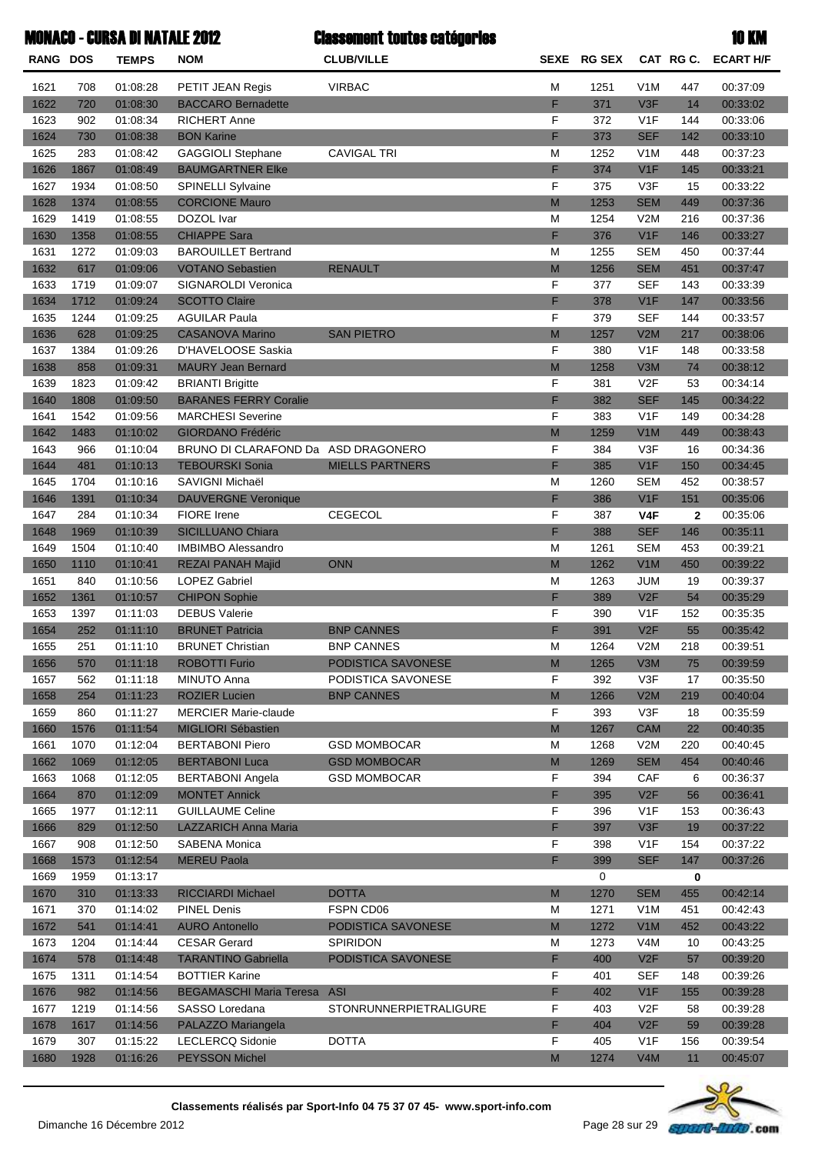| <b>MONACO - CURSA DI NATALE 201)</b> |  |  |
|--------------------------------------|--|--|
|                                      |  |  |

|                 |      | <b>MONACO - CURSA DI NATALE 2012</b> |                                     | <b>Classement toutes catégories</b> |                                                                                                            |             |                  |              | <b>10 KM</b>        |
|-----------------|------|--------------------------------------|-------------------------------------|-------------------------------------|------------------------------------------------------------------------------------------------------------|-------------|------------------|--------------|---------------------|
| <b>RANG DOS</b> |      | <b>TEMPS</b>                         | <b>NOM</b>                          | <b>CLUB/VILLE</b>                   |                                                                                                            | SEXE RG SEX |                  |              | CAT RG C. ECART H/F |
| 1621            | 708  | 01:08:28                             | PETIT JEAN Regis                    | <b>VIRBAC</b>                       | М                                                                                                          | 1251        | V1M              | 447          | 00:37:09            |
| 1622            | 720  | 01:08:30                             | <b>BACCARO Bernadette</b>           |                                     | F                                                                                                          | 371         | V3F              | 14           | 00:33:02            |
| 1623            | 902  | 01:08:34                             | <b>RICHERT Anne</b>                 |                                     | F                                                                                                          | 372         | V <sub>1</sub> F | 144          | 00:33:06            |
| 1624            | 730  | 01:08:38                             | <b>BON Karine</b>                   |                                     | F                                                                                                          | 373         | <b>SEF</b>       | 142          | 00:33:10            |
| 1625            | 283  | 01:08:42                             | <b>GAGGIOLI Stephane</b>            | <b>CAVIGAL TRI</b>                  | M                                                                                                          | 1252        | V <sub>1</sub> M | 448          | 00:37:23            |
| 1626            | 1867 | 01:08:49                             | <b>BAUMGARTNER Elke</b>             |                                     | F                                                                                                          | 374         | V1F              | 145          | 00:33:21            |
| 1627            | 1934 | 01:08:50                             | <b>SPINELLI Sylvaine</b>            |                                     | F                                                                                                          | 375         | V3F              | 15           | 00:33:22            |
| 1628            | 1374 | 01:08:55                             | <b>CORCIONE Mauro</b>               |                                     | $\overline{M}$                                                                                             | 1253        | <b>SEM</b>       | 449          | 00:37:36            |
| 1629            | 1419 | 01:08:55                             | DOZOL Ivar                          |                                     | M                                                                                                          | 1254        | V2M              | 216          | 00:37:36            |
| 1630            | 1358 | 01:08:55                             | <b>CHIAPPE Sara</b>                 |                                     | F                                                                                                          | 376         | V1F              | 146          | 00:33:27            |
| 1631            | 1272 | 01:09:03                             | <b>BAROUILLET Bertrand</b>          |                                     | M                                                                                                          | 1255        | <b>SEM</b>       | 450          | 00:37:44            |
| 1632            | 617  | 01:09:06                             | <b>VOTANO Sebastien</b>             | <b>RENAULT</b>                      | M                                                                                                          | 1256        | <b>SEM</b>       | 451          | 00:37:47            |
| 1633            | 1719 | 01:09:07                             | SIGNAROLDI Veronica                 |                                     | F                                                                                                          | 377         | <b>SEF</b>       | 143          | 00:33:39            |
| 1634            | 1712 | 01:09:24                             | <b>SCOTTO Claire</b>                |                                     | F                                                                                                          | 378         | V1F              | 147          | 00:33:56            |
| 1635            | 1244 | 01:09:25                             | <b>AGUILAR Paula</b>                |                                     | F                                                                                                          | 379         | <b>SEF</b>       | 144          | 00:33:57            |
| 1636            | 628  | 01:09:25                             | <b>CASANOVA Marino</b>              | <b>SAN PIETRO</b>                   | $\overline{M}$                                                                                             | 1257        | V2M              | 217          | 00:38:06            |
| 1637            | 1384 | 01:09:26                             | D'HAVELOOSE Saskia                  |                                     | F                                                                                                          | 380         | V <sub>1</sub> F | 148          | 00:33:58            |
| 1638            | 858  | 01:09:31                             | <b>MAURY Jean Bernard</b>           |                                     | $\overline{M}$                                                                                             | 1258        | V3M              | 74           | 00:38:12            |
| 1639            | 1823 | 01:09:42                             | <b>BRIANTI Brigitte</b>             |                                     | F                                                                                                          | 381         | V <sub>2F</sub>  | 53           | 00:34:14            |
| 1640            | 1808 | 01:09:50                             | <b>BARANES FERRY Coralie</b>        |                                     | F                                                                                                          | 382         | <b>SEF</b>       | 145          | 00:34:22            |
| 1641            | 1542 | 01:09:56                             | <b>MARCHESI Severine</b>            |                                     | F                                                                                                          | 383         | V <sub>1</sub> F | 149          | 00:34:28            |
| 1642            | 1483 | 01:10:02                             | <b>GIORDANO Frédéric</b>            |                                     | $\overline{M}$                                                                                             | 1259        | V1M              | 449          | 00:38:43            |
| 1643            | 966  | 01:10:04                             | BRUNO DI CLARAFOND Da ASD DRAGONERO |                                     | F                                                                                                          | 384         | V3F              | 16           | 00:34:36            |
| 1644            | 481  | 01:10:13                             | <b>TEBOURSKI Sonia</b>              | <b>MIELLS PARTNERS</b>              | F                                                                                                          | 385         | V1F              | 150          | 00:34:45            |
| 1645            | 1704 | 01:10:16                             | SAVIGNI Michaël                     |                                     | M                                                                                                          | 1260        | <b>SEM</b>       | 452          | 00:38:57            |
| 1646            | 1391 | 01:10:34                             | <b>DAUVERGNE Veronique</b>          |                                     | F                                                                                                          | 386         | V1F              | 151          | 00:35:06            |
| 1647            | 284  | 01:10:34                             | FIORE Irene                         | CEGECOL                             | F                                                                                                          | 387         | V <sub>4F</sub>  | $\mathbf{2}$ | 00:35:06            |
| 1648            | 1969 | 01:10:39                             | <b>SICILLUANO Chiara</b>            |                                     | F                                                                                                          | 388         | <b>SEF</b>       | 146          | 00:35:11            |
| 1649            | 1504 | 01:10:40                             | <b>IMBIMBO Alessandro</b>           |                                     | M                                                                                                          | 1261        | <b>SEM</b>       | 453          | 00:39:21            |
| 1650            | 1110 | 01:10:41                             | <b>REZAI PANAH Majid</b>            | <b>ONN</b>                          | M                                                                                                          | 1262        | V1M              | 450          | 00:39:22            |
| 1651            | 840  | 01:10:56                             | <b>LOPEZ Gabriel</b>                |                                     | M                                                                                                          | 1263        | <b>JUM</b>       | 19           | 00:39:37            |
| 1652            | 1361 | 01:10:57                             | <b>CHIPON Sophie</b>                |                                     | F                                                                                                          | 389         | V2F              | 54           | 00:35:29            |
| 1653            | 1397 | 01:11:03                             | <b>DEBUS Valerie</b>                |                                     | F                                                                                                          | 390         | V <sub>1</sub> F | 152          | 00:35:35            |
| 1654            | 252  | 01:11:10                             | <b>BRUNET Patricia</b>              | <b>BNP CANNES</b>                   | F                                                                                                          | 391         | V2F              | 55           | 00:35:42            |
| 1655            | 251  | 01:11:10                             | <b>BRUNET Christian</b>             | <b>BNP CANNES</b>                   | M                                                                                                          | 1264        | V2M              | 218          | 00:39:51            |
| 1656            | 570  | 01:11:18                             | <b>ROBOTTI Furio</b>                | PODISTICA SAVONESE                  | M                                                                                                          | 1265        | V3M              | 75           | 00:39:59            |
| 1657            | 562  | 01:11:18                             | MINUTO Anna                         | PODISTICA SAVONESE                  | F                                                                                                          | 392         | V3F              | 17           | 00:35:50            |
| 1658            | 254  | 01:11:23                             | <b>ROZIER Lucien</b>                | <b>BNP CANNES</b>                   | $\mathsf{M}% _{T}=\mathsf{M}_{T}\!\left( a,b\right) ,\ \mathsf{M}_{T}=\mathsf{M}_{T}\!\left( a,b\right) ,$ | 1266        | V2M              | 219          | 00:40:04            |
| 1659            | 860  | 01:11:27                             | <b>MERCIER Marie-claude</b>         |                                     | F                                                                                                          | 393         | V3F              | 18           | 00:35:59            |
| 1660            | 1576 | 01:11:54                             | <b>MIGLIORI Sébastien</b>           |                                     | $\mathsf{M}% _{T}=\mathsf{M}_{T}\!\left( a,b\right) ,\ \mathsf{M}_{T}=\mathsf{M}_{T}\!\left( a,b\right) ,$ | 1267        | <b>CAM</b>       | 22           | 00:40:35            |
| 1661            | 1070 | 01:12:04                             | <b>BERTABONI Piero</b>              | <b>GSD MOMBOCAR</b>                 | М                                                                                                          | 1268        | V2M              | 220          | 00:40:45            |
| 1662            | 1069 | 01:12:05                             | <b>BERTABONI Luca</b>               | <b>GSD MOMBOCAR</b>                 | M                                                                                                          | 1269        | <b>SEM</b>       | 454          | 00:40:46            |
| 1663            | 1068 | 01:12:05                             | <b>BERTABONI Angela</b>             | <b>GSD MOMBOCAR</b>                 | F                                                                                                          | 394         | CAF              | 6            | 00:36:37            |
| 1664            | 870  | 01:12:09                             | <b>MONTET Annick</b>                |                                     | F.                                                                                                         | 395         | V2F              | 56           | 00:36:41            |
| 1665            | 1977 | 01:12:11                             | <b>GUILLAUME Celine</b>             |                                     | F                                                                                                          | 396         | V <sub>1</sub> F | 153          | 00:36:43            |
| 1666            | 829  | 01:12:50                             | <b>LAZZARICH Anna Maria</b>         |                                     | F.                                                                                                         | 397         | V3F              | 19           | 00:37:22            |
| 1667            | 908  | 01:12:50                             | SABENA Monica                       |                                     | F                                                                                                          | 398         | V <sub>1</sub> F | 154          | 00:37:22            |
| 1668            | 1573 | 01:12:54                             | <b>MEREU Paola</b>                  |                                     | F                                                                                                          | 399         | <b>SEF</b>       | 147          | 00:37:26            |
| 1669            | 1959 | 01:13:17                             |                                     |                                     |                                                                                                            | 0           |                  | 0            |                     |
| 1670            | 310  | 01:13:33                             | <b>RICCIARDI Michael</b>            | <b>DOTTA</b>                        | M                                                                                                          | 1270        | <b>SEM</b>       | 455          | 00:42:14            |
| 1671            | 370  | 01:14:02                             | <b>PINEL Denis</b>                  | FSPN CD06                           | М                                                                                                          | 1271        | V <sub>1</sub> M | 451          | 00:42:43            |
| 1672            | 541  | 01:14:41                             | <b>AURO Antonello</b>               | PODISTICA SAVONESE                  | M                                                                                                          | 1272        | V1M              | 452          | 00:43:22            |
| 1673            | 1204 | 01:14:44                             | <b>CESAR Gerard</b>                 | <b>SPIRIDON</b>                     | М                                                                                                          | 1273        | V <sub>4</sub> M | 10           | 00:43:25            |
| 1674            | 578  | 01:14:48                             | <b>TARANTINO Gabriella</b>          | PODISTICA SAVONESE                  | F.                                                                                                         | 400         | V2F              | 57           | 00:39:20            |
| 1675            | 1311 | 01:14:54                             | <b>BOTTIER Karine</b>               |                                     | F                                                                                                          | 401         | <b>SEF</b>       | 148          | 00:39:26            |
| 1676            | 982  | 01:14:56                             | <b>BEGAMASCHI Maria Teresa ASI</b>  |                                     | F.                                                                                                         | 402         | V1F              | 155          | 00:39:28            |
| 1677            | 1219 | 01:14:56                             | SASSO Loredana                      | <b>STONRUNNERPIETRALIGURE</b>       | F                                                                                                          | 403         | V <sub>2</sub> F | 58           | 00:39:28            |
| 1678            | 1617 | 01:14:56                             | PALAZZO Mariangela                  |                                     | F                                                                                                          | 404         | V2F              | 59           | 00:39:28            |
| 1679            | 307  | 01:15:22                             | <b>LECLERCQ Sidonie</b>             | <b>DOTTA</b>                        | F                                                                                                          | 405         | V <sub>1</sub> F | 156          | 00:39:54            |
| 1680            | 1928 | 01:16:26                             | <b>PEYSSON Michel</b>               |                                     | M                                                                                                          | 1274        | V4M              | 11           | 00:45:07            |